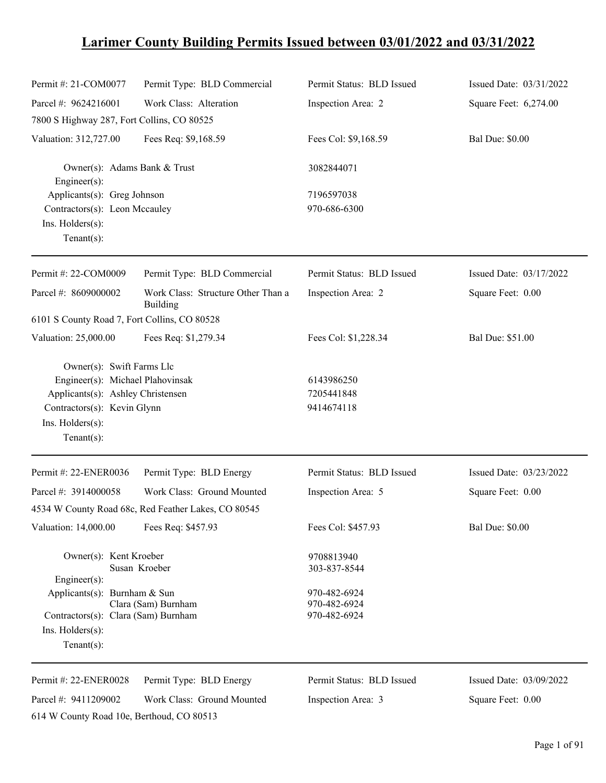# **Larimer County Building Permits Issued between 03/01/2022 and 03/31/2022**

| Permit #: 21-COM0077                                                                                                                                                   | Permit Type: BLD Commercial                         | Permit Status: BLD Issued                  | Issued Date: 03/31/2022 |
|------------------------------------------------------------------------------------------------------------------------------------------------------------------------|-----------------------------------------------------|--------------------------------------------|-------------------------|
| Parcel #: 9624216001                                                                                                                                                   | Work Class: Alteration                              | Inspection Area: 2                         | Square Feet: 6,274.00   |
| 7800 S Highway 287, Fort Collins, CO 80525                                                                                                                             |                                                     |                                            |                         |
| Valuation: 312,727.00                                                                                                                                                  | Fees Req: \$9,168.59                                | Fees Col: \$9,168.59                       | <b>Bal Due: \$0.00</b>  |
| Owner(s): Adams Bank & Trust<br>Engineer(s):                                                                                                                           |                                                     | 3082844071                                 |                         |
| Applicants(s): Greg Johnson                                                                                                                                            |                                                     | 7196597038                                 |                         |
| Contractors(s): Leon Mccauley                                                                                                                                          |                                                     | 970-686-6300                               |                         |
| Ins. Holders(s):                                                                                                                                                       |                                                     |                                            |                         |
| $Tenant(s)$ :                                                                                                                                                          |                                                     |                                            |                         |
| Permit #: 22-COM0009                                                                                                                                                   | Permit Type: BLD Commercial                         | Permit Status: BLD Issued                  | Issued Date: 03/17/2022 |
| Parcel #: 8609000002                                                                                                                                                   | Work Class: Structure Other Than a<br>Building      | Inspection Area: 2                         | Square Feet: 0.00       |
| 6101 S County Road 7, Fort Collins, CO 80528                                                                                                                           |                                                     |                                            |                         |
| Valuation: 25,000.00                                                                                                                                                   | Fees Req: \$1,279.34                                | Fees Col: \$1,228.34                       | Bal Due: \$51.00        |
| Owner(s): Swift Farms Llc<br>Engineer(s): Michael Plahovinsak<br>Applicants(s): Ashley Christensen<br>Contractors(s): Kevin Glynn<br>Ins. Holders(s):<br>$Tenant(s)$ : |                                                     | 6143986250<br>7205441848<br>9414674118     |                         |
| Permit #: 22-ENER0036                                                                                                                                                  | Permit Type: BLD Energy                             | Permit Status: BLD Issued                  | Issued Date: 03/23/2022 |
| Parcel #: 3914000058                                                                                                                                                   | Work Class: Ground Mounted                          | Inspection Area: 5                         | Square Feet: 0.00       |
|                                                                                                                                                                        | 4534 W County Road 68c, Red Feather Lakes, CO 80545 |                                            |                         |
| Valuation: 14,000.00                                                                                                                                                   | Fees Req: \$457.93                                  | Fees Col: \$457.93                         | <b>Bal Due: \$0.00</b>  |
| Owner(s): Kent Kroeber<br>$Engineering(s)$ :<br>Applicants(s): Burnham & Sun                                                                                           | Susan Kroeber                                       | 9708813940<br>303-837-8544<br>970-482-6924 |                         |
| Contractors(s): Clara (Sam) Burnham<br>Ins. Holders(s):<br>$Tenant(s)$ :                                                                                               | Clara (Sam) Burnham                                 | 970-482-6924<br>970-482-6924               |                         |
| Permit #: 22-ENER0028                                                                                                                                                  | Permit Type: BLD Energy                             | Permit Status: BLD Issued                  | Issued Date: 03/09/2022 |
| Parcel #: 9411209002                                                                                                                                                   | Work Class: Ground Mounted                          | Inspection Area: 3                         | Square Feet: 0.00       |

614 W County Road 10e, Berthoud, CO 80513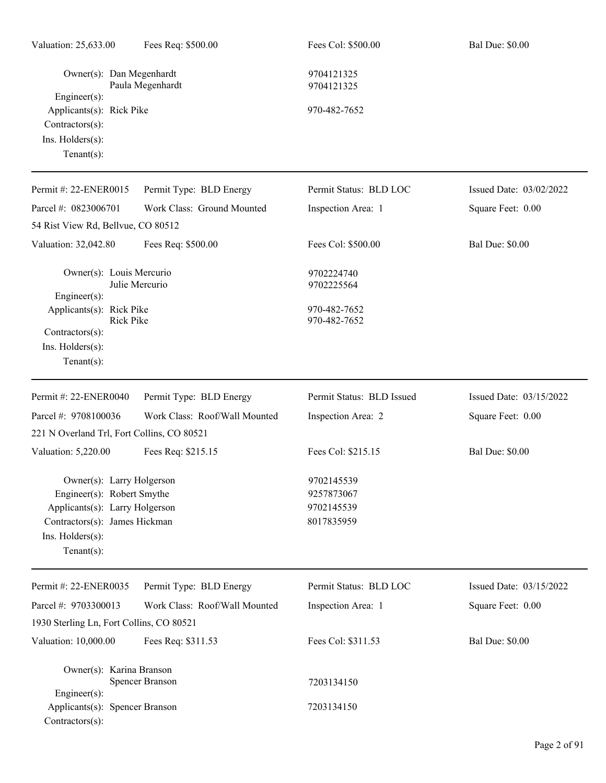| Valuation: 25,633.00                                                                                                                                             | Fees Req: \$500.00            | Fees Col: \$500.00                                   | <b>Bal Due: \$0.00</b>  |  |
|------------------------------------------------------------------------------------------------------------------------------------------------------------------|-------------------------------|------------------------------------------------------|-------------------------|--|
| Owner(s): Dan Megenhardt<br>$Engineering(s)$ :                                                                                                                   | Paula Megenhardt              | 9704121325<br>9704121325                             |                         |  |
| Applicants(s): Rick Pike<br>Contractors(s):<br>Ins. Holders(s):<br>$Tenant(s)$ :                                                                                 |                               | 970-482-7652                                         |                         |  |
| Permit #: 22-ENER0015                                                                                                                                            | Permit Type: BLD Energy       | Permit Status: BLD LOC                               | Issued Date: 03/02/2022 |  |
| Parcel #: 0823006701                                                                                                                                             | Work Class: Ground Mounted    | Inspection Area: 1                                   | Square Feet: 0.00       |  |
| 54 Rist View Rd, Bellvue, CO 80512                                                                                                                               |                               |                                                      |                         |  |
| Valuation: 32,042.80                                                                                                                                             | Fees Req: \$500.00            | Fees Col: \$500.00                                   | <b>Bal Due: \$0.00</b>  |  |
| Owner(s): Louis Mercurio<br>Engineer(s):                                                                                                                         | Julie Mercurio                | 9702224740<br>9702225564                             |                         |  |
| Applicants(s): Rick Pike<br><b>Rick Pike</b><br>Contractors(s):<br>Ins. $H$ olders $(s)$ :<br>$Tenant(s)$ :                                                      |                               | 970-482-7652<br>970-482-7652                         |                         |  |
| Permit #: 22-ENER0040                                                                                                                                            | Permit Type: BLD Energy       | Permit Status: BLD Issued                            | Issued Date: 03/15/2022 |  |
| Parcel #: 9708100036                                                                                                                                             | Work Class: Roof/Wall Mounted | Inspection Area: 2                                   | Square Feet: 0.00       |  |
| 221 N Overland Trl, Fort Collins, CO 80521                                                                                                                       |                               |                                                      |                         |  |
| Valuation: 5,220.00                                                                                                                                              | Fees Req: \$215.15            | Fees Col: \$215.15                                   | <b>Bal Due: \$0.00</b>  |  |
| Owner(s): Larry Holgerson<br>Engineer(s): Robert Smythe<br>Applicants(s): Larry Holgerson<br>Contractors(s): James Hickman<br>Ins. Holders(s):<br>Tenant $(s)$ : |                               | 9702145539<br>9257873067<br>9702145539<br>8017835959 |                         |  |
| Permit #: 22-ENER0035                                                                                                                                            | Permit Type: BLD Energy       | Permit Status: BLD LOC                               | Issued Date: 03/15/2022 |  |
| Parcel #: 9703300013                                                                                                                                             | Work Class: Roof/Wall Mounted | Inspection Area: 1                                   | Square Feet: 0.00       |  |
| 1930 Sterling Ln, Fort Collins, CO 80521                                                                                                                         |                               |                                                      |                         |  |
| Valuation: 10,000.00                                                                                                                                             | Fees Req: \$311.53            | Fees Col: \$311.53                                   | <b>Bal Due: \$0.00</b>  |  |
| Owner(s): Karina Branson                                                                                                                                         | Spencer Branson               | 7203134150                                           |                         |  |
| Engineer(s):<br>Applicants(s): Spencer Branson<br>Contractors(s):                                                                                                |                               | 7203134150                                           |                         |  |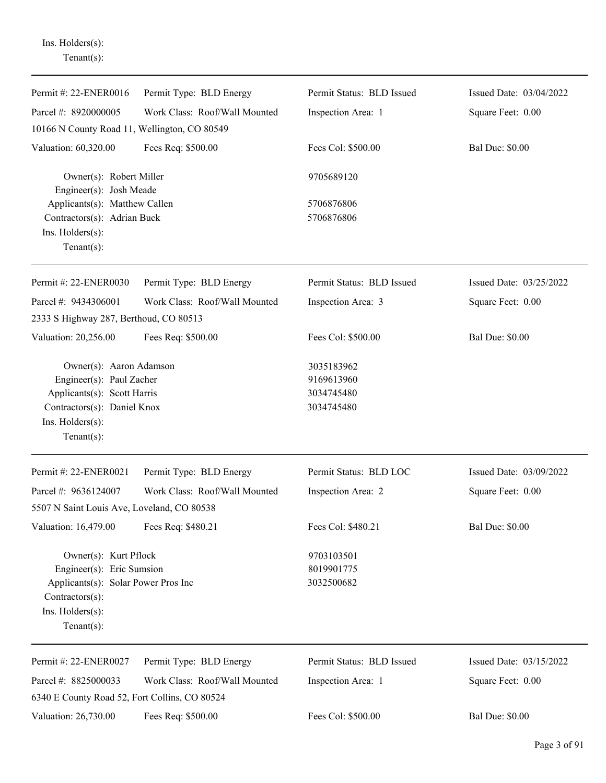Ins. Holders(s): Tenant(s):

| Permit #: 22-ENER0016                              | Permit Type: BLD Energy       | Permit Status: BLD Issued | Issued Date: 03/04/2022 |
|----------------------------------------------------|-------------------------------|---------------------------|-------------------------|
| Parcel #: 8920000005                               | Work Class: Roof/Wall Mounted | Inspection Area: 1        | Square Feet: 0.00       |
| 10166 N County Road 11, Wellington, CO 80549       |                               |                           |                         |
| Valuation: 60,320.00                               | Fees Req: \$500.00            | Fees Col: \$500.00        | <b>Bal Due: \$0.00</b>  |
| Owner(s): Robert Miller<br>Engineer(s): Josh Meade |                               | 9705689120                |                         |
| Applicants(s): Matthew Callen                      |                               | 5706876806                |                         |
| Contractors(s): Adrian Buck                        |                               | 5706876806                |                         |
| Ins. Holders(s):                                   |                               |                           |                         |
| Tenant $(s)$ :                                     |                               |                           |                         |
| Permit #: 22-ENER0030                              | Permit Type: BLD Energy       | Permit Status: BLD Issued | Issued Date: 03/25/2022 |
| Parcel #: 9434306001                               | Work Class: Roof/Wall Mounted | Inspection Area: 3        | Square Feet: 0.00       |
| 2333 S Highway 287, Berthoud, CO 80513             |                               |                           |                         |
| Valuation: 20,256.00                               | Fees Req: \$500.00            | Fees Col: \$500.00        | <b>Bal Due: \$0.00</b>  |
| Owner(s): Aaron Adamson                            |                               | 3035183962                |                         |
| Engineer(s): Paul Zacher                           |                               | 9169613960                |                         |
| Applicants(s): Scott Harris                        |                               | 3034745480                |                         |
| Contractors(s): Daniel Knox                        |                               | 3034745480                |                         |
| Ins. Holders(s):                                   |                               |                           |                         |
| Tenant $(s)$ :                                     |                               |                           |                         |
| Permit #: 22-ENER0021                              | Permit Type: BLD Energy       | Permit Status: BLD LOC    | Issued Date: 03/09/2022 |
| Parcel #: 9636124007                               | Work Class: Roof/Wall Mounted | Inspection Area: 2        | Square Feet: 0.00       |
| 5507 N Saint Louis Ave, Loveland, CO 80538         |                               |                           |                         |
| Valuation: 16,479.00                               | Fees Req: \$480.21            | Fees Col: \$480.21        | <b>Bal Due: \$0.00</b>  |
| Owner(s): Kurt Pflock                              |                               | 9703103501                |                         |
| Engineer(s): Eric Sumsion                          |                               | 8019901775                |                         |
| Applicants(s): Solar Power Pros Inc                |                               | 3032500682                |                         |
| $Contractors(s)$ :                                 |                               |                           |                         |
| Ins. Holders(s):                                   |                               |                           |                         |
| Tenant $(s)$ :                                     |                               |                           |                         |
| Permit #: 22-ENER0027                              | Permit Type: BLD Energy       | Permit Status: BLD Issued | Issued Date: 03/15/2022 |
| Parcel #: 8825000033                               | Work Class: Roof/Wall Mounted | Inspection Area: 1        | Square Feet: 0.00       |
| 6340 E County Road 52, Fort Collins, CO 80524      |                               |                           |                         |
| Valuation: 26,730.00                               | Fees Req: \$500.00            | Fees Col: \$500.00        | <b>Bal Due: \$0.00</b>  |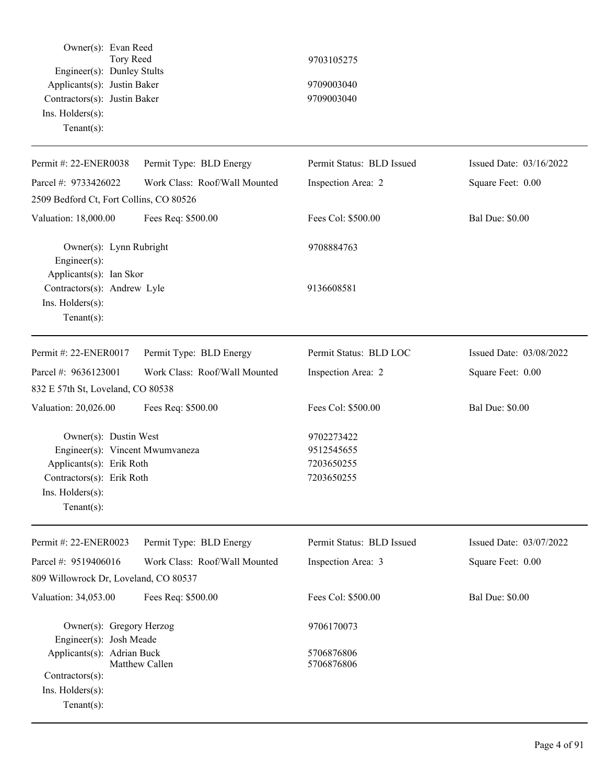| Owner(s): Evan Reed<br>Tory Reed<br>Engineer(s): Dunley Stults<br>Applicants(s): Justin Baker<br>Contractors(s): Justin Baker<br>Ins. Holders(s):<br>$Tenant(s)$ : |                               | 9703105275<br>9709003040<br>9709003040               |                         |
|--------------------------------------------------------------------------------------------------------------------------------------------------------------------|-------------------------------|------------------------------------------------------|-------------------------|
| Permit #: 22-ENER0038                                                                                                                                              | Permit Type: BLD Energy       | Permit Status: BLD Issued                            | Issued Date: 03/16/2022 |
| Parcel #: 9733426022                                                                                                                                               | Work Class: Roof/Wall Mounted | Inspection Area: 2                                   | Square Feet: 0.00       |
| 2509 Bedford Ct, Fort Collins, CO 80526                                                                                                                            |                               |                                                      |                         |
| Valuation: 18,000.00                                                                                                                                               | Fees Req: \$500.00            | Fees Col: \$500.00                                   | <b>Bal Due: \$0.00</b>  |
| Owner(s): Lynn Rubright<br>Engineer(s):<br>Applicants(s): Ian Skor                                                                                                 |                               | 9708884763                                           |                         |
| Contractors(s): Andrew Lyle<br>Ins. Holders(s):<br>Tenant $(s)$ :                                                                                                  |                               | 9136608581                                           |                         |
| Permit #: 22-ENER0017                                                                                                                                              | Permit Type: BLD Energy       | Permit Status: BLD LOC                               | Issued Date: 03/08/2022 |
| Parcel #: 9636123001                                                                                                                                               | Work Class: Roof/Wall Mounted | Inspection Area: 2                                   | Square Feet: 0.00       |
| 832 E 57th St, Loveland, CO 80538                                                                                                                                  |                               |                                                      |                         |
| Valuation: 20,026.00                                                                                                                                               | Fees Req: \$500.00            | Fees Col: \$500.00                                   | <b>Bal Due: \$0.00</b>  |
| Owner(s): Dustin West<br>Engineer(s): Vincent Mwumvaneza<br>Applicants(s): Erik Roth<br>Contractors(s): Erik Roth<br>$Ins.$ Holders $(s)$ :<br>Tenant $(s)$ :      |                               | 9702273422<br>9512545655<br>7203650255<br>7203650255 |                         |
| Permit #: 22-ENER0023                                                                                                                                              | Permit Type: BLD Energy       | Permit Status: BLD Issued                            | Issued Date: 03/07/2022 |
| Parcel #: 9519406016<br>809 Willowrock Dr, Loveland, CO 80537                                                                                                      | Work Class: Roof/Wall Mounted | Inspection Area: 3                                   | Square Feet: 0.00       |
| Valuation: 34,053.00                                                                                                                                               | Fees Req: \$500.00            | Fees Col: \$500.00                                   | <b>Bal Due: \$0.00</b>  |
| Owner(s): Gregory Herzog<br>Engineer(s): Josh Meade                                                                                                                |                               | 9706170073                                           |                         |
| Applicants(s): Adrian Buck<br>Contractors(s):<br>Ins. Holders(s):<br>Tenant $(s)$ :                                                                                | Matthew Callen                | 5706876806<br>5706876806                             |                         |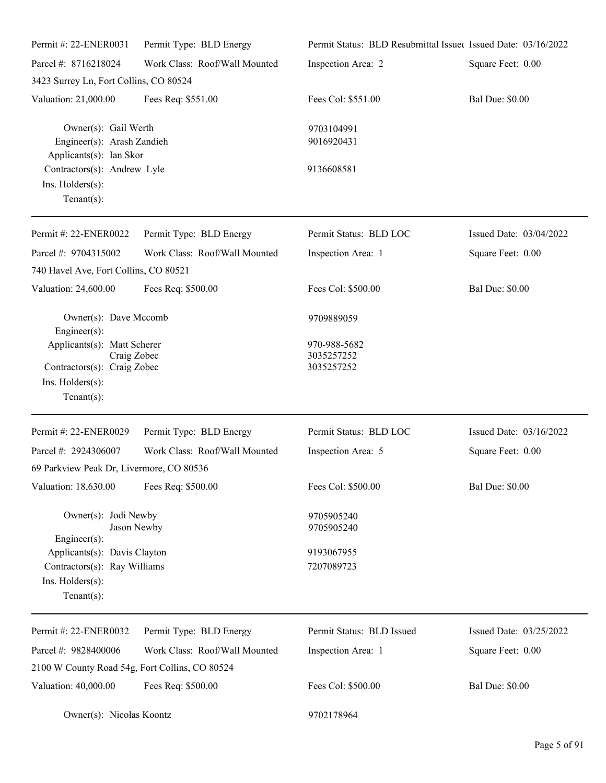| Permit #: 22-ENER0031                                                                                           | Permit Type: BLD Energy       | Permit Status: BLD Resubmittal Issued Issued Date: 03/16/2022 |                         |
|-----------------------------------------------------------------------------------------------------------------|-------------------------------|---------------------------------------------------------------|-------------------------|
| Parcel #: 8716218024                                                                                            | Work Class: Roof/Wall Mounted | Inspection Area: 2                                            | Square Feet: 0.00       |
| 3423 Surrey Ln, Fort Collins, CO 80524                                                                          |                               |                                                               |                         |
| Valuation: 21,000.00                                                                                            | Fees Req: \$551.00            | Fees Col: \$551.00                                            | <b>Bal Due: \$0.00</b>  |
| Owner(s): Gail Werth<br>Engineer(s): Arash Zandieh<br>Applicants(s): Ian Skor                                   |                               | 9703104991<br>9016920431                                      |                         |
| Contractors(s): Andrew Lyle<br>Ins. Holders(s):<br>Tenant $(s)$ :                                               |                               | 9136608581                                                    |                         |
| Permit #: 22-ENER0022                                                                                           | Permit Type: BLD Energy       | Permit Status: BLD LOC                                        | Issued Date: 03/04/2022 |
| Parcel #: 9704315002                                                                                            | Work Class: Roof/Wall Mounted | Inspection Area: 1                                            | Square Feet: 0.00       |
| 740 Havel Ave, Fort Collins, CO 80521                                                                           |                               |                                                               |                         |
| Valuation: 24,600.00                                                                                            | Fees Req: \$500.00            | Fees Col: \$500.00                                            | <b>Bal Due: \$0.00</b>  |
| Owner(s): Dave Mccomb<br>Engineer(s):                                                                           |                               | 9709889059                                                    |                         |
| Applicants(s): Matt Scherer<br>Craig Zobec<br>Contractors(s): Craig Zobec<br>Ins. Holders(s):<br>Tenant $(s)$ : |                               | 970-988-5682<br>3035257252<br>3035257252                      |                         |
| Permit #: 22-ENER0029                                                                                           | Permit Type: BLD Energy       | Permit Status: BLD LOC                                        | Issued Date: 03/16/2022 |
| Parcel #: 2924306007<br>69 Parkview Peak Dr, Livermore, CO 80536                                                | Work Class: Roof/Wall Mounted | Inspection Area: 5                                            | Square Feet: 0.00       |
| Valuation: 18,630.00                                                                                            | Fees Req: \$500.00            | Fees Col: \$500.00                                            | <b>Bal Due: \$0.00</b>  |
| Owner(s): Jodi Newby<br>Jason Newby<br>Engineer(s):                                                             |                               | 9705905240<br>9705905240                                      |                         |
| Applicants(s): Davis Clayton<br>Contractors(s): Ray Williams<br>Ins. Holders(s):<br>Tenant $(s)$ :              |                               | 9193067955<br>7207089723                                      |                         |
| Permit #: 22-ENER0032                                                                                           | Permit Type: BLD Energy       | Permit Status: BLD Issued                                     | Issued Date: 03/25/2022 |
| Parcel #: 9828400006                                                                                            | Work Class: Roof/Wall Mounted | Inspection Area: 1                                            | Square Feet: 0.00       |
| 2100 W County Road 54g, Fort Collins, CO 80524                                                                  |                               |                                                               |                         |
| Valuation: 40,000.00                                                                                            | Fees Req: \$500.00            | Fees Col: \$500.00                                            | <b>Bal Due: \$0.00</b>  |
| Owner(s): Nicolas Koontz                                                                                        |                               | 9702178964                                                    |                         |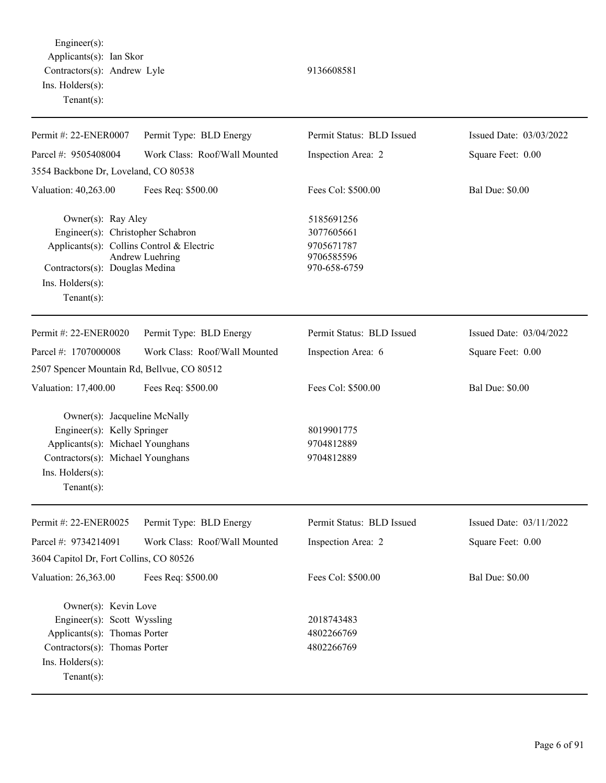Engineer(s): Applicants(s): Ian Skor Contractors(s): Andrew Lyle 9136608581 Ins. Holders(s): Tenant(s):

| Permit #: 22-ENER0007                                                                                                                                                               | Permit Type: BLD Energy       | Permit Status: BLD Issued                                            | Issued Date: 03/03/2022 |
|-------------------------------------------------------------------------------------------------------------------------------------------------------------------------------------|-------------------------------|----------------------------------------------------------------------|-------------------------|
| Parcel #: 9505408004                                                                                                                                                                | Work Class: Roof/Wall Mounted | Inspection Area: 2                                                   | Square Feet: 0.00       |
| 3554 Backbone Dr, Loveland, CO 80538                                                                                                                                                |                               |                                                                      |                         |
| Valuation: 40,263.00                                                                                                                                                                | Fees Req: \$500.00            | Fees Col: \$500.00                                                   | <b>Bal Due: \$0.00</b>  |
| Owner(s): Ray Aley<br>Engineer(s): Christopher Schabron<br>Applicants(s): Collins Control & Electric<br>Contractors(s): Douglas Medina<br>Ins. $H$ olders $(s)$ :<br>Tenant $(s)$ : | Andrew Luehring               | 5185691256<br>3077605661<br>9705671787<br>9706585596<br>970-658-6759 |                         |
| Permit #: 22-ENER0020                                                                                                                                                               | Permit Type: BLD Energy       | Permit Status: BLD Issued                                            | Issued Date: 03/04/2022 |
| Parcel #: 1707000008                                                                                                                                                                | Work Class: Roof/Wall Mounted | Inspection Area: 6                                                   | Square Feet: 0.00       |
| 2507 Spencer Mountain Rd, Bellvue, CO 80512                                                                                                                                         |                               |                                                                      |                         |
| Valuation: 17,400.00                                                                                                                                                                | Fees Req: \$500.00            | Fees Col: \$500.00                                                   | <b>Bal Due: \$0.00</b>  |
| Owner(s): Jacqueline McNally<br>Engineer(s): Kelly Springer<br>Applicants(s): Michael Younghans<br>Contractors(s): Michael Younghans<br>Ins. Holders(s):<br>Tenant $(s)$ :          |                               | 8019901775<br>9704812889<br>9704812889                               |                         |
| Permit #: 22-ENER0025                                                                                                                                                               | Permit Type: BLD Energy       | Permit Status: BLD Issued                                            | Issued Date: 03/11/2022 |
| Parcel #: 9734214091                                                                                                                                                                | Work Class: Roof/Wall Mounted | Inspection Area: 2                                                   | Square Feet: 0.00       |
| 3604 Capitol Dr, Fort Collins, CO 80526                                                                                                                                             |                               |                                                                      |                         |
| Valuation: 26,363.00                                                                                                                                                                | Fees Req: \$500.00            | Fees Col: \$500.00                                                   | <b>Bal Due: \$0.00</b>  |
| Owner(s): Kevin Love<br>Engineer(s): Scott Wyssling<br>Applicants(s): Thomas Porter<br>Contractors(s): Thomas Porter<br>Ins. Holders(s):<br>Tenant $(s)$ :                          |                               | 2018743483<br>4802266769<br>4802266769                               |                         |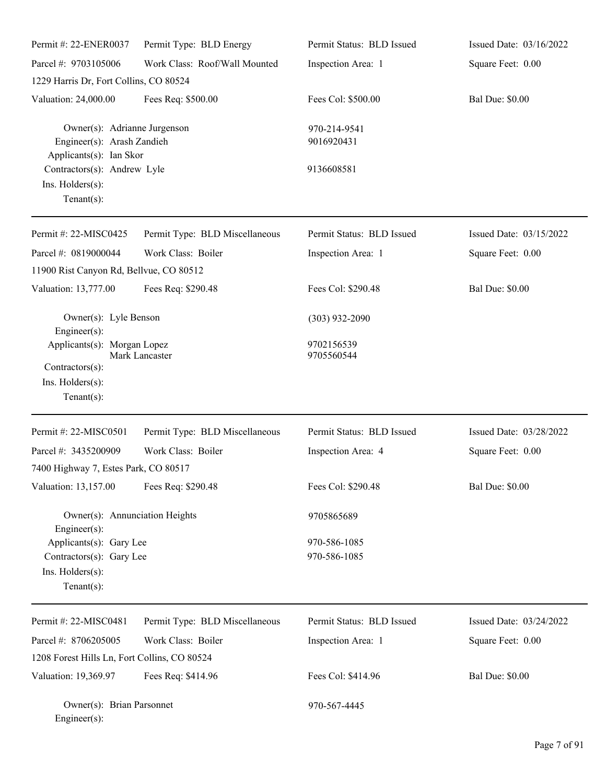| Permit #: 22-ENER0037                                                                    | Permit Type: BLD Energy        | Permit Status: BLD Issued    | Issued Date: 03/16/2022 |
|------------------------------------------------------------------------------------------|--------------------------------|------------------------------|-------------------------|
| Parcel #: 9703105006                                                                     | Work Class: Roof/Wall Mounted  | Inspection Area: 1           | Square Feet: 0.00       |
| 1229 Harris Dr, Fort Collins, CO 80524                                                   |                                |                              |                         |
| Valuation: 24,000.00                                                                     | Fees Req: \$500.00             | Fees Col: \$500.00           | <b>Bal Due: \$0.00</b>  |
| Owner(s): Adrianne Jurgenson<br>Engineer(s): Arash Zandieh<br>Applicants(s): Ian Skor    |                                | 970-214-9541<br>9016920431   |                         |
| Contractors(s): Andrew Lyle<br>Ins. Holders(s):<br>Tenant $(s)$ :                        |                                | 9136608581                   |                         |
| Permit #: 22-MISC0425                                                                    | Permit Type: BLD Miscellaneous | Permit Status: BLD Issued    | Issued Date: 03/15/2022 |
| Parcel #: 0819000044<br>11900 Rist Canyon Rd, Bellvue, CO 80512                          | Work Class: Boiler             | Inspection Area: 1           | Square Feet: 0.00       |
| Valuation: 13,777.00                                                                     | Fees Req: \$290.48             | Fees Col: \$290.48           | <b>Bal Due: \$0.00</b>  |
| Owner(s): Lyle Benson<br>Engineer(s):                                                    |                                | $(303)$ 932-2090             |                         |
| Applicants(s): Morgan Lopez<br>Contractors(s):                                           | Mark Lancaster                 | 9702156539<br>9705560544     |                         |
| Ins. Holders(s):<br>Tenant $(s)$ :                                                       |                                |                              |                         |
| Permit #: 22-MISC0501                                                                    | Permit Type: BLD Miscellaneous | Permit Status: BLD Issued    | Issued Date: 03/28/2022 |
| Parcel #: 3435200909                                                                     | Work Class: Boiler             | Inspection Area: 4           | Square Feet: 0.00       |
| 7400 Highway 7, Estes Park, CO 80517                                                     |                                |                              |                         |
| Valuation: 13,157.00                                                                     | Fees Req: \$290.48             | Fees Col: \$290.48           | <b>Bal Due: \$0.00</b>  |
| Owner(s): Annunciation Heights<br>$Engineering(s)$ :                                     |                                | 9705865689                   |                         |
| Applicants(s): Gary Lee<br>Contractors(s): Gary Lee<br>Ins. Holders(s):<br>$Tenant(s)$ : |                                | 970-586-1085<br>970-586-1085 |                         |
| Permit #: 22-MISC0481                                                                    | Permit Type: BLD Miscellaneous | Permit Status: BLD Issued    | Issued Date: 03/24/2022 |
| Parcel #: 8706205005                                                                     | Work Class: Boiler             | Inspection Area: 1           | Square Feet: 0.00       |
| 1208 Forest Hills Ln, Fort Collins, CO 80524                                             |                                |                              |                         |
| Valuation: 19,369.97                                                                     | Fees Req: \$414.96             | Fees Col: \$414.96           | <b>Bal Due: \$0.00</b>  |
| Owner(s): Brian Parsonnet<br>Engineer(s):                                                |                                | 970-567-4445                 |                         |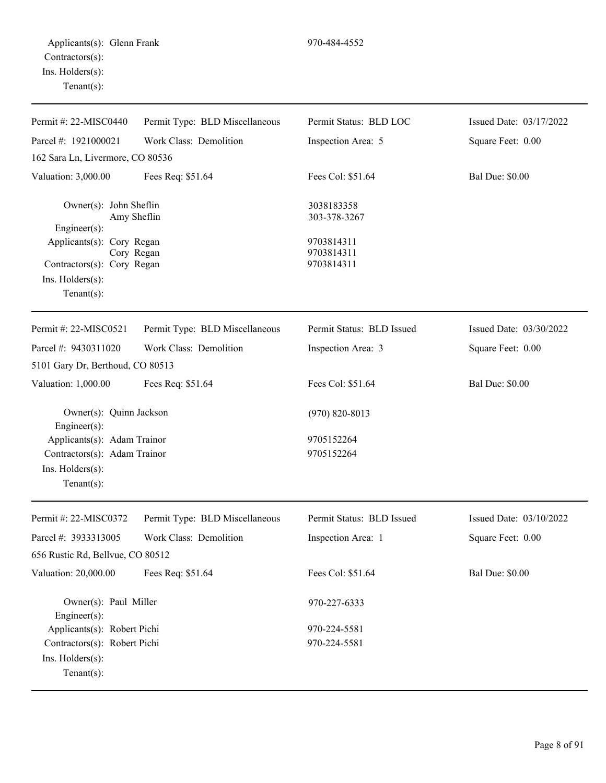Ins. Holders(s): Tenant(s):

| Tenant $(s)$ :                   |                                |                        |                         |
|----------------------------------|--------------------------------|------------------------|-------------------------|
| Permit #: 22-MISC0440            | Permit Type: BLD Miscellaneous | Permit Status: BLD LOC | Issued Date: 03/17/2022 |
| Parcel #: $1921000021$           | Work Class: Demolition         | Inspection Area: 5     | Square Feet: 0.00       |
| 162 Sara Ln, Livermore, CO 80536 |                                |                        |                         |
| Valuation: 3,000.00              | Fees Req: \$51.64              | Fees Col: \$51.64      | <b>Bal Due: \$0.00</b>  |
| Owner(s): John Sheflin           |                                | 3038183358             |                         |
|                                  | Amy Sheflin                    | 303-378-3267           |                         |
| Engineer $(s)$ :                 |                                |                        |                         |
| Applicants(s): Cory Regan        |                                | 9703814311             |                         |

| Permit #: $22-MISCO521$                         | Permit Type: BLD Miscellaneous | Permit Status: BLD Issued | Issued Date: $03/30/2022$ |
|-------------------------------------------------|--------------------------------|---------------------------|---------------------------|
| Parcel #: $9430311020$                          | Work Class: Demolition         | Inspection Area: 3        | Square Feet: 0.00         |
| 5101 Gary Dr, Berthoud, CO 80513                |                                |                           |                           |
| Valuation: $1,000.00$                           | Fees Req: \$51.64              | Fees Col: \$51.64         | <b>Bal Due: \$0.00</b>    |
| Owner(s): Quinn Jackson                         |                                | $(970)$ 820-8013          |                           |
| Engineer $(s)$ :<br>Applicants(s): Adam Trainor |                                | 9705152264                |                           |
| Contractors(s): Adam Trainor                    |                                | 9705152264                |                           |
| $Ins.$ Holders $(s)$ :                          |                                |                           |                           |
| Tenant $(s)$ :                                  |                                |                           |                           |
|                                                 |                                |                           |                           |
|                                                 |                                |                           |                           |

Cory Regan 9703814311

Contractors(s): Cory Regan 9703814311

| Permit #: $22-MISCO372$          | Permit Type: BLD Miscellaneous | Permit Status: BLD Issued | Issued Date: $03/10/2022$ |
|----------------------------------|--------------------------------|---------------------------|---------------------------|
| Parcel #: $3933313005$           | Work Class: Demolition         | Inspection Area: 1        | Square Feet: 0.00         |
| 656 Rustic Rd, Bellvue, CO 80512 |                                |                           |                           |
| Valuation: 20,000.00             | Fees Req: \$51.64              | Fees Col: \$51.64         | <b>Bal Due: \$0.00</b>    |
| $Engineer(s)$ :                  | Owner(s): Paul Miller          | 970-227-6333              |                           |
| Applicants(s): Robert Pichi      |                                | 970-224-5581              |                           |
| Contractors(s): Robert Pichi     |                                | 970-224-5581              |                           |
| $Ins.$ Holders $(s)$ :           |                                |                           |                           |
| Tenant $(s)$ :                   |                                |                           |                           |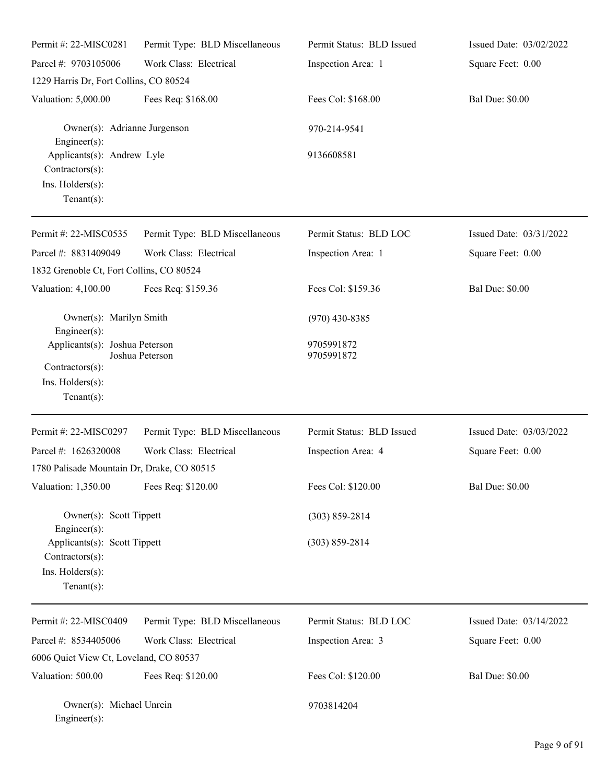| Permit #: 22-MISC0281                                                                   | Permit Type: BLD Miscellaneous | Permit Status: BLD Issued | Issued Date: 03/02/2022 |
|-----------------------------------------------------------------------------------------|--------------------------------|---------------------------|-------------------------|
| Parcel #: 9703105006                                                                    | Work Class: Electrical         | Inspection Area: 1        | Square Feet: 0.00       |
| 1229 Harris Dr, Fort Collins, CO 80524                                                  |                                |                           |                         |
| Valuation: 5,000.00                                                                     | Fees Req: \$168.00             | Fees Col: \$168.00        | <b>Bal Due: \$0.00</b>  |
| Owner(s): Adrianne Jurgenson<br>Engineer $(s)$ :                                        |                                | 970-214-9541              |                         |
| Applicants(s): Andrew Lyle<br>Contractors(s):<br>Ins. Holders(s):<br>Tenant $(s)$ :     |                                | 9136608581                |                         |
| Permit #: 22-MISC0535                                                                   | Permit Type: BLD Miscellaneous | Permit Status: BLD LOC    | Issued Date: 03/31/2022 |
| Parcel #: 8831409049<br>1832 Grenoble Ct, Fort Collins, CO 80524                        | Work Class: Electrical         | Inspection Area: 1        | Square Feet: 0.00       |
| Valuation: 4,100.00                                                                     | Fees Req: \$159.36             | Fees Col: \$159.36        | <b>Bal Due: \$0.00</b>  |
| Owner(s): Marilyn Smith<br>$Engineering(s)$ :                                           |                                | $(970)$ 430-8385          |                         |
| Applicants(s): Joshua Peterson<br>Contractors(s):<br>Ins. Holders(s):<br>Tenant $(s)$ : | Joshua Peterson                | 9705991872<br>9705991872  |                         |
| Permit #: 22-MISC0297                                                                   | Permit Type: BLD Miscellaneous | Permit Status: BLD Issued | Issued Date: 03/03/2022 |
| Parcel #: 1626320008<br>1780 Palisade Mountain Dr, Drake, CO 80515                      | Work Class: Electrical         | Inspection Area: 4        | Square Feet: 0.00       |
| Valuation: 1,350.00                                                                     | Fees Req: \$120.00             | Fees Col: \$120.00        | <b>Bal Due: \$0.00</b>  |
| Owner(s): Scott Tippett<br>Engineer $(s)$ :                                             |                                | $(303) 859 - 2814$        |                         |
| Applicants(s): Scott Tippett<br>Contractors(s):<br>Ins. Holders(s):<br>$Tenant(s)$ :    |                                | $(303) 859 - 2814$        |                         |
| Permit #: 22-MISC0409                                                                   | Permit Type: BLD Miscellaneous | Permit Status: BLD LOC    | Issued Date: 03/14/2022 |
| Parcel #: 8534405006                                                                    | Work Class: Electrical         | Inspection Area: 3        | Square Feet: 0.00       |
| 6006 Quiet View Ct, Loveland, CO 80537                                                  |                                |                           |                         |
| Valuation: 500.00                                                                       | Fees Req: \$120.00             | Fees Col: \$120.00        | <b>Bal Due: \$0.00</b>  |
| Owner(s): Michael Unrein<br>$Engineer(s)$ :                                             |                                | 9703814204                |                         |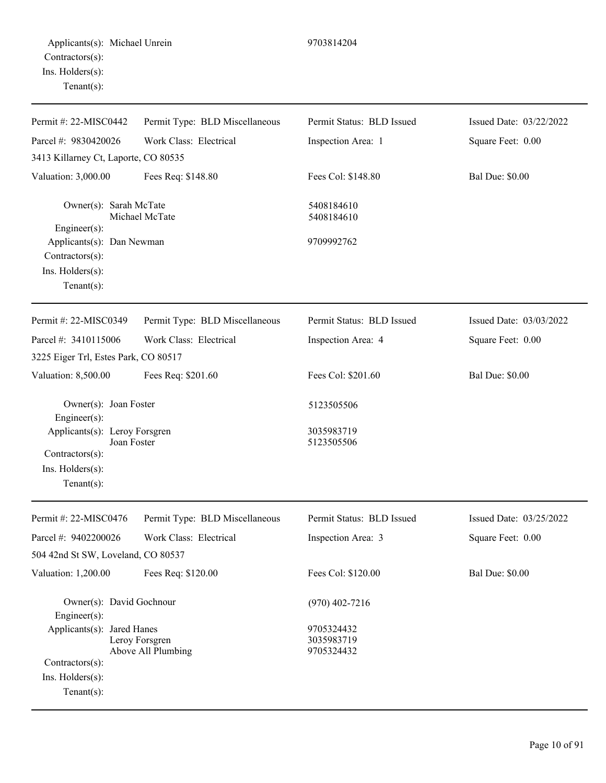| Permit Type: BLD Miscellaneous                                     | Permit Status: BLD Issued              | Issued Date: 03/22/2022 |
|--------------------------------------------------------------------|----------------------------------------|-------------------------|
|                                                                    |                                        |                         |
| Work Class: Electrical                                             | Inspection Area: 1                     | Square Feet: 0.00       |
| 3413 Killarney Ct, Laporte, CO 80535                               |                                        |                         |
| Fees Req: \$148.80                                                 | Fees Col: \$148.80                     | <b>Bal Due: \$0.00</b>  |
| Owner(s): Sarah McTate<br>Michael McTate                           | 5408184610<br>5408184610               |                         |
| Applicants(s): Dan Newman                                          | 9709992762                             |                         |
| Permit Type: BLD Miscellaneous                                     | Permit Status: BLD Issued              | Issued Date: 03/03/2022 |
| Work Class: Electrical                                             | Inspection Area: 4                     | Square Feet: 0.00       |
| 3225 Eiger Trl, Estes Park, CO 80517                               |                                        |                         |
| Fees Req: \$201.60                                                 | Fees Col: \$201.60                     | <b>Bal Due: \$0.00</b>  |
| Owner(s): Joan Foster                                              | 5123505506                             |                         |
| Applicants(s): Leroy Forsgren<br>Joan Foster                       | 3035983719<br>5123505506               |                         |
| Permit Type: BLD Miscellaneous                                     | Permit Status: BLD Issued              | Issued Date: 03/25/2022 |
| Work Class: Electrical                                             | Inspection Area: 3                     | Square Feet: 0.00       |
| 504 42nd St SW, Loveland, CO 80537                                 |                                        |                         |
| Fees Req: \$120.00                                                 | Fees Col: \$120.00                     | <b>Bal Due: \$0.00</b>  |
| Owner(s): David Gochnour                                           | $(970)$ 402-7216                       |                         |
| Applicants(s): Jared Hanes<br>Leroy Forsgren<br>Above All Plumbing | 9705324432<br>3035983719<br>9705324432 |                         |
|                                                                    |                                        |                         |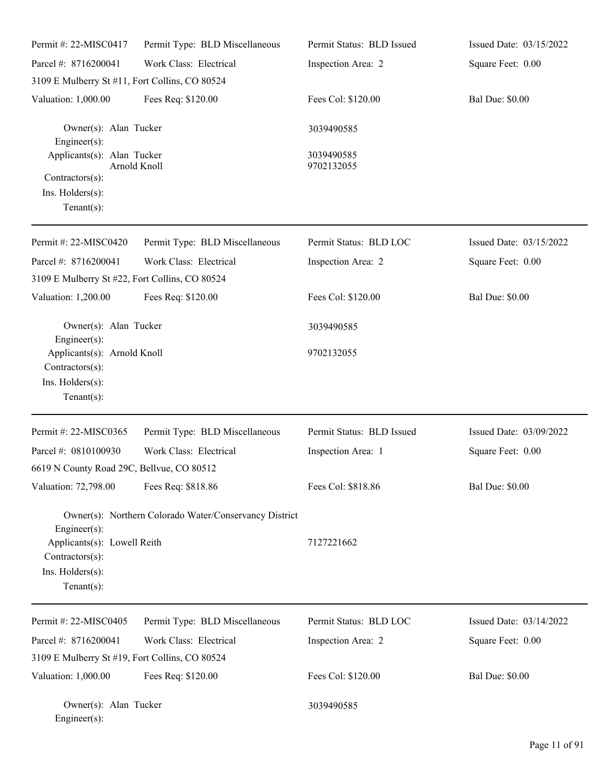| Permit #: 22-MISC0417                                                                                | Permit Type: BLD Miscellaneous                         | Permit Status: BLD Issued | Issued Date: 03/15/2022 |
|------------------------------------------------------------------------------------------------------|--------------------------------------------------------|---------------------------|-------------------------|
| Parcel #: 8716200041                                                                                 | Work Class: Electrical                                 | Inspection Area: 2        | Square Feet: 0.00       |
| 3109 E Mulberry St #11, Fort Collins, CO 80524                                                       |                                                        |                           | <b>Bal Due: \$0.00</b>  |
| Valuation: 1,000.00                                                                                  | Fees Req: \$120.00                                     | Fees Col: \$120.00        |                         |
| Owner(s): Alan Tucker<br>Engineer(s):                                                                |                                                        | 3039490585                |                         |
| Applicants(s): Alan Tucker                                                                           | <b>Arnold Knoll</b>                                    | 3039490585<br>9702132055  |                         |
| Contractors(s):<br>Ins. Holders(s):<br>$Tenant(s)$ :                                                 |                                                        |                           |                         |
| Permit #: 22-MISC0420                                                                                | Permit Type: BLD Miscellaneous                         | Permit Status: BLD LOC    | Issued Date: 03/15/2022 |
| Parcel #: 8716200041                                                                                 | Work Class: Electrical                                 | Inspection Area: 2        | Square Feet: 0.00       |
| 3109 E Mulberry St #22, Fort Collins, CO 80524                                                       |                                                        |                           |                         |
| Valuation: 1,200.00                                                                                  | Fees Req: \$120.00                                     | Fees Col: \$120.00        | <b>Bal Due: \$0.00</b>  |
| Owner(s): Alan Tucker<br>Engineer(s):                                                                |                                                        | 3039490585                |                         |
| Applicants(s): Arnold Knoll<br>Contractors(s):<br>Ins. Holders(s):<br>$Tenant(s)$ :                  |                                                        | 9702132055                |                         |
| Permit #: 22-MISC0365                                                                                | Permit Type: BLD Miscellaneous                         | Permit Status: BLD Issued | Issued Date: 03/09/2022 |
| Parcel #: 0810100930                                                                                 | Work Class: Electrical                                 | Inspection Area: 1        | Square Feet: 0.00       |
| 6619 N County Road 29C, Bellvue, CO 80512<br>Valuation: 72,798.00                                    | Fees Req: \$818.86                                     | Fees Col: \$818.86        | <b>Bal Due: \$0.00</b>  |
| Engineer(s):<br>Applicants(s): Lowell Reith<br>Contractors(s):<br>Ins. Holders(s):<br>Tenant $(s)$ : | Owner(s): Northern Colorado Water/Conservancy District | 7127221662                |                         |
| Permit #: 22-MISC0405                                                                                | Permit Type: BLD Miscellaneous                         | Permit Status: BLD LOC    | Issued Date: 03/14/2022 |
| Parcel #: 8716200041                                                                                 | Work Class: Electrical                                 | Inspection Area: 2        | Square Feet: 0.00       |
| 3109 E Mulberry St #19, Fort Collins, CO 80524                                                       |                                                        |                           |                         |
| Valuation: 1,000.00                                                                                  | Fees Req: \$120.00                                     | Fees Col: \$120.00        | <b>Bal Due: \$0.00</b>  |
| Owner(s): Alan Tucker<br>Engineer(s):                                                                |                                                        | 3039490585                |                         |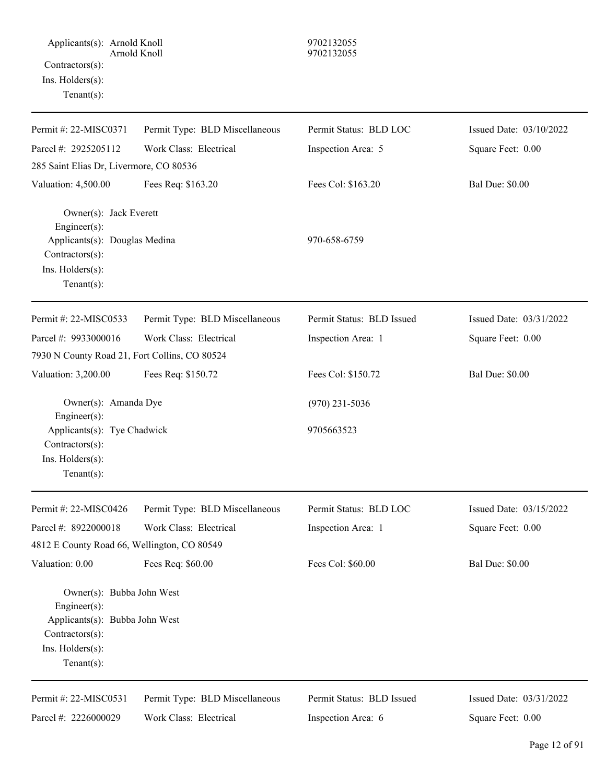| Permit #: 22-MISC0371                                                                                                                | Permit Type: BLD Miscellaneous | Permit Status: BLD LOC    | Issued Date: 03/10/2022 |
|--------------------------------------------------------------------------------------------------------------------------------------|--------------------------------|---------------------------|-------------------------|
| Parcel #: 2925205112                                                                                                                 | Work Class: Electrical         | Inspection Area: 5        | Square Feet: 0.00       |
| 285 Saint Elias Dr, Livermore, CO 80536                                                                                              |                                |                           |                         |
| Valuation: 4,500.00                                                                                                                  | Fees Req: \$163.20             | Fees Col: \$163.20        | <b>Bal Due: \$0.00</b>  |
| Owner(s): Jack Everett<br>Engineer $(s)$ :<br>Applicants(s): Douglas Medina<br>Contractors(s):<br>Ins. Holders(s):<br>$Tenant(s)$ :  |                                | 970-658-6759              |                         |
| Permit #: 22-MISC0533                                                                                                                | Permit Type: BLD Miscellaneous | Permit Status: BLD Issued | Issued Date: 03/31/2022 |
| Parcel #: 9933000016<br>7930 N County Road 21, Fort Collins, CO 80524                                                                | Work Class: Electrical         | Inspection Area: 1        | Square Feet: 0.00       |
| Valuation: 3,200.00                                                                                                                  | Fees Req: \$150.72             | Fees Col: \$150.72        | <b>Bal Due: \$0.00</b>  |
| Owner(s): Amanda Dye<br>Engineer(s):                                                                                                 |                                | $(970)$ 231-5036          |                         |
| Applicants(s): Tye Chadwick<br>Contractors(s):<br>Ins. Holders(s):<br>Tenant $(s)$ :                                                 |                                | 9705663523                |                         |
| Permit #: 22-MISC0426                                                                                                                | Permit Type: BLD Miscellaneous | Permit Status: BLD LOC    | Issued Date: 03/15/2022 |
| Parcel #: 8922000018                                                                                                                 | Work Class: Electrical         | Inspection Area: 1        | Square Feet: 0.00       |
| 4812 E County Road 66, Wellington, CO 80549                                                                                          |                                |                           |                         |
| Valuation: 0.00                                                                                                                      | Fees Req: \$60.00              | Fees Col: \$60.00         | <b>Bal Due: \$0.00</b>  |
| Owner(s): Bubba John West<br>Engineer(s):<br>Applicants(s): Bubba John West<br>Contractors(s):<br>Ins. Holders(s):<br>Tenant $(s)$ : |                                |                           |                         |
| Permit #: 22-MISC0531                                                                                                                | Permit Type: BLD Miscellaneous | Permit Status: BLD Issued | Issued Date: 03/31/2022 |
| Parcel #: 2226000029                                                                                                                 | Work Class: Electrical         | Inspection Area: 6        | Square Feet: 0.00       |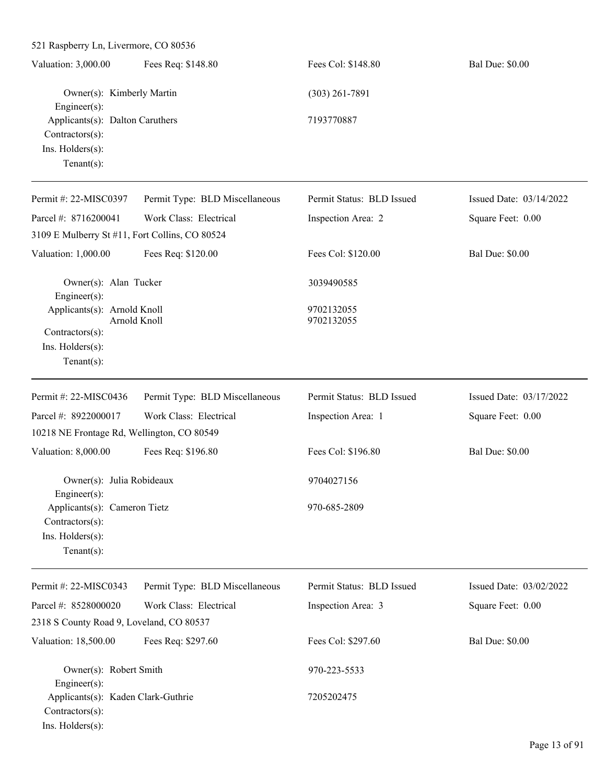| 521 Raspberry Ln, Livermore, CO 80536                                                     |                                |                           |                         |
|-------------------------------------------------------------------------------------------|--------------------------------|---------------------------|-------------------------|
| Valuation: 3,000.00                                                                       | Fees Req: \$148.80             | Fees Col: \$148.80        | <b>Bal Due: \$0.00</b>  |
| Owner(s): Kimberly Martin<br>Engineer(s):                                                 |                                | $(303)$ 261-7891          |                         |
| Applicants(s): Dalton Caruthers<br>Contractors(s):<br>Ins. Holders(s):<br>Tenant $(s)$ :  |                                | 7193770887                |                         |
| Permit #: 22-MISC0397                                                                     | Permit Type: BLD Miscellaneous | Permit Status: BLD Issued | Issued Date: 03/14/2022 |
| Parcel #: 8716200041                                                                      | Work Class: Electrical         | Inspection Area: 2        | Square Feet: 0.00       |
| 3109 E Mulberry St #11, Fort Collins, CO 80524                                            |                                |                           |                         |
| Valuation: 1,000.00                                                                       | Fees Req: \$120.00             | Fees Col: \$120.00        | <b>Bal Due: \$0.00</b>  |
| Owner(s): Alan Tucker<br>Engineer(s):                                                     |                                | 3039490585                |                         |
| Applicants(s): Arnold Knoll<br>Contractors(s):<br>Ins. Holders(s):<br>Tenant $(s)$ :      | Arnold Knoll                   | 9702132055<br>9702132055  |                         |
| Permit#: 22-MISC0436                                                                      | Permit Type: BLD Miscellaneous | Permit Status: BLD Issued | Issued Date: 03/17/2022 |
| Parcel #: 8922000017                                                                      | Work Class: Electrical         | Inspection Area: 1        | Square Feet: 0.00       |
| 10218 NE Frontage Rd, Wellington, CO 80549                                                |                                |                           |                         |
| Valuation: 8,000.00                                                                       | Fees Req: \$196.80             | Fees Col: \$196.80        | <b>Bal Due: \$0.00</b>  |
| Owner(s): Julia Robideaux<br>$Engineering(s)$ :                                           |                                | 9704027156                |                         |
| Applicants(s): Cameron Tietz<br>Contractors(s):<br>Ins. Holders(s):<br>Tenant $(s)$ :     |                                | 970-685-2809              |                         |
| Permit #: 22-MISC0343                                                                     | Permit Type: BLD Miscellaneous | Permit Status: BLD Issued | Issued Date: 03/02/2022 |
| Parcel #: 8528000020                                                                      | Work Class: Electrical         | Inspection Area: 3        | Square Feet: 0.00       |
| 2318 S County Road 9, Loveland, CO 80537                                                  |                                |                           |                         |
| Valuation: 18,500.00                                                                      | Fees Req: \$297.60             | Fees Col: \$297.60        | <b>Bal Due: \$0.00</b>  |
| Owner(s): Robert Smith                                                                    |                                | 970-223-5533              |                         |
| Engineer(s):<br>Applicants(s): Kaden Clark-Guthrie<br>Contractors(s):<br>Ins. Holders(s): |                                | 7205202475                |                         |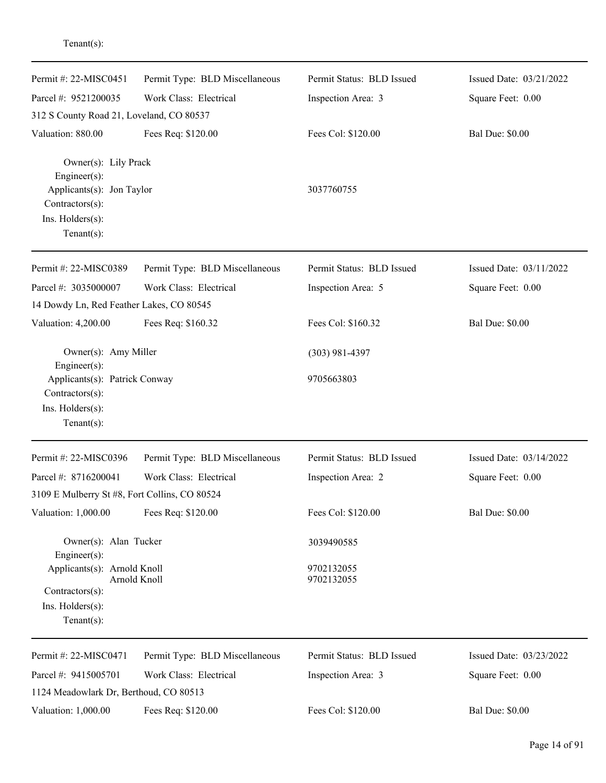| Permit #: 22-MISC0451                                                                                                     | Permit Type: BLD Miscellaneous | Permit Status: BLD Issued | Issued Date: 03/21/2022 |
|---------------------------------------------------------------------------------------------------------------------------|--------------------------------|---------------------------|-------------------------|
| Parcel #: 9521200035                                                                                                      | Work Class: Electrical         | Inspection Area: 3        | Square Feet: 0.00       |
| 312 S County Road 21, Loveland, CO 80537                                                                                  |                                |                           |                         |
| Valuation: 880.00                                                                                                         | Fees Req: \$120.00             | Fees Col: \$120.00        | <b>Bal Due: \$0.00</b>  |
| Owner(s): Lily Prack<br>Engineer(s):<br>Applicants(s): Jon Taylor<br>Contractors(s):<br>Ins. Holders(s):<br>$Tenant(s)$ : |                                | 3037760755                |                         |
| Permit #: 22-MISC0389                                                                                                     | Permit Type: BLD Miscellaneous | Permit Status: BLD Issued | Issued Date: 03/11/2022 |
| Parcel #: 3035000007                                                                                                      | Work Class: Electrical         | Inspection Area: 5        | Square Feet: 0.00       |
| 14 Dowdy Ln, Red Feather Lakes, CO 80545                                                                                  |                                |                           |                         |
| Valuation: 4,200.00                                                                                                       | Fees Req: \$160.32             | Fees Col: \$160.32        | <b>Bal Due: \$0.00</b>  |
| Owner(s): Amy Miller<br>Engineer(s):                                                                                      |                                | $(303)$ 981-4397          |                         |
| Applicants(s): Patrick Conway<br>Contractors(s):<br>Ins. Holders(s):<br>$Tenant(s)$ :                                     |                                | 9705663803                |                         |
| Permit #: 22-MISC0396                                                                                                     | Permit Type: BLD Miscellaneous | Permit Status: BLD Issued | Issued Date: 03/14/2022 |
| Parcel #: 8716200041                                                                                                      | Work Class: Electrical         | Inspection Area: 2        | Square Feet: 0.00       |
| 3109 E Mulberry St #8, Fort Collins, CO 80524                                                                             |                                |                           |                         |
| Valuation: 1,000.00                                                                                                       | Fees Req: \$120.00             | Fees Col: \$120.00        | <b>Bal Due: \$0.00</b>  |
| Owner(s): Alan Tucker<br>Engineer(s):                                                                                     |                                | 3039490585                |                         |
| Applicants(s): Arnold Knoll<br>Contractors(s):<br>$Ins.$ Holders $(s)$ :<br>Tenant $(s)$ :                                | Arnold Knoll                   | 9702132055<br>9702132055  |                         |
|                                                                                                                           |                                |                           |                         |
| Permit #: 22-MISC0471                                                                                                     | Permit Type: BLD Miscellaneous | Permit Status: BLD Issued | Issued Date: 03/23/2022 |
| Parcel #: 9415005701                                                                                                      | Work Class: Electrical         | Inspection Area: 3        | Square Feet: 0.00       |
| 1124 Meadowlark Dr, Berthoud, CO 80513                                                                                    |                                |                           |                         |
| Valuation: 1,000.00                                                                                                       | Fees Req: \$120.00             | Fees Col: \$120.00        | <b>Bal Due: \$0.00</b>  |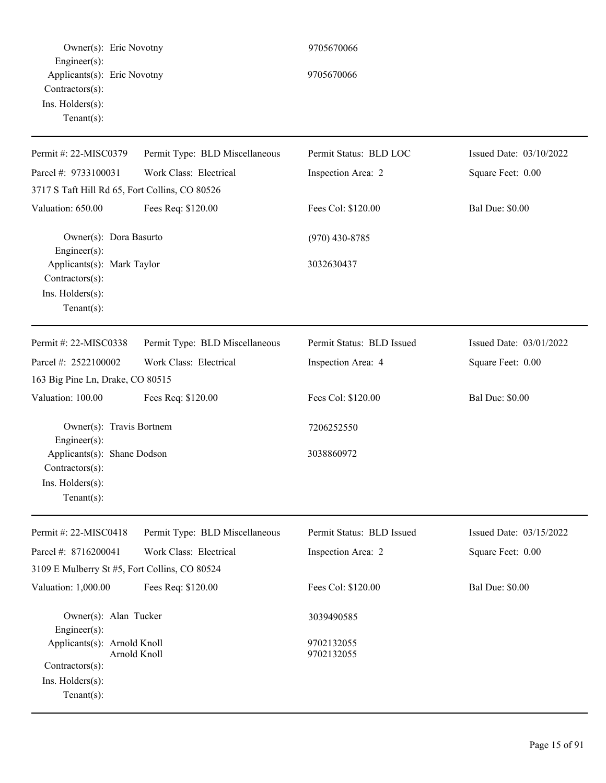| Owner(s): Eric Novotny                                                                              |                                | 9705670066                |                         |
|-----------------------------------------------------------------------------------------------------|--------------------------------|---------------------------|-------------------------|
| Engineer(s):<br>Applicants(s): Eric Novotny<br>Contractors(s):<br>Ins. Holders(s):<br>$Tenant(s)$ : |                                | 9705670066                |                         |
| Permit #: 22-MISC0379                                                                               | Permit Type: BLD Miscellaneous | Permit Status: BLD LOC    | Issued Date: 03/10/2022 |
| Parcel #: 9733100031                                                                                | Work Class: Electrical         | Inspection Area: 2        | Square Feet: 0.00       |
| 3717 S Taft Hill Rd 65, Fort Collins, CO 80526                                                      |                                |                           |                         |
| Valuation: 650.00                                                                                   | Fees Req: \$120.00             | Fees Col: \$120.00        | <b>Bal Due: \$0.00</b>  |
| Owner(s): Dora Basurto<br>Engineer(s):                                                              |                                | $(970)$ 430-8785          |                         |
| Applicants(s): Mark Taylor<br>Contractors(s):<br>Ins. Holders(s):<br>$Tenant(s)$ :                  |                                | 3032630437                |                         |
| Permit #: 22-MISC0338                                                                               | Permit Type: BLD Miscellaneous | Permit Status: BLD Issued | Issued Date: 03/01/2022 |
| Parcel #: 2522100002<br>163 Big Pine Ln, Drake, CO 80515                                            | Work Class: Electrical         | Inspection Area: 4        | Square Feet: 0.00       |
| Valuation: 100.00                                                                                   | Fees Req: \$120.00             | Fees Col: \$120.00        | <b>Bal Due: \$0.00</b>  |
| Owner(s): Travis Bortnem<br>Engineer(s):<br>Applicants(s): Shane Dodson<br>Contractors(s):          |                                | 7206252550<br>3038860972  |                         |
| $Ins.$ Holders $(s)$ :<br>$Tenant(s)$ :                                                             |                                |                           |                         |
| Permit #: 22-MISC0418                                                                               | Permit Type: BLD Miscellaneous | Permit Status: BLD Issued | Issued Date: 03/15/2022 |
| Parcel #: 8716200041                                                                                | Work Class: Electrical         | Inspection Area: 2        | Square Feet: 0.00       |
| 3109 E Mulberry St #5, Fort Collins, CO 80524                                                       |                                |                           |                         |
| Valuation: 1,000.00                                                                                 | Fees Req: \$120.00             | Fees Col: \$120.00        | <b>Bal Due: \$0.00</b>  |
| Owner(s): Alan Tucker<br>Engineer(s):                                                               |                                | 3039490585                |                         |
| Applicants(s): Arnold Knoll<br>Contractors(s):<br>Ins. Holders(s):<br>$Tenant(s)$ :                 | Arnold Knoll                   | 9702132055<br>9702132055  |                         |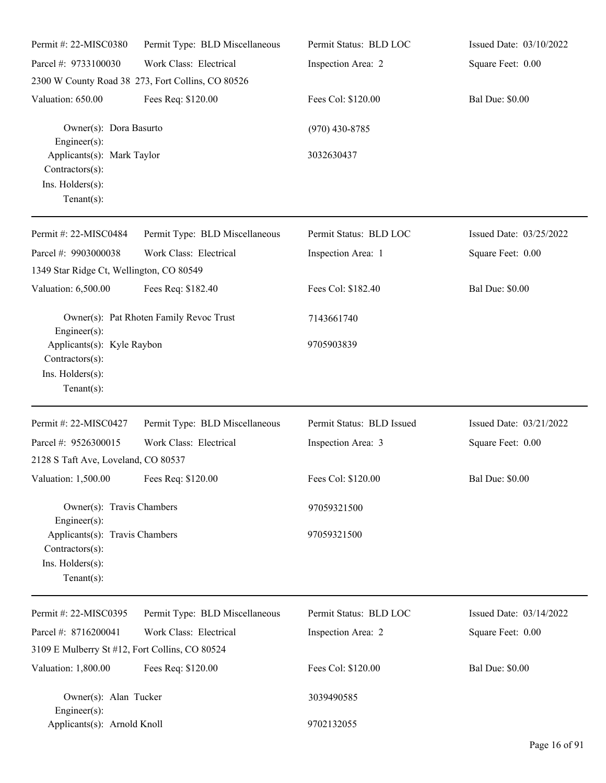| Permit #: 22-MISC0380                                                                                            | Permit Type: BLD Miscellaneous                    | Permit Status: BLD LOC    | Issued Date: 03/10/2022 |
|------------------------------------------------------------------------------------------------------------------|---------------------------------------------------|---------------------------|-------------------------|
| Parcel #: 9733100030                                                                                             | Work Class: Electrical                            | Inspection Area: 2        | Square Feet: 0.00       |
|                                                                                                                  | 2300 W County Road 38 273, Fort Collins, CO 80526 |                           |                         |
| Valuation: 650.00                                                                                                | Fees Req: \$120.00                                | Fees Col: \$120.00        | <b>Bal Due: \$0.00</b>  |
| Owner(s): Dora Basurto<br>Engineer(s):                                                                           |                                                   | $(970)$ 430-8785          |                         |
| Applicants(s): Mark Taylor<br>Contractors(s):<br>Ins. Holders(s):<br>Tenant $(s)$ :                              |                                                   | 3032630437                |                         |
| Permit #: 22-MISC0484                                                                                            | Permit Type: BLD Miscellaneous                    | Permit Status: BLD LOC    | Issued Date: 03/25/2022 |
| Parcel #: 9903000038<br>1349 Star Ridge Ct, Wellington, CO 80549                                                 | Work Class: Electrical                            | Inspection Area: 1        | Square Feet: 0.00       |
| Valuation: 6,500.00                                                                                              | Fees Req: \$182.40                                | Fees Col: \$182.40        | <b>Bal Due: \$0.00</b>  |
| Engineer(s):                                                                                                     | Owner(s): Pat Rhoten Family Revoc Trust           | 7143661740                |                         |
| Applicants(s): Kyle Raybon<br>Contractors(s):<br>Ins. Holders(s):<br>Tenant $(s)$ :                              |                                                   | 9705903839                |                         |
| Permit #: 22-MISC0427                                                                                            | Permit Type: BLD Miscellaneous                    | Permit Status: BLD Issued | Issued Date: 03/21/2022 |
| Parcel #: 9526300015                                                                                             | Work Class: Electrical                            | Inspection Area: 3        | Square Feet: 0.00       |
| 2128 S Taft Ave, Loveland, CO 80537                                                                              |                                                   |                           |                         |
| Valuation: 1,500.00                                                                                              | Fees Req: \$120.00                                | Fees Col: \$120.00        | <b>Bal Due: \$0.00</b>  |
| Owner(s): Travis Chambers                                                                                        |                                                   | 97059321500               |                         |
| $Engineering(s)$ :<br>Applicants(s): Travis Chambers<br>$Contractors(s)$ :<br>Ins. Holders(s):<br>Tenant $(s)$ : |                                                   | 97059321500               |                         |
| Permit #: 22-MISC0395                                                                                            | Permit Type: BLD Miscellaneous                    | Permit Status: BLD LOC    | Issued Date: 03/14/2022 |
| Parcel #: 8716200041                                                                                             | Work Class: Electrical                            | Inspection Area: 2        | Square Feet: 0.00       |
| 3109 E Mulberry St #12, Fort Collins, CO 80524                                                                   |                                                   |                           |                         |
| Valuation: 1,800.00                                                                                              | Fees Req: \$120.00                                | Fees Col: \$120.00        | <b>Bal Due: \$0.00</b>  |
| Owner(s): Alan Tucker<br>Engineer $(s)$ :                                                                        |                                                   | 3039490585                |                         |
| Applicants(s): Arnold Knoll                                                                                      |                                                   | 9702132055                |                         |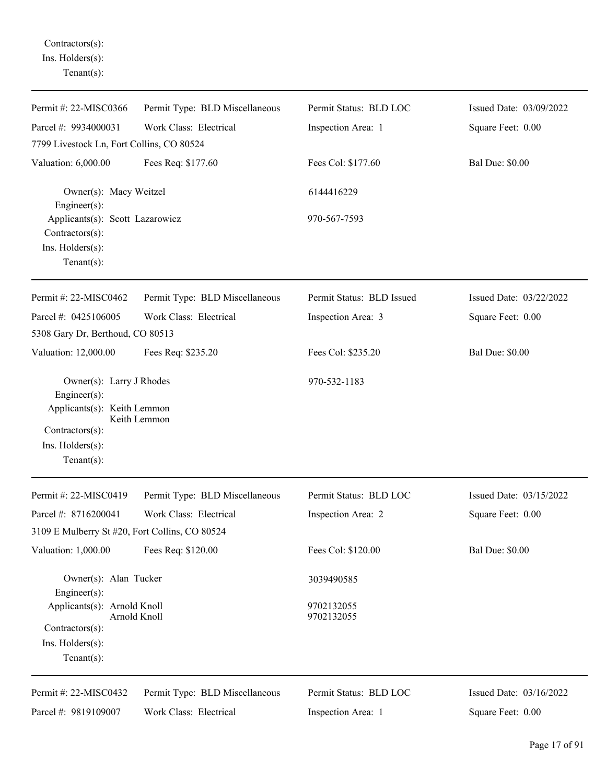Contractors(s): Ins. Holders(s): Tenant(s):

| Permit #: 22-MISC0366                                                                                                                | Permit Type: BLD Miscellaneous | Permit Status: BLD LOC    | Issued Date: 03/09/2022 |
|--------------------------------------------------------------------------------------------------------------------------------------|--------------------------------|---------------------------|-------------------------|
| Parcel #: 9934000031                                                                                                                 | Work Class: Electrical         | Inspection Area: 1        | Square Feet: 0.00       |
| 7799 Livestock Ln, Fort Collins, CO 80524                                                                                            |                                |                           |                         |
| Valuation: 6,000.00                                                                                                                  | Fees Req: \$177.60             | Fees Col: \$177.60        | <b>Bal Due: \$0.00</b>  |
| Owner(s): Macy Weitzel<br>$Engineering(s)$ :                                                                                         |                                | 6144416229                |                         |
| Applicants(s): Scott Lazarowicz<br>Contractors(s):<br>Ins. Holders(s):<br>Tenant $(s)$ :                                             |                                | 970-567-7593              |                         |
| Permit #: 22-MISC0462                                                                                                                | Permit Type: BLD Miscellaneous | Permit Status: BLD Issued | Issued Date: 03/22/2022 |
| Parcel #: 0425106005                                                                                                                 | Work Class: Electrical         | Inspection Area: 3        | Square Feet: 0.00       |
| 5308 Gary Dr, Berthoud, CO 80513                                                                                                     |                                |                           |                         |
| Valuation: 12,000.00                                                                                                                 | Fees Req: \$235.20             | Fees Col: \$235.20        | <b>Bal Due: \$0.00</b>  |
| Owner(s): Larry J Rhodes<br>Engineer $(s)$ :<br>Applicants(s): Keith Lemmon<br>Contractors(s):<br>Ins. Holders(s):<br>Tenant $(s)$ : | Keith Lemmon                   | 970-532-1183              |                         |
| Permit #: 22-MISC0419                                                                                                                | Permit Type: BLD Miscellaneous | Permit Status: BLD LOC    | Issued Date: 03/15/2022 |
| Parcel #: 8716200041                                                                                                                 | Work Class: Electrical         | Inspection Area: 2        | Square Feet: 0.00       |
| 3109 E Mulberry St #20, Fort Collins, CO 80524                                                                                       |                                |                           |                         |
| Valuation: 1,000.00                                                                                                                  | Fees Req: \$120.00             | Fees Col: \$120.00        | <b>Bal Due: \$0.00</b>  |
| Owner(s): Alan Tucker<br>Engineer(s):                                                                                                |                                | 3039490585                |                         |
| Applicants(s): Arnold Knoll<br>Contractors(s):<br>Ins. Holders(s):<br>Tenant $(s)$ :                                                 | Arnold Knoll                   | 9702132055<br>9702132055  |                         |
| Permit #: 22-MISC0432                                                                                                                | Permit Type: BLD Miscellaneous | Permit Status: BLD LOC    | Issued Date: 03/16/2022 |
| Parcel #: 9819109007                                                                                                                 | Work Class: Electrical         | Inspection Area: 1        | Square Feet: 0.00       |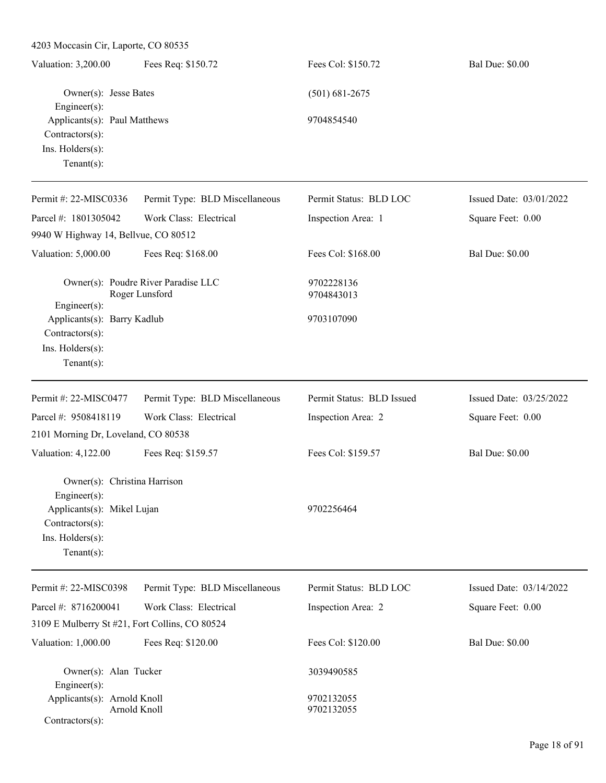| 4203 Moccasin Cir, Laporte, CO 80535                                                                       |                                                       |                           |                         |  |  |
|------------------------------------------------------------------------------------------------------------|-------------------------------------------------------|---------------------------|-------------------------|--|--|
| Valuation: 3,200.00                                                                                        | Fees Req: \$150.72                                    | Fees Col: \$150.72        | <b>Bal Due: \$0.00</b>  |  |  |
| Owner(s): Jesse Bates<br>Engineer $(s)$ :                                                                  |                                                       | $(501) 681 - 2675$        |                         |  |  |
| Applicants(s): Paul Matthews<br>Contractors(s):<br>Ins. Holders(s):<br>Tenant $(s)$ :                      |                                                       | 9704854540                |                         |  |  |
| Permit #: 22-MISC0336                                                                                      | Permit Type: BLD Miscellaneous                        | Permit Status: BLD LOC    | Issued Date: 03/01/2022 |  |  |
| Parcel #: 1801305042                                                                                       | Work Class: Electrical                                | Inspection Area: 1        | Square Feet: 0.00       |  |  |
| 9940 W Highway 14, Bellvue, CO 80512                                                                       |                                                       |                           |                         |  |  |
| Valuation: 5,000.00                                                                                        | Fees Req: \$168.00                                    | Fees Col: \$168.00        | <b>Bal Due: \$0.00</b>  |  |  |
|                                                                                                            | Owner(s): Poudre River Paradise LLC<br>Roger Lunsford | 9702228136<br>9704843013  |                         |  |  |
| $Engineering(s)$ :<br>Applicants(s): Barry Kadlub<br>Contractors(s):<br>Ins. Holders(s):<br>Tenant $(s)$ : |                                                       | 9703107090                |                         |  |  |
| Permit #: 22-MISC0477                                                                                      | Permit Type: BLD Miscellaneous                        | Permit Status: BLD Issued | Issued Date: 03/25/2022 |  |  |
| Parcel #: 9508418119                                                                                       | Work Class: Electrical                                | Inspection Area: 2        | Square Feet: 0.00       |  |  |
| 2101 Morning Dr, Loveland, CO 80538                                                                        |                                                       |                           |                         |  |  |
| Valuation: 4,122.00                                                                                        | Fees Req: \$159.57                                    | Fees Col: \$159.57        | <b>Bal Due: \$0.00</b>  |  |  |
| Owner(s): Christina Harrison<br>$Engineering(s)$ :<br>Applicants(s): Mikel Lujan                           |                                                       | 9702256464                |                         |  |  |
| Contractors(s):<br>Ins. Holders(s):<br>Tenant $(s)$ :                                                      |                                                       |                           |                         |  |  |
| Permit #: 22-MISC0398                                                                                      | Permit Type: BLD Miscellaneous                        | Permit Status: BLD LOC    | Issued Date: 03/14/2022 |  |  |
| Parcel #: 8716200041                                                                                       | Work Class: Electrical                                | Inspection Area: 2        | Square Feet: 0.00       |  |  |
| 3109 E Mulberry St #21, Fort Collins, CO 80524                                                             |                                                       |                           |                         |  |  |
| Valuation: 1,000.00                                                                                        | Fees Req: \$120.00                                    | Fees Col: \$120.00        | <b>Bal Due: \$0.00</b>  |  |  |
| Owner(s): Alan Tucker<br>$Engineering(s)$ :                                                                |                                                       | 3039490585                |                         |  |  |
| Applicants(s): Arnold Knoll<br>Arnold Knoll<br>$Contractors(s)$ :                                          |                                                       | 9702132055<br>9702132055  |                         |  |  |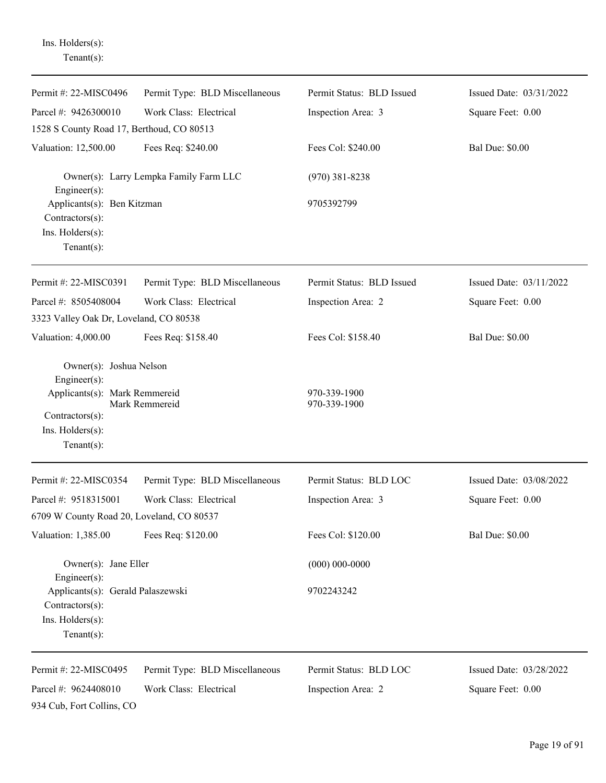| $Tenant(s)$ :                                                            |                                        |                              |                         |
|--------------------------------------------------------------------------|----------------------------------------|------------------------------|-------------------------|
| Permit #: 22-MISC0496                                                    | Permit Type: BLD Miscellaneous         | Permit Status: BLD Issued    | Issued Date: 03/31/2022 |
| Parcel #: 9426300010                                                     | Work Class: Electrical                 | Inspection Area: 3           | Square Feet: 0.00       |
| 1528 S County Road 17, Berthoud, CO 80513                                |                                        |                              |                         |
| Valuation: 12,500.00                                                     | Fees Req: \$240.00                     | Fees Col: \$240.00           | <b>Bal Due: \$0.00</b>  |
| Engineer $(s)$ :                                                         | Owner(s): Larry Lempka Family Farm LLC | $(970)$ 381-8238             |                         |
| Applicants(s): Ben Kitzman<br>Contractors(s):                            |                                        | 9705392799                   |                         |
| Ins. Holders(s):<br>Tenant $(s)$ :                                       |                                        |                              |                         |
| Permit #: 22-MISC0391                                                    | Permit Type: BLD Miscellaneous         | Permit Status: BLD Issued    | Issued Date: 03/11/2022 |
| Parcel #: 8505408004                                                     | Work Class: Electrical                 | Inspection Area: 2           | Square Feet: 0.00       |
| 3323 Valley Oak Dr, Loveland, CO 80538                                   |                                        |                              |                         |
| Valuation: 4,000.00                                                      | Fees Req: \$158.40                     | Fees Col: \$158.40           | <b>Bal Due: \$0.00</b>  |
| Owner(s): Joshua Nelson<br>Engineer(s):                                  |                                        |                              |                         |
| Applicants(s): Mark Remmereid                                            | Mark Remmereid                         | 970-339-1900<br>970-339-1900 |                         |
| Contractors(s):<br>Ins. Holders(s):                                      |                                        |                              |                         |
| Tenant $(s)$ :                                                           |                                        |                              |                         |
| Permit #: 22-MISC0354                                                    | Permit Type: BLD Miscellaneous         | Permit Status: BLD LOC       | Issued Date: 03/08/2022 |
| Parcel #: 9518315001                                                     | Work Class: Electrical                 | Inspection Area: 3           | Square Feet: 0.00       |
| 6709 W County Road 20, Loveland, CO 80537                                |                                        |                              |                         |
| Valuation: 1,385.00                                                      | Fees Req: \$120.00                     | Fees Col: \$120.00           | <b>Bal Due: \$0.00</b>  |
| Owner(s): Jane Eller                                                     |                                        | $(000) 000 - 0000$           |                         |
| Engineer $(s)$ :<br>Applicants(s): Gerald Palaszewski<br>Contractors(s): |                                        | 9702243242                   |                         |
| Ins. Holders(s):<br>Tenant $(s)$ :                                       |                                        |                              |                         |
| Permit #: 22-MISC0495                                                    | Permit Type: BLD Miscellaneous         | Permit Status: BLD LOC       | Issued Date: 03/28/2022 |
| Parcel #: 9624408010                                                     | Work Class: Electrical                 | Inspection Area: 2           | Square Feet: 0.00       |
| 934 Cub, Fort Collins, CO                                                |                                        |                              |                         |

Ins. Holders(s):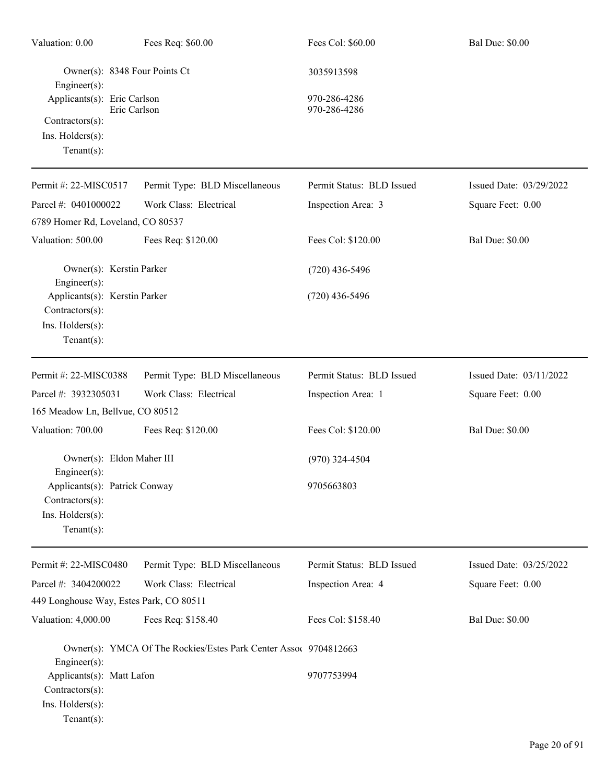| Valuation: 0.00                                                                                          | Fees Req: \$60.00                                                | Fees Col: \$60.00                          | <b>Bal Due: \$0.00</b>  |
|----------------------------------------------------------------------------------------------------------|------------------------------------------------------------------|--------------------------------------------|-------------------------|
| Engineer $(s)$ :<br>Applicants(s): Eric Carlson<br>Contractors(s):<br>Ins. Holders(s):<br>Tenant $(s)$ : | Owner(s): 8348 Four Points Ct<br>Eric Carlson                    | 3035913598<br>970-286-4286<br>970-286-4286 |                         |
| Permit #: 22-MISC0517                                                                                    | Permit Type: BLD Miscellaneous                                   | Permit Status: BLD Issued                  | Issued Date: 03/29/2022 |
| Parcel #: 0401000022                                                                                     | Work Class: Electrical                                           | Inspection Area: 3                         | Square Feet: 0.00       |
| 6789 Homer Rd, Loveland, CO 80537                                                                        |                                                                  |                                            |                         |
| Valuation: 500.00                                                                                        | Fees Req: \$120.00                                               | Fees Col: \$120.00                         | <b>Bal Due: \$0.00</b>  |
| Engineer(s):                                                                                             | Owner(s): Kerstin Parker                                         | $(720)$ 436-5496                           |                         |
| Applicants(s): Kerstin Parker<br>Contractors(s):<br>Ins. Holders(s):<br>Tenant $(s)$ :                   |                                                                  | $(720)$ 436-5496                           |                         |
| Permit #: 22-MISC0388                                                                                    | Permit Type: BLD Miscellaneous                                   | Permit Status: BLD Issued                  | Issued Date: 03/11/2022 |
| Parcel #: 3932305031                                                                                     | Work Class: Electrical                                           | Inspection Area: 1                         | Square Feet: 0.00       |
| 165 Meadow Ln, Bellvue, CO 80512                                                                         |                                                                  |                                            |                         |
| Valuation: 700.00                                                                                        | Fees Req: \$120.00                                               | Fees Col: \$120.00                         | <b>Bal Due: \$0.00</b>  |
|                                                                                                          | Owner(s): Eldon Maher III                                        | $(970)$ 324-4504                           |                         |
| Engineer $(s)$ :<br>Contractors(s):<br>Ins. Holders(s):<br>Tenant $(s)$ :                                | Applicants(s): Patrick Conway                                    | 9705663803                                 |                         |
| Permit #: 22-MISC0480                                                                                    | Permit Type: BLD Miscellaneous                                   | Permit Status: BLD Issued                  | Issued Date: 03/25/2022 |
| Parcel #: 3404200022                                                                                     | Work Class: Electrical                                           | Inspection Area: 4                         | Square Feet: 0.00       |
|                                                                                                          | 449 Longhouse Way, Estes Park, CO 80511                          |                                            |                         |
| Valuation: 4,000.00                                                                                      | Fees Req: \$158.40                                               | Fees Col: \$158.40                         | <b>Bal Due: \$0.00</b>  |
| Engineer(s):                                                                                             | Owner(s): YMCA Of The Rockies/Estes Park Center Assoc 9704812663 |                                            |                         |
| Applicants(s): Matt Lafon<br>Contractors(s):<br>Ins. Holders(s):<br>$Tenant(s)$ :                        |                                                                  | 9707753994                                 |                         |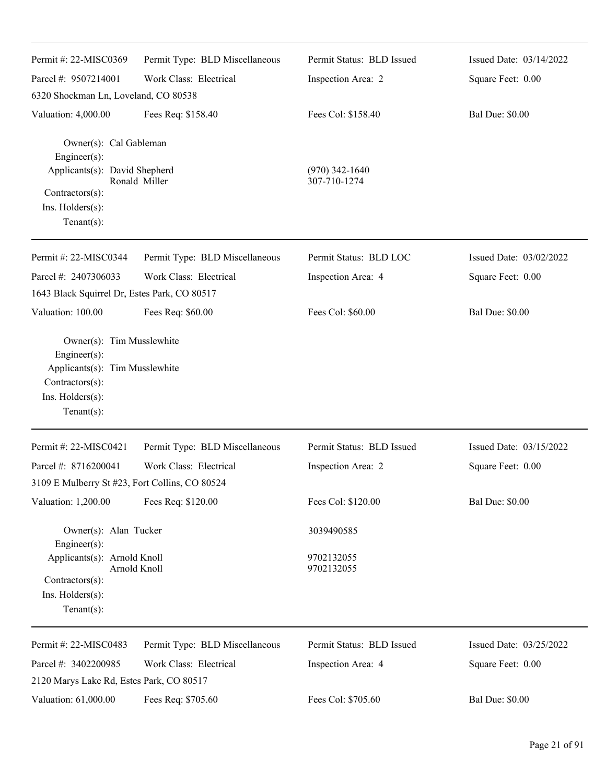| Permit #: 22-MISC0369                                                                                                               | Permit Type: BLD Miscellaneous | Permit Status: BLD Issued        | Issued Date: 03/14/2022 |
|-------------------------------------------------------------------------------------------------------------------------------------|--------------------------------|----------------------------------|-------------------------|
| Parcel #: 9507214001                                                                                                                | Work Class: Electrical         | Inspection Area: 2               | Square Feet: 0.00       |
| 6320 Shockman Ln, Loveland, CO 80538                                                                                                |                                |                                  |                         |
| Valuation: 4,000.00                                                                                                                 | Fees Req: \$158.40             | Fees Col: \$158.40               | <b>Bal Due: \$0.00</b>  |
| Owner(s): Cal Gableman<br>Engineer(s):                                                                                              |                                |                                  |                         |
| Applicants(s): David Shepherd                                                                                                       | Ronald Miller                  | $(970)$ 342-1640<br>307-710-1274 |                         |
| Contractors(s):<br>Ins. Holders(s):<br>$Tenant(s)$ :                                                                                |                                |                                  |                         |
| Permit #: 22-MISC0344                                                                                                               | Permit Type: BLD Miscellaneous | Permit Status: BLD LOC           | Issued Date: 03/02/2022 |
| Parcel #: 2407306033                                                                                                                | Work Class: Electrical         | Inspection Area: 4               | Square Feet: 0.00       |
| 1643 Black Squirrel Dr, Estes Park, CO 80517                                                                                        |                                |                                  |                         |
| Valuation: 100.00                                                                                                                   | Fees Req: \$60.00              | Fees Col: \$60.00                | <b>Bal Due: \$0.00</b>  |
| Owner(s): Tim Musslewhite<br>Engineer(s):<br>Applicants(s): Tim Musslewhite<br>Contractors(s):<br>Ins. Holders(s):<br>$Tenant(s)$ : |                                |                                  |                         |
| Permit #: 22-MISC0421                                                                                                               | Permit Type: BLD Miscellaneous | Permit Status: BLD Issued        | Issued Date: 03/15/2022 |
| Parcel #: 8716200041                                                                                                                | Work Class: Electrical         | Inspection Area: 2               | Square Feet: 0.00       |
| 3109 E Mulberry St #23, Fort Collins, CO 80524                                                                                      |                                |                                  |                         |
| Valuation: 1,200.00                                                                                                                 | Fees Req: \$120.00             | Fees Col: \$120.00               | <b>Bal Due: \$0.00</b>  |
| Owner(s): Alan Tucker<br>Engineer(s):                                                                                               |                                | 3039490585                       |                         |
| Applicants(s): Arnold Knoll                                                                                                         | Arnold Knoll                   | 9702132055<br>9702132055         |                         |
| $Contractors(s)$ :<br>Ins. Holders(s):                                                                                              |                                |                                  |                         |
| $Tenant(s)$ :                                                                                                                       |                                |                                  |                         |
| Permit #: 22-MISC0483                                                                                                               | Permit Type: BLD Miscellaneous | Permit Status: BLD Issued        | Issued Date: 03/25/2022 |
| Parcel #: 3402200985                                                                                                                | Work Class: Electrical         | Inspection Area: 4               | Square Feet: 0.00       |
| 2120 Marys Lake Rd, Estes Park, CO 80517                                                                                            |                                |                                  |                         |
| Valuation: 61,000.00                                                                                                                | Fees Req: \$705.60             | Fees Col: \$705.60               | <b>Bal Due: \$0.00</b>  |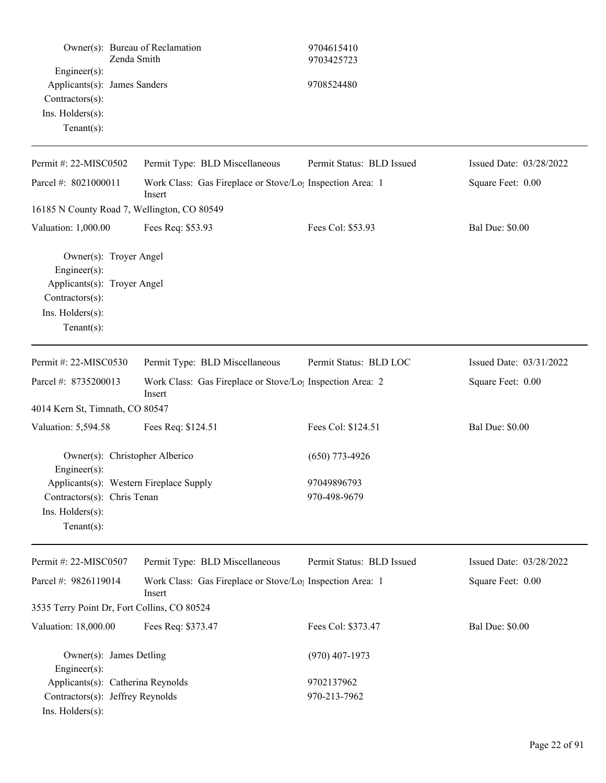|                                                                                                                                      | Owner(s): Bureau of Reclamation<br>Zenda Smith                                  | 9704615410<br>9703425723  |                         |
|--------------------------------------------------------------------------------------------------------------------------------------|---------------------------------------------------------------------------------|---------------------------|-------------------------|
| Engineer(s):<br>Applicants(s): James Sanders<br>Contractors(s):<br>Ins. Holders(s):<br>Tenant $(s)$ :                                |                                                                                 | 9708524480                |                         |
| Permit #: 22-MISC0502                                                                                                                | Permit Type: BLD Miscellaneous                                                  | Permit Status: BLD Issued | Issued Date: 03/28/2022 |
| Parcel #: 8021000011                                                                                                                 | Work Class: Gas Fireplace or Stove/Lo <sub>1</sub> Inspection Area: 1<br>Insert |                           | Square Feet: 0.00       |
|                                                                                                                                      | 16185 N County Road 7, Wellington, CO 80549                                     |                           |                         |
| Valuation: 1,000.00                                                                                                                  | Fees Req: \$53.93                                                               | Fees Col: \$53.93         | <b>Bal Due: \$0.00</b>  |
| Owner(s): Troyer Angel<br>$Engineering(s)$ :<br>Applicants(s): Troyer Angel<br>Contractors(s):<br>Ins. Holders(s):<br>Tenant $(s)$ : |                                                                                 |                           |                         |
| Permit #: 22-MISC0530                                                                                                                | Permit Type: BLD Miscellaneous                                                  | Permit Status: BLD LOC    | Issued Date: 03/31/2022 |
| Parcel #: 8735200013                                                                                                                 | Work Class: Gas Fireplace or Stove/Lo <sub>1</sub> Inspection Area: 2<br>Insert |                           | Square Feet: 0.00       |
| 4014 Kern St, Timnath, CO 80547                                                                                                      |                                                                                 |                           |                         |
| Valuation: 5,594.58                                                                                                                  | Fees Req: \$124.51                                                              | Fees Col: \$124.51        | <b>Bal Due: \$0.00</b>  |
| Engineer $(s)$ :                                                                                                                     | Owner(s): Christopher Alberico                                                  | $(650)$ 773-4926          |                         |
|                                                                                                                                      | Applicants(s): Western Fireplace Supply                                         | 97049896793               |                         |
| Contractors(s): Chris Tenan                                                                                                          |                                                                                 | 970-498-9679              |                         |
| Ins. Holders(s):<br>Tenant $(s)$ :                                                                                                   |                                                                                 |                           |                         |
| Permit #: 22-MISC0507                                                                                                                | Permit Type: BLD Miscellaneous                                                  | Permit Status: BLD Issued | Issued Date: 03/28/2022 |
| Parcel #: 9826119014                                                                                                                 | Work Class: Gas Fireplace or Stove/Lo; Inspection Area: 1<br>Insert             |                           | Square Feet: 0.00       |
|                                                                                                                                      | 3535 Terry Point Dr, Fort Collins, CO 80524                                     |                           |                         |
| Valuation: 18,000.00                                                                                                                 | Fees Req: \$373.47                                                              | Fees Col: \$373.47        | <b>Bal Due: \$0.00</b>  |
| Owner(s): James Detling<br>$Engineering(s)$ :                                                                                        |                                                                                 | $(970)$ 407-1973          |                         |
| Applicants(s): Catherina Reynolds                                                                                                    |                                                                                 | 9702137962                |                         |
| Contractors(s): Jeffrey Reynolds<br>Ins. Holders(s):                                                                                 |                                                                                 | 970-213-7962              |                         |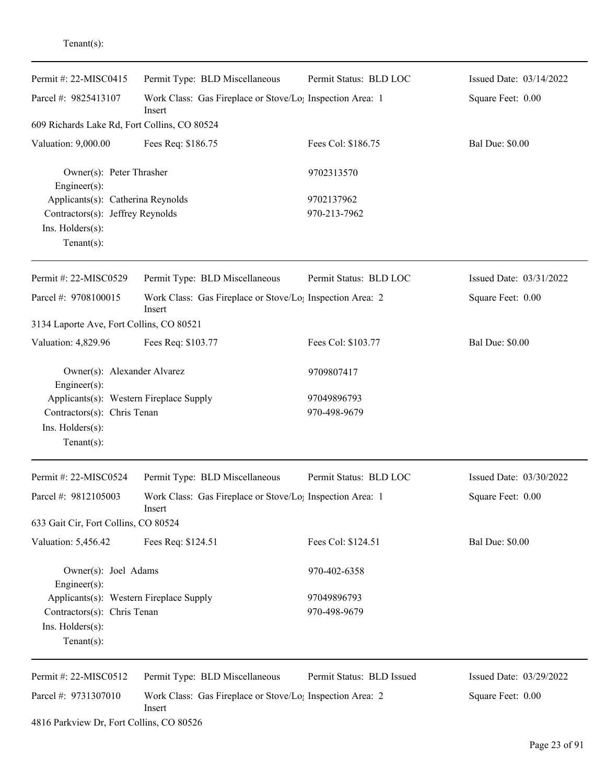| enant(s) |  |
|----------|--|
|          |  |

| Permit #: $22-MISCO415$                                                                                      | Permit Type: BLD Miscellaneous                                                  | Permit Status: BLD LOC      | Issued Date: 03/14/2022 |
|--------------------------------------------------------------------------------------------------------------|---------------------------------------------------------------------------------|-----------------------------|-------------------------|
| Parcel #: 9825413107                                                                                         | Work Class: Gas Fireplace or Stove/Lo <sub>1</sub> Inspection Area: 1<br>Insert |                             | Square Feet: 0.00       |
| 609 Richards Lake Rd, Fort Collins, CO 80524                                                                 |                                                                                 |                             |                         |
| Valuation: 9,000.00                                                                                          | Fees Req: \$186.75                                                              | Fees Col: \$186.75          | <b>Bal Due: \$0.00</b>  |
| Owner(s): Peter Thrasher<br>Engineer(s):                                                                     |                                                                                 | 9702313570                  |                         |
| Applicants(s): Catherina Reynolds                                                                            |                                                                                 | 9702137962                  |                         |
| Contractors(s): Jeffrey Reynolds<br>Ins. Holders(s):<br>Tenant $(s)$ :                                       |                                                                                 | 970-213-7962                |                         |
| Permit #: 22-MISC0529                                                                                        | Permit Type: BLD Miscellaneous                                                  | Permit Status: BLD LOC      | Issued Date: 03/31/2022 |
| Parcel #: 9708100015                                                                                         | Work Class: Gas Fireplace or Stove/Lo; Inspection Area: 2<br>Insert             |                             | Square Feet: 0.00       |
| 3134 Laporte Ave, Fort Collins, CO 80521                                                                     |                                                                                 |                             |                         |
| Valuation: 4,829.96                                                                                          | Fees Req: \$103.77                                                              | Fees Col: \$103.77          | <b>Bal Due: \$0.00</b>  |
| Owner(s): Alexander Alvarez<br>Engineer(s):                                                                  |                                                                                 | 9709807417                  |                         |
| Applicants(s): Western Fireplace Supply<br>Contractors(s): Chris Tenan<br>Ins. Holders(s):<br>Tenant $(s)$ : |                                                                                 | 97049896793<br>970-498-9679 |                         |
| Permit #: 22-MISC0524                                                                                        | Permit Type: BLD Miscellaneous                                                  | Permit Status: BLD LOC      | Issued Date: 03/30/2022 |
| Parcel #: 9812105003                                                                                         | Work Class: Gas Fireplace or Stove/Lo <sub>1</sub> Inspection Area: 1<br>Insert |                             | Square Feet: 0.00       |
| 633 Gait Cir, Fort Collins, CO 80524                                                                         |                                                                                 |                             |                         |
| Valuation: 5,456.42                                                                                          | Fees Req: \$124.51                                                              | Fees Col: \$124.51          | <b>Bal Due: \$0.00</b>  |
| Owner(s): Joel Adams<br>$Engineering(s)$ :                                                                   |                                                                                 | 970-402-6358                |                         |
| Applicants(s): Western Fireplace Supply                                                                      |                                                                                 | 97049896793                 |                         |
| Contractors(s): Chris Tenan                                                                                  |                                                                                 | 970-498-9679                |                         |
| Ins. Holders(s):<br>Tenant $(s)$ :                                                                           |                                                                                 |                             |                         |
| Permit #: 22-MISC0512                                                                                        | Permit Type: BLD Miscellaneous                                                  | Permit Status: BLD Issued   | Issued Date: 03/29/2022 |
| Parcel #: 9731307010                                                                                         | Work Class: Gas Fireplace or Stove/Lo <sub>1</sub> Inspection Area: 2<br>Insert |                             | Square Feet: 0.00       |
| 4816 Parkview Dr, Fort Collins, CO 80526                                                                     |                                                                                 |                             |                         |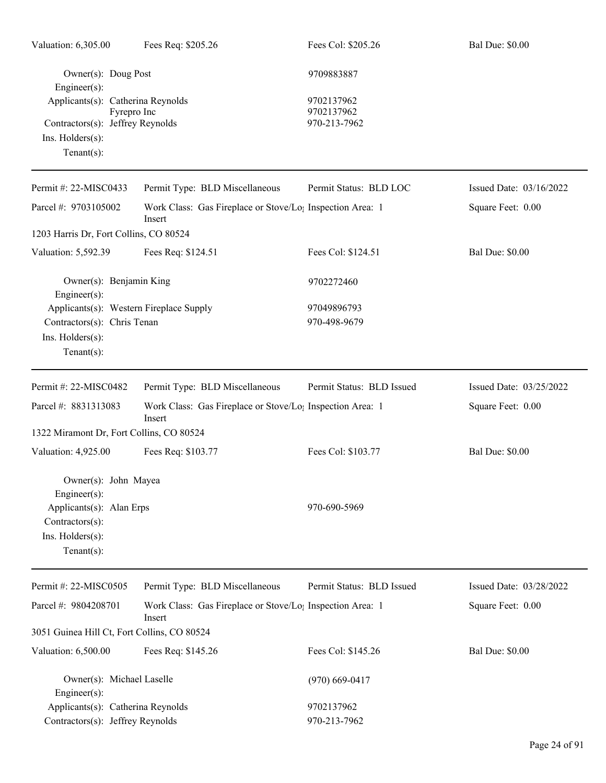| Valuation: 6,305.00                                                                                                       | Fees Req: \$205.26                                                              | Fees Col: \$205.26                       | <b>Bal Due: \$0.00</b>  |
|---------------------------------------------------------------------------------------------------------------------------|---------------------------------------------------------------------------------|------------------------------------------|-------------------------|
| Owner(s): Doug Post<br>Engineer(s):                                                                                       |                                                                                 | 9709883887                               |                         |
| Applicants(s): Catherina Reynolds<br>Fyrepro Inc<br>Contractors(s): Jeffrey Reynolds<br>Ins. Holders(s):<br>$Tenant(s)$ : |                                                                                 | 9702137962<br>9702137962<br>970-213-7962 |                         |
| Permit #: 22-MISC0433                                                                                                     | Permit Type: BLD Miscellaneous                                                  | Permit Status: BLD LOC                   | Issued Date: 03/16/2022 |
| Parcel #: 9703105002                                                                                                      | Work Class: Gas Fireplace or Stove/Lo <sub>1</sub> Inspection Area: 1<br>Insert |                                          | Square Feet: 0.00       |
| 1203 Harris Dr, Fort Collins, CO 80524                                                                                    |                                                                                 |                                          |                         |
| Valuation: 5,592.39                                                                                                       | Fees Req: \$124.51                                                              | Fees Col: \$124.51                       | <b>Bal Due: \$0.00</b>  |
| Owner(s): Benjamin King<br>Engineer(s):                                                                                   |                                                                                 | 9702272460                               |                         |
| Applicants(s): Western Fireplace Supply<br>Contractors(s): Chris Tenan<br>Ins. Holders(s):<br>$Tenant(s)$ :               |                                                                                 | 97049896793<br>970-498-9679              |                         |
| Permit #: 22-MISC0482                                                                                                     | Permit Type: BLD Miscellaneous                                                  | Permit Status: BLD Issued                | Issued Date: 03/25/2022 |
| Parcel #: 8831313083                                                                                                      | Work Class: Gas Fireplace or Stove/Lo <sub>1</sub> Inspection Area: 1<br>Insert |                                          | Square Feet: 0.00       |
| 1322 Miramont Dr, Fort Collins, CO 80524                                                                                  |                                                                                 |                                          |                         |
| Valuation: 4,925.00                                                                                                       | Fees Req: \$103.77                                                              | Fees Col: \$103.77                       | <b>Bal Due: \$0.00</b>  |
| Owner(s): John Mayea<br>$Engineering(s)$ :                                                                                |                                                                                 |                                          |                         |
| Applicants(s): Alan Erps<br>Contractors(s):<br>Ins. Holders(s):<br>$Tenant(s)$ :                                          |                                                                                 | 970-690-5969                             |                         |
| Permit #: 22-MISC0505                                                                                                     | Permit Type: BLD Miscellaneous                                                  | Permit Status: BLD Issued                | Issued Date: 03/28/2022 |
| Parcel #: 9804208701                                                                                                      | Work Class: Gas Fireplace or Stove/Lo <sub>1</sub> Inspection Area: 1<br>Insert |                                          | Square Feet: 0.00       |
| 3051 Guinea Hill Ct, Fort Collins, CO 80524                                                                               |                                                                                 |                                          |                         |
| Valuation: 6,500.00                                                                                                       | Fees Req: \$145.26                                                              | Fees Col: \$145.26                       | <b>Bal Due: \$0.00</b>  |
| Owner(s): Michael Laselle<br>$Engineering(s)$ :                                                                           |                                                                                 | $(970)$ 669-0417                         |                         |
| Applicants(s): Catherina Reynolds                                                                                         |                                                                                 | 9702137962                               |                         |
| Contractors(s): Jeffrey Reynolds                                                                                          |                                                                                 | 970-213-7962                             |                         |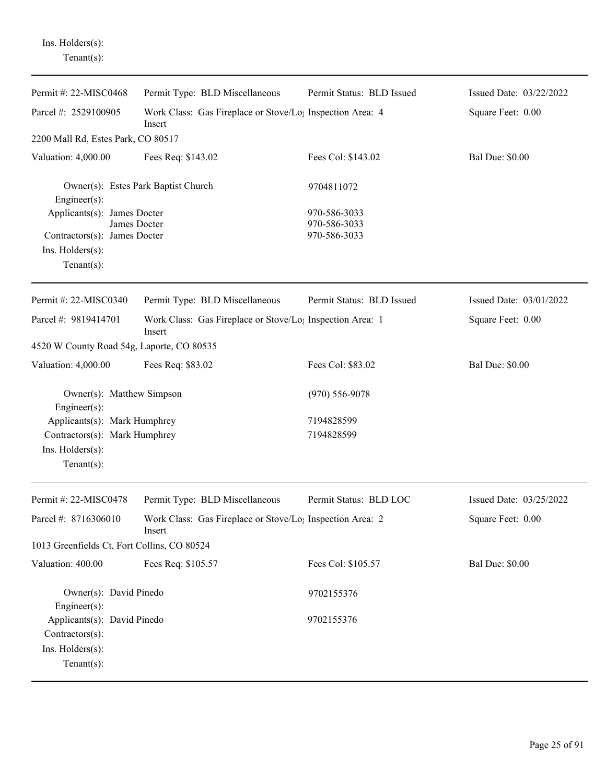Ins. Holders(s): Tenant(s):

| Permit #: 22-MISC0468                                                                                             | Permit Type: BLD Miscellaneous                                                  | Permit Status: BLD Issued                    | Issued Date: 03/22/2022 |
|-------------------------------------------------------------------------------------------------------------------|---------------------------------------------------------------------------------|----------------------------------------------|-------------------------|
| Parcel #: 2529100905                                                                                              | Work Class: Gas Fireplace or Stove/Lo <sub>1</sub> Inspection Area: 4<br>Insert |                                              | Square Feet: 0.00       |
| 2200 Mall Rd, Estes Park, CO 80517                                                                                |                                                                                 |                                              |                         |
| Valuation: 4,000.00                                                                                               | Fees Req: \$143.02                                                              | Fees Col: \$143.02                           | <b>Bal Due: \$0.00</b>  |
| Owner(s): Estes Park Baptist Church<br>Engineer(s):                                                               |                                                                                 | 9704811072                                   |                         |
| Applicants(s): James Docter<br>James Docter<br>Contractors(s): James Docter<br>Ins. Holders(s):<br>Tenant $(s)$ : |                                                                                 | 970-586-3033<br>970-586-3033<br>970-586-3033 |                         |
| Permit #: 22-MISC0340                                                                                             | Permit Type: BLD Miscellaneous                                                  | Permit Status: BLD Issued                    | Issued Date: 03/01/2022 |
| Parcel #: 9819414701                                                                                              | Work Class: Gas Fireplace or Stove/Lo <sub>1</sub> Inspection Area: 1<br>Insert |                                              | Square Feet: 0.00       |
| 4520 W County Road 54g, Laporte, CO 80535                                                                         |                                                                                 |                                              |                         |
| Valuation: 4,000.00                                                                                               | Fees Req: \$83.02                                                               | Fees Col: \$83.02                            | <b>Bal Due: \$0.00</b>  |
| Owner(s): Matthew Simpson<br>Engineer(s):                                                                         |                                                                                 | $(970) 556 - 9078$                           |                         |
| Applicants(s): Mark Humphrey<br>Contractors(s): Mark Humphrey<br>Ins. Holders(s):<br>Tenant $(s)$ :               |                                                                                 | 7194828599<br>7194828599                     |                         |
| Permit #: 22-MISC0478                                                                                             | Permit Type: BLD Miscellaneous                                                  | Permit Status: BLD LOC                       | Issued Date: 03/25/2022 |
| Parcel #: 8716306010                                                                                              | Work Class: Gas Fireplace or Stove/Lo <sub>1</sub> Inspection Area: 2<br>Insert |                                              | Square Feet: 0.00       |
| 1013 Greenfields Ct, Fort Collins, CO 80524                                                                       |                                                                                 |                                              |                         |
| Valuation: 400.00                                                                                                 | Fees Req: \$105.57                                                              | Fees Col: \$105.57                           | <b>Bal Due: \$0.00</b>  |
| Owner(s): David Pinedo<br>Engineer(s):                                                                            |                                                                                 | 9702155376                                   |                         |
| Applicants(s): David Pinedo<br>Contractors(s):<br>Ins. Holders(s):<br>Tenant $(s)$ :                              |                                                                                 | 9702155376                                   |                         |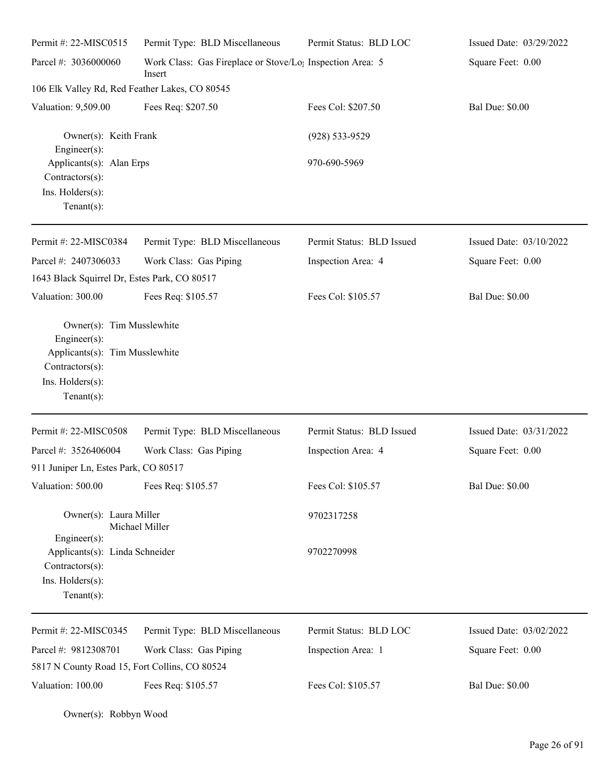| Permit #: 22-MISC0515                                                                                                                | Permit Type: BLD Miscellaneous                                                  | Permit Status: BLD LOC    | Issued Date: 03/29/2022 |
|--------------------------------------------------------------------------------------------------------------------------------------|---------------------------------------------------------------------------------|---------------------------|-------------------------|
| Parcel #: 3036000060                                                                                                                 | Work Class: Gas Fireplace or Stove/Lo <sub>1</sub> Inspection Area: 5<br>Insert |                           | Square Feet: 0.00       |
| 106 Elk Valley Rd, Red Feather Lakes, CO 80545                                                                                       |                                                                                 |                           |                         |
| Valuation: 9,509.00                                                                                                                  | Fees Req: \$207.50                                                              | Fees Col: \$207.50        | <b>Bal Due: \$0.00</b>  |
| Owner(s): Keith Frank<br>Engineer(s):                                                                                                |                                                                                 | (928) 533-9529            |                         |
| Applicants(s): Alan Erps<br>Contractors(s):                                                                                          |                                                                                 | 970-690-5969              |                         |
| Ins. Holders(s):<br>Tenant $(s)$ :                                                                                                   |                                                                                 |                           |                         |
| Permit #: 22-MISC0384                                                                                                                | Permit Type: BLD Miscellaneous                                                  | Permit Status: BLD Issued | Issued Date: 03/10/2022 |
| Parcel #: 2407306033<br>1643 Black Squirrel Dr, Estes Park, CO 80517                                                                 | Work Class: Gas Piping                                                          | Inspection Area: 4        | Square Feet: 0.00       |
| Valuation: 300.00                                                                                                                    | Fees Req: \$105.57                                                              | Fees Col: \$105.57        | <b>Bal Due: \$0.00</b>  |
| Owner(s): Tim Musslewhite<br>Engineer(s):<br>Applicants(s): Tim Musslewhite<br>Contractors(s):<br>Ins. Holders(s):<br>Tenant $(s)$ : |                                                                                 |                           |                         |
| Permit #: 22-MISC0508                                                                                                                | Permit Type: BLD Miscellaneous                                                  | Permit Status: BLD Issued | Issued Date: 03/31/2022 |
| Parcel #: 3526406004<br>911 Juniper Ln, Estes Park, CO 80517                                                                         | Work Class: Gas Piping                                                          | Inspection Area: 4        | Square Feet: 0.00       |
| Valuation: 500.00                                                                                                                    | Fees Req: \$105.57                                                              | Fees Col: \$105.57        | <b>Bal Due: \$0.00</b>  |
| Owner(s): Laura Miller<br>$Engineering(s)$ :                                                                                         | Michael Miller                                                                  | 9702317258                |                         |
| Applicants(s): Linda Schneider<br>Contractors(s):<br>Ins. Holders(s):<br>$Tenant(s)$ :                                               |                                                                                 | 9702270998                |                         |
| Permit #: 22-MISC0345                                                                                                                | Permit Type: BLD Miscellaneous                                                  | Permit Status: BLD LOC    | Issued Date: 03/02/2022 |
| Parcel #: 9812308701                                                                                                                 | Work Class: Gas Piping                                                          | Inspection Area: 1        | Square Feet: 0.00       |
| 5817 N County Road 15, Fort Collins, CO 80524                                                                                        |                                                                                 |                           |                         |
| Valuation: 100.00                                                                                                                    | Fees Req: \$105.57                                                              | Fees Col: \$105.57        | <b>Bal Due: \$0.00</b>  |

Owner(s): Robbyn Wood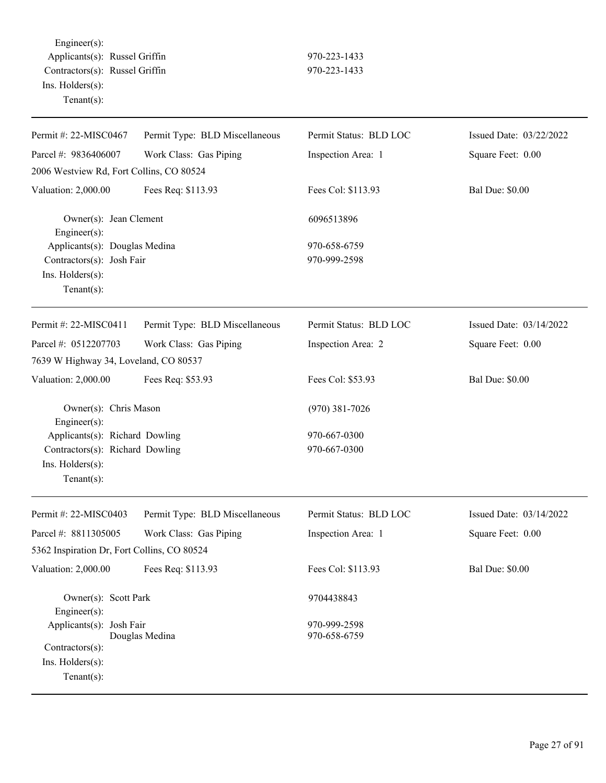Engineer(s): Applicants(s): Russel Griffin 970-223-1433 Contractors(s): Russel Griffin 970-223-1433 Ins. Holders(s): Tenant(s):

| Permit #: 22-MISC0467                                                                            | Permit Type: BLD Miscellaneous | Permit Status: BLD LOC       | Issued Date: 03/22/2022 |
|--------------------------------------------------------------------------------------------------|--------------------------------|------------------------------|-------------------------|
| Parcel #: 9836406007                                                                             | Work Class: Gas Piping         | Inspection Area: 1           | Square Feet: 0.00       |
| 2006 Westview Rd, Fort Collins, CO 80524                                                         |                                |                              |                         |
| Valuation: 2,000.00                                                                              | Fees Req: \$113.93             | Fees Col: \$113.93           | <b>Bal Due: \$0.00</b>  |
| Owner(s): Jean Clement<br>$Engineering(s)$ :                                                     |                                | 6096513896                   |                         |
| Applicants(s): Douglas Medina<br>Contractors(s): Josh Fair<br>Ins. Holders(s):<br>Tenant $(s)$ : |                                | 970-658-6759<br>970-999-2598 |                         |
| Permit #: 22-MISC0411                                                                            | Permit Type: BLD Miscellaneous | Permit Status: BLD LOC       | Issued Date: 03/14/2022 |
| Parcel #: 0512207703<br>7639 W Highway 34, Loveland, CO 80537                                    | Work Class: Gas Piping         | Inspection Area: 2           | Square Feet: 0.00       |
| Valuation: 2,000.00                                                                              | Fees Req: \$53.93              | Fees Col: \$53.93            | <b>Bal Due: \$0.00</b>  |
| Owner(s): Chris Mason<br>Engineer $(s)$ :                                                        |                                | $(970)$ 381-7026             |                         |
| Applicants(s): Richard Dowling                                                                   |                                | 970-667-0300                 |                         |
| Contractors(s): Richard Dowling<br>Ins. Holders(s):<br>Tenant $(s)$ :                            |                                | 970-667-0300                 |                         |
| Permit #: 22-MISC0403                                                                            | Permit Type: BLD Miscellaneous | Permit Status: BLD LOC       | Issued Date: 03/14/2022 |
| Parcel #: 8811305005                                                                             | Work Class: Gas Piping         | Inspection Area: 1           | Square Feet: 0.00       |
| 5362 Inspiration Dr, Fort Collins, CO 80524                                                      |                                |                              |                         |
| Valuation: 2,000.00                                                                              | Fees Req: \$113.93             | Fees Col: \$113.93           | <b>Bal Due: \$0.00</b>  |
| Owner(s): Scott Park<br>Engineer $(s)$ :                                                         |                                | 9704438843                   |                         |
| Applicants(s): Josh Fair<br>Contractors(s):<br>Ins. Holders(s):<br>Tenant $(s)$ :                | Douglas Medina                 | 970-999-2598<br>970-658-6759 |                         |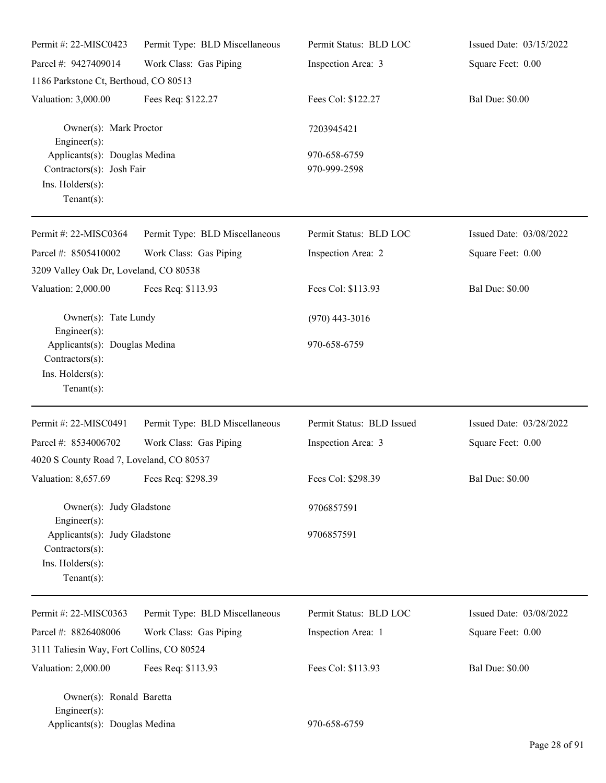| Permit #: 22-MISC0423                                                                            | Permit Type: BLD Miscellaneous | Permit Status: BLD LOC       | Issued Date: 03/15/2022 |
|--------------------------------------------------------------------------------------------------|--------------------------------|------------------------------|-------------------------|
| Parcel #: 9427409014                                                                             | Work Class: Gas Piping         | Inspection Area: 3           | Square Feet: 0.00       |
| 1186 Parkstone Ct, Berthoud, CO 80513                                                            |                                |                              |                         |
| Valuation: 3,000.00                                                                              | Fees Req: \$122.27             | Fees Col: \$122.27           | <b>Bal Due: \$0.00</b>  |
| Owner(s): Mark Proctor<br>Engineer(s):                                                           |                                | 7203945421                   |                         |
| Applicants(s): Douglas Medina<br>Contractors(s): Josh Fair<br>Ins. Holders(s):<br>Tenant $(s)$ : |                                | 970-658-6759<br>970-999-2598 |                         |
| Permit #: 22-MISC0364                                                                            | Permit Type: BLD Miscellaneous | Permit Status: BLD LOC       | Issued Date: 03/08/2022 |
| Parcel #: 8505410002<br>3209 Valley Oak Dr, Loveland, CO 80538                                   | Work Class: Gas Piping         | Inspection Area: 2           | Square Feet: 0.00       |
| Valuation: 2,000.00                                                                              | Fees Req: \$113.93             | Fees Col: \$113.93           | <b>Bal Due: \$0.00</b>  |
| Owner(s): Tate Lundy<br>Engineer(s):                                                             |                                | $(970)$ 443-3016             |                         |
| Applicants(s): Douglas Medina<br>Contractors(s):<br>Ins. Holders(s):<br>Tenant $(s)$ :           |                                | 970-658-6759                 |                         |
| Permit #: 22-MISC0491                                                                            | Permit Type: BLD Miscellaneous | Permit Status: BLD Issued    | Issued Date: 03/28/2022 |
| Parcel #: 8534006702<br>4020 S County Road 7, Loveland, CO 80537                                 | Work Class: Gas Piping         | Inspection Area: 3           | Square Feet: 0.00       |
| Valuation: 8,657.69 Fees Req: \$298.39                                                           |                                | Fees Col: \$298.39           | <b>Bal Due: \$0.00</b>  |
| Owner(s): Judy Gladstone<br>Engineer(s):                                                         |                                | 9706857591                   |                         |
| Applicants(s): Judy Gladstone<br>Contractors(s):<br>Ins. Holders(s):<br>Tenant $(s)$ :           |                                | 9706857591                   |                         |
| Permit #: 22-MISC0363                                                                            | Permit Type: BLD Miscellaneous | Permit Status: BLD LOC       | Issued Date: 03/08/2022 |
| Parcel #: 8826408006                                                                             | Work Class: Gas Piping         | Inspection Area: 1           | Square Feet: 0.00       |
| 3111 Taliesin Way, Fort Collins, CO 80524                                                        |                                |                              |                         |
| Valuation: 2,000.00                                                                              | Fees Req: \$113.93             | Fees Col: \$113.93           | <b>Bal Due: \$0.00</b>  |
| Owner(s): Ronald Baretta<br>$Engineering(s)$ :<br>Applicants(s): Douglas Medina                  |                                | 970-658-6759                 |                         |
|                                                                                                  |                                |                              |                         |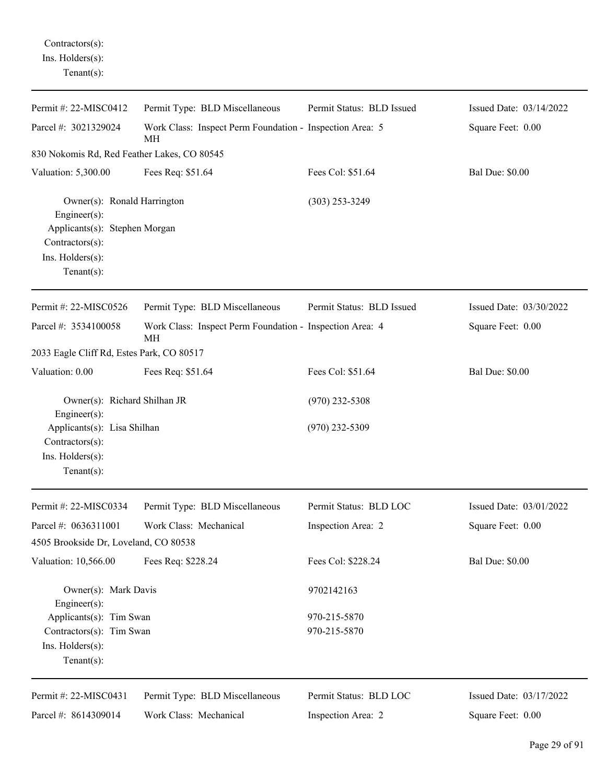## Contractors(s): Ins. Holders(s): Tenant(s):

| Permit #: 22-MISC0412                                                                                                                 | Permit Type: BLD Miscellaneous                                 | Permit Status: BLD Issued | Issued Date: 03/14/2022 |
|---------------------------------------------------------------------------------------------------------------------------------------|----------------------------------------------------------------|---------------------------|-------------------------|
| Parcel #: 3021329024                                                                                                                  | Work Class: Inspect Perm Foundation - Inspection Area: 5<br>МH |                           | Square Feet: 0.00       |
| 830 Nokomis Rd, Red Feather Lakes, CO 80545                                                                                           |                                                                |                           |                         |
| Valuation: 5,300.00                                                                                                                   | Fees Req: \$51.64                                              | Fees Col: \$51.64         | <b>Bal Due: \$0.00</b>  |
| Owner(s): Ronald Harrington<br>Engineer(s):<br>Applicants(s): Stephen Morgan<br>Contractors(s):<br>Ins. Holders(s):<br>Tenant $(s)$ : |                                                                | $(303)$ 253-3249          |                         |
| Permit #: 22-MISC0526                                                                                                                 | Permit Type: BLD Miscellaneous                                 | Permit Status: BLD Issued | Issued Date: 03/30/2022 |
| Parcel #: 3534100058                                                                                                                  | Work Class: Inspect Perm Foundation - Inspection Area: 4<br>MН |                           | Square Feet: 0.00       |
| 2033 Eagle Cliff Rd, Estes Park, CO 80517                                                                                             |                                                                |                           |                         |
| Valuation: 0.00                                                                                                                       | Fees Req: \$51.64                                              | Fees Col: \$51.64         | <b>Bal Due: \$0.00</b>  |
| Owner(s): Richard Shilhan JR<br>$Engineering(s)$ :                                                                                    |                                                                | $(970)$ 232-5308          |                         |
| Applicants(s): Lisa Shilhan<br>Contractors(s):<br>Ins. Holders(s):<br>Tenant $(s)$ :                                                  |                                                                | $(970)$ 232-5309          |                         |
| Permit #: 22-MISC0334                                                                                                                 | Permit Type: BLD Miscellaneous                                 | Permit Status: BLD LOC    | Issued Date: 03/01/2022 |
| Parcel #: 0636311001                                                                                                                  | Work Class: Mechanical                                         | Inspection Area: 2        | Square Feet: 0.00       |
| 4505 Brookside Dr, Loveland, CO 80538                                                                                                 |                                                                |                           |                         |
| Valuation: 10,566.00                                                                                                                  | Fees Req: \$228.24                                             | Fees Col: \$228.24        | <b>Bal Due: \$0.00</b>  |
| Owner(s): Mark Davis<br>$Engineering(s)$ :                                                                                            |                                                                | 9702142163                |                         |
| Applicants(s): Tim Swan                                                                                                               |                                                                | 970-215-5870              |                         |
| Contractors(s): Tim Swan<br>Ins. Holders(s):<br>Tenant $(s)$ :                                                                        |                                                                | 970-215-5870              |                         |
| Permit #: 22-MISC0431                                                                                                                 | Permit Type: BLD Miscellaneous                                 | Permit Status: BLD LOC    | Issued Date: 03/17/2022 |
| Parcel #: 8614309014                                                                                                                  | Work Class: Mechanical                                         | Inspection Area: 2        | Square Feet: 0.00       |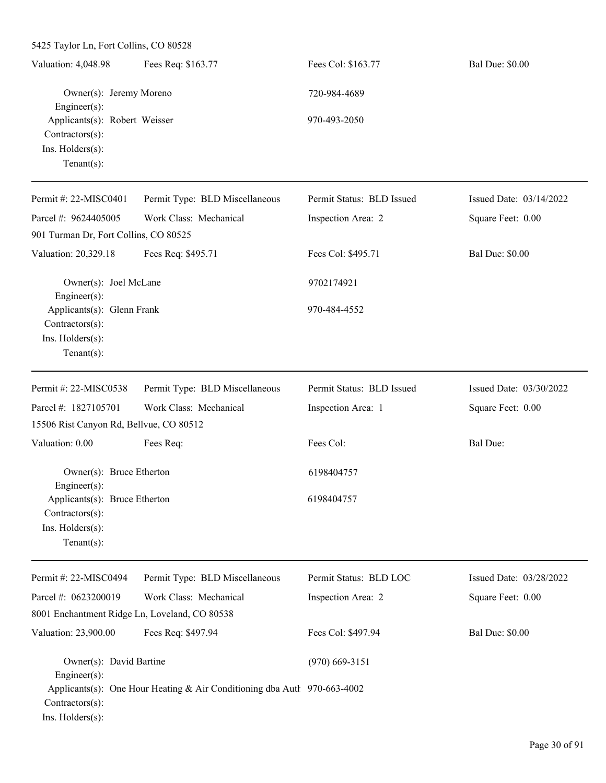| 5425 Taylor Ln, Fort Collins, CO 80528                                                 |                                                                          |                           |                         |
|----------------------------------------------------------------------------------------|--------------------------------------------------------------------------|---------------------------|-------------------------|
| Valuation: 4,048.98                                                                    | Fees Req: \$163.77                                                       | Fees Col: \$163.77        | <b>Bal Due: \$0.00</b>  |
| Owner(s): Jeremy Moreno<br>Engineer $(s)$ :                                            |                                                                          | 720-984-4689              |                         |
| Applicants(s): Robert Weisser<br>Contractors(s):<br>Ins. Holders(s):<br>Tenant $(s)$ : |                                                                          | 970-493-2050              |                         |
| Permit #: 22-MISC0401                                                                  | Permit Type: BLD Miscellaneous                                           | Permit Status: BLD Issued | Issued Date: 03/14/2022 |
| Parcel #: 9624405005                                                                   | Work Class: Mechanical                                                   | Inspection Area: 2        | Square Feet: 0.00       |
| 901 Turman Dr, Fort Collins, CO 80525                                                  |                                                                          |                           |                         |
| Valuation: 20,329.18                                                                   | Fees Req: \$495.71                                                       | Fees Col: \$495.71        | <b>Bal Due: \$0.00</b>  |
| Owner(s): Joel McLane<br>$Engineer(s)$ :                                               |                                                                          | 9702174921                |                         |
| Applicants(s): Glenn Frank<br>Contractors(s):<br>Ins. Holders(s):<br>Tenant $(s)$ :    |                                                                          | 970-484-4552              |                         |
| Permit #: 22-MISC0538                                                                  | Permit Type: BLD Miscellaneous                                           | Permit Status: BLD Issued | Issued Date: 03/30/2022 |
| Parcel #: 1827105701                                                                   | Work Class: Mechanical                                                   | Inspection Area: 1        | Square Feet: 0.00       |
| 15506 Rist Canyon Rd, Bellvue, CO 80512                                                |                                                                          |                           |                         |
| Valuation: 0.00                                                                        | Fees Req:                                                                | Fees Col:                 | <b>Bal Due:</b>         |
| Owner(s): Bruce Etherton<br>Engineer(s):                                               |                                                                          | 6198404757                |                         |
| Applicants(s): Bruce Etherton<br>Contractors(s):<br>Ins. Holders(s):<br>Tenant $(s)$ : |                                                                          | 6198404757                |                         |
| Permit #: 22-MISC0494                                                                  | Permit Type: BLD Miscellaneous                                           | Permit Status: BLD LOC    | Issued Date: 03/28/2022 |
| Parcel #: 0623200019<br>8001 Enchantment Ridge Ln, Loveland, CO 80538                  | Work Class: Mechanical                                                   | Inspection Area: 2        | Square Feet: 0.00       |
| Valuation: 23,900.00                                                                   | Fees Req: \$497.94                                                       | Fees Col: \$497.94        | <b>Bal Due: \$0.00</b>  |
| Owner(s): David Bartine                                                                |                                                                          | $(970)$ 669-3151          |                         |
| Engineer(s):<br>Contractors(s):<br>Ins. Holders(s):                                    | Applicants(s): One Hour Heating & Air Conditioning dba Autl 970-663-4002 |                           |                         |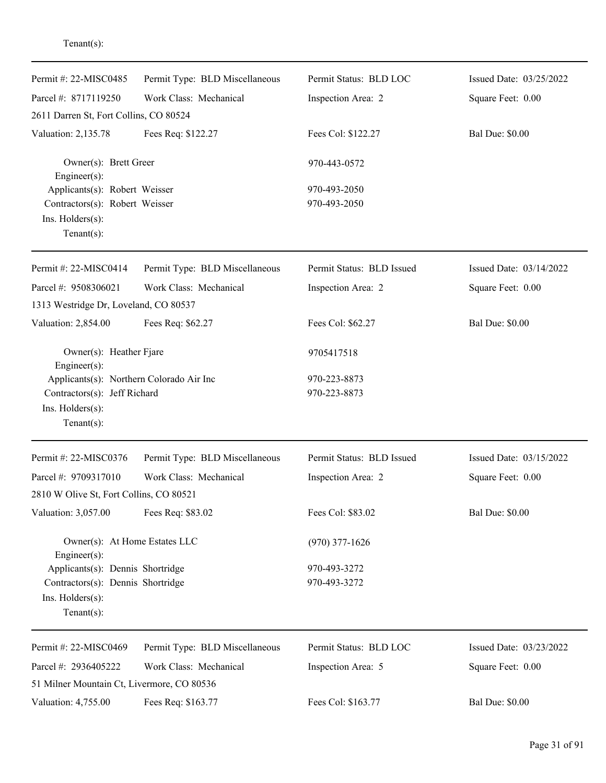| Permit #: 22-MISC0485                         | Permit Type: BLD Miscellaneous | Permit Status: BLD LOC    | Issued Date: 03/25/2022 |
|-----------------------------------------------|--------------------------------|---------------------------|-------------------------|
| Parcel #: 8717119250                          | Work Class: Mechanical         | Inspection Area: 2        | Square Feet: 0.00       |
| 2611 Darren St, Fort Collins, CO 80524        |                                |                           |                         |
| Valuation: 2,135.78                           | Fees Req: \$122.27             | Fees Col: \$122.27        | <b>Bal Due: \$0.00</b>  |
| Owner(s): Brett Greer<br>Engineer(s):         |                                | 970-443-0572              |                         |
| Applicants(s): Robert Weisser                 |                                | 970-493-2050              |                         |
| Contractors(s): Robert Weisser                |                                | 970-493-2050              |                         |
| Ins. Holders(s):<br>Tenant $(s)$ :            |                                |                           |                         |
|                                               |                                |                           |                         |
| Permit #: 22-MISC0414                         | Permit Type: BLD Miscellaneous | Permit Status: BLD Issued | Issued Date: 03/14/2022 |
| Parcel #: 9508306021                          | Work Class: Mechanical         | Inspection Area: 2        | Square Feet: 0.00       |
| 1313 Westridge Dr, Loveland, CO 80537         |                                |                           |                         |
| Valuation: 2,854.00                           | Fees Req: \$62.27              | Fees Col: \$62.27         | <b>Bal Due: \$0.00</b>  |
| Owner(s): Heather Fjare<br>Engineer(s):       |                                | 9705417518                |                         |
| Applicants(s): Northern Colorado Air Inc      |                                | 970-223-8873              |                         |
| Contractors(s): Jeff Richard                  |                                | 970-223-8873              |                         |
| Ins. Holders(s):                              |                                |                           |                         |
| Tenant $(s)$ :                                |                                |                           |                         |
| Permit #: 22-MISC0376                         | Permit Type: BLD Miscellaneous | Permit Status: BLD Issued | Issued Date: 03/15/2022 |
| Parcel #: 9709317010                          | Work Class: Mechanical         | Inspection Area: 2        | Square Feet: 0.00       |
| 2810 W Olive St, Fort Collins, CO 80521       |                                |                           |                         |
| Valuation: 3,057.00                           | Fees Req: \$83.02              | Fees Col: \$83.02         | <b>Bal Due: \$0.00</b>  |
| Owner(s): At Home Estates LLC<br>Engineer(s): |                                | $(970)$ 377-1626          |                         |
| Applicants(s): Dennis Shortridge              |                                | 970-493-3272              |                         |
| Contractors(s): Dennis Shortridge             |                                | 970-493-3272              |                         |
| Ins. Holders(s):                              |                                |                           |                         |
| Tenant $(s)$ :                                |                                |                           |                         |
| Permit #: 22-MISC0469                         | Permit Type: BLD Miscellaneous | Permit Status: BLD LOC    | Issued Date: 03/23/2022 |
| Parcel #: 2936405222                          | Work Class: Mechanical         | Inspection Area: 5        | Square Feet: 0.00       |
| 51 Milner Mountain Ct, Livermore, CO 80536    |                                |                           |                         |
| Valuation: 4,755.00                           | Fees Req: \$163.77             | Fees Col: \$163.77        | <b>Bal Due: \$0.00</b>  |

Tenant(s):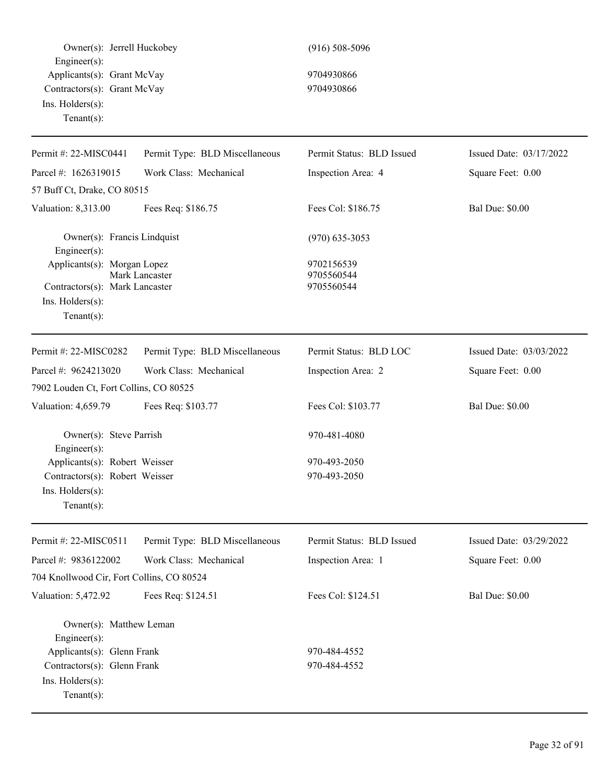| Owner(s): Jerrell Huckobey<br>Engineer(s):                                                          |                                | $(916) 508 - 5096$                     |                         |
|-----------------------------------------------------------------------------------------------------|--------------------------------|----------------------------------------|-------------------------|
| Applicants(s): Grant McVay<br>Contractors(s): Grant McVay<br>Ins. Holders(s):<br>Tenant $(s)$ :     |                                | 9704930866<br>9704930866               |                         |
| Permit #: 22-MISC0441                                                                               | Permit Type: BLD Miscellaneous | Permit Status: BLD Issued              | Issued Date: 03/17/2022 |
| Parcel #: 1626319015                                                                                | Work Class: Mechanical         | Inspection Area: 4                     | Square Feet: 0.00       |
| 57 Buff Ct, Drake, CO 80515                                                                         |                                |                                        |                         |
| Valuation: 8,313.00                                                                                 | Fees Req: \$186.75             | Fees Col: \$186.75                     | <b>Bal Due: \$0.00</b>  |
| Owner(s): Francis Lindquist<br>Engineer(s):                                                         |                                | $(970)$ 635-3053                       |                         |
| Applicants(s): Morgan Lopez<br>Contractors(s): Mark Lancaster<br>Ins. Holders(s):<br>Tenant $(s)$ : | Mark Lancaster                 | 9702156539<br>9705560544<br>9705560544 |                         |
| Permit #: 22-MISC0282                                                                               | Permit Type: BLD Miscellaneous | Permit Status: BLD LOC                 | Issued Date: 03/03/2022 |
| Parcel #: 9624213020                                                                                | Work Class: Mechanical         | Inspection Area: 2                     | Square Feet: 0.00       |
| 7902 Louden Ct, Fort Collins, CO 80525                                                              |                                |                                        |                         |
| Valuation: 4,659.79                                                                                 | Fees Req: \$103.77             | Fees Col: \$103.77                     | <b>Bal Due: \$0.00</b>  |
| Owner(s): Steve Parrish<br>Engineer(s):                                                             |                                | 970-481-4080                           |                         |
| Applicants(s): Robert Weisser                                                                       |                                | 970-493-2050                           |                         |
| Contractors(s): Robert Weisser                                                                      |                                | 970-493-2050                           |                         |
| $Ins.$ Holders $(s)$ :<br>Tenant $(s)$ :                                                            |                                |                                        |                         |
| Permit #: 22-MISC0511                                                                               | Permit Type: BLD Miscellaneous | Permit Status: BLD Issued              | Issued Date: 03/29/2022 |
| Parcel #: 9836122002                                                                                | Work Class: Mechanical         | Inspection Area: 1                     | Square Feet: 0.00       |
| 704 Knollwood Cir, Fort Collins, CO 80524                                                           |                                |                                        |                         |
| Valuation: 5,472.92                                                                                 | Fees Req: \$124.51             | Fees Col: \$124.51                     | <b>Bal Due: \$0.00</b>  |
| Owner(s): Matthew Leman<br>Engineer(s):                                                             |                                |                                        |                         |
| Applicants(s): Glenn Frank                                                                          |                                | 970-484-4552                           |                         |
| Contractors(s): Glenn Frank<br>Ins. Holders(s):<br>$Tenant(s)$ :                                    |                                | 970-484-4552                           |                         |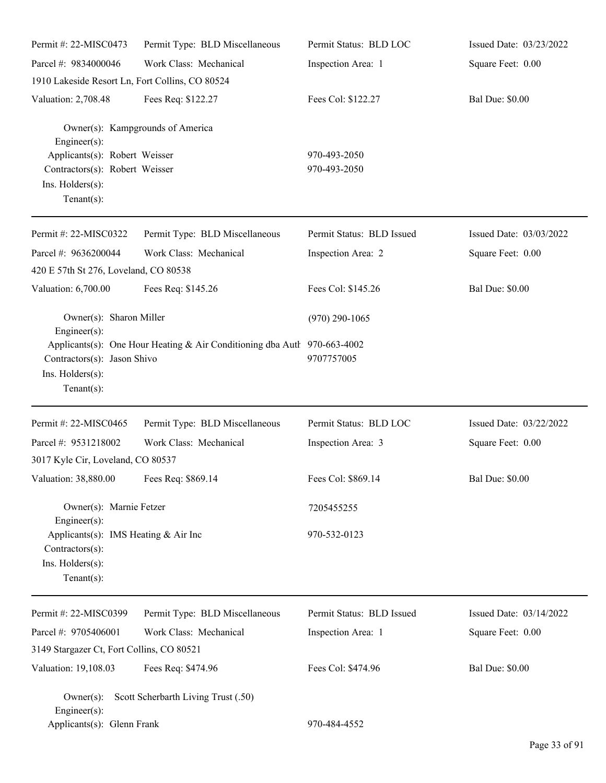| Permit #: 22-MISC0473                                                                                 | Permit Type: BLD Miscellaneous                                           | Permit Status: BLD LOC       | Issued Date: 03/23/2022 |
|-------------------------------------------------------------------------------------------------------|--------------------------------------------------------------------------|------------------------------|-------------------------|
| Parcel #: 9834000046                                                                                  | Work Class: Mechanical                                                   | Inspection Area: 1           | Square Feet: 0.00       |
| 1910 Lakeside Resort Ln, Fort Collins, CO 80524                                                       |                                                                          |                              |                         |
| Valuation: 2,708.48                                                                                   | Fees Req: \$122.27                                                       | Fees Col: \$122.27           | <b>Bal Due: \$0.00</b>  |
| $Engineering(s)$ :                                                                                    | Owner(s): Kampgrounds of America                                         |                              |                         |
| Applicants(s): Robert Weisser<br>Contractors(s): Robert Weisser<br>Ins. Holders(s):<br>Tenant $(s)$ : |                                                                          | 970-493-2050<br>970-493-2050 |                         |
| Permit #: 22-MISC0322                                                                                 | Permit Type: BLD Miscellaneous                                           | Permit Status: BLD Issued    | Issued Date: 03/03/2022 |
| Parcel #: 9636200044<br>420 E 57th St 276, Loveland, CO 80538                                         | Work Class: Mechanical                                                   | Inspection Area: 2           | Square Feet: 0.00       |
| Valuation: 6,700.00                                                                                   | Fees Req: \$145.26                                                       | Fees Col: \$145.26           | <b>Bal Due: \$0.00</b>  |
| Owner(s): Sharon Miller<br>$Engineering(s)$ :                                                         |                                                                          | $(970)$ 290-1065             |                         |
| Contractors(s): Jason Shivo<br>Ins. Holders(s):<br>Tenant $(s)$ :                                     | Applicants(s): One Hour Heating & Air Conditioning dba Autl 970-663-4002 | 9707757005                   |                         |
| Permit #: 22-MISC0465                                                                                 | Permit Type: BLD Miscellaneous                                           | Permit Status: BLD LOC       | Issued Date: 03/22/2022 |
| Parcel #: 9531218002                                                                                  | Work Class: Mechanical                                                   | Inspection Area: 3           | Square Feet: 0.00       |
| 3017 Kyle Cir, Loveland, CO 80537                                                                     |                                                                          |                              |                         |
| Valuation: 38,880.00 Fees Req: \$869.14                                                               |                                                                          | Fees Col: \$869.14           | <b>Bal Due: \$0.00</b>  |
| Owner(s): Marnie Fetzer<br>$Engineering(s)$ :                                                         |                                                                          | 7205455255                   |                         |
| Applicants(s): IMS Heating & Air Inc<br>$Contractors(s)$ :<br>Ins. Holders(s):<br>Tenant $(s)$ :      |                                                                          | 970-532-0123                 |                         |
| Permit #: 22-MISC0399                                                                                 | Permit Type: BLD Miscellaneous                                           | Permit Status: BLD Issued    | Issued Date: 03/14/2022 |
| Parcel #: 9705406001                                                                                  | Work Class: Mechanical                                                   | Inspection Area: 1           | Square Feet: 0.00       |
| 3149 Stargazer Ct, Fort Collins, CO 80521                                                             |                                                                          |                              |                         |
| Valuation: 19,108.03                                                                                  | Fees Req: \$474.96                                                       | Fees Col: \$474.96           | <b>Bal Due: \$0.00</b>  |
| $Owner(s)$ :<br>$Engineering(s)$ :                                                                    | Scott Scherbarth Living Trust (.50)                                      |                              |                         |
| Applicants(s): Glenn Frank                                                                            |                                                                          | 970-484-4552                 |                         |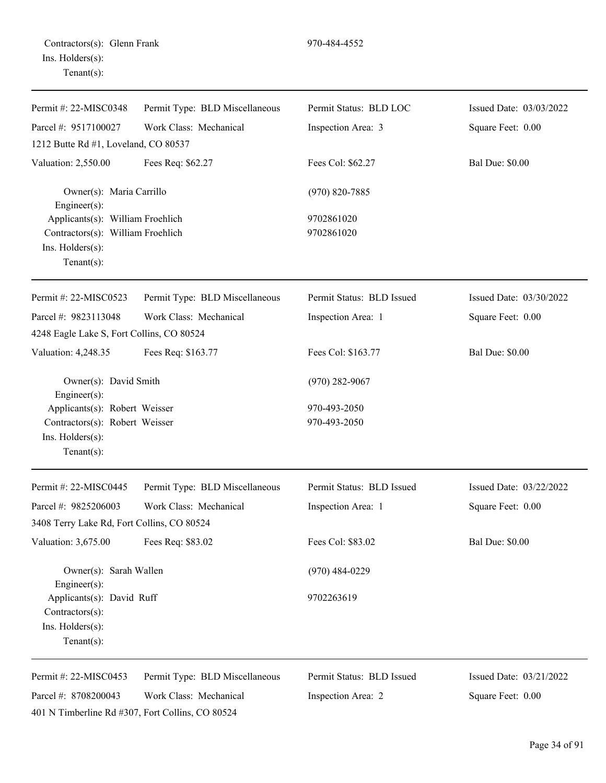| Permit #: 22-MISC0348                                                                                       | Permit Type: BLD Miscellaneous | Permit Status: BLD LOC       | Issued Date: 03/03/2022 |  |  |  |
|-------------------------------------------------------------------------------------------------------------|--------------------------------|------------------------------|-------------------------|--|--|--|
| Parcel #: 9517100027                                                                                        | Work Class: Mechanical         | Inspection Area: 3           | Square Feet: 0.00       |  |  |  |
| 1212 Butte Rd #1, Loveland, CO 80537                                                                        |                                |                              |                         |  |  |  |
| Valuation: 2,550.00                                                                                         | Fees Req: \$62.27              | Fees Col: \$62.27            | <b>Bal Due: \$0.00</b>  |  |  |  |
| Owner(s): Maria Carrillo<br>Engineer(s):                                                                    |                                | $(970) 820 - 7885$           |                         |  |  |  |
| Applicants(s): William Froehlich<br>Contractors(s): William Froehlich<br>Ins. Holders(s):<br>Tenant $(s)$ : |                                | 9702861020<br>9702861020     |                         |  |  |  |
| Permit #: 22-MISC0523                                                                                       | Permit Type: BLD Miscellaneous | Permit Status: BLD Issued    | Issued Date: 03/30/2022 |  |  |  |
| Parcel #: 9823113048                                                                                        | Work Class: Mechanical         | Inspection Area: 1           | Square Feet: 0.00       |  |  |  |
| 4248 Eagle Lake S, Fort Collins, CO 80524                                                                   |                                |                              |                         |  |  |  |
| Valuation: 4,248.35                                                                                         | Fees Req: \$163.77             | Fees Col: \$163.77           | <b>Bal Due: \$0.00</b>  |  |  |  |
| Owner(s): David Smith<br>Engineer(s):                                                                       |                                | $(970)$ 282-9067             |                         |  |  |  |
| Applicants(s): Robert Weisser<br>Contractors(s): Robert Weisser<br>Ins. Holders(s):<br>Tenant $(s)$ :       |                                | 970-493-2050<br>970-493-2050 |                         |  |  |  |
| Permit #: 22-MISC0445                                                                                       | Permit Type: BLD Miscellaneous | Permit Status: BLD Issued    | Issued Date: 03/22/2022 |  |  |  |
| Parcel #: 9825206003                                                                                        | Work Class: Mechanical         | Inspection Area: 1           | Square Feet: 0.00       |  |  |  |
| 3408 Terry Lake Rd, Fort Collins, CO 80524                                                                  |                                |                              |                         |  |  |  |
| Valuation: 3,675.00                                                                                         | Fees Req: \$83.02              | Fees Col: \$83.02            | <b>Bal Due: \$0.00</b>  |  |  |  |
| Owner(s): Sarah Wallen<br>Engineer(s):                                                                      |                                | $(970)$ 484-0229             |                         |  |  |  |
| Applicants(s): David Ruff<br>Contractors(s):<br>Ins. Holders(s):<br>$Tenant(s)$ :                           |                                | 9702263619                   |                         |  |  |  |
| Permit #: 22-MISC0453                                                                                       | Permit Type: BLD Miscellaneous | Permit Status: BLD Issued    | Issued Date: 03/21/2022 |  |  |  |
| Parcel #: 8708200043<br>401 N Timberline Rd #307, Fort Collins, CO 80524                                    | Work Class: Mechanical         | Inspection Area: 2           | Square Feet: 0.00       |  |  |  |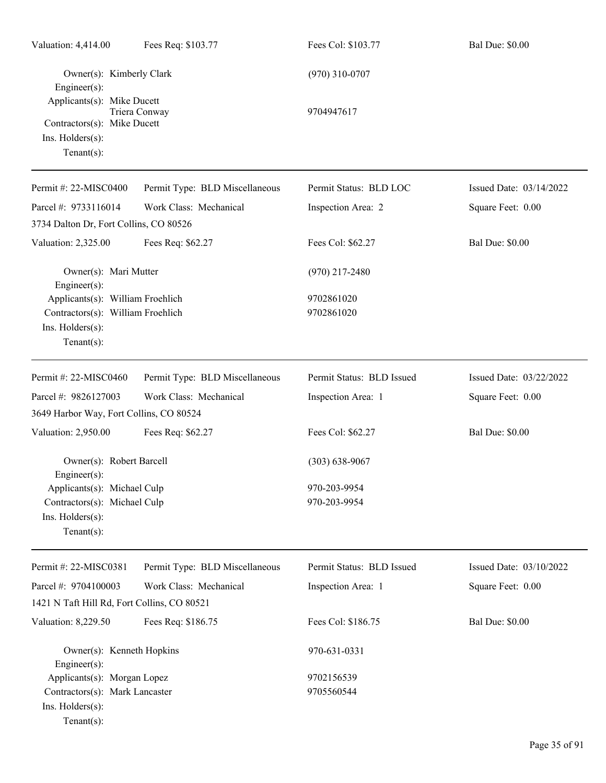| Valuation: 4,414.00                                                                                        | Fees Req: \$103.77             | Fees Col: \$103.77        | <b>Bal Due: \$0.00</b>  |
|------------------------------------------------------------------------------------------------------------|--------------------------------|---------------------------|-------------------------|
| Owner(s): Kimberly Clark<br>Engineer(s):<br>Applicants(s): Mike Ducett                                     |                                | $(970)$ 310-0707          |                         |
| Contractors(s): Mike Ducett<br>Ins. Holders(s):<br>$Tenant(s)$ :                                           | Triera Conway                  | 9704947617                |                         |
| Permit #: 22-MISC0400                                                                                      | Permit Type: BLD Miscellaneous | Permit Status: BLD LOC    | Issued Date: 03/14/2022 |
| Parcel #: 9733116014                                                                                       | Work Class: Mechanical         | Inspection Area: 2        | Square Feet: 0.00       |
| 3734 Dalton Dr, Fort Collins, CO 80526                                                                     |                                |                           |                         |
| Valuation: 2,325.00                                                                                        | Fees Req: \$62.27              | Fees Col: \$62.27         | <b>Bal Due: \$0.00</b>  |
| Owner(s): Mari Mutter<br>Engineer(s):                                                                      |                                | $(970)$ 217-2480          |                         |
| Applicants(s): William Froehlich<br>Contractors(s): William Froehlich<br>Ins. Holders(s):<br>$Tenant(s)$ : |                                | 9702861020<br>9702861020  |                         |
| Permit #: 22-MISC0460                                                                                      | Permit Type: BLD Miscellaneous | Permit Status: BLD Issued | Issued Date: 03/22/2022 |
| Parcel #: 9826127003                                                                                       | Work Class: Mechanical         | Inspection Area: 1        | Square Feet: 0.00       |
| 3649 Harbor Way, Fort Collins, CO 80524                                                                    |                                |                           |                         |
| Valuation: 2,950.00                                                                                        | Fees Req: \$62.27              | Fees Col: \$62.27         | <b>Bal Due: \$0.00</b>  |
| Owner(s): Robert Barcell<br>$Engineering(s)$ :<br>Applicants(s): Michael Culp                              |                                | $(303) 638 - 9067$        |                         |
|                                                                                                            |                                | 970-203-9954              |                         |
| Contractors(s): Michael Culp<br>Ins. Holders(s):<br>$Tenant(s)$ :                                          |                                | 970-203-9954              |                         |
| Permit #: 22-MISC0381                                                                                      | Permit Type: BLD Miscellaneous | Permit Status: BLD Issued | Issued Date: 03/10/2022 |
| Parcel #: 9704100003                                                                                       | Work Class: Mechanical         | Inspection Area: 1        | Square Feet: 0.00       |
| 1421 N Taft Hill Rd, Fort Collins, CO 80521                                                                |                                |                           |                         |
| Valuation: 8,229.50                                                                                        | Fees Req: \$186.75             | Fees Col: \$186.75        | <b>Bal Due: \$0.00</b>  |
| Owner(s): Kenneth Hopkins<br>Engineer(s):                                                                  |                                | 970-631-0331              |                         |
| Applicants(s): Morgan Lopez                                                                                |                                | 9702156539                |                         |
| Contractors(s): Mark Lancaster<br>Ins. Holders(s):<br>$Tenant(s)$ :                                        |                                | 9705560544                |                         |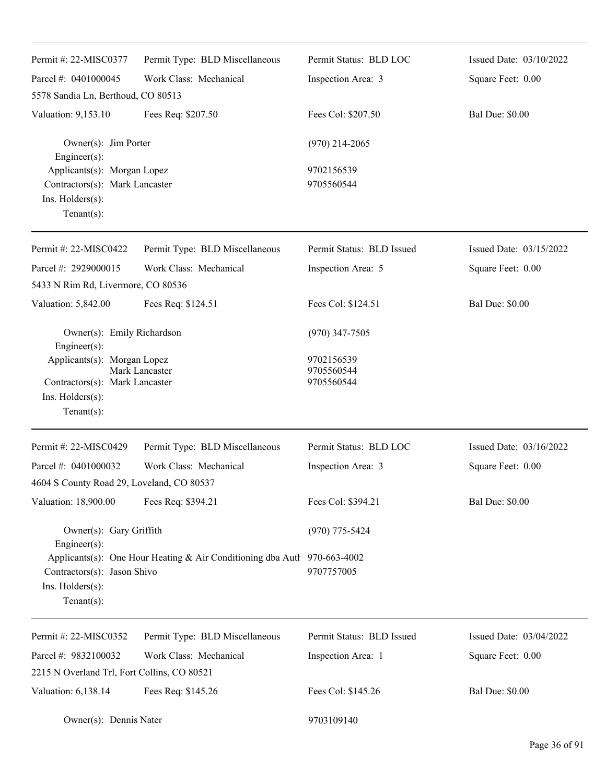| Permit #: 22-MISC0377                                                                                                                                                                   | Permit Type: BLD Miscellaneous | Permit Status: BLD LOC    | Issued Date: 03/10/2022 |
|-----------------------------------------------------------------------------------------------------------------------------------------------------------------------------------------|--------------------------------|---------------------------|-------------------------|
| Parcel #: 0401000045                                                                                                                                                                    | Work Class: Mechanical         | Inspection Area: 3        | Square Feet: 0.00       |
| 5578 Sandia Ln, Berthoud, CO 80513                                                                                                                                                      |                                |                           |                         |
| Valuation: 9,153.10                                                                                                                                                                     | Fees Req: \$207.50             | Fees Col: \$207.50        | <b>Bal Due: \$0.00</b>  |
| Owner(s): Jim Porter<br>Engineer(s):                                                                                                                                                    |                                | $(970)$ 214-2065          |                         |
| Applicants(s): Morgan Lopez<br>Contractors(s): Mark Lancaster<br>Ins. Holders(s):<br>Tenant $(s)$ :                                                                                     |                                | 9702156539<br>9705560544  |                         |
| Permit #: 22-MISC0422                                                                                                                                                                   | Permit Type: BLD Miscellaneous | Permit Status: BLD Issued | Issued Date: 03/15/2022 |
| Parcel #: 2929000015                                                                                                                                                                    | Work Class: Mechanical         | Inspection Area: 5        | Square Feet: 0.00       |
| 5433 N Rim Rd, Livermore, CO 80536                                                                                                                                                      |                                |                           |                         |
| Valuation: 5,842.00                                                                                                                                                                     | Fees Req: \$124.51             | Fees Col: \$124.51        | <b>Bal Due: \$0.00</b>  |
| Owner(s): Emily Richardson<br>Engineer(s):                                                                                                                                              |                                | $(970)$ 347-7505          |                         |
| Applicants(s): Morgan Lopez                                                                                                                                                             | Mark Lancaster                 | 9702156539<br>9705560544  |                         |
| Contractors(s): Mark Lancaster                                                                                                                                                          |                                | 9705560544                |                         |
| Ins. Holders(s):                                                                                                                                                                        |                                |                           |                         |
| Tenant $(s)$ :                                                                                                                                                                          |                                |                           |                         |
| Permit #: 22-MISC0429                                                                                                                                                                   | Permit Type: BLD Miscellaneous | Permit Status: BLD LOC    | Issued Date: 03/16/2022 |
| Parcel #: 0401000032                                                                                                                                                                    | Work Class: Mechanical         | Inspection Area: 3        | Square Feet: 0.00       |
| 4604 S County Road 29, Loveland, CO 80537                                                                                                                                               |                                |                           |                         |
| Valuation: 18,900.00                                                                                                                                                                    | Fees Req: \$394.21             | Fees Col: \$394.21        | <b>Bal Due: \$0.00</b>  |
| Owner(s): Gary Griffith<br>Engineer(s):<br>Applicants(s): One Hour Heating & Air Conditioning dba Autl 970-663-4002<br>Contractors(s): Jason Shivo<br>Ins. Holders(s):<br>$Tenant(s)$ : |                                | $(970)$ 775-5424          |                         |
|                                                                                                                                                                                         |                                | 9707757005                |                         |
| Permit #: 22-MISC0352                                                                                                                                                                   | Permit Type: BLD Miscellaneous | Permit Status: BLD Issued | Issued Date: 03/04/2022 |
| Parcel #: 9832100032                                                                                                                                                                    | Work Class: Mechanical         | Inspection Area: 1        | Square Feet: 0.00       |
| 2215 N Overland Trl, Fort Collins, CO 80521                                                                                                                                             |                                |                           |                         |
| Valuation: 6,138.14                                                                                                                                                                     | Fees Req: \$145.26             | Fees Col: \$145.26        | <b>Bal Due: \$0.00</b>  |
| Owner(s): Dennis Nater                                                                                                                                                                  |                                | 9703109140                |                         |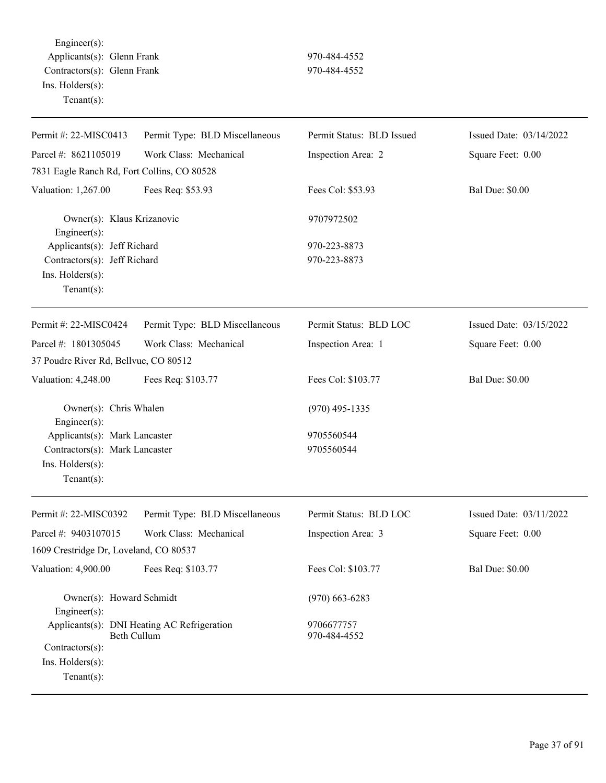Engineer(s): Applicants(s): Glenn Frank 970-484-4552 Contractors(s): Glenn Frank 970-484-4552 Ins. Holders(s): Tenant(s):

| Permit #: 22-MISC0413                                                | Permit Type: BLD Miscellaneous              | Permit Status: BLD Issued  | Issued Date: 03/14/2022 |
|----------------------------------------------------------------------|---------------------------------------------|----------------------------|-------------------------|
| Parcel #: 8621105019                                                 | Work Class: Mechanical                      | Inspection Area: 2         | Square Feet: 0.00       |
| 7831 Eagle Ranch Rd, Fort Collins, CO 80528                          |                                             |                            |                         |
| Valuation: 1,267.00                                                  | Fees Req: \$53.93                           | Fees Col: \$53.93          | <b>Bal Due: \$0.00</b>  |
| Owner(s): Klaus Krizanovic<br>$Engineering(s)$ :                     |                                             | 9707972502                 |                         |
| Applicants(s): Jeff Richard                                          |                                             | 970-223-8873               |                         |
| Contractors(s): Jeff Richard<br>Ins. Holders(s):<br>Tenant $(s)$ :   |                                             | 970-223-8873               |                         |
| Permit #: 22-MISC0424                                                | Permit Type: BLD Miscellaneous              | Permit Status: BLD LOC     | Issued Date: 03/15/2022 |
| Parcel #: 1801305045                                                 | Work Class: Mechanical                      | Inspection Area: 1         | Square Feet: 0.00       |
| 37 Poudre River Rd, Bellvue, CO 80512                                |                                             |                            |                         |
| Valuation: 4,248.00                                                  | Fees Req: \$103.77                          | Fees Col: \$103.77         | <b>Bal Due: \$0.00</b>  |
| Owner(s): Chris Whalen<br>$Engineering(s)$ :                         |                                             | $(970)$ 495-1335           |                         |
| Applicants(s): Mark Lancaster                                        |                                             | 9705560544                 |                         |
| Contractors(s): Mark Lancaster<br>Ins. Holders(s):<br>Tenant $(s)$ : |                                             | 9705560544                 |                         |
| Permit #: 22-MISC0392                                                | Permit Type: BLD Miscellaneous              | Permit Status: BLD LOC     | Issued Date: 03/11/2022 |
| Parcel #: 9403107015                                                 | Work Class: Mechanical                      | Inspection Area: 3         | Square Feet: 0.00       |
| 1609 Crestridge Dr, Loveland, CO 80537                               |                                             |                            |                         |
| Valuation: 4,900.00                                                  | Fees Req: \$103.77                          | Fees Col: \$103.77         | <b>Bal Due: \$0.00</b>  |
| Owner(s): Howard Schmidt<br>Engineer $(s)$ :                         |                                             | $(970)$ 663-6283           |                         |
| Beth Cullum<br>Contractors(s):<br>Ins. Holders(s):<br>Tenant $(s)$ : | Applicants(s): DNI Heating AC Refrigeration | 9706677757<br>970-484-4552 |                         |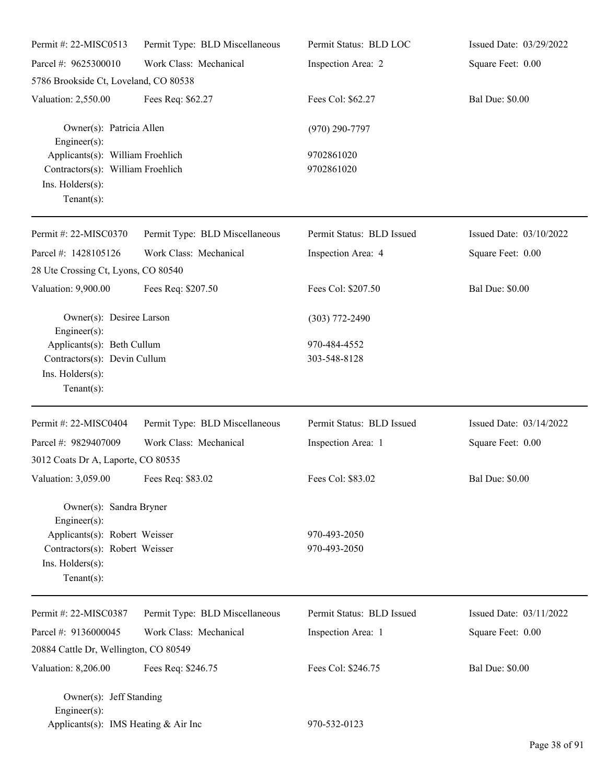| Permit #: 22-MISC0513                                                                                       | Permit Type: BLD Miscellaneous | Permit Status: BLD LOC    | Issued Date: 03/29/2022 |
|-------------------------------------------------------------------------------------------------------------|--------------------------------|---------------------------|-------------------------|
| Parcel #: 9625300010                                                                                        | Work Class: Mechanical         | Inspection Area: 2        | Square Feet: 0.00       |
| 5786 Brookside Ct, Loveland, CO 80538                                                                       |                                |                           |                         |
| Valuation: 2,550.00                                                                                         | Fees Req: \$62.27              | Fees Col: \$62.27         | <b>Bal Due: \$0.00</b>  |
| Owner(s): Patricia Allen<br>Engineer $(s)$ :                                                                |                                | $(970)$ 290-7797          |                         |
| Applicants(s): William Froehlich<br>Contractors(s): William Froehlich<br>Ins. Holders(s):<br>Tenant $(s)$ : |                                | 9702861020<br>9702861020  |                         |
| Permit #: 22-MISC0370                                                                                       | Permit Type: BLD Miscellaneous | Permit Status: BLD Issued | Issued Date: 03/10/2022 |
| Parcel #: 1428105126                                                                                        | Work Class: Mechanical         | Inspection Area: 4        | Square Feet: 0.00       |
| 28 Ute Crossing Ct, Lyons, CO 80540                                                                         |                                |                           |                         |
| Valuation: 9,900.00                                                                                         | Fees Req: \$207.50             | Fees Col: \$207.50        | <b>Bal Due: \$0.00</b>  |
| Owner(s): Desiree Larson<br>Engineer(s):                                                                    |                                | $(303)$ 772-2490          |                         |
| Applicants(s): Beth Cullum                                                                                  |                                | 970-484-4552              |                         |
| Contractors(s): Devin Cullum                                                                                |                                | 303-548-8128              |                         |
| Ins. Holders(s):<br>Tenant $(s)$ :                                                                          |                                |                           |                         |
| Permit #: 22-MISC0404                                                                                       | Permit Type: BLD Miscellaneous | Permit Status: BLD Issued | Issued Date: 03/14/2022 |
| Parcel #: 9829407009                                                                                        | Work Class: Mechanical         | Inspection Area: 1        | Square Feet: 0.00       |
| 3012 Coats Dr A, Laporte, CO 80535                                                                          |                                |                           |                         |
| Valuation: 3,059.00 Fees Req: \$83.02                                                                       |                                | Fees Col: \$83.02         | <b>Bal Due: \$0.00</b>  |
| Owner(s): Sandra Bryner<br>Engineer(s):                                                                     |                                |                           |                         |
| Applicants(s): Robert Weisser                                                                               |                                | 970-493-2050              |                         |
| Contractors(s): Robert Weisser                                                                              |                                | 970-493-2050              |                         |
| Ins. Holders(s):<br>Tenant $(s)$ :                                                                          |                                |                           |                         |
|                                                                                                             |                                |                           |                         |
| Permit #: 22-MISC0387                                                                                       | Permit Type: BLD Miscellaneous | Permit Status: BLD Issued | Issued Date: 03/11/2022 |
| Parcel #: 9136000045                                                                                        | Work Class: Mechanical         | Inspection Area: 1        | Square Feet: 0.00       |
| 20884 Cattle Dr, Wellington, CO 80549                                                                       |                                |                           |                         |
| Valuation: 8,206.00                                                                                         | Fees Req: \$246.75             | Fees Col: \$246.75        | <b>Bal Due: \$0.00</b>  |
| Owner(s): Jeff Standing                                                                                     |                                |                           |                         |
| $Engineering(s)$ :<br>Applicants(s): IMS Heating & Air Inc                                                  |                                | 970-532-0123              |                         |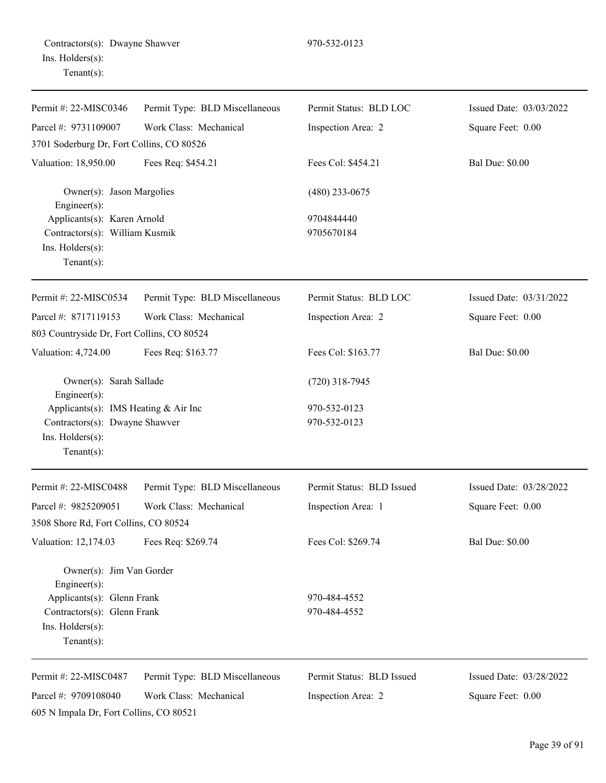| Permit #: 22-MISC0346                           | Permit Type: BLD Miscellaneous | Permit Status: BLD LOC    | Issued Date: 03/03/2022 |
|-------------------------------------------------|--------------------------------|---------------------------|-------------------------|
| Parcel #: 9731109007                            | Work Class: Mechanical         | Inspection Area: 2        | Square Feet: 0.00       |
| 3701 Soderburg Dr, Fort Collins, CO 80526       |                                |                           |                         |
| Valuation: 18,950.00                            | Fees Req: \$454.21             | Fees Col: \$454.21        | <b>Bal Due: \$0.00</b>  |
| Owner(s): Jason Margolies<br>$Engineering(s)$ : |                                | $(480)$ 233-0675          |                         |
| Applicants(s): Karen Arnold                     |                                | 9704844440                |                         |
| Contractors(s): William Kusmik                  |                                | 9705670184                |                         |
| Ins. Holders(s):<br>Tenant $(s)$ :              |                                |                           |                         |
| Permit #: 22-MISC0534                           | Permit Type: BLD Miscellaneous | Permit Status: BLD LOC    | Issued Date: 03/31/2022 |
| Parcel #: 8717119153                            | Work Class: Mechanical         | Inspection Area: 2        | Square Feet: 0.00       |
| 803 Countryside Dr, Fort Collins, CO 80524      |                                |                           |                         |
| Valuation: 4,724.00                             | Fees Req: \$163.77             | Fees Col: \$163.77        | <b>Bal Due: \$0.00</b>  |
| Owner(s): Sarah Sallade<br>$Engineering(s)$ :   |                                | $(720)$ 318-7945          |                         |
| Applicants(s): IMS Heating & Air Inc            |                                | 970-532-0123              |                         |
| Contractors(s): Dwayne Shawver                  |                                | 970-532-0123              |                         |
| Ins. Holders(s):                                |                                |                           |                         |
| Tenant $(s)$ :                                  |                                |                           |                         |
| Permit #: 22-MISC0488                           | Permit Type: BLD Miscellaneous | Permit Status: BLD Issued | Issued Date: 03/28/2022 |
| Parcel #: 9825209051                            | Work Class: Mechanical         | Inspection Area: 1        | Square Feet: 0.00       |
| 3508 Shore Rd, Fort Collins, CO 80524           |                                |                           |                         |
| Valuation: 12,174.03                            | Fees Req: \$269.74             | Fees Col: \$269.74        | <b>Bal Due: \$0.00</b>  |
| Owner(s): Jim Van Gorder<br>Engineer $(s)$ :    |                                |                           |                         |
| Applicants(s): Glenn Frank                      |                                | 970-484-4552              |                         |
| Contractors(s): Glenn Frank                     |                                | 970-484-4552              |                         |
| Ins. Holders(s):<br>Tenant $(s)$ :              |                                |                           |                         |
| Permit #: 22-MISC0487                           | Permit Type: BLD Miscellaneous | Permit Status: BLD Issued | Issued Date: 03/28/2022 |
| Parcel #: 9709108040                            | Work Class: Mechanical         | Inspection Area: 2        | Square Feet: 0.00       |
| 605 N Impala Dr, Fort Collins, CO 80521         |                                |                           |                         |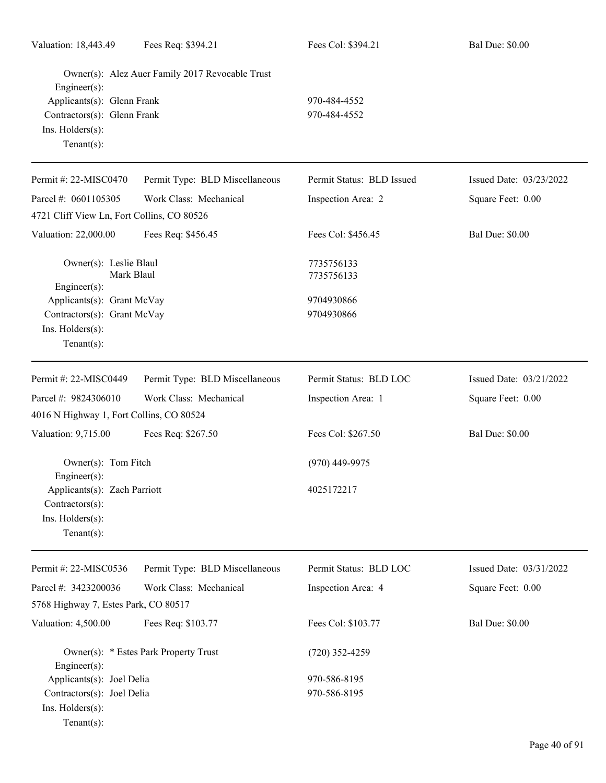| Valuation: 18,443.49                                                                           | Fees Req: \$394.21                              | Fees Col: \$394.21                     | <b>Bal Due: \$0.00</b>  |
|------------------------------------------------------------------------------------------------|-------------------------------------------------|----------------------------------------|-------------------------|
| Engineer(s):                                                                                   | Owner(s): Alez Auer Family 2017 Revocable Trust |                                        |                         |
| Applicants(s): Glenn Frank<br>Contractors(s): Glenn Frank<br>Ins. Holders(s):<br>$Tenant(s)$ : |                                                 | 970-484-4552<br>970-484-4552           |                         |
| Permit #: 22-MISC0470                                                                          | Permit Type: BLD Miscellaneous                  | Permit Status: BLD Issued              | Issued Date: 03/23/2022 |
| Parcel #: 0601105305<br>4721 Cliff View Ln, Fort Collins, CO 80526                             | Work Class: Mechanical                          | Inspection Area: 2                     | Square Feet: 0.00       |
| Valuation: 22,000.00                                                                           | Fees Req: \$456.45                              | Fees Col: \$456.45                     | <b>Bal Due: \$0.00</b>  |
| Owner(s): Leslie Blaul<br>Mark Blaul<br>Engineer(s):<br>Applicants(s): Grant McVay             |                                                 | 7735756133<br>7735756133<br>9704930866 |                         |
| Contractors(s): Grant McVay<br>Ins. Holders(s):<br>Tenant $(s)$ :                              |                                                 | 9704930866                             |                         |
| Permit #: 22-MISC0449                                                                          | Permit Type: BLD Miscellaneous                  | Permit Status: BLD LOC                 | Issued Date: 03/21/2022 |
| Parcel #: 9824306010<br>4016 N Highway 1, Fort Collins, CO 80524                               | Work Class: Mechanical                          | Inspection Area: 1                     | Square Feet: 0.00       |
| Valuation: 9,715.00                                                                            | Fees Req: \$267.50                              | Fees Col: \$267.50                     | <b>Bal Due: \$0.00</b>  |
| Owner(s): Tom Fitch<br>$Engineering(s)$ :                                                      |                                                 | $(970)$ 449-9975                       |                         |
| Applicants(s): Zach Parriott<br>Contractors(s):<br>Ins. Holders(s):<br>Tenant $(s)$ :          |                                                 | 4025172217                             |                         |
| Permit #: 22-MISC0536                                                                          | Permit Type: BLD Miscellaneous                  | Permit Status: BLD LOC                 | Issued Date: 03/31/2022 |
| Parcel #: 3423200036<br>5768 Highway 7, Estes Park, CO 80517                                   | Work Class: Mechanical                          | Inspection Area: 4                     | Square Feet: 0.00       |
| Valuation: 4,500.00                                                                            | Fees Req: \$103.77                              | Fees Col: \$103.77                     | <b>Bal Due: \$0.00</b>  |
| Engineer(s):                                                                                   | Owner(s): * Estes Park Property Trust           | $(720)$ 352-4259                       |                         |
| Applicants(s): Joel Delia<br>Contractors(s): Joel Delia<br>Ins. Holders(s):<br>$Tenant(s)$ :   |                                                 | 970-586-8195<br>970-586-8195           |                         |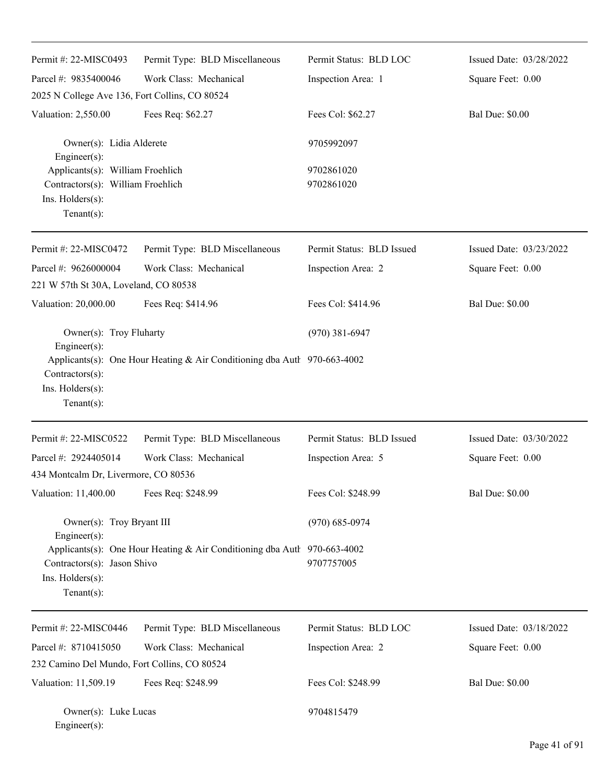| Permit #: 22-MISC0493                                                                                       | Permit Type: BLD Miscellaneous                                             | Permit Status: BLD LOC    | Issued Date: 03/28/2022 |
|-------------------------------------------------------------------------------------------------------------|----------------------------------------------------------------------------|---------------------------|-------------------------|
| Parcel #: 9835400046                                                                                        | Work Class: Mechanical                                                     | Inspection Area: 1        | Square Feet: 0.00       |
| 2025 N College Ave 136, Fort Collins, CO 80524                                                              |                                                                            |                           |                         |
| Valuation: 2,550.00                                                                                         | Fees Req: \$62.27                                                          | Fees Col: \$62.27         | <b>Bal Due: \$0.00</b>  |
| Owner(s): Lidia Alderete<br>Engineer $(s)$ :                                                                |                                                                            | 9705992097                |                         |
| Applicants(s): William Froehlich<br>Contractors(s): William Froehlich<br>Ins. Holders(s):<br>Tenant $(s)$ : |                                                                            | 9702861020<br>9702861020  |                         |
| Permit #: 22-MISC0472                                                                                       | Permit Type: BLD Miscellaneous                                             | Permit Status: BLD Issued | Issued Date: 03/23/2022 |
| Parcel #: 9626000004                                                                                        | Work Class: Mechanical                                                     | Inspection Area: 2        | Square Feet: 0.00       |
| 221 W 57th St 30A, Loveland, CO 80538                                                                       |                                                                            |                           |                         |
| Valuation: 20,000.00                                                                                        | Fees Req: \$414.96                                                         | Fees Col: \$414.96        | <b>Bal Due: \$0.00</b>  |
| Owner(s): Troy Fluharty<br>Engineer(s):<br>Contractors(s):<br>Ins. Holders(s):<br>Tenant $(s)$ :            | Applicants(s): One Hour Heating & Air Conditioning dba Autl $970-663-4002$ | $(970)$ 381-6947          |                         |
| Permit #: 22-MISC0522                                                                                       | Permit Type: BLD Miscellaneous                                             | Permit Status: BLD Issued | Issued Date: 03/30/2022 |
| Parcel #: 2924405014                                                                                        | Work Class: Mechanical                                                     | Inspection Area: 5        | Square Feet: 0.00       |
| 434 Montcalm Dr, Livermore, CO 80536                                                                        |                                                                            |                           |                         |
| Valuation: 11,400.00                                                                                        | Fees Req: \$248.99                                                         | Fees Col: \$248.99        | <b>Bal Due: \$0.00</b>  |
| Owner(s): Troy Bryant III                                                                                   |                                                                            | $(970) 685 - 0974$        |                         |
| Engineer(s):<br>Contractors(s): Jason Shivo<br>Ins. Holders(s):<br>Tenant $(s)$ :                           | Applicants(s): One Hour Heating & Air Conditioning dba Autl 970-663-4002   | 9707757005                |                         |
| Permit #: 22-MISC0446                                                                                       | Permit Type: BLD Miscellaneous                                             | Permit Status: BLD LOC    | Issued Date: 03/18/2022 |
| Parcel #: 8710415050                                                                                        | Work Class: Mechanical                                                     | Inspection Area: 2        | Square Feet: 0.00       |
| 232 Camino Del Mundo, Fort Collins, CO 80524                                                                |                                                                            |                           |                         |
| Valuation: 11,509.19                                                                                        | Fees Req: \$248.99                                                         | Fees Col: \$248.99        | <b>Bal Due: \$0.00</b>  |
| Owner(s): Luke Lucas<br>Engineer(s):                                                                        |                                                                            | 9704815479                |                         |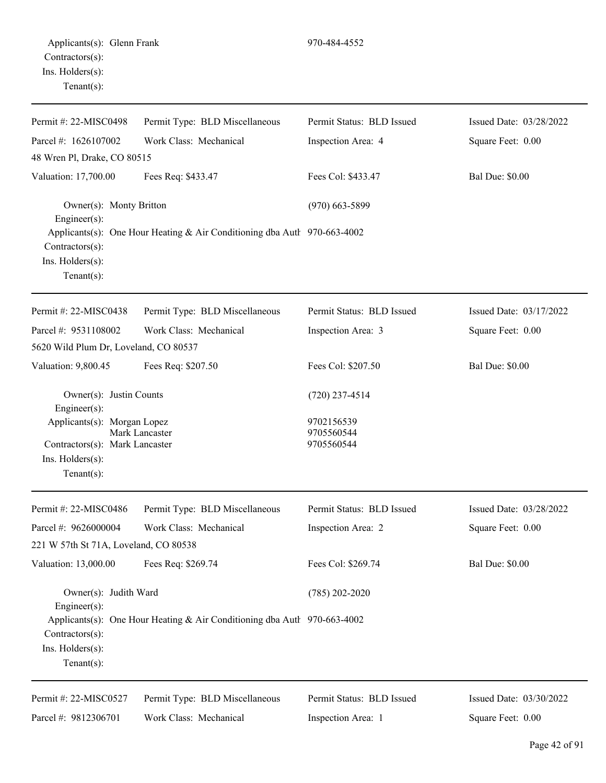| Permit #: 22-MISC0498                                                                               | Permit Type: BLD Miscellaneous                                           | Permit Status: BLD Issued              | Issued Date: 03/28/2022 |
|-----------------------------------------------------------------------------------------------------|--------------------------------------------------------------------------|----------------------------------------|-------------------------|
| Parcel #: 1626107002                                                                                | Work Class: Mechanical                                                   | Inspection Area: 4                     | Square Feet: 0.00       |
| 48 Wren Pl, Drake, CO 80515                                                                         |                                                                          |                                        |                         |
| Valuation: 17,700.00                                                                                | Fees Req: \$433.47                                                       | Fees Col: \$433.47                     | <b>Bal Due: \$0.00</b>  |
| Owner(s): Monty Britton<br>Engineer(s):                                                             |                                                                          | $(970)$ 663-5899                       |                         |
| Contractors(s):<br>Ins. $H$ olders $(s)$ :<br>Tenant $(s)$ :                                        | Applicants(s): One Hour Heating & Air Conditioning dba Autl 970-663-4002 |                                        |                         |
| Permit #: 22-MISC0438                                                                               | Permit Type: BLD Miscellaneous                                           | Permit Status: BLD Issued              | Issued Date: 03/17/2022 |
| Parcel #: 9531108002                                                                                | Work Class: Mechanical                                                   | Inspection Area: 3                     | Square Feet: 0.00       |
| 5620 Wild Plum Dr, Loveland, CO 80537                                                               |                                                                          |                                        |                         |
| Valuation: 9,800.45                                                                                 | Fees Req: \$207.50                                                       | Fees Col: \$207.50                     | <b>Bal Due: \$0.00</b>  |
| Owner(s): Justin Counts<br>Engineer(s):                                                             |                                                                          | $(720)$ 237-4514                       |                         |
| Applicants(s): Morgan Lopez<br>Contractors(s): Mark Lancaster<br>Ins. Holders(s):<br>Tenant $(s)$ : | Mark Lancaster                                                           | 9702156539<br>9705560544<br>9705560544 |                         |
| Permit #: 22-MISC0486                                                                               | Permit Type: BLD Miscellaneous                                           | Permit Status: BLD Issued              | Issued Date: 03/28/2022 |
| Parcel #: 9626000004                                                                                | Work Class: Mechanical                                                   | Inspection Area: 2                     | Square Feet: 0.00       |
| 221 W 57th St 71A, Loveland, CO 80538                                                               |                                                                          |                                        |                         |
| Valuation: 13,000.00                                                                                | Fees Req: \$269.74                                                       | Fees Col: \$269.74                     | <b>Bal Due: \$0.00</b>  |
| Owner(s): Judith Ward<br>$Engineering(s)$ :                                                         |                                                                          | $(785)$ 202-2020                       |                         |
| Contractors(s):<br>Ins. Holders(s):<br>Tenant $(s)$ :                                               | Applicants(s): One Hour Heating & Air Conditioning dba Autl 970-663-4002 |                                        |                         |
| Permit #: 22-MISC0527                                                                               | Permit Type: BLD Miscellaneous                                           | Permit Status: BLD Issued              | Issued Date: 03/30/2022 |
| Parcel #: 9812306701                                                                                | Work Class: Mechanical                                                   | Inspection Area: 1                     | Square Feet: 0.00       |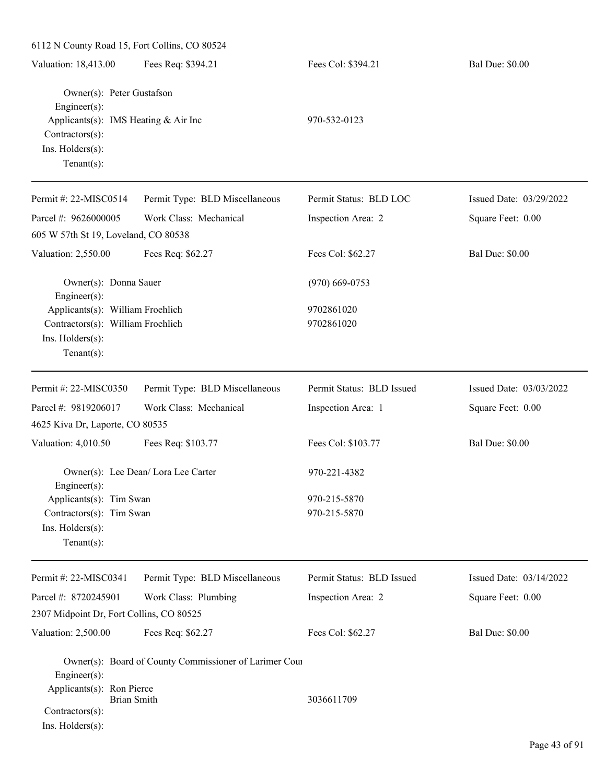| 6112 N County Road 15, Fort Collins, CO 80524                                                                                              |                                                        |                              |                         |
|--------------------------------------------------------------------------------------------------------------------------------------------|--------------------------------------------------------|------------------------------|-------------------------|
| Valuation: 18,413.00                                                                                                                       | Fees Req: \$394.21                                     | Fees Col: \$394.21           | <b>Bal Due: \$0.00</b>  |
| Owner(s): Peter Gustafson<br>Engineer(s):<br>Applicants(s): IMS Heating & Air Inc<br>Contractors(s):<br>Ins. Holders(s):<br>Tenant $(s)$ : |                                                        | 970-532-0123                 |                         |
| Permit #: 22-MISC0514                                                                                                                      | Permit Type: BLD Miscellaneous                         | Permit Status: BLD LOC       | Issued Date: 03/29/2022 |
| Parcel #: 9626000005                                                                                                                       | Work Class: Mechanical                                 | Inspection Area: 2           | Square Feet: 0.00       |
| 605 W 57th St 19, Loveland, CO 80538                                                                                                       |                                                        |                              |                         |
| Valuation: 2,550.00                                                                                                                        | Fees Req: \$62.27                                      | Fees Col: \$62.27            | <b>Bal Due: \$0.00</b>  |
| Owner(s): Donna Sauer<br>Engineer(s):                                                                                                      |                                                        | $(970)$ 669-0753             |                         |
| Applicants(s): William Froehlich<br>Contractors(s): William Froehlich<br>Ins. Holders(s):<br>Tenant $(s)$ :                                |                                                        | 9702861020<br>9702861020     |                         |
| Permit #: 22-MISC0350                                                                                                                      | Permit Type: BLD Miscellaneous                         | Permit Status: BLD Issued    | Issued Date: 03/03/2022 |
| Parcel #: 9819206017                                                                                                                       | Work Class: Mechanical                                 | Inspection Area: 1           | Square Feet: 0.00       |
| 4625 Kiva Dr, Laporte, CO 80535                                                                                                            |                                                        |                              |                         |
| Valuation: 4,010.50                                                                                                                        | Fees Req: \$103.77                                     | Fees Col: \$103.77           | <b>Bal Due: \$0.00</b>  |
| $Engineering(s)$ :                                                                                                                         | Owner(s): Lee Dean/ Lora Lee Carter                    | 970-221-4382                 |                         |
| Applicants(s): Tim Swan<br>Contractors(s): Tim Swan<br>Ins. Holders(s):<br>Tenant $(s)$ :                                                  |                                                        | 970-215-5870<br>970-215-5870 |                         |
| Permit #: 22-MISC0341                                                                                                                      | Permit Type: BLD Miscellaneous                         | Permit Status: BLD Issued    | Issued Date: 03/14/2022 |
| Parcel #: 8720245901                                                                                                                       | Work Class: Plumbing                                   | Inspection Area: 2           | Square Feet: 0.00       |
| 2307 Midpoint Dr, Fort Collins, CO 80525                                                                                                   |                                                        |                              |                         |
| Valuation: 2,500.00                                                                                                                        | Fees Req: \$62.27                                      | Fees Col: \$62.27            | <b>Bal Due: \$0.00</b>  |
| Engineer(s):<br>Applicants(s): Ron Pierce<br><b>Brian Smith</b><br>Contractors(s):<br>Ins. Holders(s):                                     | Owner(s): Board of County Commissioner of Larimer Cour | 3036611709                   |                         |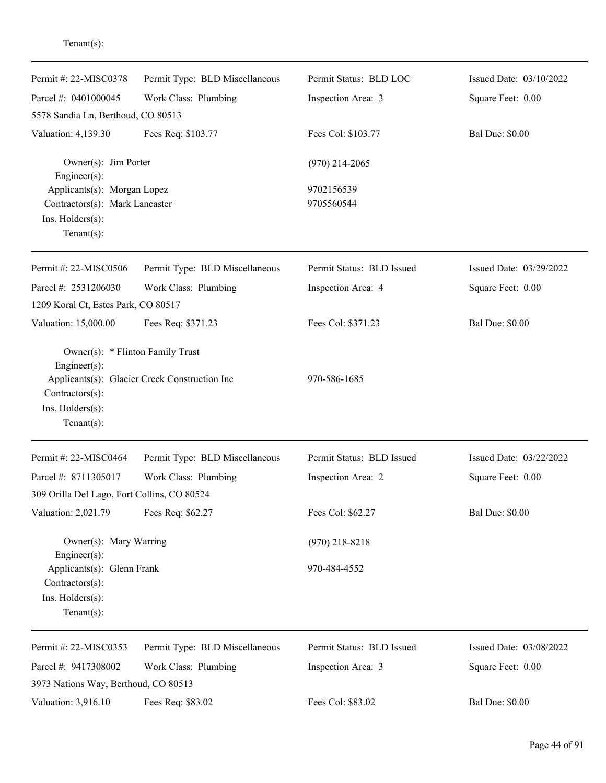| Permit #: 22-MISC0378<br>Parcel #: 0401000045                                                              | Permit Type: BLD Miscellaneous<br>Work Class: Plumbing | Permit Status: BLD LOC<br>Inspection Area: 3 | Issued Date: 03/10/2022<br>Square Feet: 0.00 |
|------------------------------------------------------------------------------------------------------------|--------------------------------------------------------|----------------------------------------------|----------------------------------------------|
| 5578 Sandia Ln, Berthoud, CO 80513                                                                         |                                                        |                                              |                                              |
| Valuation: 4,139.30                                                                                        | Fees Req: \$103.77                                     | Fees Col: \$103.77                           | <b>Bal Due: \$0.00</b>                       |
| Owner(s): Jim Porter<br>Engineer(s):                                                                       |                                                        | $(970)$ 214-2065                             |                                              |
| Applicants(s): Morgan Lopez<br>Contractors(s): Mark Lancaster<br>Ins. $H$ olders $(s)$ :<br>Tenant $(s)$ : |                                                        | 9702156539<br>9705560544                     |                                              |
| Permit #: 22-MISC0506                                                                                      | Permit Type: BLD Miscellaneous                         | Permit Status: BLD Issued                    | Issued Date: 03/29/2022                      |
| Parcel #: 2531206030                                                                                       | Work Class: Plumbing                                   | Inspection Area: 4                           | Square Feet: 0.00                            |
| 1209 Koral Ct, Estes Park, CO 80517                                                                        |                                                        |                                              |                                              |
| Valuation: 15,000.00                                                                                       | Fees Req: \$371.23                                     | Fees Col: \$371.23                           | <b>Bal Due: \$0.00</b>                       |
| Owner(s): * Flinton Family Trust<br>Engineer(s):<br>Contractors(s):<br>Ins. Holders(s):<br>Tenant $(s)$ :  | Applicants(s): Glacier Creek Construction Inc          | 970-586-1685                                 |                                              |
| Permit #: 22-MISC0464                                                                                      | Permit Type: BLD Miscellaneous                         | Permit Status: BLD Issued                    | Issued Date: 03/22/2022                      |
| Parcel #: 8711305017                                                                                       | Work Class: Plumbing                                   | Inspection Area: 2                           | Square Feet: 0.00                            |
| 309 Orilla Del Lago, Fort Collins, CO 80524                                                                |                                                        |                                              |                                              |
| Valuation: 2,021.79                                                                                        | Fees Req: \$62.27                                      | Fees Col: \$62.27                            | <b>Bal Due: \$0.00</b>                       |
| Owner(s): Mary Warring<br>Engineer(s):                                                                     |                                                        | $(970)$ 218-8218                             |                                              |
| Applicants(s): Glenn Frank<br>Contractors(s):<br>Ins. Holders(s):<br>Tenant $(s)$ :                        |                                                        | 970-484-4552                                 |                                              |
|                                                                                                            |                                                        |                                              |                                              |
| Permit #: 22-MISC0353                                                                                      | Permit Type: BLD Miscellaneous                         | Permit Status: BLD Issued                    | Issued Date: 03/08/2022                      |
| Parcel #: 9417308002                                                                                       | Work Class: Plumbing                                   | Inspection Area: 3                           | Square Feet: 0.00                            |
| 3973 Nations Way, Berthoud, CO 80513                                                                       |                                                        |                                              |                                              |
| Valuation: 3,916.10                                                                                        | Fees Req: \$83.02                                      | Fees Col: \$83.02                            | <b>Bal Due: \$0.00</b>                       |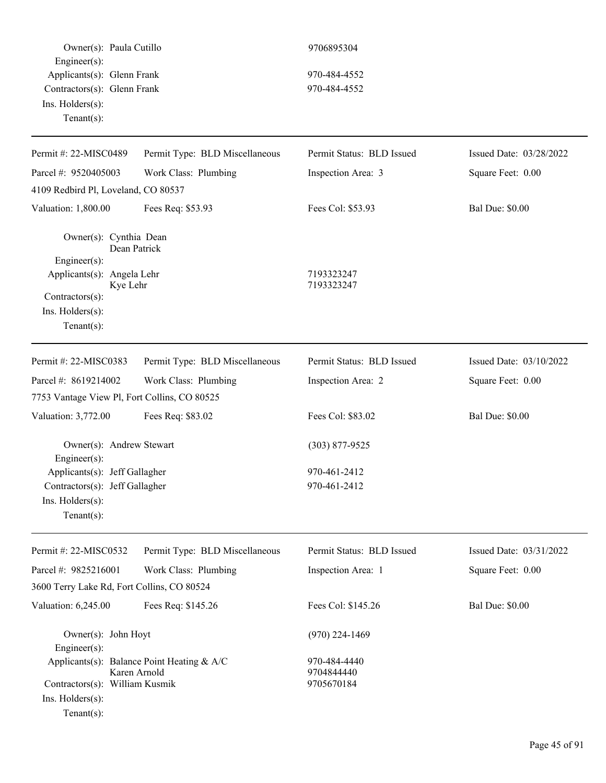| Owner(s): Paula Cutillo<br>$Engineering(s)$ :      |                                                            | 9706895304                               |                         |
|----------------------------------------------------|------------------------------------------------------------|------------------------------------------|-------------------------|
| Applicants(s): Glenn Frank                         |                                                            | 970-484-4552                             |                         |
| Contractors(s): Glenn Frank                        |                                                            | 970-484-4552                             |                         |
| Ins. Holders(s):<br>Tenant $(s)$ :                 |                                                            |                                          |                         |
| Permit #: 22-MISC0489                              | Permit Type: BLD Miscellaneous                             | Permit Status: BLD Issued                | Issued Date: 03/28/2022 |
| Parcel #: 9520405003                               | Work Class: Plumbing                                       | Inspection Area: 3                       | Square Feet: 0.00       |
| 4109 Redbird Pl, Loveland, CO 80537                |                                                            |                                          |                         |
| Valuation: 1,800.00                                | Fees Req: \$53.93                                          | Fees Col: \$53.93                        | <b>Bal Due: \$0.00</b>  |
| Owner(s): Cynthia Dean                             | Dean Patrick                                               |                                          |                         |
| $Engineering(s)$ :                                 |                                                            |                                          |                         |
| Applicants(s): Angela Lehr<br>Kye Lehr             |                                                            | 7193323247<br>7193323247                 |                         |
| Contractors(s):                                    |                                                            |                                          |                         |
| Ins. Holders(s):                                   |                                                            |                                          |                         |
| Tenant $(s)$ :                                     |                                                            |                                          |                         |
| Permit #: 22-MISC0383                              | Permit Type: BLD Miscellaneous                             | Permit Status: BLD Issued                | Issued Date: 03/10/2022 |
| Parcel #: 8619214002                               | Work Class: Plumbing                                       | Inspection Area: 2                       | Square Feet: 0.00       |
| 7753 Vantage View Pl, Fort Collins, CO 80525       |                                                            |                                          |                         |
| Valuation: 3,772.00                                | Fees Req: \$83.02                                          | Fees Col: \$83.02                        | <b>Bal Due: \$0.00</b>  |
| Owner(s): Andrew Stewart<br>Engineer(s):           |                                                            | $(303)$ 877-9525                         |                         |
| Applicants(s): Jeff Gallagher                      |                                                            | 970-461-2412                             |                         |
| Contractors(s): Jeff Gallagher                     |                                                            | 970-461-2412                             |                         |
| Ins. Holders(s):<br>Tenant $(s)$ :                 |                                                            |                                          |                         |
| Permit #: 22-MISC0532                              | Permit Type: BLD Miscellaneous                             | Permit Status: BLD Issued                | Issued Date: 03/31/2022 |
| Parcel #: 9825216001                               | Work Class: Plumbing                                       | Inspection Area: 1                       | Square Feet: 0.00       |
| 3600 Terry Lake Rd, Fort Collins, CO 80524         |                                                            |                                          |                         |
| Valuation: 6,245.00                                | Fees Req: \$145.26                                         | Fees Col: \$145.26                       | <b>Bal Due: \$0.00</b>  |
| Owner(s): John Hoyt<br>Engineer(s):                |                                                            | $(970)$ 224-1469                         |                         |
| Contractors(s): William Kusmik<br>Ins. Holders(s): | Applicants(s): Balance Point Heating & A/C<br>Karen Arnold | 970-484-4440<br>9704844440<br>9705670184 |                         |
| Tenant $(s)$ :                                     |                                                            |                                          |                         |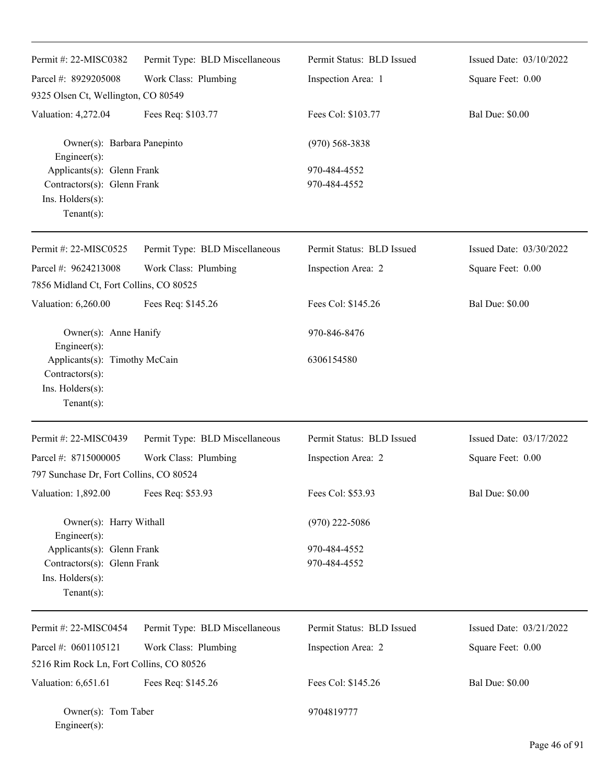| Permit #: 22-MISC0382                                                                                 | Permit Type: BLD Miscellaneous | Permit Status: BLD Issued    | Issued Date: 03/10/2022 |
|-------------------------------------------------------------------------------------------------------|--------------------------------|------------------------------|-------------------------|
| Parcel #: 8929205008                                                                                  | Work Class: Plumbing           | Inspection Area: 1           | Square Feet: 0.00       |
| 9325 Olsen Ct, Wellington, CO 80549                                                                   |                                |                              |                         |
| Valuation: 4,272.04                                                                                   | Fees Req: \$103.77             | Fees Col: \$103.77           | <b>Bal Due: \$0.00</b>  |
| Owner(s): Barbara Panepinto<br>Engineer(s):                                                           |                                | $(970)$ 568-3838             |                         |
| Applicants(s): Glenn Frank<br>Contractors(s): Glenn Frank<br>Ins. Holders(s):<br>Tenant $(s)$ :       |                                | 970-484-4552<br>970-484-4552 |                         |
| Permit #: 22-MISC0525                                                                                 | Permit Type: BLD Miscellaneous | Permit Status: BLD Issued    | Issued Date: 03/30/2022 |
| Parcel #: 9624213008                                                                                  | Work Class: Plumbing           | Inspection Area: 2           | Square Feet: 0.00       |
| 7856 Midland Ct, Fort Collins, CO 80525                                                               |                                |                              |                         |
| Valuation: 6,260.00                                                                                   | Fees Req: \$145.26             | Fees Col: \$145.26           | <b>Bal Due: \$0.00</b>  |
| Owner(s): Anne Hanify                                                                                 |                                | 970-846-8476                 |                         |
| Engineer(s):<br>Applicants(s): Timothy McCain<br>Contractors(s):<br>Ins. Holders(s):<br>$Tenant(s)$ : |                                | 6306154580                   |                         |
| Permit #: 22-MISC0439                                                                                 | Permit Type: BLD Miscellaneous | Permit Status: BLD Issued    | Issued Date: 03/17/2022 |
| Parcel #: 8715000005                                                                                  | Work Class: Plumbing           | Inspection Area: 2           | Square Feet: 0.00       |
| 797 Sunchase Dr, Fort Collins, CO 80524                                                               |                                |                              |                         |
| Valuation: 1,892.00                                                                                   | Fees Req: \$53.93              | Fees Col: \$53.93            | <b>Bal Due: \$0.00</b>  |
| Owner(s): Harry Withall<br>Engineer(s):                                                               |                                | $(970)$ 222-5086             |                         |
| Applicants(s): Glenn Frank<br>Contractors(s): Glenn Frank<br>Ins. Holders(s):<br>Tenant $(s)$ :       |                                | 970-484-4552<br>970-484-4552 |                         |
| Permit #: 22-MISC0454                                                                                 | Permit Type: BLD Miscellaneous | Permit Status: BLD Issued    | Issued Date: 03/21/2022 |
| Parcel #: 0601105121                                                                                  | Work Class: Plumbing           | Inspection Area: 2           | Square Feet: 0.00       |
| 5216 Rim Rock Ln, Fort Collins, CO 80526                                                              |                                |                              |                         |
| Valuation: 6,651.61                                                                                   | Fees Req: \$145.26             | Fees Col: \$145.26           | <b>Bal Due: \$0.00</b>  |
| Owner(s): Tom Taber<br>Engineer(s):                                                                   |                                | 9704819777                   |                         |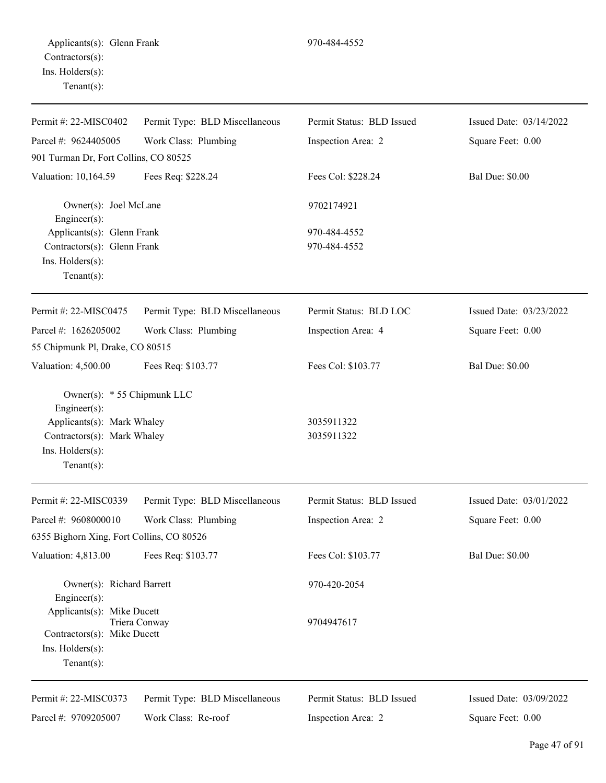| Permit #: $22-MISCO402$                                   | Permit Type: BLD Miscellaneous | Permit Status: BLD Issued | Issued Date: 03/14/2022 |
|-----------------------------------------------------------|--------------------------------|---------------------------|-------------------------|
| Parcel #: 9624405005                                      | Work Class: Plumbing           | Inspection Area: 2        | Square Feet: 0.00       |
| 901 Turman Dr, Fort Collins, CO 80525                     |                                |                           |                         |
| Valuation: 10,164.59                                      | Fees Req: \$228.24             | Fees Col: \$228.24        | <b>Bal Due: \$0.00</b>  |
| Owner(s): Joel McLane<br>Engineer(s):                     |                                | 9702174921                |                         |
| Applicants(s): Glenn Frank                                |                                | 970-484-4552              |                         |
| Contractors(s): Glenn Frank                               |                                | 970-484-4552              |                         |
| Ins. Holders(s):<br>Tenant $(s)$ :                        |                                |                           |                         |
| Permit #: 22-MISC0475                                     | Permit Type: BLD Miscellaneous | Permit Status: BLD LOC    | Issued Date: 03/23/2022 |
| Parcel #: 1626205002                                      | Work Class: Plumbing           | Inspection Area: 4        | Square Feet: 0.00       |
| 55 Chipmunk Pl, Drake, CO 80515                           |                                |                           |                         |
| Valuation: 4,500.00                                       | Fees Req: \$103.77             | Fees Col: \$103.77        | <b>Bal Due: \$0.00</b>  |
| Owner(s): * 55 Chipmunk LLC<br>Engineer(s):               |                                |                           |                         |
| Applicants(s): Mark Whaley<br>Contractors(s): Mark Whaley |                                | 3035911322<br>3035911322  |                         |
| Ins. Holders(s):                                          |                                |                           |                         |
| Tenant $(s)$ :                                            |                                |                           |                         |
| Permit #: 22-MISC0339                                     | Permit Type: BLD Miscellaneous | Permit Status: BLD Issued | Issued Date: 03/01/2022 |
| Parcel #: 9608000010                                      | Work Class: Plumbing           | Inspection Area: 2        | Square Feet: 0.00       |
| 6355 Bighorn Xing, Fort Collins, CO 80526                 |                                |                           |                         |
| Valuation: 4,813.00                                       | Fees Req: \$103.77             | Fees Col: \$103.77        | <b>Bal Due: \$0.00</b>  |
| Owner(s): Richard Barrett<br>$Engineering(s)$ :           |                                | 970-420-2054              |                         |
| Applicants(s): Mike Ducett                                |                                | 9704947617                |                         |
| Contractors(s): Mike Ducett                               | Triera Conway                  |                           |                         |
| Ins. Holders(s):                                          |                                |                           |                         |
| Tenant $(s)$ :                                            |                                |                           |                         |
| Permit #: 22-MISC0373                                     | Permit Type: BLD Miscellaneous | Permit Status: BLD Issued | Issued Date: 03/09/2022 |
| Parcel #: 9709205007                                      | Work Class: Re-roof            | Inspection Area: 2        | Square Feet: 0.00       |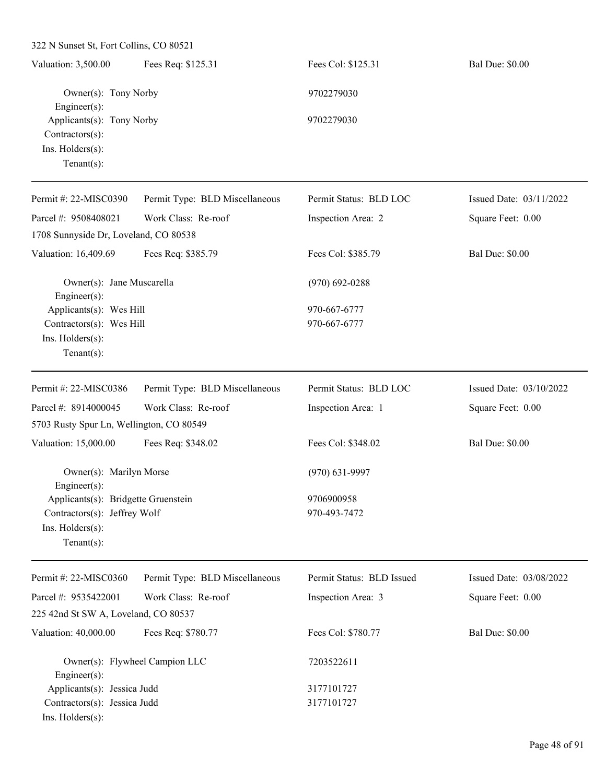| Valuation: 3,500.00                           | Fees Req: \$125.31             | Fees Col: \$125.31     | <b>Bal Due: \$0.00</b>  |
|-----------------------------------------------|--------------------------------|------------------------|-------------------------|
| Owner(s): Tony Norby<br>Engineer $(s)$ :      |                                | 9702279030             |                         |
| Applicants(s): Tony Norby<br>Contractors(s):  |                                | 9702279030             |                         |
| Ins. Holders(s):<br>Tenant $(s)$ :            |                                |                        |                         |
| Permit #: 22-MISC0390                         | Permit Type: BLD Miscellaneous | Permit Status: BLD LOC | Issued Date: 03/11/2022 |
| Parcel #: 9508408021                          | Work Class: Re-roof            | Inspection Area: 2     | Square Feet: 0.00       |
| 1708 Sunnyside Dr, Loveland, CO 80538         |                                |                        |                         |
| Valuation: 16,409.69                          | Fees Req: \$385.79             | Fees Col: \$385.79     | <b>Bal Due: \$0.00</b>  |
| Owner(s): Jane Muscarella<br>Engineer $(s)$ : |                                | $(970)$ 692-0288       |                         |
| Applicants(s): Wes Hill                       |                                | 970-667-6777           |                         |
| Contractors(s): Wes Hill                      |                                | 970-667-6777           |                         |
| Ins. $H$ olders $(s)$ :<br>Tenant $(s)$ :     |                                |                        |                         |
| Permit #: 22-MISC0386                         | Permit Type: BLD Miscellaneous | Permit Status: BLD LOC | Issued Date: 03/10/2022 |
| Parcel #: 8914000045                          | Work Class: Re-roof            | Inspection Area: 1     | Square Feet: 0.00       |
| 5703 Rusty Spur Ln, Wellington, CO 80549      |                                |                        |                         |
| Valuation: 15,000.00                          | Fees Req: \$348.02             | Fees Col: \$348.02     | <b>Bal Due: \$0.00</b>  |

|                              | Owner(s): Marilyn Morse             |
|------------------------------|-------------------------------------|
| $Engineering(s)$ :           |                                     |
|                              | Applicants(s): Bridgette Gruenstein |
| Contractors(s): Jeffrey Wolf |                                     |
| $Ins.$ Holders $(s)$ :       |                                     |
| $Tenant(s)$ :                |                                     |

| Permit #: 22-MISC0360                                | Permit Type: BLD Miscellaneous | Permit Status: BLD Issued | Issued Date: $03/08/2022$ |
|------------------------------------------------------|--------------------------------|---------------------------|---------------------------|
| Parcel #: 9535422001                                 | Work Class: Re-roof            | Inspection Area: 3        | Square Feet: 0.00         |
| 225 42nd St SW A, Loveland, CO 80537                 |                                |                           |                           |
| Valuation: 40,000.00                                 | Fees Req: \$780.77             | Fees Col: \$780.77        | <b>Bal Due: \$0.00</b>    |
| Owner(s): Flywheel Campion LLC<br>$Engineering(s)$ : |                                | 7203522611                |                           |
| Applicants(s): Jessica Judd                          |                                | 3177101727                |                           |
| Contractors(s): Jessica Judd                         |                                | 3177101727                |                           |
| $Ins.$ Holders $(s)$ :                               |                                |                           |                           |

(970) 631-9997

Applicants(s): Bridgette Gruenstein 9706900958 970-493-7472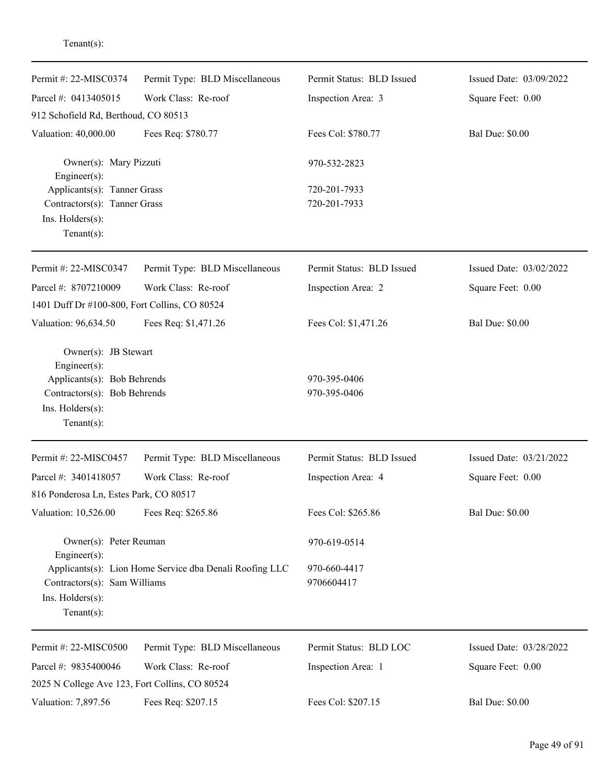| Permit #: 22-MISC0374                                              | Permit Type: BLD Miscellaneous                          | Permit Status: BLD Issued  | Issued Date: 03/09/2022 |
|--------------------------------------------------------------------|---------------------------------------------------------|----------------------------|-------------------------|
| Parcel #: 0413405015                                               | Work Class: Re-roof                                     | Inspection Area: 3         | Square Feet: 0.00       |
| 912 Schofield Rd, Berthoud, CO 80513                               |                                                         |                            |                         |
| Valuation: 40,000.00                                               | Fees Req: \$780.77                                      | Fees Col: \$780.77         | <b>Bal Due: \$0.00</b>  |
| Owner(s): Mary Pizzuti<br>$Engineering(s)$ :                       |                                                         | 970-532-2823               |                         |
| Applicants(s): Tanner Grass                                        |                                                         | 720-201-7933               |                         |
| Contractors(s): Tanner Grass<br>Ins. Holders(s):<br>Tenant $(s)$ : |                                                         | 720-201-7933               |                         |
| Permit #: 22-MISC0347                                              | Permit Type: BLD Miscellaneous                          | Permit Status: BLD Issued  | Issued Date: 03/02/2022 |
| Parcel #: 8707210009                                               | Work Class: Re-roof                                     | Inspection Area: 2         | Square Feet: 0.00       |
| 1401 Duff Dr #100-800, Fort Collins, CO 80524                      |                                                         |                            |                         |
| Valuation: 96,634.50                                               | Fees Req: \$1,471.26                                    | Fees Col: \$1,471.26       | <b>Bal Due: \$0.00</b>  |
| Owner(s): JB Stewart<br>$Engineering(s)$ :                         |                                                         |                            |                         |
| Applicants(s): Bob Behrends                                        |                                                         | 970-395-0406               |                         |
| Contractors(s): Bob Behrends<br>Ins. Holders(s):<br>Tenant $(s)$ : |                                                         | 970-395-0406               |                         |
| Permit #: 22-MISC0457                                              | Permit Type: BLD Miscellaneous                          | Permit Status: BLD Issued  | Issued Date: 03/21/2022 |
| Parcel #: 3401418057                                               | Work Class: Re-roof                                     | Inspection Area: 4         | Square Feet: 0.00       |
| 816 Ponderosa Ln, Estes Park, CO 80517                             |                                                         |                            |                         |
| Valuation: 10,526.00                                               | Fees Req: \$265.86                                      | Fees Col: \$265.86         | <b>Bal Due: \$0.00</b>  |
| Owner(s): Peter Reuman<br>$Engineering(s)$ :                       |                                                         | 970-619-0514               |                         |
| Contractors(s): Sam Williams<br>Ins. Holders(s):<br>Tenant $(s)$ : | Applicants(s): Lion Home Service dba Denali Roofing LLC | 970-660-4417<br>9706604417 |                         |
| Permit #: 22-MISC0500                                              | Permit Type: BLD Miscellaneous                          | Permit Status: BLD LOC     | Issued Date: 03/28/2022 |
| Parcel #: 9835400046                                               | Work Class: Re-roof                                     | Inspection Area: 1         | Square Feet: 0.00       |
| 2025 N College Ave 123, Fort Collins, CO 80524                     |                                                         |                            |                         |
| Valuation: 7,897.56                                                | Fees Req: \$207.15                                      | Fees Col: \$207.15         | <b>Bal Due: \$0.00</b>  |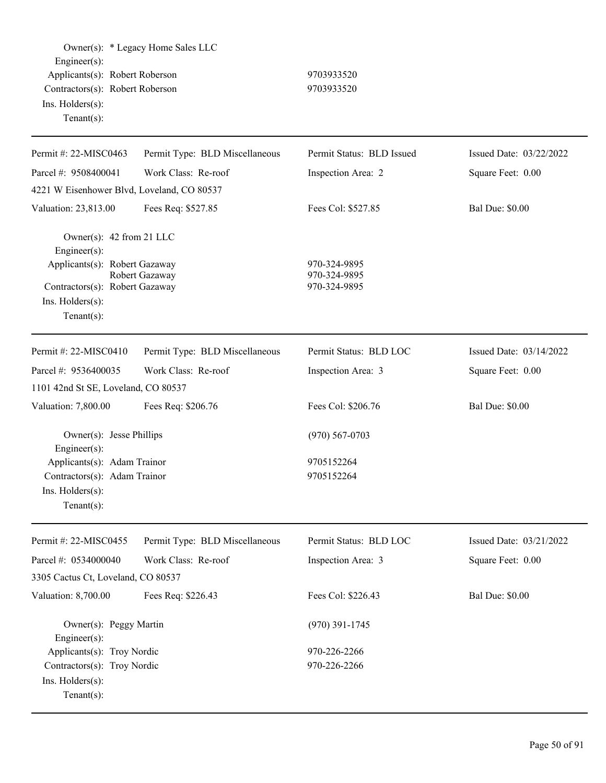| $Engineering(s)$ :<br>Applicants(s): Robert Roberson<br>Contractors(s): Robert Roberson<br>Ins. Holders(s):<br>Tenant $(s)$ :                     | Owner(s): * Legacy Home Sales LLC | 9703933520<br>9703933520                       |                         |
|---------------------------------------------------------------------------------------------------------------------------------------------------|-----------------------------------|------------------------------------------------|-------------------------|
| Permit #: 22-MISC0463                                                                                                                             | Permit Type: BLD Miscellaneous    | Permit Status: BLD Issued                      | Issued Date: 03/22/2022 |
| Parcel #: 9508400041                                                                                                                              | Work Class: Re-roof               | Inspection Area: 2                             | Square Feet: 0.00       |
| 4221 W Eisenhower Blvd, Loveland, CO 80537                                                                                                        |                                   |                                                |                         |
| Valuation: 23,813.00                                                                                                                              | Fees Req: \$527.85                | Fees Col: \$527.85                             | <b>Bal Due: \$0.00</b>  |
| Owner(s): 42 from 21 LLC<br>Engineer(s):<br>Applicants(s): Robert Gazaway<br>Contractors(s): Robert Gazaway<br>Ins. Holders(s):<br>Tenant $(s)$ : | Robert Gazaway                    | 970-324-9895<br>970-324-9895<br>970-324-9895   |                         |
| Permit #: 22-MISC0410                                                                                                                             | Permit Type: BLD Miscellaneous    | Permit Status: BLD LOC                         | Issued Date: 03/14/2022 |
| Parcel #: 9536400035                                                                                                                              | Work Class: Re-roof               | Inspection Area: 3                             | Square Feet: 0.00       |
| 1101 42nd St SE, Loveland, CO 80537                                                                                                               |                                   |                                                |                         |
| Valuation: 7,800.00                                                                                                                               | Fees Req: \$206.76                | Fees Col: \$206.76                             | <b>Bal Due: \$0.00</b>  |
| Owner(s): Jesse Phillips<br>Engineer(s):<br>Applicants(s): Adam Trainor<br>Contractors(s): Adam Trainor<br>$Ins.$ Holders $(s)$ :                 |                                   | $(970) 567 - 0703$<br>9705152264<br>9705152264 |                         |
| Tenant $(s)$ :                                                                                                                                    |                                   |                                                |                         |
| Permit #: 22-MISC0455                                                                                                                             | Permit Type: BLD Miscellaneous    | Permit Status: BLD LOC                         | Issued Date: 03/21/2022 |
| Parcel #: 0534000040                                                                                                                              | Work Class: Re-roof               | Inspection Area: 3                             | Square Feet: 0.00       |
| 3305 Cactus Ct, Loveland, CO 80537                                                                                                                |                                   |                                                |                         |
| Valuation: 8,700.00                                                                                                                               | Fees Req: \$226.43                | Fees Col: \$226.43                             | <b>Bal Due: \$0.00</b>  |
| Owner(s): Peggy Martin<br>Engineer(s):                                                                                                            |                                   | $(970)$ 391-1745                               |                         |
| Applicants(s): Troy Nordic<br>Contractors(s): Troy Nordic<br>Ins. Holders(s):<br>Tenant $(s)$ :                                                   |                                   | 970-226-2266<br>970-226-2266                   |                         |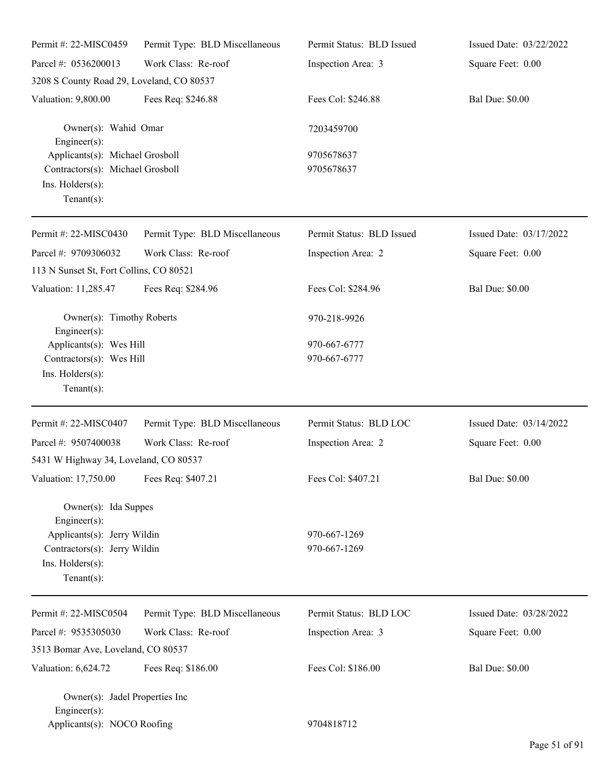| Permit #: 22-MISC0459                                                                                                                         | Permit Type: BLD Miscellaneous | Permit Status: BLD Issued    | Issued Date: 03/22/2022 |
|-----------------------------------------------------------------------------------------------------------------------------------------------|--------------------------------|------------------------------|-------------------------|
| Parcel #: 0536200013                                                                                                                          | Work Class: Re-roof            | Inspection Area: 3           | Square Feet: 0.00       |
| 3208 S County Road 29, Loveland, CO 80537                                                                                                     |                                |                              |                         |
| Valuation: 9,800.00                                                                                                                           | Fees Req: \$246.88             | Fees Col: \$246.88           | <b>Bal Due: \$0.00</b>  |
| Owner(s): Wahid Omar<br>$Engineering(s)$ :                                                                                                    |                                | 7203459700                   |                         |
| Applicants(s): Michael Grosboll<br>Contractors(s): Michael Grosboll<br>Ins. Holders(s):<br>Tenant $(s)$ :                                     |                                | 9705678637<br>9705678637     |                         |
| Permit #: 22-MISC0430                                                                                                                         | Permit Type: BLD Miscellaneous | Permit Status: BLD Issued    | Issued Date: 03/17/2022 |
| Parcel #: 9709306032<br>113 N Sunset St, Fort Collins, CO 80521                                                                               | Work Class: Re-roof            | Inspection Area: 2           | Square Feet: 0.00       |
| Valuation: 11,285.47                                                                                                                          | Fees Req: \$284.96             | Fees Col: \$284.96           | <b>Bal Due: \$0.00</b>  |
| Owner(s): Timothy Roberts<br>$Engineering(s)$ :                                                                                               |                                | 970-218-9926                 |                         |
| Applicants(s): Wes Hill<br>Contractors(s): Wes Hill<br>Ins. Holders(s):<br>Tenant $(s)$ :                                                     |                                | 970-667-6777<br>970-667-6777 |                         |
| Permit #: 22-MISC0407                                                                                                                         | Permit Type: BLD Miscellaneous | Permit Status: BLD LOC       | Issued Date: 03/14/2022 |
| Parcel #: 9507400038<br>5431 W Highway 34, Loveland, CO 80537                                                                                 | Work Class: Re-roof            | Inspection Area: 2           | Square Feet: 0.00       |
| Valuation: 17,750.00 Fees Req: \$407.21                                                                                                       |                                | Fees Col: \$407.21           | <b>Bal Due: \$0.00</b>  |
| Owner(s): Ida Suppes<br>Engineer $(s)$ :<br>Applicants(s): Jerry Wildin<br>Contractors(s): Jerry Wildin<br>Ins. Holders(s):<br>Tenant $(s)$ : |                                | 970-667-1269<br>970-667-1269 |                         |
| Permit #: 22-MISC0504                                                                                                                         | Permit Type: BLD Miscellaneous | Permit Status: BLD LOC       | Issued Date: 03/28/2022 |
| Parcel #: 9535305030                                                                                                                          | Work Class: Re-roof            | Inspection Area: 3           | Square Feet: 0.00       |
| 3513 Bomar Ave, Loveland, CO 80537                                                                                                            |                                |                              |                         |
| Valuation: 6,624.72                                                                                                                           | Fees Req: \$186.00             | Fees Col: \$186.00           | <b>Bal Due: \$0.00</b>  |
| Owner(s): Jadel Properties Inc<br>$Engineering(s)$ :<br>Applicants(s): NOCO Roofing                                                           |                                | 9704818712                   |                         |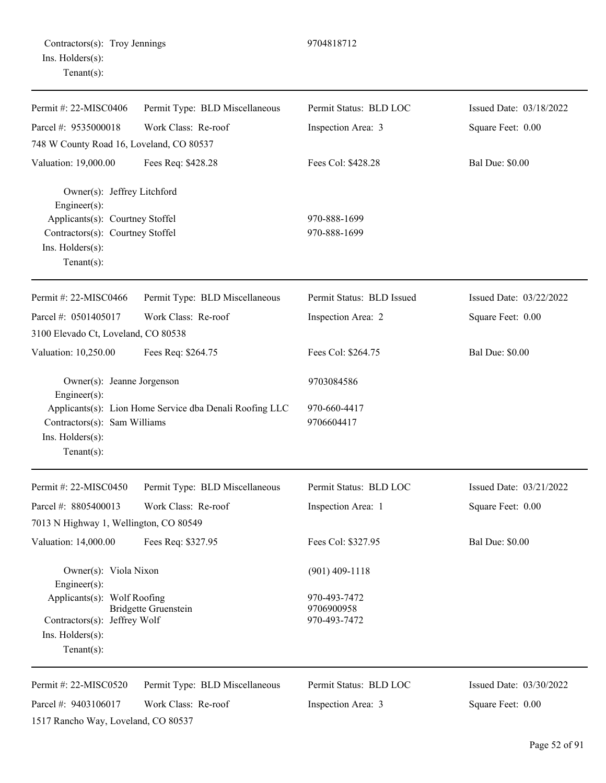| Contractors(s): Troy Jennings |  |
|-------------------------------|--|
| Ins. Holders(s):              |  |
| $Tenant(s)$ :                 |  |

Permit #: 22-MISC0406 Parcel #: 9535000018 Permit Type: BLD Miscellaneous Work Class: Re-roof Permit Status: BLD LOC Inspection Area: 3 Issued Date: 03/18/2022 Square Feet: 0.00 748 W County Road 16, Loveland, CO 80537 Valuation: 19,000.00 Fees Req: \$428.28 Fees Col: \$428.28 Bal Due: \$0.00 Owner(s): Jeffrey Litchford Engineer(s): Applicants(s): Courtney Stoffel 970-888-1699 Contractors(s): Courtney Stoffel 970-888-1699 Ins. Holders(s): Tenant(s): Permit #: 22-MISC0466 Parcel #: 0501405017 Permit Type: BLD Miscellaneous Work Class: Re-roof Permit Status: BLD Issued Inspection Area: 2 Issued Date: 03/22/2022 Square Feet: 0.00 3100 Elevado Ct, Loveland, CO 80538 Valuation: 10,250.00 Fees Req: \$264.75 Fees Col: \$264.75 Bal Due: \$0.00 Owner(s): Jeanne Jorgenson 9703084586 Engineer(s): Applicants(s): Lion Home Service dba Denali Roofing LLC 970-660-4417 Contractors(s): Sam Williams 9706604417 Ins. Holders(s): Tenant(s): Permit #: 22-MISC0450 Parcel #: 8805400013 Permit Type: BLD Miscellaneous Work Class: Re-roof Permit Status: BLD LOC Inspection Area: 1 Issued Date: 03/21/2022 Square Feet: 0.00 7013 N Highway 1, Wellington, CO 80549 Valuation: 14,000.00 Fees Req: \$327.95 Fees Col: \$327.95 Bal Due: \$0.00 Owner(s): Viola Nixon (901) 409-1118 Engineer(s): Applicants(s): Wolf Roofing 970-493-7472 Bridgette Gruenstein 9706900958 Contractors(s): Jeffrey Wolf 970-493-7472 Ins. Holders(s): Tenant(s):

Contractors(s): Troy Jennings 9704818712

Permit #: 22-MISC0520 Parcel #: 9403106017 Permit Type: BLD Miscellaneous Work Class: Re-roof 1517 Rancho Way, Loveland, CO 80537

Permit Status: BLD LOC

Inspection Area: 3

Issued Date: 03/30/2022 Square Feet: 0.00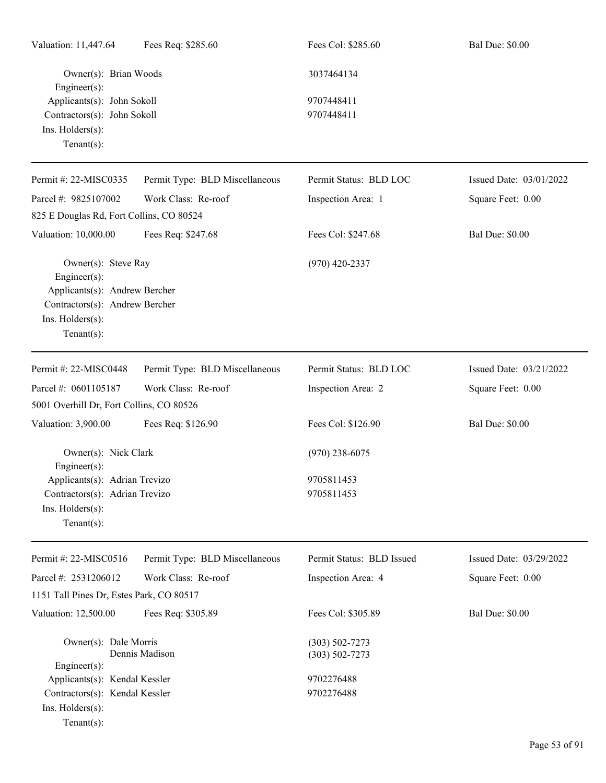| Valuation: 11,447.64                          | Fees Req: \$285.60             | Fees Col: \$285.60        | <b>Bal Due: \$0.00</b>  |
|-----------------------------------------------|--------------------------------|---------------------------|-------------------------|
| Owner(s): Brian Woods<br>Engineer(s):         |                                | 3037464134                |                         |
| Applicants(s): John Sokoll                    |                                | 9707448411                |                         |
| Contractors(s): John Sokoll                   |                                | 9707448411                |                         |
| Ins. Holders(s):                              |                                |                           |                         |
| Tenant $(s)$ :                                |                                |                           |                         |
| Permit #: 22-MISC0335                         | Permit Type: BLD Miscellaneous | Permit Status: BLD LOC    | Issued Date: 03/01/2022 |
| Parcel #: 9825107002                          | Work Class: Re-roof            | Inspection Area: 1        | Square Feet: 0.00       |
| 825 E Douglas Rd, Fort Collins, CO 80524      |                                |                           |                         |
| Valuation: 10,000.00                          | Fees Req: \$247.68             | Fees Col: \$247.68        | <b>Bal Due: \$0.00</b>  |
| Owner(s): Steve Ray<br>Engineer(s):           |                                | $(970)$ 420-2337          |                         |
| Applicants(s): Andrew Bercher                 |                                |                           |                         |
| Contractors(s): Andrew Bercher                |                                |                           |                         |
| Ins. Holders(s):                              |                                |                           |                         |
| Tenant $(s)$ :                                |                                |                           |                         |
| Permit #: 22-MISC0448                         | Permit Type: BLD Miscellaneous | Permit Status: BLD LOC    | Issued Date: 03/21/2022 |
| Parcel #: 0601105187                          | Work Class: Re-roof            | Inspection Area: 2        | Square Feet: 0.00       |
| 5001 Overhill Dr, Fort Collins, CO 80526      |                                |                           |                         |
| Valuation: 3,900.00                           | Fees Req: \$126.90             | Fees Col: \$126.90        | <b>Bal Due: \$0.00</b>  |
| Owner(s): Nick Clark<br>$Engineering(s)$ :    |                                | $(970)$ 238-6075          |                         |
| Applicants(s): Adrian Trevizo                 |                                | 9705811453                |                         |
| Contractors(s): Adrian Trevizo                |                                | 9705811453                |                         |
| Ins. Holders(s):                              |                                |                           |                         |
| Tenant $(s)$ :                                |                                |                           |                         |
| Permit #: 22-MISC0516                         | Permit Type: BLD Miscellaneous | Permit Status: BLD Issued | Issued Date: 03/29/2022 |
| Parcel #: 2531206012                          | Work Class: Re-roof            | Inspection Area: 4        | Square Feet: 0.00       |
| 1151 Tall Pines Dr, Estes Park, CO 80517      |                                |                           |                         |
| Valuation: 12,500.00                          | Fees Req: \$305.89             | Fees Col: \$305.89        | <b>Bal Due: \$0.00</b>  |
| Owner(s): Dale Morris                         |                                | $(303) 502 - 7273$        |                         |
|                                               | Dennis Madison                 | $(303) 502 - 7273$        |                         |
| Engineer(s):<br>Applicants(s): Kendal Kessler |                                | 9702276488                |                         |
| Contractors(s): Kendal Kessler                |                                | 9702276488                |                         |
| Ins. Holders(s):                              |                                |                           |                         |
| Tenant $(s)$ :                                |                                |                           |                         |
|                                               |                                |                           |                         |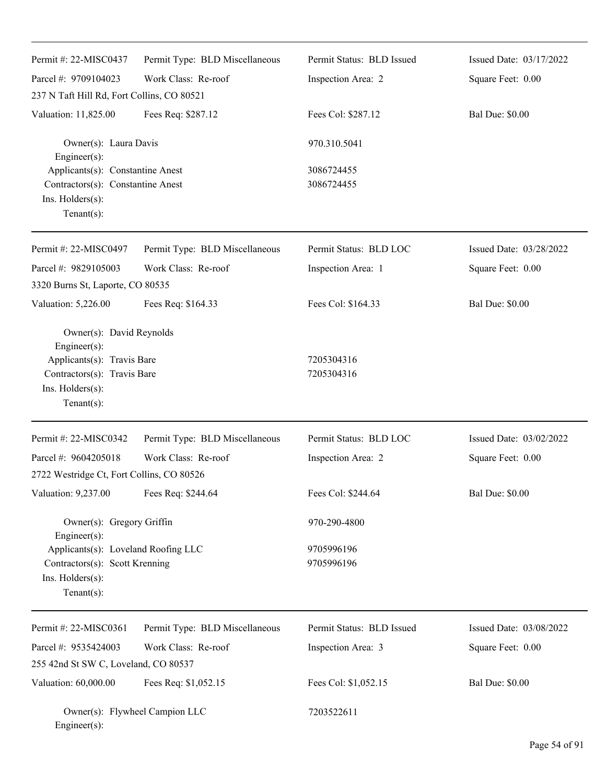| Permit #: 22-MISC0437                                                                                                                       | Permit Type: BLD Miscellaneous | Permit Status: BLD Issued | Issued Date: 03/17/2022 |
|---------------------------------------------------------------------------------------------------------------------------------------------|--------------------------------|---------------------------|-------------------------|
| Parcel #: 9709104023                                                                                                                        | Work Class: Re-roof            | Inspection Area: 2        | Square Feet: 0.00       |
| 237 N Taft Hill Rd, Fort Collins, CO 80521                                                                                                  |                                |                           |                         |
| Valuation: 11,825.00                                                                                                                        | Fees Req: \$287.12             | Fees Col: \$287.12        | <b>Bal Due: \$0.00</b>  |
| Owner(s): Laura Davis<br>Engineer $(s)$ :                                                                                                   |                                | 970.310.5041              |                         |
| Applicants(s): Constantine Anest<br>Contractors(s): Constantine Anest<br>Ins. Holders(s):<br>Tenant $(s)$ :                                 |                                | 3086724455<br>3086724455  |                         |
| Permit #: 22-MISC0497                                                                                                                       | Permit Type: BLD Miscellaneous | Permit Status: BLD LOC    | Issued Date: 03/28/2022 |
| Parcel #: 9829105003                                                                                                                        | Work Class: Re-roof            | Inspection Area: 1        | Square Feet: 0.00       |
| 3320 Burns St, Laporte, CO 80535                                                                                                            |                                |                           |                         |
| Valuation: 5,226.00                                                                                                                         | Fees Req: \$164.33             | Fees Col: \$164.33        | <b>Bal Due: \$0.00</b>  |
| Owner(s): David Reynolds<br>Engineer(s):<br>Applicants(s): Travis Bare<br>Contractors(s): Travis Bare<br>Ins. Holders(s):<br>Tenant $(s)$ : |                                | 7205304316<br>7205304316  |                         |
| Permit #: 22-MISC0342                                                                                                                       | Permit Type: BLD Miscellaneous | Permit Status: BLD LOC    | Issued Date: 03/02/2022 |
| Parcel #: 9604205018                                                                                                                        | Work Class: Re-roof            | Inspection Area: 2        | Square Feet: 0.00       |
| 2722 Westridge Ct, Fort Collins, CO 80526                                                                                                   |                                |                           |                         |
| Valuation: 9,237.00                                                                                                                         | Fees Req: \$244.64             | Fees Col: \$244.64        | <b>Bal Due: \$0.00</b>  |
| Owner(s): Gregory Griffin<br>Engineer(s):                                                                                                   |                                | 970-290-4800              |                         |
| Applicants(s): Loveland Roofing LLC<br>Contractors(s): Scott Krenning<br>Ins. Holders(s):<br>Tenant $(s)$ :                                 |                                | 9705996196<br>9705996196  |                         |
| Permit #: 22-MISC0361                                                                                                                       | Permit Type: BLD Miscellaneous | Permit Status: BLD Issued | Issued Date: 03/08/2022 |
| Parcel #: 9535424003                                                                                                                        | Work Class: Re-roof            | Inspection Area: 3        | Square Feet: 0.00       |
| 255 42nd St SW C, Loveland, CO 80537                                                                                                        |                                |                           |                         |
| Valuation: 60,000.00                                                                                                                        | Fees Req: \$1,052.15           | Fees Col: \$1,052.15      | <b>Bal Due: \$0.00</b>  |
| Owner(s): Flywheel Campion LLC<br>Engineer(s):                                                                                              |                                | 7203522611                |                         |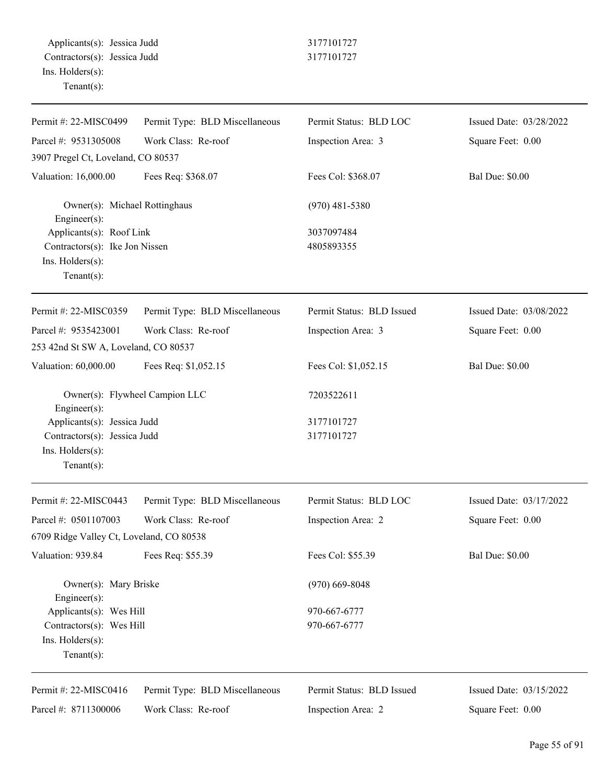| Permit #: 22-MISC0499                         | Permit Type: BLD Miscellaneous | Permit Status: BLD LOC    | Issued Date: 03/28/2022 |
|-----------------------------------------------|--------------------------------|---------------------------|-------------------------|
| Parcel #: 9531305008                          | Work Class: Re-roof            | Inspection Area: 3        | Square Feet: 0.00       |
| 3907 Pregel Ct, Loveland, CO 80537            |                                |                           |                         |
| Valuation: 16,000.00                          | Fees Req: \$368.07             | Fees Col: \$368.07        | <b>Bal Due: \$0.00</b>  |
| Owner(s): Michael Rottinghaus<br>Engineer(s): |                                | $(970)$ 481-5380          |                         |
| Applicants(s): Roof Link                      |                                | 3037097484                |                         |
| Contractors(s): Ike Jon Nissen                |                                | 4805893355                |                         |
| Ins. Holders(s):<br>$Tenant(s)$ :             |                                |                           |                         |
| Permit #: 22-MISC0359                         | Permit Type: BLD Miscellaneous | Permit Status: BLD Issued | Issued Date: 03/08/2022 |
| Parcel #: 9535423001                          | Work Class: Re-roof            | Inspection Area: 3        | Square Feet: 0.00       |
| 253 42nd St SW A, Loveland, CO 80537          |                                |                           |                         |
| Valuation: 60,000.00                          | Fees Req: \$1,052.15           | Fees Col: \$1,052.15      | <b>Bal Due: \$0.00</b>  |
| Engineer(s):                                  | Owner(s): Flywheel Campion LLC | 7203522611                |                         |
| Applicants(s): Jessica Judd                   |                                | 3177101727                |                         |
| Contractors(s): Jessica Judd                  |                                | 3177101727                |                         |
| Ins. Holders(s):                              |                                |                           |                         |
| $Tenant(s)$ :                                 |                                |                           |                         |
| Permit #: 22-MISC0443                         | Permit Type: BLD Miscellaneous | Permit Status: BLD LOC    | Issued Date: 03/17/2022 |
| Parcel #: 0501107003                          | Work Class: Re-roof            | Inspection Area: 2        | Square Feet: 0.00       |
| 6709 Ridge Valley Ct, Loveland, CO 80538      |                                |                           |                         |
| Valuation: 939.84                             | Fees Req: \$55.39              | Fees Col: \$55.39         | <b>Bal Due: \$0.00</b>  |
| Owner(s): Mary Briske<br>Engineer(s):         |                                | $(970)$ 669-8048          |                         |
| Applicants(s): Wes Hill                       |                                | 970-667-6777              |                         |
| Contractors(s): Wes Hill                      |                                | 970-667-6777              |                         |
| Ins. Holders(s):                              |                                |                           |                         |
| $Tenant(s)$ :                                 |                                |                           |                         |
| Permit #: 22-MISC0416                         | Permit Type: BLD Miscellaneous | Permit Status: BLD Issued | Issued Date: 03/15/2022 |
| Parcel #: 8711300006                          | Work Class: Re-roof            | Inspection Area: 2        | Square Feet: 0.00       |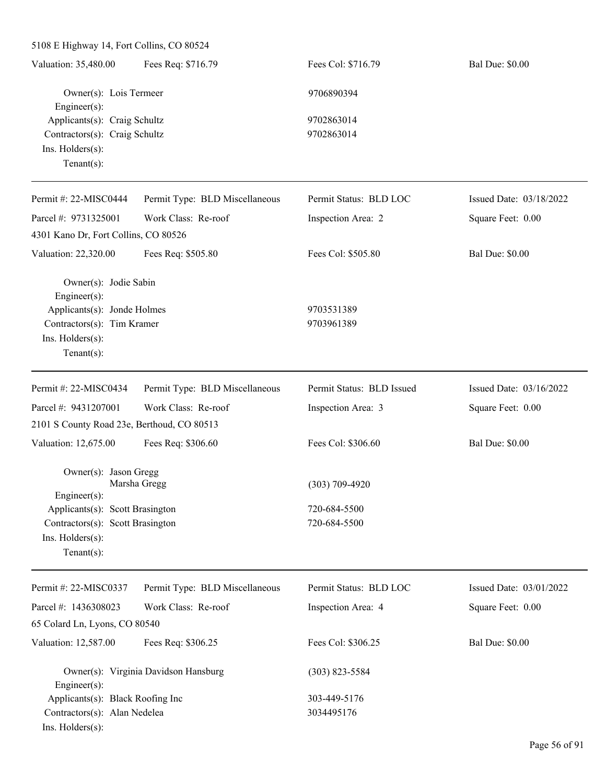5108 E Highway 14, Fort Collins, CO 80524

| Valuation: 35,480.00                 | Fees Req: \$716.79             | Fees Col: \$716.79     | <b>Bal Due: \$0.00</b>  |
|--------------------------------------|--------------------------------|------------------------|-------------------------|
| Owner(s): Lois Termeer               |                                | 9706890394             |                         |
| $Engineering(s)$ :                   |                                |                        |                         |
| Applicants(s): Craig Schultz         |                                | 9702863014             |                         |
| Contractors(s): Craig Schultz        |                                | 9702863014             |                         |
| $Ins.$ Holders $(s)$ :               |                                |                        |                         |
| Tenant $(s)$ :                       |                                |                        |                         |
| Permit #: $22-MISCO444$              | Permit Type: BLD Miscellaneous | Permit Status: BLD LOC | Issued Date: 03/18/2022 |
| Parcel #: $9731325001$               | Work Class: Re-roof            | Inspection Area: 2     | Square Feet: 0.00       |
| 4301 Kano Dr, Fort Collins, CO 80526 |                                |                        |                         |
| Valuation: 22,320.00                 | Fees Req: \$505.80             | Fees Col: \$505.80     | <b>Bal Due: \$0.00</b>  |
| Owner(s): Jodie Sabin                |                                |                        |                         |
| Fner(c)                              |                                |                        |                         |

Engineer(s): Applicants(s): Jonde Holmes 9703531389 Contractors(s): Tim Kramer 9703961389 Ins. Holders(s): Tenant(s):

| Permit #: $22-MISCO434$                                                      | Permit Type: BLD Miscellaneous             | Permit Status: BLD Issued | Issued Date: $03/16/2022$ |
|------------------------------------------------------------------------------|--------------------------------------------|---------------------------|---------------------------|
| Parcel #: $9431207001$                                                       | Work Class: Re-roof                        | Inspection Area: 3        | Square Feet: 0.00         |
|                                                                              | 2101 S County Road 23e, Berthoud, CO 80513 |                           |                           |
| Valuation: 12,675.00                                                         | Fees Req: \$306.60                         | Fees Col: \$306.60        | <b>Bal Due: \$0.00</b>    |
|                                                                              | $Owner(s)$ : Jason Gregg<br>Marsha Gregg   | $(303)$ 709-4920          |                           |
| Engineer $(s)$ :                                                             | Applicants(s): Scott Brasington            | 720-684-5500              |                           |
| Contractors(s): Scott Brasington<br>$Ins.$ Holders $(s)$ :<br>Tenant $(s)$ : |                                            | 720-684-5500              |                           |

| Permit #: 22-MISC0337            | Permit Type: BLD Miscellaneous       | Permit Status: BLD LOC | Issued Date: $03/01/2022$ |
|----------------------------------|--------------------------------------|------------------------|---------------------------|
| Parcel #: $1436308023$           | Work Class: Re-roof                  | Inspection Area: 4     | Square Feet: 0.00         |
| 65 Colard Ln, Lyons, CO 80540    |                                      |                        |                           |
| Valuation: 12,587.00             | Fees Req: \$306.25                   | Fees Col: \$306.25     | <b>Bal Due: \$0.00</b>    |
| $Engineering(s)$ :               | Owner(s): Virginia Davidson Hansburg | $(303)$ 823-5584       |                           |
| Applicants(s): Black Roofing Inc |                                      | 303-449-5176           |                           |
| Contractors(s): Alan Nedelea     |                                      | 3034495176             |                           |
| $Ins.$ Holders $(s)$ :           |                                      |                        |                           |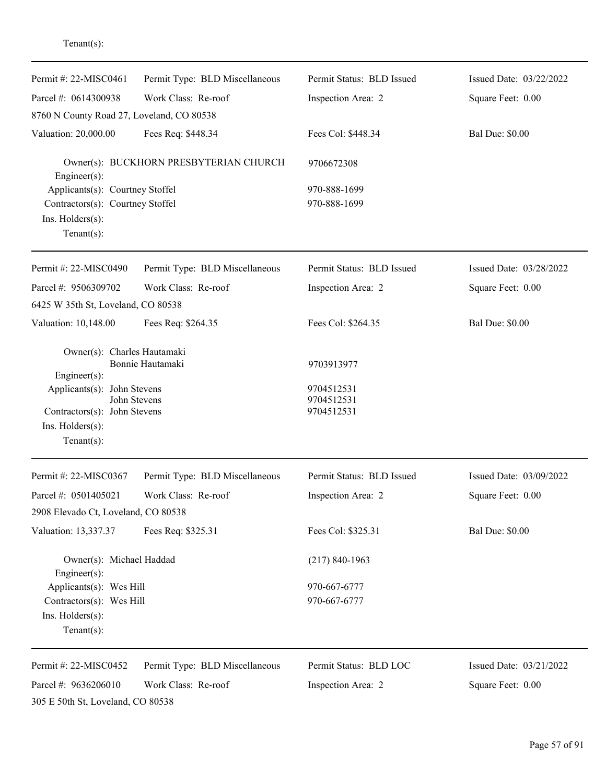| Permit #: 22-MISC0461                                                                             | Permit Type: BLD Miscellaneous | Permit Status: BLD Issued              | Issued Date: 03/22/2022 |
|---------------------------------------------------------------------------------------------------|--------------------------------|----------------------------------------|-------------------------|
| Parcel #: 0614300938                                                                              | Work Class: Re-roof            | Inspection Area: 2                     | Square Feet: 0.00       |
| 8760 N County Road 27, Loveland, CO 80538                                                         |                                |                                        |                         |
| Valuation: 20,000.00                                                                              | Fees Req: \$448.34             | Fees Col: \$448.34                     | <b>Bal Due: \$0.00</b>  |
| Owner(s): BUCKHORN PRESBYTERIAN CHURCH<br>$Engineering(s)$ :                                      |                                | 9706672308                             |                         |
| Applicants(s): Courtney Stoffel                                                                   |                                | 970-888-1699                           |                         |
| Contractors(s): Courtney Stoffel                                                                  |                                | 970-888-1699                           |                         |
| Ins. $H$ olders $(s)$ :<br>Tenant $(s)$ :                                                         |                                |                                        |                         |
| Permit #: 22-MISC0490                                                                             | Permit Type: BLD Miscellaneous | Permit Status: BLD Issued              | Issued Date: 03/28/2022 |
| Parcel #: 9506309702                                                                              | Work Class: Re-roof            | Inspection Area: 2                     | Square Feet: 0.00       |
| 6425 W 35th St, Loveland, CO 80538                                                                |                                |                                        |                         |
| Valuation: 10,148.00                                                                              | Fees Req: \$264.35             | Fees Col: \$264.35                     | <b>Bal Due: \$0.00</b>  |
| Owner(s): Charles Hautamaki<br>$Engineering(s)$ :                                                 | Bonnie Hautamaki               | 9703913977                             |                         |
| Applicants(s): John Stevens<br>Contractors(s): John Stevens<br>Ins. Holders(s):<br>Tenant $(s)$ : | John Stevens                   | 9704512531<br>9704512531<br>9704512531 |                         |
| Permit #: 22-MISC0367                                                                             | Permit Type: BLD Miscellaneous | Permit Status: BLD Issued              | Issued Date: 03/09/2022 |
| Parcel #: 0501405021                                                                              | Work Class: Re-roof            | Inspection Area: 2                     | Square Feet: 0.00       |
| 2908 Elevado Ct, Loveland, CO 80538                                                               |                                |                                        |                         |
| Valuation: 13,337.37                                                                              | Fees Req: \$325.31             | Fees Col: \$325.31                     | <b>Bal Due: \$0.00</b>  |
| Owner(s): Michael Haddad<br>Engineer $(s)$ :                                                      |                                | $(217) 840 - 1963$                     |                         |
| Applicants(s): Wes Hill                                                                           |                                | 970-667-6777                           |                         |
| Contractors(s): Wes Hill                                                                          |                                | 970-667-6777                           |                         |
| Ins. Holders(s):<br>Tenant $(s)$ :                                                                |                                |                                        |                         |
| Permit #: 22-MISC0452                                                                             | Permit Type: BLD Miscellaneous | Permit Status: BLD LOC                 | Issued Date: 03/21/2022 |
| Parcel #: 9636206010                                                                              | Work Class: Re-roof            | Inspection Area: 2                     | Square Feet: 0.00       |
| 305 E 50th St, Loveland, CO 80538                                                                 |                                |                                        |                         |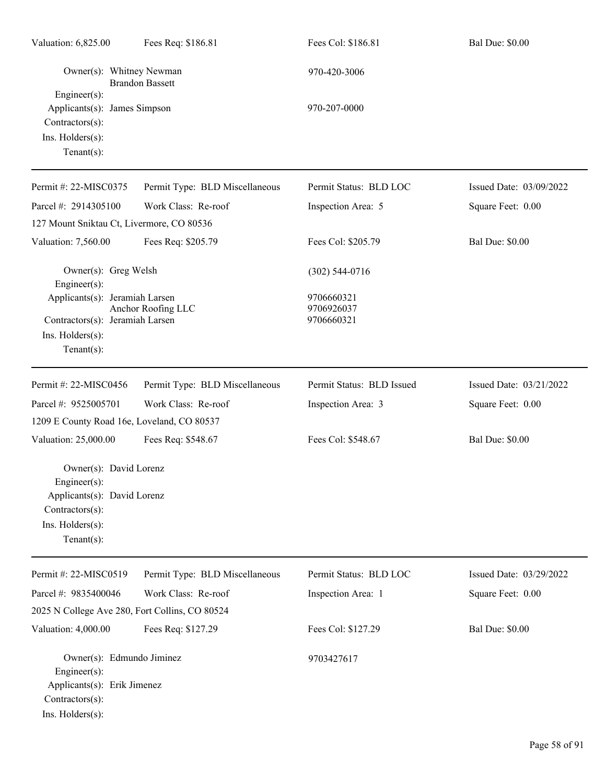| Valuation: 6,825.00                                                                                                            | Fees Req: \$186.81                             | Fees Col: \$186.81                     | <b>Bal Due: \$0.00</b>  |
|--------------------------------------------------------------------------------------------------------------------------------|------------------------------------------------|----------------------------------------|-------------------------|
| Owner(s): Whitney Newman<br>Engineer(s):                                                                                       | <b>Brandon Bassett</b>                         | 970-420-3006                           |                         |
| Applicants(s): James Simpson<br>Contractors(s):<br>Ins. Holders(s):<br>Tenant $(s)$ :                                          |                                                | 970-207-0000                           |                         |
| Permit #: 22-MISC0375                                                                                                          | Permit Type: BLD Miscellaneous                 | Permit Status: BLD LOC                 | Issued Date: 03/09/2022 |
| Parcel #: 2914305100                                                                                                           | Work Class: Re-roof                            | Inspection Area: 5                     | Square Feet: 0.00       |
| 127 Mount Sniktau Ct, Livermore, CO 80536                                                                                      |                                                |                                        |                         |
| Valuation: 7,560.00                                                                                                            | Fees Req: \$205.79                             | Fees Col: \$205.79                     | <b>Bal Due: \$0.00</b>  |
| Owner(s): Greg Welsh<br>Engineer(s):                                                                                           |                                                | $(302)$ 544-0716                       |                         |
| Applicants(s): Jeramiah Larsen<br>Contractors(s): Jeramiah Larsen<br>Ins. Holders(s):<br>Tenant $(s)$ :                        | Anchor Roofing LLC                             | 9706660321<br>9706926037<br>9706660321 |                         |
| Permit #: 22-MISC0456                                                                                                          | Permit Type: BLD Miscellaneous                 | Permit Status: BLD Issued              | Issued Date: 03/21/2022 |
| Parcel #: 9525005701                                                                                                           | Work Class: Re-roof                            | Inspection Area: 3                     | Square Feet: 0.00       |
| 1209 E County Road 16e, Loveland, CO 80537                                                                                     |                                                |                                        |                         |
| Valuation: 25,000.00                                                                                                           | Fees Req: \$548.67                             | Fees Col: \$548.67                     | <b>Bal Due: \$0.00</b>  |
| Owner(s): David Lorenz<br>Engineer(s):<br>Applicants(s): David Lorenz<br>Contractors(s):<br>Ins. Holders(s):<br>Tenant $(s)$ : |                                                |                                        |                         |
| Permit #: 22-MISC0519                                                                                                          | Permit Type: BLD Miscellaneous                 | Permit Status: BLD LOC                 | Issued Date: 03/29/2022 |
| Parcel #: 9835400046                                                                                                           | Work Class: Re-roof                            | Inspection Area: 1                     | Square Feet: 0.00       |
|                                                                                                                                | 2025 N College Ave 280, Fort Collins, CO 80524 |                                        |                         |
| Valuation: 4,000.00                                                                                                            | Fees Req: \$127.29                             | Fees Col: \$127.29                     | <b>Bal Due: \$0.00</b>  |
| Owner(s): Edmundo Jiminez<br>Engineer(s):<br>Applicants(s): Erik Jimenez<br>Contractors(s):<br>Ins. Holders(s):                |                                                | 9703427617                             |                         |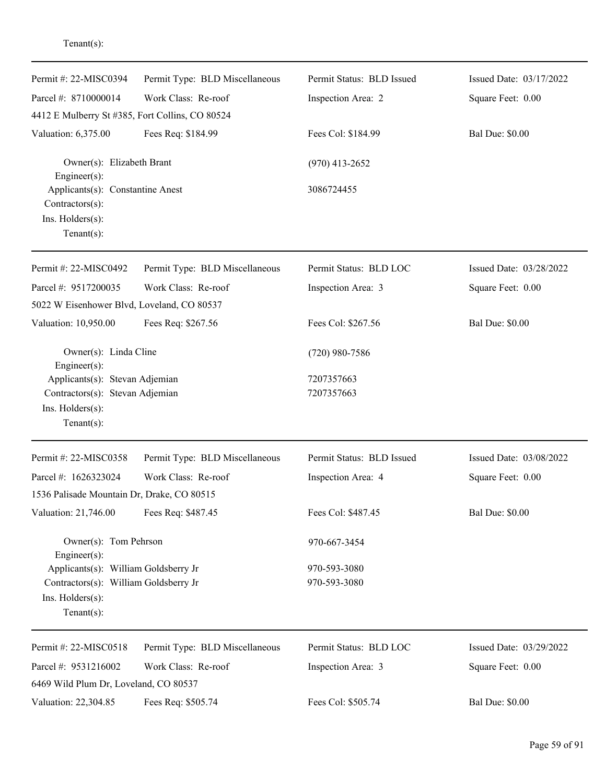| Permit #: 22-MISC0394                                                                            | Permit Type: BLD Miscellaneous | Permit Status: BLD Issued | Issued Date: 03/17/2022 |
|--------------------------------------------------------------------------------------------------|--------------------------------|---------------------------|-------------------------|
| Parcel #: 8710000014<br>4412 E Mulberry St #385, Fort Collins, CO 80524                          | Work Class: Re-roof            | Inspection Area: 2        | Square Feet: 0.00       |
| Valuation: 6,375.00                                                                              | Fees Req: \$184.99             | Fees Col: \$184.99        | <b>Bal Due: \$0.00</b>  |
| Owner(s): Elizabeth Brant<br>Engineer(s):                                                        |                                | $(970)$ 413-2652          |                         |
| Applicants(s): Constantine Anest<br>Contractors(s):<br>Ins. $H$ olders $(s)$ :<br>Tenant $(s)$ : |                                | 3086724455                |                         |
| Permit #: 22-MISC0492                                                                            | Permit Type: BLD Miscellaneous | Permit Status: BLD LOC    | Issued Date: 03/28/2022 |
| Parcel #: 9517200035                                                                             | Work Class: Re-roof            | Inspection Area: 3        | Square Feet: 0.00       |
| 5022 W Eisenhower Blvd, Loveland, CO 80537                                                       |                                |                           |                         |
| Valuation: 10,950.00                                                                             | Fees Req: \$267.56             | Fees Col: \$267.56        | <b>Bal Due: \$0.00</b>  |
| Owner(s): Linda Cline<br>Engineer(s):                                                            |                                | $(720)$ 980-7586          |                         |
| Applicants(s): Stevan Adjemian                                                                   |                                | 7207357663                |                         |
| Contractors(s): Stevan Adjemian                                                                  |                                | 7207357663                |                         |
| Ins. Holders(s):                                                                                 |                                |                           |                         |
| $Tenant(s)$ :                                                                                    |                                |                           |                         |
| Permit #: 22-MISC0358                                                                            | Permit Type: BLD Miscellaneous | Permit Status: BLD Issued | Issued Date: 03/08/2022 |
| Parcel #: 1626323024                                                                             | Work Class: Re-roof            | Inspection Area: 4        | Square Feet: 0.00       |
| 1536 Palisade Mountain Dr, Drake, CO 80515                                                       |                                |                           |                         |
| Valuation: 21,746.00                                                                             | Fees Req: \$487.45             | Fees Col: \$487.45        | <b>Bal Due: \$0.00</b>  |
| Owner(s): Tom Pehrson<br>Engineer(s):                                                            |                                | 970-667-3454              |                         |
| Applicants(s): William Goldsberry Jr                                                             |                                | 970-593-3080              |                         |
| Contractors(s): William Goldsberry Jr                                                            |                                | 970-593-3080              |                         |
| Ins. Holders(s):                                                                                 |                                |                           |                         |
| $Tenant(s)$ :                                                                                    |                                |                           |                         |
| Permit #: 22-MISC0518                                                                            | Permit Type: BLD Miscellaneous | Permit Status: BLD LOC    | Issued Date: 03/29/2022 |
| Parcel #: 9531216002                                                                             | Work Class: Re-roof            | Inspection Area: 3        | Square Feet: 0.00       |
| 6469 Wild Plum Dr, Loveland, CO 80537                                                            |                                |                           |                         |
| Valuation: 22,304.85                                                                             | Fees Req: \$505.74             | Fees Col: \$505.74        | <b>Bal Due: \$0.00</b>  |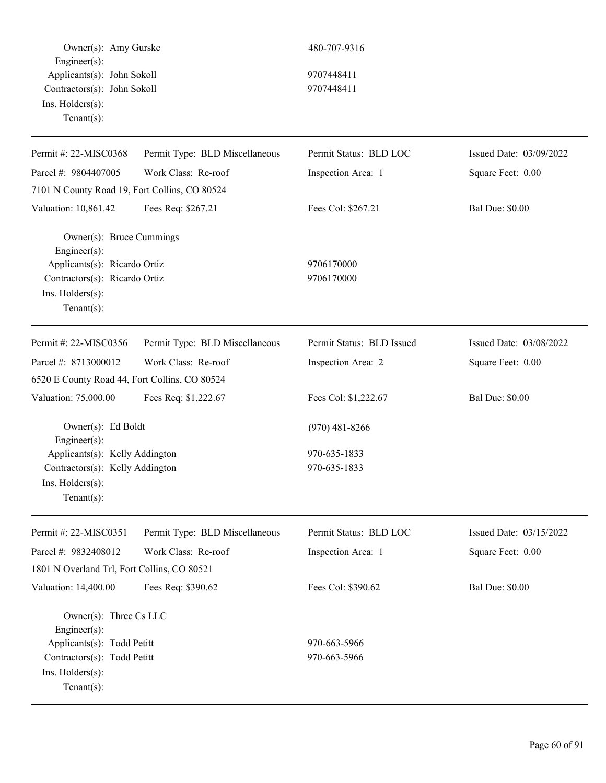Owner(s): Amy Gurske 480-707-9316 Engineer(s): Applicants(s): John Sokoll 9707448411 Contractors(s): John Sokoll 9707448411 Ins. Holders(s): Tenant(s): Permit #: 22-MISC0368 Parcel #: 9804407005 Permit Type: BLD Miscellaneous Work Class: Re-roof Permit Status: BLD LOC Inspection Area: 1 7101 N County Road 19, Fort Collins, CO 80524 Valuation: 10,861.42 Fees Req: \$267.21 Fees Col: \$267.21 Bal Due: \$0.00 Owner(s): Bruce Cummings Engineer(s): Applicants(s): Ricardo Ortiz 9706170000 Contractors(s): Ricardo Ortiz 9706170000 Ins. Holders(s): Tenant(s): Permit #: 22-MISC0356 Permit Type: BLD Miscellaneous Permit Status: BLD Issued

Work Class: Re-roof

Parcel #: 8713000012

Engineer(s):

Ins. Holders(s): Tenant(s):

6520 E County Road 44, Fort Collins, CO 80524

Issued Date: 03/08/2022 Square Feet: 0.00

Issued Date: 03/09/2022

Square Feet: 0.00

Valuation: 75,000.00 Fees Req: \$1,222.67 Fees Col: \$1,222.67 Bal Due: \$0.00

Inspection Area: 2

Owner(s): Ed Boldt (970) 481-8266 Applicants(s): Kelly Addington 970-635-1833

Contractors(s): Kelly Addington 970-635-1833

| Permit #: $22-MISCO351$                        | Permit Type: BLD Miscellaneous | Permit Status: BLD LOC | Issued Date: $03/15/2022$ |
|------------------------------------------------|--------------------------------|------------------------|---------------------------|
| Parcel #: $9832408012$                         | Work Class: Re-roof            | Inspection Area: 1     | Square Feet: 0.00         |
| 1801 N Overland Trl, Fort Collins, CO 80521    |                                |                        |                           |
| Valuation: 14,400.00                           | Fees Req: \$390.62             | Fees Col: \$390.62     | <b>Bal Due: \$0.00</b>    |
| Owner(s): Three $Cs$ LLC<br>$Engineering(s)$ : |                                |                        |                           |
| Applicants(s): Todd Petitt                     |                                | 970-663-5966           |                           |
| Contractors(s): Todd Petitt                    |                                | 970-663-5966           |                           |
| $Ins.$ Holders $(s)$ :<br>Tenant $(s)$ :       |                                |                        |                           |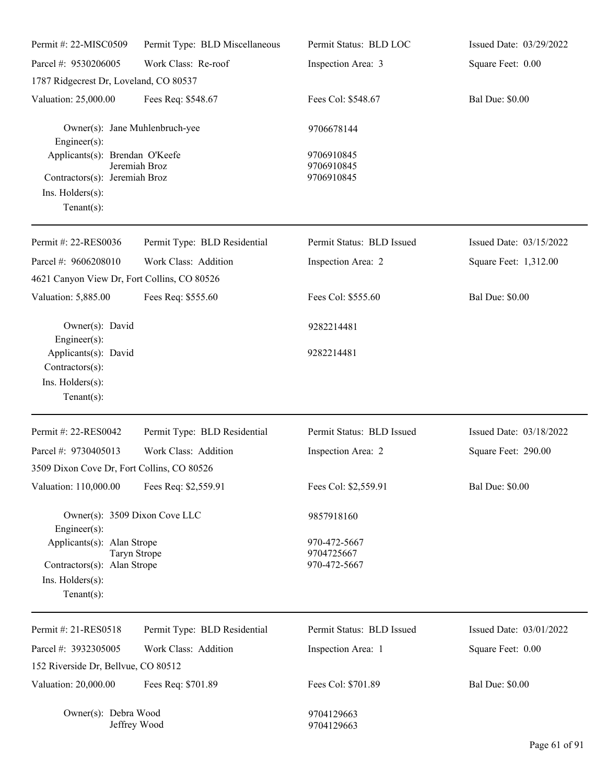| Permit #: 22-MISC0509                                                                                                 | Permit Type: BLD Miscellaneous | Permit Status: BLD LOC                     | Issued Date: 03/29/2022 |
|-----------------------------------------------------------------------------------------------------------------------|--------------------------------|--------------------------------------------|-------------------------|
| Parcel #: 9530206005                                                                                                  | Work Class: Re-roof            | Inspection Area: 3                         | Square Feet: 0.00       |
| 1787 Ridgecrest Dr, Loveland, CO 80537                                                                                |                                |                                            |                         |
| Valuation: 25,000.00                                                                                                  | Fees Req: \$548.67             | Fees Col: \$548.67                         | <b>Bal Due: \$0.00</b>  |
| Owner(s): Jane Muhlenbruch-yee<br>$Engineering(s)$ :                                                                  |                                | 9706678144                                 |                         |
| Applicants(s): Brendan O'Keefe<br>Contractors(s): Jeremiah Broz<br>Ins. Holders(s):<br>Tenant $(s)$ :                 | Jeremiah Broz                  | 9706910845<br>9706910845<br>9706910845     |                         |
| Permit #: 22-RES0036                                                                                                  | Permit Type: BLD Residential   | Permit Status: BLD Issued                  | Issued Date: 03/15/2022 |
| Parcel #: 9606208010                                                                                                  | Work Class: Addition           | Inspection Area: 2                         | Square Feet: 1,312.00   |
| 4621 Canyon View Dr, Fort Collins, CO 80526                                                                           |                                |                                            |                         |
| Valuation: 5,885.00                                                                                                   | Fees Req: \$555.60             | Fees Col: \$555.60                         | <b>Bal Due: \$0.00</b>  |
| Owner(s): David<br>$Engineering(s)$ :                                                                                 |                                | 9282214481                                 |                         |
| Applicants(s): David<br>Contractors(s):<br>Ins. Holders(s):<br>Tenant $(s)$ :                                         |                                | 9282214481                                 |                         |
| Permit #: 22-RES0042                                                                                                  | Permit Type: BLD Residential   | Permit Status: BLD Issued                  | Issued Date: 03/18/2022 |
| Parcel #: 9730405013                                                                                                  | Work Class: Addition           | Inspection Area: 2                         | Square Feet: 290.00     |
| 3509 Dixon Cove Dr, Fort Collins, CO 80526                                                                            |                                |                                            |                         |
| Valuation: 110,000.00                                                                                                 | Fees Req: \$2,559.91           | Fees Col: \$2,559.91                       | <b>Bal Due: \$0.00</b>  |
| Owner(s): 3509 Dixon Cove LLC<br>Engineer(s):                                                                         |                                | 9857918160                                 |                         |
| Applicants(s): Alan Strope<br>Taryn Strope<br>Contractors(s): Alan Strope<br>$Ins.$ Holders $(s)$ :<br>Tenant $(s)$ : |                                | 970-472-5667<br>9704725667<br>970-472-5667 |                         |
| Permit #: 21-RES0518                                                                                                  | Permit Type: BLD Residential   | Permit Status: BLD Issued                  | Issued Date: 03/01/2022 |
| Parcel #: 3932305005                                                                                                  | Work Class: Addition           | Inspection Area: 1                         | Square Feet: 0.00       |
| 152 Riverside Dr, Bellvue, CO 80512                                                                                   |                                |                                            |                         |
| Valuation: 20,000.00                                                                                                  | Fees Req: \$701.89             | Fees Col: \$701.89                         | <b>Bal Due: \$0.00</b>  |
| Owner(s): Debra Wood<br>Jeffrey Wood                                                                                  |                                | 9704129663<br>9704129663                   |                         |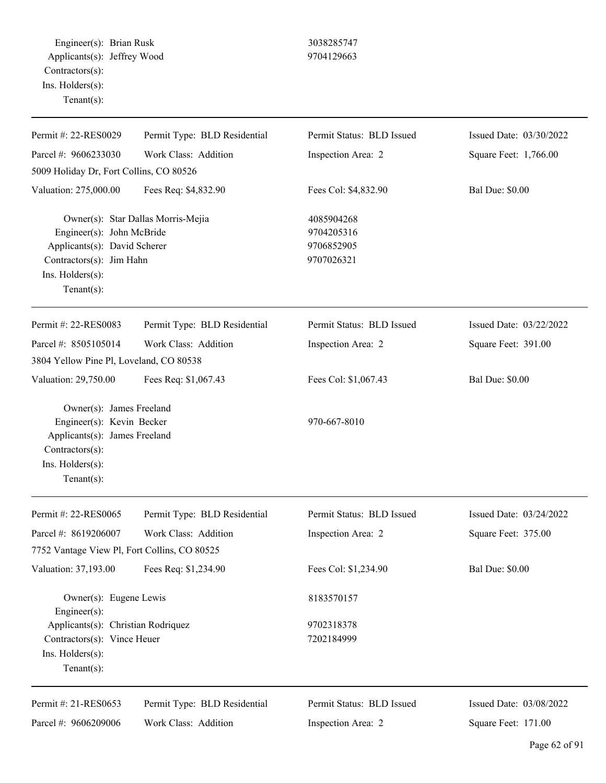Engineer(s): Brian Rusk 3038285747 Applicants(s): Jeffrey Wood 9704129663 Contractors(s): Ins. Holders(s): Tenant(s):

| Permit #: 22-RES0029                                                                                                                            | Permit Type: BLD Residential       | Permit Status: BLD Issued                            | Issued Date: 03/30/2022 |
|-------------------------------------------------------------------------------------------------------------------------------------------------|------------------------------------|------------------------------------------------------|-------------------------|
| Parcel #: 9606233030                                                                                                                            | Work Class: Addition               | Inspection Area: 2                                   | Square Feet: 1,766.00   |
| 5009 Holiday Dr, Fort Collins, CO 80526                                                                                                         |                                    |                                                      |                         |
| Valuation: 275,000.00                                                                                                                           | Fees Req: \$4,832.90               | Fees Col: \$4,832.90                                 | <b>Bal Due: \$0.00</b>  |
| Engineer(s): John McBride<br>Applicants(s): David Scherer<br>Contractors(s): Jim Hahn<br>Ins. Holders(s):<br>Tenant $(s)$ :                     | Owner(s): Star Dallas Morris-Mejia | 4085904268<br>9704205316<br>9706852905<br>9707026321 |                         |
| Permit #: 22-RES0083                                                                                                                            | Permit Type: BLD Residential       | Permit Status: BLD Issued                            | Issued Date: 03/22/2022 |
| Parcel #: 8505105014                                                                                                                            | Work Class: Addition               | Inspection Area: 2                                   | Square Feet: 391.00     |
| 3804 Yellow Pine Pl, Loveland, CO 80538                                                                                                         |                                    |                                                      |                         |
| Valuation: 29,750.00                                                                                                                            | Fees Req: \$1,067.43               | Fees Col: \$1,067.43                                 | <b>Bal Due: \$0.00</b>  |
| Owner(s): James Freeland<br>Engineer(s): Kevin Becker<br>Applicants(s): James Freeland<br>Contractors(s):<br>Ins. Holders(s):<br>Tenant $(s)$ : |                                    | 970-667-8010                                         |                         |
| Permit #: 22-RES0065                                                                                                                            | Permit Type: BLD Residential       | Permit Status: BLD Issued                            | Issued Date: 03/24/2022 |
| Parcel #: 8619206007                                                                                                                            | Work Class: Addition               | Inspection Area: 2                                   | Square Feet: 375.00     |
| 7752 Vantage View Pl, Fort Collins, CO 80525                                                                                                    |                                    |                                                      |                         |
| Valuation: 37,193.00                                                                                                                            | Fees Req: \$1,234.90               | Fees Col: \$1,234.90                                 | <b>Bal Due: \$0.00</b>  |
| Owner(s): Eugene Lewis<br>$Engineering(s)$ :                                                                                                    |                                    | 8183570157                                           |                         |
| Applicants(s): Christian Rodriquez                                                                                                              |                                    | 9702318378                                           |                         |
| Contractors(s): Vince Heuer                                                                                                                     |                                    | 7202184999                                           |                         |
| Ins. Holders(s):<br>Tenant $(s)$ :                                                                                                              |                                    |                                                      |                         |
| Permit #: 21-RES0653                                                                                                                            | Permit Type: BLD Residential       | Permit Status: BLD Issued                            | Issued Date: 03/08/2022 |
| Parcel #: 9606209006                                                                                                                            | Work Class: Addition               | Inspection Area: 2                                   | Square Feet: 171.00     |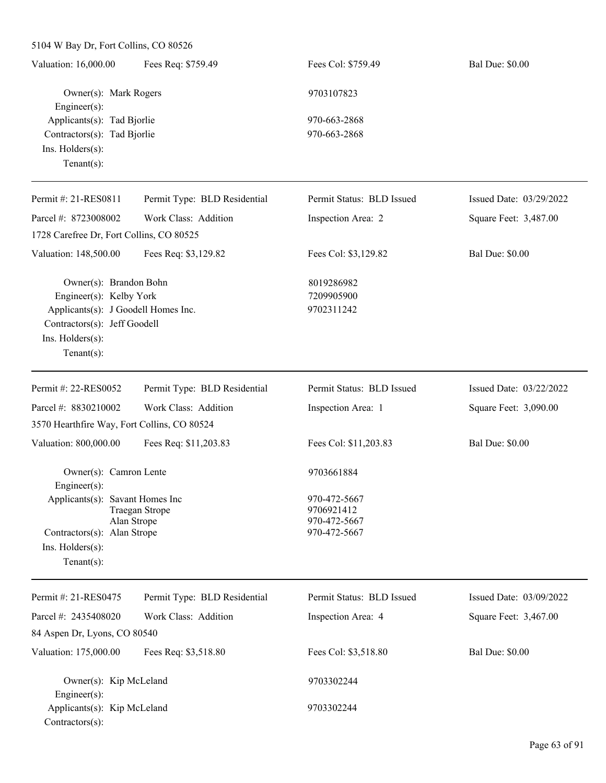5104 W Bay Dr, Fort Collins, CO 80526 Valuation: 16,000.00 Fees Req: \$759.49 Fees Col: \$759.49 Bal Due: \$0.00 Owner(s): Mark Rogers 9703107823 Engineer(s): Applicants(s): Tad Bjorlie 970-663-2868 Contractors(s): Tad Bjorlie 970-663-2868 Ins. Holders(s): Tenant(s): Permit #: 21-RES0811 Parcel #: 8723008002 Permit Type: BLD Residential Work Class: Addition Permit Status: BLD Issued Inspection Area: 2 Issued Date: 03/29/2022 Square Feet: 3,487.00 1728 Carefree Dr, Fort Collins, CO 80525 Valuation: 148,500.00 Fees Req: \$3,129.82 Fees Col: \$3,129.82 Bal Due: \$0.00 Owner(s): Brandon Bohn 8019286982 Engineer(s): Kelby York 7209905900 Applicants(s): J Goodell Homes Inc. 9702311242 Contractors(s): Jeff Goodell Ins. Holders(s): Tenant(s): Permit #: 22-RES0052 Parcel #: 8830210002 Permit Type: BLD Residential Work Class: Addition Permit Status: BLD Issued Inspection Area: 1 Issued Date: 03/22/2022 Square Feet: 3,090.00 3570 Hearthfire Way, Fort Collins, CO 80524 Valuation: 800,000.00 Fees Req: \$11,203.83 Fees Col: \$11,203.83 Bal Due: \$0.00 Owner(s): Camron Lente 9703661884 Engineer(s): Applicants(s): Savant Homes Inc 970-472-5667 Traegan Strope 9706921412 Alan Strope 970-472-5667 Contractors(s): Alan Strope 970-472-5667 Ins. Holders(s): Tenant(s): Permit #: 21-RES0475 Parcel #: 2435408020 Permit Type: BLD Residential Work Class: Addition Permit Status: BLD Issued Inspection Area: 4 Issued Date: 03/09/2022 Square Feet: 3,467.00 84 Aspen Dr, Lyons, CO 80540 Valuation: 175,000.00 Fees Req: \$3,518.80 Fees Col: \$3,518.80 Bal Due: \$0.00 Owner(s): Kip McLeland 9703302244 Engineer(s): Applicants(s): Kip McLeland 9703302244 Contractors(s):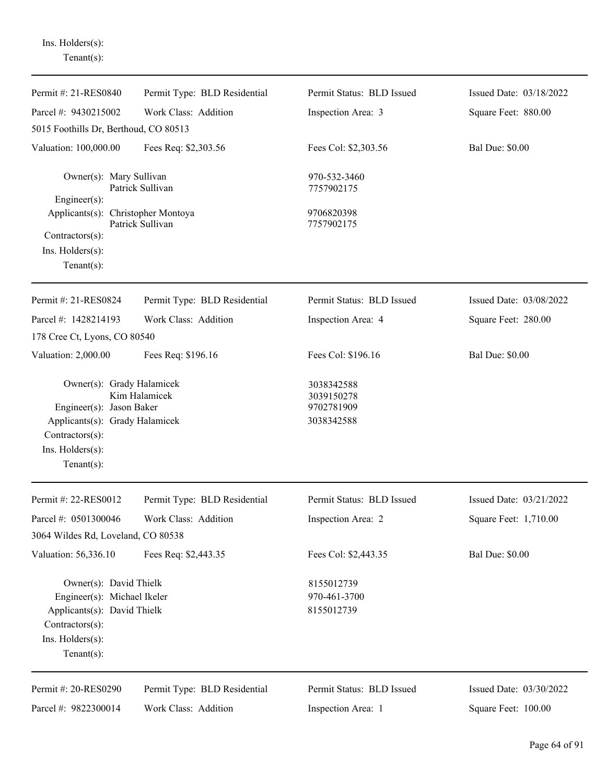Ins. Holders(s): Tenant(s):

| Permit #: 21-RES0840                                                                                                                             | Permit Type: BLD Residential | Permit Status: BLD Issued                              | Issued Date: 03/18/2022 |
|--------------------------------------------------------------------------------------------------------------------------------------------------|------------------------------|--------------------------------------------------------|-------------------------|
| Parcel #: 9430215002                                                                                                                             | Work Class: Addition         | Inspection Area: 3                                     | Square Feet: 880.00     |
| 5015 Foothills Dr, Berthoud, CO 80513                                                                                                            |                              |                                                        |                         |
| Valuation: 100,000.00                                                                                                                            | Fees Req: \$2,303.56         | Fees Col: \$2,303.56                                   | <b>Bal Due: \$0.00</b>  |
| Owner(s): Mary Sullivan<br>Patrick Sullivan<br>Engineer(s):<br>Applicants(s): Christopher Montoya<br>Patrick Sullivan                            |                              | 970-532-3460<br>7757902175<br>9706820398<br>7757902175 |                         |
| Contractors(s):<br>$Ins.$ Holders $(s)$ :<br>Tenant $(s)$ :                                                                                      |                              |                                                        |                         |
| Permit #: 21-RES0824                                                                                                                             | Permit Type: BLD Residential | Permit Status: BLD Issued                              | Issued Date: 03/08/2022 |
| Parcel #: 1428214193                                                                                                                             | Work Class: Addition         | Inspection Area: 4                                     | Square Feet: 280.00     |
| 178 Cree Ct, Lyons, CO 80540                                                                                                                     |                              |                                                        |                         |
| Valuation: 2,000.00                                                                                                                              | Fees Req: \$196.16           | Fees Col: \$196.16                                     | <b>Bal Due: \$0.00</b>  |
| Owner(s): Grady Halamicek<br>Engineer(s): Jason Baker<br>Applicants(s): Grady Halamicek<br>Contractors(s):<br>Ins. Holders(s):<br>Tenant $(s)$ : | Kim Halamicek                | 3038342588<br>3039150278<br>9702781909<br>3038342588   |                         |
| Permit #: 22-RES0012                                                                                                                             | Permit Type: BLD Residential | Permit Status: BLD Issued                              | Issued Date: 03/21/2022 |
| Parcel #: 0501300046                                                                                                                             | Work Class: Addition         | Inspection Area: 2                                     | Square Feet: 1,710.00   |
| 3064 Wildes Rd, Loveland, CO 80538                                                                                                               |                              |                                                        |                         |
| Valuation: 56,336.10                                                                                                                             | Fees Req: \$2,443.35         | Fees Col: \$2,443.35                                   | <b>Bal Due: \$0.00</b>  |
| Owner(s): David Thielk<br>Engineer(s): Michael Ikeler<br>Applicants(s): David Thielk<br>Contractors(s):<br>Ins. Holders(s):<br>Tenant $(s)$ :    |                              | 8155012739<br>970-461-3700<br>8155012739               |                         |
| Permit #: 20-RES0290                                                                                                                             | Permit Type: BLD Residential | Permit Status: BLD Issued                              | Issued Date: 03/30/2022 |
| Parcel #: 9822300014                                                                                                                             | Work Class: Addition         | Inspection Area: 1                                     | Square Feet: 100.00     |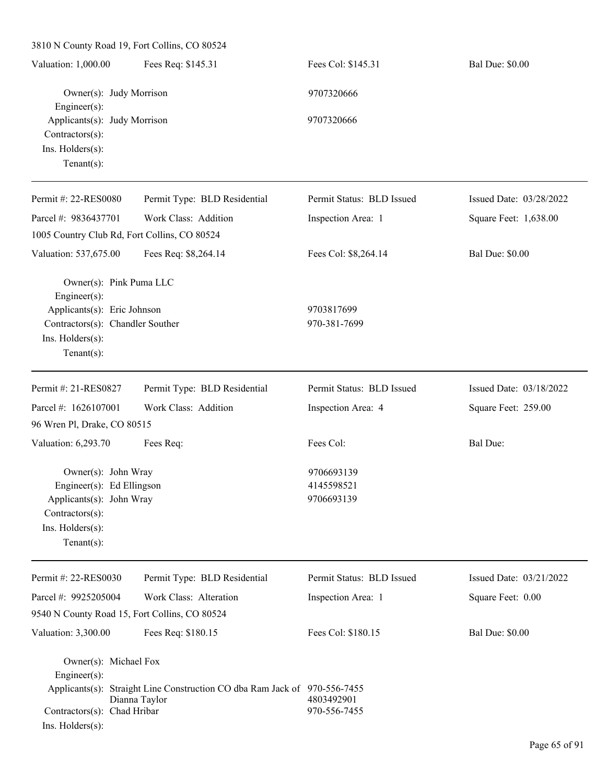| 3810 N County Road 19, Fort Collins, CO 80524                                                                                         |                                                                                            |                                        |                         |
|---------------------------------------------------------------------------------------------------------------------------------------|--------------------------------------------------------------------------------------------|----------------------------------------|-------------------------|
| Valuation: 1,000.00                                                                                                                   | Fees Req: \$145.31                                                                         | Fees Col: \$145.31                     | <b>Bal Due: \$0.00</b>  |
| Owner(s): Judy Morrison<br>$Engineering(s)$ :                                                                                         |                                                                                            | 9707320666                             |                         |
| Applicants(s): Judy Morrison<br>$Contractors(s)$ :<br>Ins. Holders(s):<br>Tenant $(s)$ :                                              |                                                                                            | 9707320666                             |                         |
| Permit #: 22-RES0080                                                                                                                  | Permit Type: BLD Residential                                                               | Permit Status: BLD Issued              | Issued Date: 03/28/2022 |
| Parcel #: 9836437701                                                                                                                  | Work Class: Addition                                                                       | Inspection Area: 1                     | Square Feet: 1,638.00   |
| 1005 Country Club Rd, Fort Collins, CO 80524                                                                                          |                                                                                            |                                        |                         |
| Valuation: 537,675.00                                                                                                                 | Fees Req: \$8,264.14                                                                       | Fees Col: \$8,264.14                   | <b>Bal Due: \$0.00</b>  |
| Owner(s): Pink Puma LLC<br>Engineer $(s)$ :<br>Applicants(s): Eric Johnson                                                            |                                                                                            | 9703817699                             |                         |
| Contractors(s): Chandler Souther<br>Ins. Holders(s):<br>Tenant $(s)$ :                                                                |                                                                                            | 970-381-7699                           |                         |
| Permit #: 21-RES0827                                                                                                                  | Permit Type: BLD Residential                                                               | Permit Status: BLD Issued              | Issued Date: 03/18/2022 |
| Parcel #: 1626107001                                                                                                                  | Work Class: Addition                                                                       | Inspection Area: 4                     | Square Feet: 259.00     |
| 96 Wren Pl, Drake, CO 80515                                                                                                           |                                                                                            |                                        |                         |
| Valuation: 6,293.70                                                                                                                   | Fees Req:                                                                                  | Fees Col:                              | <b>Bal Due:</b>         |
| Owner(s): John Wray<br>Engineer(s): Ed Ellingson<br>Applicants(s): John Wray<br>Contractors(s):<br>Ins. Holders(s):<br>Tenant $(s)$ : |                                                                                            | 9706693139<br>4145598521<br>9706693139 |                         |
| Permit #: 22-RES0030                                                                                                                  | Permit Type: BLD Residential                                                               | Permit Status: BLD Issued              | Issued Date: 03/21/2022 |
| Parcel #: 9925205004                                                                                                                  | Work Class: Alteration                                                                     | Inspection Area: 1                     | Square Feet: 0.00       |
| 9540 N County Road 15, Fort Collins, CO 80524                                                                                         |                                                                                            |                                        |                         |
| Valuation: 3,300.00                                                                                                                   | Fees Req: \$180.15                                                                         | Fees Col: \$180.15                     | <b>Bal Due: \$0.00</b>  |
| Owner(s): Michael Fox<br>$Engineering(s)$ :<br>Contractors(s): Chad Hribar<br>Ins. Holders(s):                                        | Applicants(s): Straight Line Construction CO dba Ram Jack of 970-556-7455<br>Dianna Taylor | 4803492901<br>970-556-7455             |                         |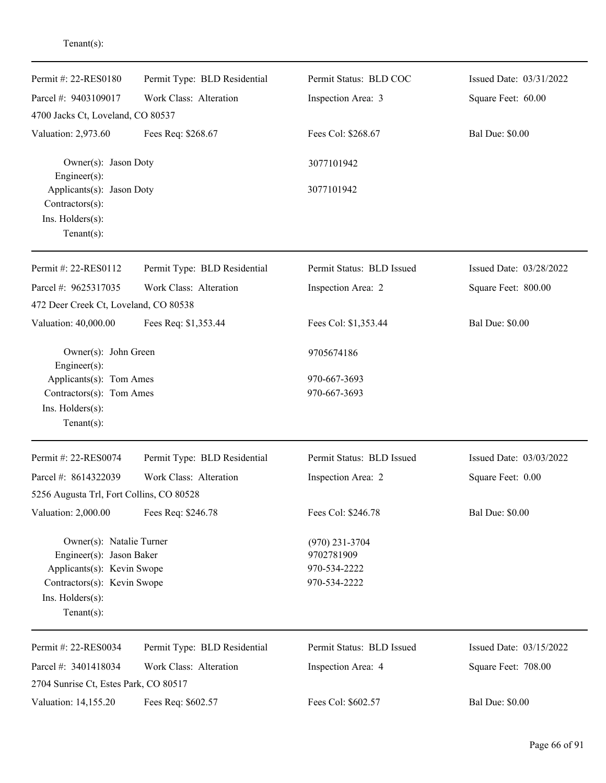| Permit #: 22-RES0180                         | Permit Type: BLD Residential | Permit Status: BLD COC    | Issued Date: 03/31/2022 |
|----------------------------------------------|------------------------------|---------------------------|-------------------------|
| Parcel #: 9403109017                         | Work Class: Alteration       | Inspection Area: 3        | Square Feet: 60.00      |
| 4700 Jacks Ct, Loveland, CO 80537            |                              |                           |                         |
| Valuation: 2,973.60                          | Fees Req: \$268.67           | Fees Col: \$268.67        | <b>Bal Due: \$0.00</b>  |
| Owner(s): Jason Doty<br>$Engineering(s)$ :   |                              | 3077101942                |                         |
| Applicants(s): Jason Doty<br>Contractors(s): |                              | 3077101942                |                         |
| Ins. Holders(s):                             |                              |                           |                         |
| Tenant $(s)$ :                               |                              |                           |                         |
| Permit #: 22-RES0112                         | Permit Type: BLD Residential | Permit Status: BLD Issued | Issued Date: 03/28/2022 |
| Parcel #: 9625317035                         | Work Class: Alteration       | Inspection Area: 2        | Square Feet: 800.00     |
| 472 Deer Creek Ct, Loveland, CO 80538        |                              |                           |                         |
| Valuation: 40,000.00                         | Fees Req: \$1,353.44         | Fees Col: \$1,353.44      | <b>Bal Due: \$0.00</b>  |
| Owner(s): John Green<br>$Engineering(s)$ :   |                              | 9705674186                |                         |
| Applicants(s): Tom Ames                      |                              | 970-667-3693              |                         |
| Contractors(s): Tom Ames                     |                              | 970-667-3693              |                         |
| Ins. Holders(s):                             |                              |                           |                         |
| Tenant $(s)$ :                               |                              |                           |                         |
| Permit #: 22-RES0074                         | Permit Type: BLD Residential | Permit Status: BLD Issued | Issued Date: 03/03/2022 |
| Parcel #: 8614322039                         | Work Class: Alteration       | Inspection Area: 2        | Square Feet: 0.00       |
| 5256 Augusta Trl, Fort Collins, CO 80528     |                              |                           |                         |
| Valuation: 2,000.00                          | Fees Req: \$246.78           | Fees Col: \$246.78        | <b>Bal Due: \$0.00</b>  |
| Owner(s): Natalie Turner                     |                              | $(970)$ 231-3704          |                         |
| Engineer(s): Jason Baker                     |                              | 9702781909                |                         |
| Applicants(s): Kevin Swope                   |                              | 970-534-2222              |                         |
| Contractors(s): Kevin Swope                  |                              | 970-534-2222              |                         |
| Ins. Holders(s):                             |                              |                           |                         |
| Tenant $(s)$ :                               |                              |                           |                         |
| Permit #: 22-RES0034                         | Permit Type: BLD Residential | Permit Status: BLD Issued | Issued Date: 03/15/2022 |
| Parcel #: 3401418034                         | Work Class: Alteration       | Inspection Area: 4        | Square Feet: 708.00     |
| 2704 Sunrise Ct, Estes Park, CO 80517        |                              |                           |                         |
| Valuation: 14,155.20                         | Fees Req: \$602.57           | Fees Col: \$602.57        | <b>Bal Due: \$0.00</b>  |

Tenant(s):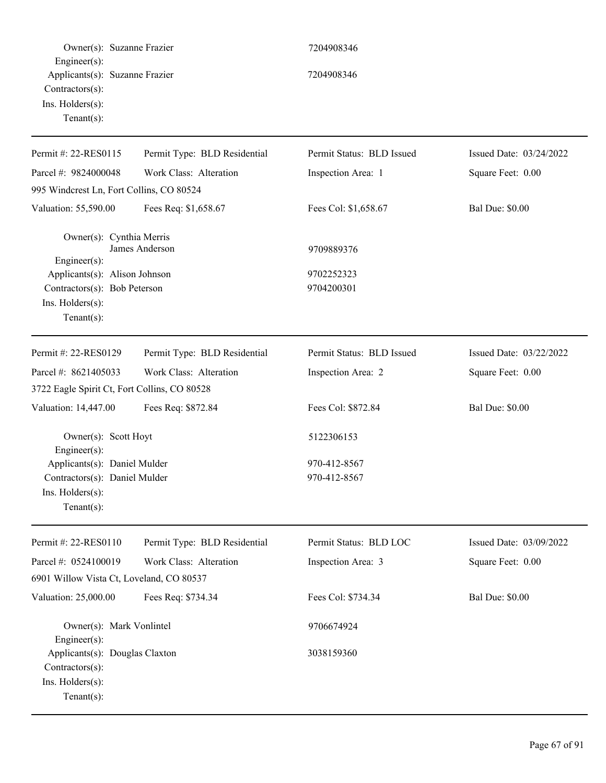| Owner(s): Suzanne Frazier                                                                                     |                              | 7204908346                |                         |
|---------------------------------------------------------------------------------------------------------------|------------------------------|---------------------------|-------------------------|
| $Engineering(s)$ :<br>Applicants(s): Suzanne Frazier<br>Contractors(s):<br>Ins. Holders(s):<br>Tenant $(s)$ : |                              | 7204908346                |                         |
| Permit #: 22-RES0115                                                                                          | Permit Type: BLD Residential | Permit Status: BLD Issued | Issued Date: 03/24/2022 |
| Parcel #: 9824000048                                                                                          | Work Class: Alteration       | Inspection Area: 1        | Square Feet: 0.00       |
| 995 Windcrest Ln, Fort Collins, CO 80524                                                                      |                              |                           |                         |
| Valuation: 55,590.00                                                                                          | Fees Req: \$1,658.67         | Fees Col: \$1,658.67      | <b>Bal Due: \$0.00</b>  |
| Owner(s): Cynthia Merris<br>Engineer(s):                                                                      | James Anderson               | 9709889376                |                         |
| Applicants(s): Alison Johnson<br>Contractors(s): Bob Peterson<br>Ins. Holders(s):<br>Tenant $(s)$ :           |                              | 9702252323<br>9704200301  |                         |
| Permit #: 22-RES0129                                                                                          | Permit Type: BLD Residential | Permit Status: BLD Issued | Issued Date: 03/22/2022 |
| Parcel #: 8621405033                                                                                          | Work Class: Alteration       | Inspection Area: 2        | Square Feet: 0.00       |
| 3722 Eagle Spirit Ct, Fort Collins, CO 80528                                                                  |                              |                           |                         |
| Valuation: 14,447.00                                                                                          | Fees Req: \$872.84           | Fees Col: \$872.84        | <b>Bal Due: \$0.00</b>  |
| Owner(s): Scott Hoyt<br>Engineer(s):                                                                          |                              | 5122306153                |                         |
| Applicants(s): Daniel Mulder                                                                                  |                              | 970-412-8567              |                         |
| Contractors(s): Daniel Mulder<br>$Ins.$ Holders $(s)$ :<br>$Tenant(s)$ :                                      |                              | 970-412-8567              |                         |
| Permit #: 22-RES0110                                                                                          | Permit Type: BLD Residential | Permit Status: BLD LOC    | Issued Date: 03/09/2022 |
| Parcel #: 0524100019                                                                                          | Work Class: Alteration       | Inspection Area: 3        | Square Feet: 0.00       |
| 6901 Willow Vista Ct, Loveland, CO 80537                                                                      |                              |                           |                         |
| Valuation: 25,000.00                                                                                          | Fees Req: \$734.34           | Fees Col: \$734.34        | <b>Bal Due: \$0.00</b>  |
| Owner(s): Mark Vonlintel<br>Engineer(s):                                                                      |                              | 9706674924                |                         |
| Applicants(s): Douglas Claxton<br>Contractors(s):<br>Ins. Holders(s):<br>$Tenant(s)$ :                        |                              | 3038159360                |                         |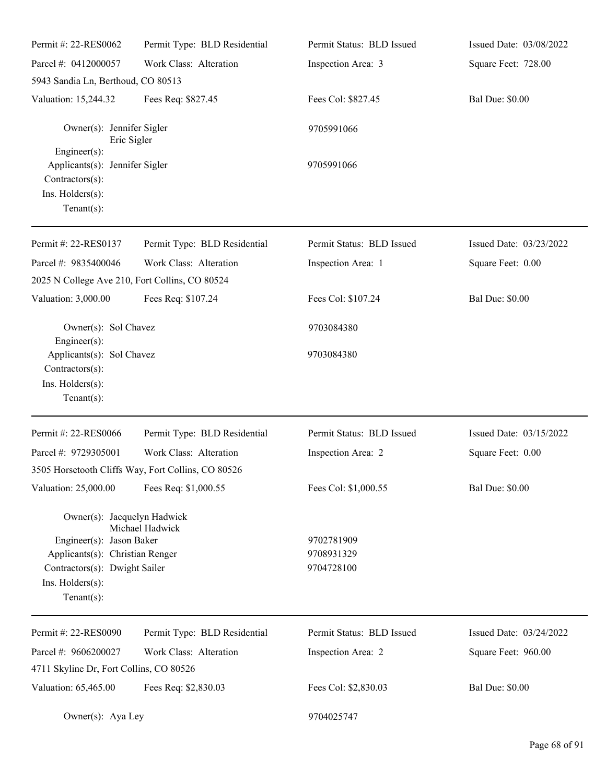| Permit #: 22-RES0062                                                                                                                                              | Permit Type: BLD Residential                       | Permit Status: BLD Issued              | Issued Date: 03/08/2022 |
|-------------------------------------------------------------------------------------------------------------------------------------------------------------------|----------------------------------------------------|----------------------------------------|-------------------------|
| Parcel #: 0412000057                                                                                                                                              | Work Class: Alteration                             | Inspection Area: 3                     | Square Feet: 728.00     |
| 5943 Sandia Ln, Berthoud, CO 80513                                                                                                                                |                                                    |                                        |                         |
| Valuation: 15,244.32                                                                                                                                              | Fees Req: \$827.45                                 | Fees Col: \$827.45                     | <b>Bal Due: \$0.00</b>  |
| Owner(s): Jennifer Sigler<br>Eric Sigler                                                                                                                          |                                                    | 9705991066                             |                         |
| $Engineering(s)$ :<br>Applicants(s): Jennifer Sigler<br>Contractors(s):<br>Ins. Holders(s):<br>Tenant $(s)$ :                                                     |                                                    | 9705991066                             |                         |
| Permit #: 22-RES0137                                                                                                                                              | Permit Type: BLD Residential                       | Permit Status: BLD Issued              | Issued Date: 03/23/2022 |
| Parcel #: 9835400046                                                                                                                                              | Work Class: Alteration                             | Inspection Area: 1                     | Square Feet: 0.00       |
| 2025 N College Ave 210, Fort Collins, CO 80524                                                                                                                    |                                                    |                                        |                         |
| Valuation: 3,000.00                                                                                                                                               | Fees Req: \$107.24                                 | Fees Col: \$107.24                     | <b>Bal Due: \$0.00</b>  |
| Owner(s): Sol Chavez<br>Engineer(s):                                                                                                                              |                                                    | 9703084380                             |                         |
| Applicants(s): Sol Chavez<br>Contractors(s):<br>Ins. Holders(s):<br>Tenant $(s)$ :                                                                                |                                                    | 9703084380                             |                         |
| Permit #: 22-RES0066                                                                                                                                              | Permit Type: BLD Residential                       | Permit Status: BLD Issued              | Issued Date: 03/15/2022 |
| Parcel #: 9729305001                                                                                                                                              | Work Class: Alteration                             | Inspection Area: 2                     | Square Feet: 0.00       |
|                                                                                                                                                                   | 3505 Horsetooth Cliffs Way, Fort Collins, CO 80526 |                                        |                         |
| Valuation: 25,000.00                                                                                                                                              | Fees Req: \$1,000.55                               | Fees Col: \$1,000.55                   | <b>Bal Due: \$0.00</b>  |
| Owner(s): Jacquelyn Hadwick<br>Engineer(s): Jason Baker<br>Applicants(s): Christian Renger<br>Contractors(s): Dwight Sailer<br>Ins. Holders(s):<br>Tenant $(s)$ : | Michael Hadwick                                    | 9702781909<br>9708931329<br>9704728100 |                         |
| Permit #: 22-RES0090                                                                                                                                              | Permit Type: BLD Residential                       | Permit Status: BLD Issued              | Issued Date: 03/24/2022 |
| Parcel #: 9606200027                                                                                                                                              | Work Class: Alteration                             | Inspection Area: 2                     | Square Feet: 960.00     |
| 4711 Skyline Dr, Fort Collins, CO 80526                                                                                                                           |                                                    |                                        |                         |
| Valuation: 65,465.00                                                                                                                                              | Fees Req: \$2,830.03                               | Fees Col: \$2,830.03                   | <b>Bal Due: \$0.00</b>  |
| Owner(s): Aya Ley                                                                                                                                                 |                                                    | 9704025747                             |                         |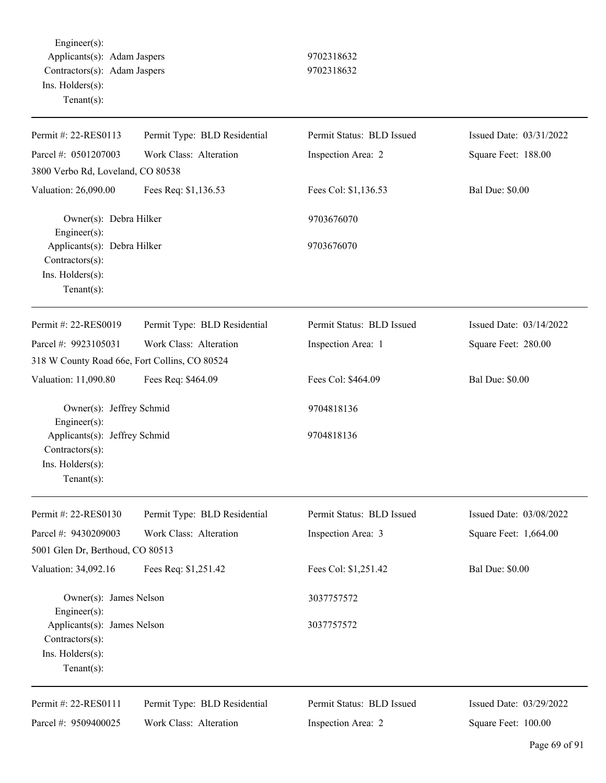Engineer(s): Applicants(s): Adam Jaspers 9702318632 Contractors(s): Adam Jaspers 9702318632 Ins. Holders(s): Tenant(s):

| Permit #: 22-RES0113                                                                 | Permit Type: BLD Residential | Permit Status: BLD Issued | Issued Date: 03/31/2022 |
|--------------------------------------------------------------------------------------|------------------------------|---------------------------|-------------------------|
| Parcel #: 0501207003                                                                 | Work Class: Alteration       | Inspection Area: 2        | Square Feet: 188.00     |
| 3800 Verbo Rd, Loveland, CO 80538                                                    |                              |                           |                         |
| Valuation: 26,090.00                                                                 | Fees Req: \$1,136.53         | Fees Col: \$1,136.53      | <b>Bal Due: \$0.00</b>  |
| Owner(s): Debra Hilker<br>Engineer(s):                                               |                              | 9703676070                |                         |
| Applicants(s): Debra Hilker<br>Contractors(s):<br>Ins. Holders(s):                   |                              | 9703676070                |                         |
| Tenant $(s)$ :                                                                       |                              |                           |                         |
| Permit #: 22-RES0019                                                                 | Permit Type: BLD Residential | Permit Status: BLD Issued | Issued Date: 03/14/2022 |
| Parcel #: 9923105031                                                                 | Work Class: Alteration       | Inspection Area: 1        | Square Feet: 280.00     |
| 318 W County Road 66e, Fort Collins, CO 80524                                        |                              |                           |                         |
| Valuation: 11,090.80                                                                 | Fees Req: \$464.09           | Fees Col: \$464.09        | <b>Bal Due: \$0.00</b>  |
| Owner(s): Jeffrey Schmid<br>Engineer(s):                                             |                              | 9704818136                |                         |
| Applicants(s): Jeffrey Schmid<br>Contractors(s):                                     |                              | 9704818136                |                         |
| Ins. Holders(s):<br>$Tenant(s)$ :                                                    |                              |                           |                         |
| Permit #: 22-RES0130                                                                 | Permit Type: BLD Residential | Permit Status: BLD Issued | Issued Date: 03/08/2022 |
| Parcel #: 9430209003                                                                 | Work Class: Alteration       | Inspection Area: 3        | Square Feet: 1,664.00   |
| 5001 Glen Dr, Berthoud, CO 80513                                                     |                              |                           |                         |
| Valuation: 34,092.16                                                                 | Fees Req: \$1,251.42         | Fees Col: \$1,251.42      | <b>Bal Due: \$0.00</b>  |
| Owner(s): James Nelson<br>Engineer(s):                                               |                              | 3037757572                |                         |
| Applicants(s): James Nelson<br>Contractors(s):<br>Ins. Holders(s):<br>Tenant $(s)$ : |                              | 3037757572                |                         |
| Permit #: 22-RES0111                                                                 | Permit Type: BLD Residential | Permit Status: BLD Issued | Issued Date: 03/29/2022 |
| Parcel #: 9509400025                                                                 | Work Class: Alteration       | Inspection Area: 2        | Square Feet: 100.00     |
|                                                                                      |                              |                           |                         |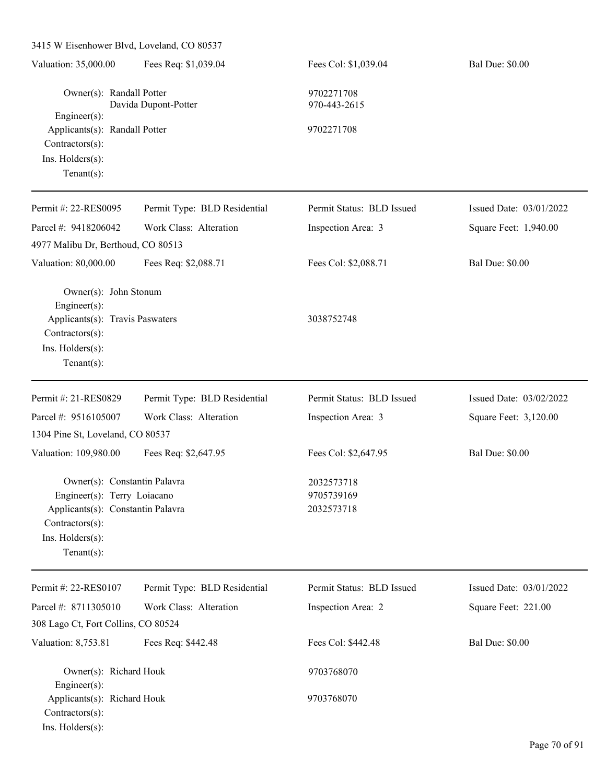| Valuation: 35,000.00                                                                                                                                      | Fees Req: \$1,039.04         | Fees Col: \$1,039.04                   | <b>Bal Due: \$0.00</b>  |
|-----------------------------------------------------------------------------------------------------------------------------------------------------------|------------------------------|----------------------------------------|-------------------------|
| Owner(s): Randall Potter<br>Davida Dupont-Potter                                                                                                          |                              | 9702271708<br>970-443-2615             |                         |
| Engineer(s):<br>Applicants(s): Randall Potter<br>Contractors(s):<br>Ins. Holders(s):<br>$Tenant(s)$ :                                                     |                              | 9702271708                             |                         |
| Permit #: 22-RES0095                                                                                                                                      | Permit Type: BLD Residential | Permit Status: BLD Issued              | Issued Date: 03/01/2022 |
| Parcel #: 9418206042<br>4977 Malibu Dr, Berthoud, CO 80513                                                                                                | Work Class: Alteration       | Inspection Area: 3                     | Square Feet: 1,940.00   |
| Valuation: 80,000.00                                                                                                                                      | Fees Req: \$2,088.71         | Fees Col: \$2,088.71                   | <b>Bal Due: \$0.00</b>  |
| Owner(s): John Stonum<br>Engineer(s):<br>Applicants(s): Travis Paswaters<br>Contractors(s):<br>Ins. Holders(s):<br>Tenant $(s)$ :                         |                              | 3038752748                             |                         |
| Permit #: 21-RES0829                                                                                                                                      | Permit Type: BLD Residential | Permit Status: BLD Issued              | Issued Date: 03/02/2022 |
| Parcel #: 9516105007                                                                                                                                      | Work Class: Alteration       | Inspection Area: 3                     | Square Feet: 3,120.00   |
| 1304 Pine St, Loveland, CO 80537                                                                                                                          |                              |                                        |                         |
| Valuation: 109,980.00                                                                                                                                     | Fees Req: \$2,647.95         | Fees Col: \$2,647.95                   | <b>Bal Due: \$0.00</b>  |
| Owner(s): Constantin Palavra<br>Engineer(s): Terry Loiacano<br>Applicants(s): Constantin Palavra<br>Contractors(s):<br>Ins. Holders(s):<br>Tenant $(s)$ : |                              | 2032573718<br>9705739169<br>2032573718 |                         |
| Permit #: 22-RES0107                                                                                                                                      | Permit Type: BLD Residential | Permit Status: BLD Issued              | Issued Date: 03/01/2022 |
| Parcel #: 8711305010<br>308 Lago Ct, Fort Collins, CO 80524                                                                                               | Work Class: Alteration       | Inspection Area: 2                     | Square Feet: 221.00     |
| Valuation: 8,753.81                                                                                                                                       | Fees Req: \$442.48           | Fees Col: \$442.48                     | <b>Bal Due: \$0.00</b>  |
| Owner(s): Richard Houk<br>Engineer(s):                                                                                                                    |                              | 9703768070                             |                         |
| Applicants(s): Richard Houk<br>Contractors(s):<br>Ins. Holders(s):                                                                                        |                              | 9703768070                             |                         |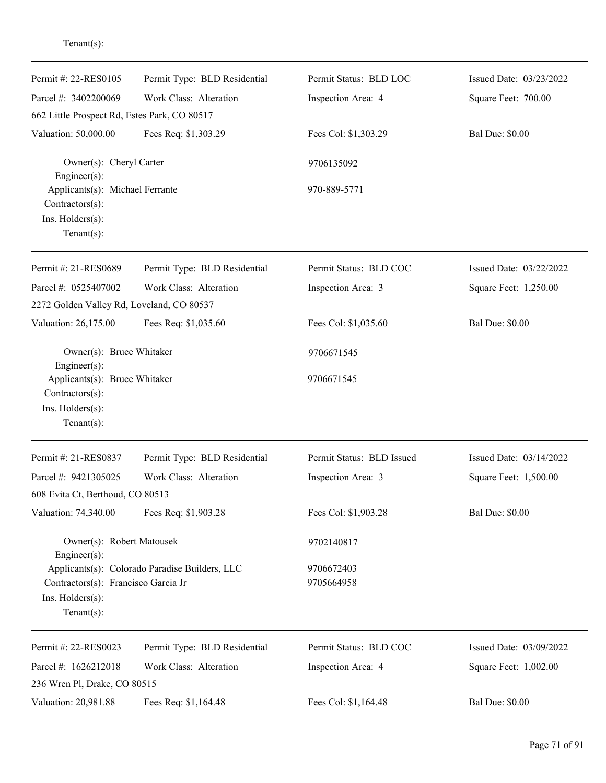| Permit #: 22-RES0105                                                                                                       | Permit Type: BLD Residential | Permit Status: BLD LOC    | Issued Date: 03/23/2022 |  |
|----------------------------------------------------------------------------------------------------------------------------|------------------------------|---------------------------|-------------------------|--|
| Parcel #: 3402200069                                                                                                       | Work Class: Alteration       | Inspection Area: 4        | Square Feet: 700.00     |  |
| 662 Little Prospect Rd, Estes Park, CO 80517                                                                               |                              |                           |                         |  |
| Valuation: 50,000.00                                                                                                       | Fees Req: \$1,303.29         | Fees Col: \$1,303.29      | <b>Bal Due: \$0.00</b>  |  |
| Owner(s): Cheryl Carter<br>Engineer(s):                                                                                    |                              | 9706135092                |                         |  |
| Applicants(s): Michael Ferrante<br>Contractors(s):<br>Ins. Holders(s):<br>Tenant $(s)$ :                                   |                              | 970-889-5771              |                         |  |
| Permit #: 21-RES0689                                                                                                       | Permit Type: BLD Residential | Permit Status: BLD COC    | Issued Date: 03/22/2022 |  |
| Parcel #: 0525407002                                                                                                       | Work Class: Alteration       | Inspection Area: 3        | Square Feet: 1,250.00   |  |
| 2272 Golden Valley Rd, Loveland, CO 80537                                                                                  |                              |                           |                         |  |
| Valuation: 26,175.00                                                                                                       | Fees Req: \$1,035.60         | Fees Col: \$1,035.60      | <b>Bal Due: \$0.00</b>  |  |
| Owner(s): Bruce Whitaker<br>Engineer(s):                                                                                   |                              | 9706671545                |                         |  |
| Applicants(s): Bruce Whitaker<br>Contractors(s):                                                                           |                              | 9706671545                |                         |  |
| Ins. Holders(s):<br>$Tenant(s)$ :                                                                                          |                              |                           |                         |  |
| Permit #: 21-RES0837                                                                                                       | Permit Type: BLD Residential | Permit Status: BLD Issued | Issued Date: 03/14/2022 |  |
| Parcel #: 9421305025                                                                                                       | Work Class: Alteration       | Inspection Area: 3        | Square Feet: 1,500.00   |  |
| 608 Evita Ct, Berthoud, CO 80513                                                                                           |                              |                           |                         |  |
| Valuation: 74,340.00                                                                                                       | Fees Req: \$1,903.28         | Fees Col: \$1,903.28      | <b>Bal Due: \$0.00</b>  |  |
| Owner(s): Robert Matousek<br>Engineer(s):                                                                                  |                              | 9702140817                |                         |  |
| Applicants(s): Colorado Paradise Builders, LLC<br>Contractors(s): Francisco Garcia Jr<br>Ins. Holders(s):<br>$Tenant(s)$ : |                              | 9706672403<br>9705664958  |                         |  |
| Permit #: 22-RES0023                                                                                                       | Permit Type: BLD Residential | Permit Status: BLD COC    | Issued Date: 03/09/2022 |  |
| Parcel #: 1626212018<br>236 Wren Pl, Drake, CO 80515                                                                       | Work Class: Alteration       | Inspection Area: 4        | Square Feet: 1,002.00   |  |
| Valuation: 20,981.88                                                                                                       | Fees Req: \$1,164.48         | Fees Col: \$1,164.48      | <b>Bal Due: \$0.00</b>  |  |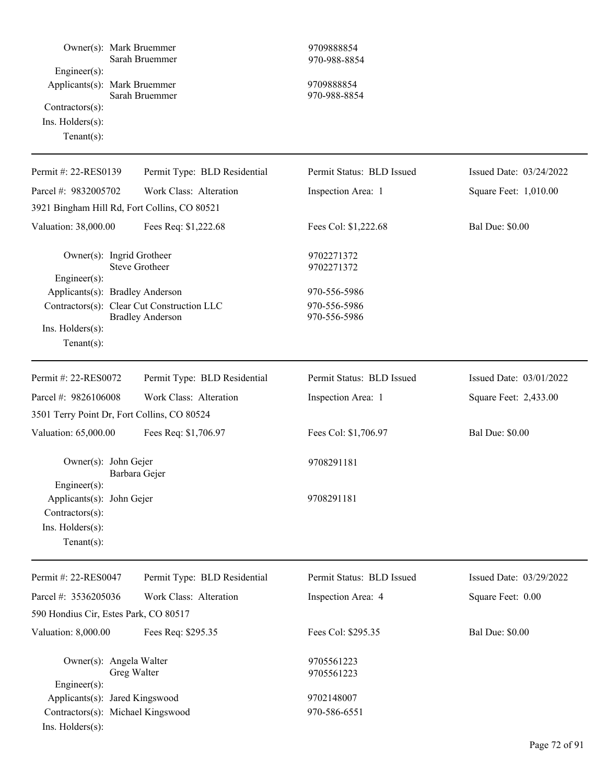| Owner(s): Mark Bruemmer<br>Engineer(s):<br>Applicants(s): Mark Bruemmer<br>Contractors(s):<br>$Ins.$ Holders $(s)$ :<br>Tenant $(s)$ : | Sarah Bruemmer<br>Sarah Bruemmer           | 9709888854<br>970-988-8854<br>9709888854<br>970-988-8854 |                         |
|----------------------------------------------------------------------------------------------------------------------------------------|--------------------------------------------|----------------------------------------------------------|-------------------------|
| Permit #: 22-RES0139                                                                                                                   | Permit Type: BLD Residential               | Permit Status: BLD Issued                                | Issued Date: 03/24/2022 |
| Parcel #: 9832005702                                                                                                                   | Work Class: Alteration                     | Inspection Area: 1                                       | Square Feet: 1,010.00   |
| 3921 Bingham Hill Rd, Fort Collins, CO 80521                                                                                           |                                            |                                                          |                         |
| Valuation: 38,000.00                                                                                                                   | Fees Req: \$1,222.68                       | Fees Col: \$1,222.68                                     | <b>Bal Due: \$0.00</b>  |
| Owner(s): Ingrid Grotheer<br>Engineer(s):                                                                                              | <b>Steve Grotheer</b>                      | 9702271372<br>9702271372                                 |                         |
| Applicants(s): Bradley Anderson                                                                                                        |                                            | 970-556-5986                                             |                         |
|                                                                                                                                        | Contractors(s): Clear Cut Construction LLC | 970-556-5986                                             |                         |
| Ins. Holders(s):<br>Tenant $(s)$ :                                                                                                     | <b>Bradley Anderson</b>                    | 970-556-5986                                             |                         |
| Permit #: 22-RES0072                                                                                                                   | Permit Type: BLD Residential               | Permit Status: BLD Issued                                | Issued Date: 03/01/2022 |
| Parcel #: 9826106008                                                                                                                   | Work Class: Alteration                     | Inspection Area: 1                                       | Square Feet: 2,433.00   |
| 3501 Terry Point Dr, Fort Collins, CO 80524                                                                                            |                                            |                                                          |                         |
| Valuation: 65,000.00                                                                                                                   | Fees Req: \$1,706.97                       | Fees Col: \$1,706.97                                     | <b>Bal Due: \$0.00</b>  |
| Owner(s): John Gejer<br>Barbara Gejer                                                                                                  |                                            | 9708291181                                               |                         |
| Engineer(s):<br>Applicants(s): John Gejer<br>Contractors(s):<br>Ins. Holders(s):<br>Tenant $(s)$ :                                     |                                            | 9708291181                                               |                         |
| Permit #: 22-RES0047                                                                                                                   | Permit Type: BLD Residential               | Permit Status: BLD Issued                                | Issued Date: 03/29/2022 |
| Parcel #: 3536205036                                                                                                                   | Work Class: Alteration                     | Inspection Area: 4                                       | Square Feet: 0.00       |
| 590 Hondius Cir, Estes Park, CO 80517                                                                                                  |                                            |                                                          |                         |
| Valuation: 8,000.00                                                                                                                    | Fees Req: \$295.35                         | Fees Col: \$295.35                                       | <b>Bal Due: \$0.00</b>  |
| Owner(s): Angela Walter<br>Greg Walter<br>Engineer(s):                                                                                 |                                            | 9705561223<br>9705561223                                 |                         |
| Applicants(s): Jared Kingswood                                                                                                         |                                            | 9702148007                                               |                         |
| Contractors(s): Michael Kingswood<br>Ins. Holders(s):                                                                                  |                                            | 970-586-6551                                             |                         |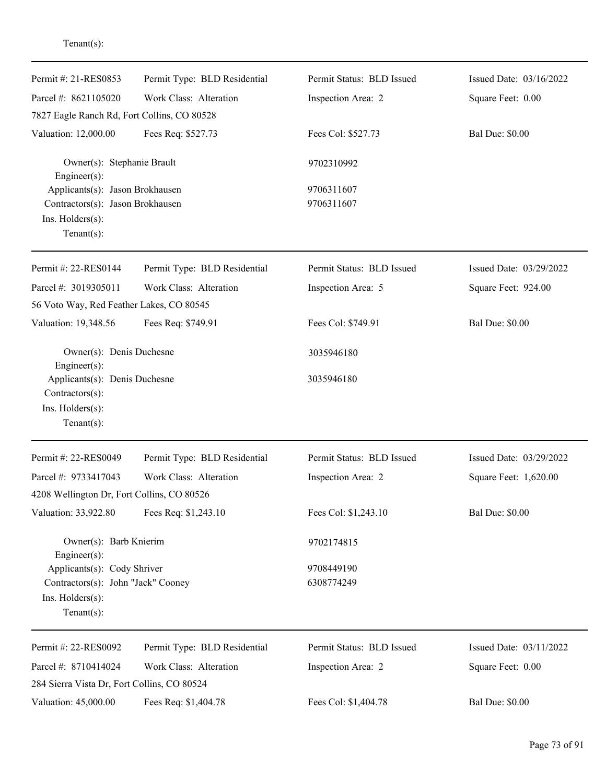| Permit Type: BLD Residential                | Permit Status: BLD Issued | Issued Date: 03/16/2022          |
|---------------------------------------------|---------------------------|----------------------------------|
| Work Class: Alteration                      | Inspection Area: 2        | Square Feet: 0.00                |
| 7827 Eagle Ranch Rd, Fort Collins, CO 80528 |                           |                                  |
| Fees Req: \$527.73                          | Fees Col: \$527.73        | <b>Bal Due: \$0.00</b>           |
| Owner(s): Stephanie Brault                  | 9702310992                |                                  |
| Applicants(s): Jason Brokhausen             | 9706311607                |                                  |
| Contractors(s): Jason Brokhausen            |                           |                                  |
|                                             |                           |                                  |
|                                             |                           |                                  |
| Permit Type: BLD Residential                | Permit Status: BLD Issued | Issued Date: 03/29/2022          |
| Work Class: Alteration                      | Inspection Area: 5        | Square Feet: 924.00              |
| 56 Voto Way, Red Feather Lakes, CO 80545    |                           |                                  |
| Fees Req: \$749.91                          | Fees Col: \$749.91        | <b>Bal Due: \$0.00</b>           |
| Owner(s): Denis Duchesne                    | 3035946180                |                                  |
| Applicants(s): Denis Duchesne               | 3035946180                |                                  |
| Permit Type: BLD Residential                | Permit Status: BLD Issued | Issued Date: 03/29/2022          |
| Work Class: Alteration                      |                           | Square Feet: 1,620.00            |
| 4208 Wellington Dr, Fort Collins, CO 80526  |                           |                                  |
| Fees Req: \$1,243.10                        | Fees Col: \$1,243.10      | <b>Bal Due: \$0.00</b>           |
| Owner(s): Barb Knierim                      | 9702174815                |                                  |
| Applicants(s): Cody Shriver                 | 9708449190                |                                  |
| Contractors(s): John "Jack" Cooney          | 6308774249                |                                  |
|                                             |                           |                                  |
|                                             |                           |                                  |
| Permit Type: BLD Residential                | Permit Status: BLD Issued | Issued Date: 03/11/2022          |
| Work Class: Alteration                      | Inspection Area: 2        | Square Feet: 0.00                |
| 284 Sierra Vista Dr, Fort Collins, CO 80524 |                           |                                  |
| Fees Req: \$1,404.78                        | Fees Col: \$1,404.78      | <b>Bal Due: \$0.00</b>           |
|                                             |                           | 9706311607<br>Inspection Area: 2 |

Tenant(s):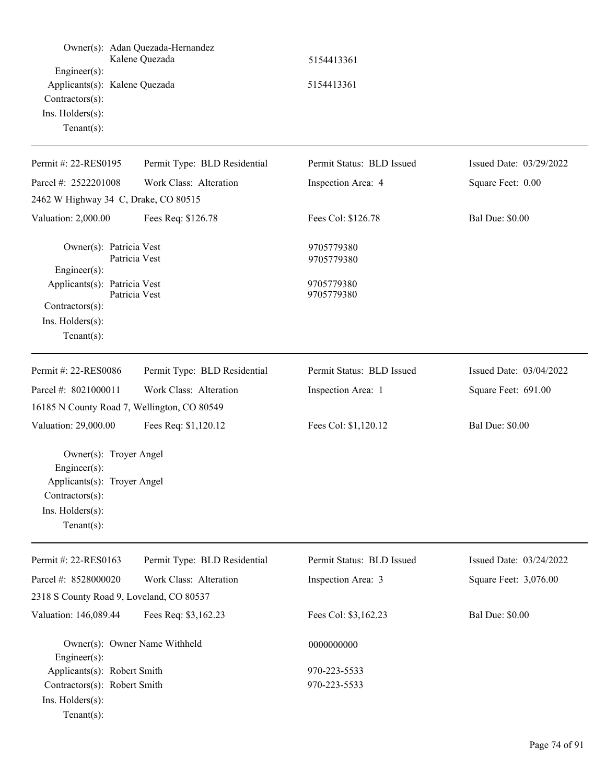| Engineer(s):<br>Applicants(s): Kalene Quezada<br>Contractors(s):<br>Ins. Holders(s):<br>Tenant $(s)$ :                         | Owner(s): Adan Quezada-Hernandez<br>Kalene Quezada | 5154413361<br>5154413361     |                         |
|--------------------------------------------------------------------------------------------------------------------------------|----------------------------------------------------|------------------------------|-------------------------|
| Permit #: 22-RES0195                                                                                                           | Permit Type: BLD Residential                       | Permit Status: BLD Issued    | Issued Date: 03/29/2022 |
| Parcel #: 2522201008                                                                                                           | Work Class: Alteration                             | Inspection Area: 4           | Square Feet: 0.00       |
| 2462 W Highway 34 C, Drake, CO 80515                                                                                           |                                                    |                              |                         |
| Valuation: 2,000.00                                                                                                            | Fees Req: \$126.78                                 | Fees Col: \$126.78           | <b>Bal Due: \$0.00</b>  |
| Owner(s): Patricia Vest<br>Engineer(s):                                                                                        | Patricia Vest                                      | 9705779380<br>9705779380     |                         |
| Applicants(s): Patricia Vest<br>Contractors(s):<br>Ins. Holders(s):<br>Tenant $(s)$ :                                          | Patricia Vest                                      | 9705779380<br>9705779380     |                         |
| Permit #: 22-RES0086                                                                                                           | Permit Type: BLD Residential                       | Permit Status: BLD Issued    | Issued Date: 03/04/2022 |
| Parcel #: 8021000011                                                                                                           | Work Class: Alteration                             | Inspection Area: 1           | Square Feet: 691.00     |
| 16185 N County Road 7, Wellington, CO 80549                                                                                    |                                                    |                              |                         |
| Valuation: 29,000.00                                                                                                           | Fees Req: \$1,120.12                               | Fees Col: \$1,120.12         | <b>Bal Due: \$0.00</b>  |
| Owner(s): Troyer Angel<br>Engineer(s):<br>Applicants(s): Troyer Angel<br>Contractors(s):<br>Ins. Holders(s):<br>Tenant $(s)$ : |                                                    |                              |                         |
| Permit #: 22-RES0163                                                                                                           | Permit Type: BLD Residential                       | Permit Status: BLD Issued    | Issued Date: 03/24/2022 |
| Parcel #: 8528000020                                                                                                           | Work Class: Alteration                             | Inspection Area: 3           | Square Feet: 3,076.00   |
| 2318 S County Road 9, Loveland, CO 80537                                                                                       |                                                    |                              |                         |
| Valuation: 146,089.44                                                                                                          | Fees Req: \$3,162.23                               | Fees Col: \$3,162.23         | Bal Due: \$0.00         |
| Owner(s): Owner Name Withheld<br>Engineer(s):                                                                                  |                                                    | 0000000000                   |                         |
| Applicants(s): Robert Smith<br>Contractors(s): Robert Smith<br>Ins. Holders(s):<br>Tenant $(s)$ :                              |                                                    | 970-223-5533<br>970-223-5533 |                         |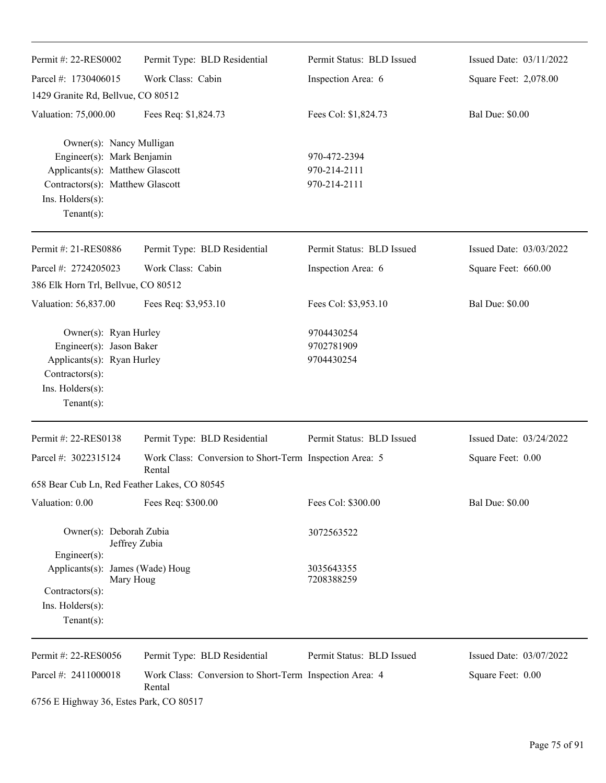| Permit #: 22-RES0002                                                                                                                                                | Permit Type: BLD Residential                                      | Permit Status: BLD Issued                    | Issued Date: 03/11/2022 |
|---------------------------------------------------------------------------------------------------------------------------------------------------------------------|-------------------------------------------------------------------|----------------------------------------------|-------------------------|
| Parcel #: 1730406015                                                                                                                                                | Work Class: Cabin                                                 | Inspection Area: 6                           | Square Feet: 2,078.00   |
| 1429 Granite Rd, Bellvue, CO 80512                                                                                                                                  |                                                                   |                                              |                         |
| Valuation: 75,000.00                                                                                                                                                | Fees Req: \$1,824.73                                              | Fees Col: \$1,824.73                         | <b>Bal Due: \$0.00</b>  |
| Owner(s): Nancy Mulligan<br>Engineer(s): Mark Benjamin<br>Applicants(s): Matthew Glascott<br>Contractors(s): Matthew Glascott<br>Ins. Holders(s):<br>Tenant $(s)$ : |                                                                   | 970-472-2394<br>970-214-2111<br>970-214-2111 |                         |
| Permit #: 21-RES0886                                                                                                                                                | Permit Type: BLD Residential                                      | Permit Status: BLD Issued                    | Issued Date: 03/03/2022 |
| Parcel #: 2724205023                                                                                                                                                | Work Class: Cabin                                                 | Inspection Area: 6                           | Square Feet: 660.00     |
| 386 Elk Horn Trl, Bellvue, CO 80512                                                                                                                                 |                                                                   |                                              |                         |
| Valuation: 56,837.00                                                                                                                                                | Fees Req: \$3,953.10                                              | Fees Col: \$3,953.10                         | <b>Bal Due: \$0.00</b>  |
| Owner(s): Ryan Hurley<br>Engineer(s): Jason Baker<br>Applicants(s): Ryan Hurley<br>Contractors(s):<br>Ins. Holders(s):<br>$Tenant(s)$ :                             |                                                                   | 9704430254<br>9702781909<br>9704430254       |                         |
| Permit #: 22-RES0138                                                                                                                                                | Permit Type: BLD Residential                                      | Permit Status: BLD Issued                    | Issued Date: 03/24/2022 |
| Parcel #: 3022315124                                                                                                                                                | Work Class: Conversion to Short-Term Inspection Area: 5<br>Rental |                                              | Square Feet: 0.00       |
| 658 Bear Cub Ln, Red Feather Lakes, CO 80545                                                                                                                        |                                                                   |                                              |                         |
| Valuation: 0.00                                                                                                                                                     | Fees Req: \$300.00                                                | Fees Col: \$300.00                           | <b>Bal Due: \$0.00</b>  |
| Owner(s): Deborah Zubia<br>Jeffrey Zubia<br>$Engineering(s)$ :                                                                                                      |                                                                   | 3072563522                                   |                         |
| Applicants(s): James (Wade) Houg<br>Mary Houg<br>Contractors(s):<br>$Ins.$ Holders $(s)$ :<br>Tenant $(s)$ :                                                        |                                                                   | 3035643355<br>7208388259                     |                         |
| Permit #: 22-RES0056                                                                                                                                                | Permit Type: BLD Residential                                      | Permit Status: BLD Issued                    | Issued Date: 03/07/2022 |
| Parcel #: 2411000018                                                                                                                                                | Work Class: Conversion to Short-Term Inspection Area: 4<br>Rental |                                              | Square Feet: 0.00       |

6756 E Highway 36, Estes Park, CO 80517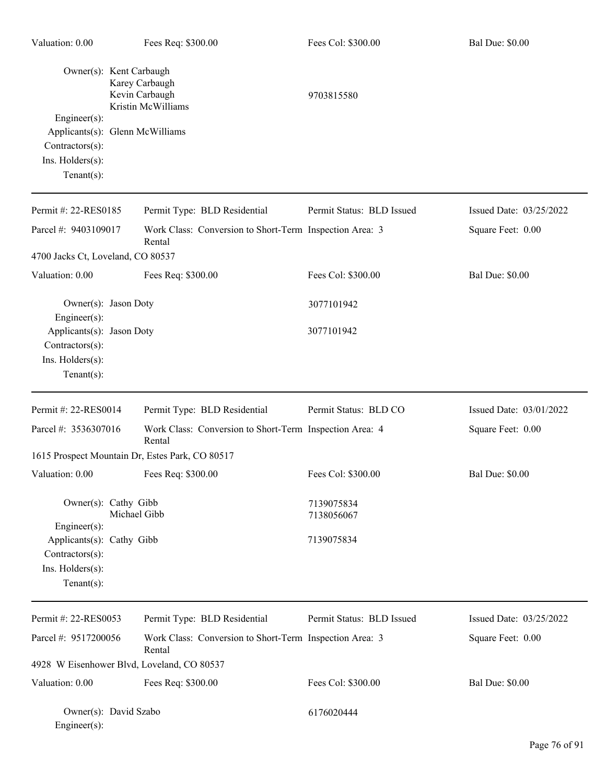| Owner(s): Kent Carbaugh<br>Engineer(s):<br>Applicants(s): Glenn McWilliams<br>Contractors(s):<br>Ins. Holders(s):<br>Tenant $(s)$ : |              | Karey Carbaugh<br>Kevin Carbaugh<br>Kristin McWilliams            | 9703815580                |                         |
|-------------------------------------------------------------------------------------------------------------------------------------|--------------|-------------------------------------------------------------------|---------------------------|-------------------------|
| Permit #: 22-RES0185                                                                                                                |              | Permit Type: BLD Residential                                      | Permit Status: BLD Issued | Issued Date: 03/25/2022 |
| Parcel #: 9403109017                                                                                                                |              | Work Class: Conversion to Short-Term Inspection Area: 3<br>Rental |                           | Square Feet: 0.00       |
| 4700 Jacks Ct, Loveland, CO 80537                                                                                                   |              |                                                                   |                           |                         |
| Valuation: 0.00                                                                                                                     |              | Fees Req: \$300.00                                                | Fees Col: \$300.00        | <b>Bal Due: \$0.00</b>  |
| Owner(s): Jason Doty<br>Engineer(s):                                                                                                |              |                                                                   | 3077101942                |                         |
| Applicants(s): Jason Doty<br>Contractors(s):<br>Ins. Holders(s):<br>Tenant $(s)$ :                                                  |              |                                                                   | 3077101942                |                         |
| Permit #: 22-RES0014                                                                                                                |              | Permit Type: BLD Residential                                      | Permit Status: BLD CO     | Issued Date: 03/01/2022 |
| Parcel #: 3536307016                                                                                                                |              | Work Class: Conversion to Short-Term Inspection Area: 4<br>Rental |                           | Square Feet: 0.00       |
|                                                                                                                                     |              | 1615 Prospect Mountain Dr, Estes Park, CO 80517                   |                           |                         |
| Valuation: 0.00                                                                                                                     |              | Fees Req: \$300.00                                                | Fees Col: \$300.00        | <b>Bal Due: \$0.00</b>  |
| Owner(s): Cathy Gibb<br>Engineer(s):                                                                                                | Michael Gibb |                                                                   | 7139075834<br>7138056067  |                         |
| Applicants(s): Cathy Gibb<br>Contractors(s):<br>Ins. Holders(s):<br>Tenant $(s)$ :                                                  |              |                                                                   | 7139075834                |                         |
| Permit #: 22-RES0053                                                                                                                |              | Permit Type: BLD Residential                                      | Permit Status: BLD Issued | Issued Date: 03/25/2022 |
| Parcel #: 9517200056                                                                                                                |              | Work Class: Conversion to Short-Term Inspection Area: 3<br>Rental |                           | Square Feet: 0.00       |
|                                                                                                                                     |              | 4928 W Eisenhower Blvd, Loveland, CO 80537                        |                           |                         |
| Valuation: 0.00                                                                                                                     |              | Fees Req: \$300.00                                                | Fees Col: \$300.00        | <b>Bal Due: \$0.00</b>  |
| Owner(s): David Szabo<br>Engineer(s):                                                                                               |              |                                                                   | 6176020444                |                         |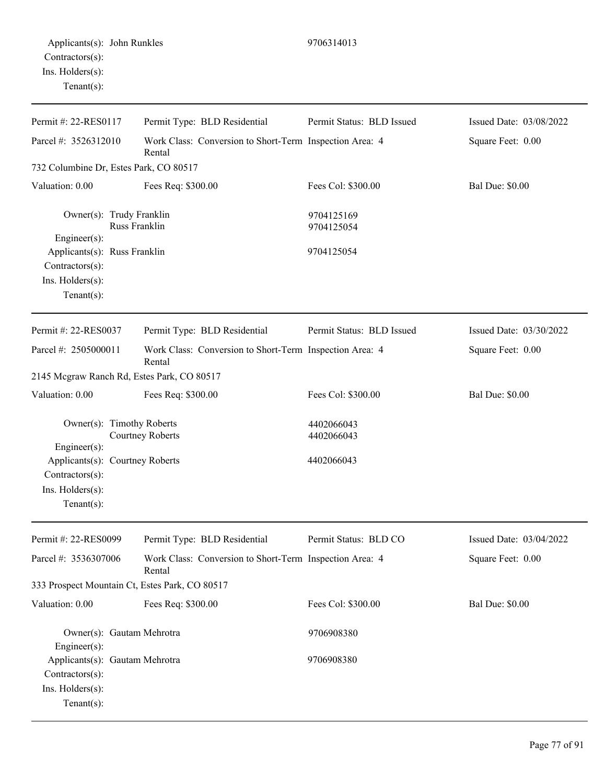| Permit #: 22-RES0117                                                                                     | Permit Type: BLD Residential                                      | Permit Status: BLD Issued | Issued Date: 03/08/2022 |
|----------------------------------------------------------------------------------------------------------|-------------------------------------------------------------------|---------------------------|-------------------------|
| Parcel #: 3526312010                                                                                     | Work Class: Conversion to Short-Term Inspection Area: 4<br>Rental |                           | Square Feet: 0.00       |
| 732 Columbine Dr, Estes Park, CO 80517                                                                   |                                                                   |                           |                         |
| Valuation: 0.00                                                                                          | Fees Req: \$300.00                                                | Fees Col: \$300.00        | <b>Bal Due: \$0.00</b>  |
| Owner(s): Trudy Franklin<br>Engineer(s):                                                                 | Russ Franklin                                                     | 9704125169<br>9704125054  |                         |
| Applicants(s): Russ Franklin<br>Contractors(s):<br>Ins. Holders(s):<br>Tenant $(s)$ :                    |                                                                   | 9704125054                |                         |
| Permit #: 22-RES0037                                                                                     | Permit Type: BLD Residential                                      | Permit Status: BLD Issued | Issued Date: 03/30/2022 |
| Parcel #: 2505000011                                                                                     | Work Class: Conversion to Short-Term Inspection Area: 4<br>Rental |                           | Square Feet: 0.00       |
| 2145 Mcgraw Ranch Rd, Estes Park, CO 80517                                                               |                                                                   |                           |                         |
| Valuation: 0.00                                                                                          | Fees Req: \$300.00                                                | Fees Col: \$300.00        | <b>Bal Due: \$0.00</b>  |
| Owner(s): Timothy Roberts                                                                                | <b>Courtney Roberts</b>                                           | 4402066043<br>4402066043  |                         |
| Engineer(s):<br>Applicants(s): Courtney Roberts<br>Contractors(s):<br>Ins. Holders(s):<br>Tenant $(s)$ : |                                                                   | 4402066043                |                         |
| Permit #: 22-RES0099                                                                                     | Permit Type: BLD Residential                                      | Permit Status: BLD CO     | Issued Date: 03/04/2022 |
| Parcel #: 3536307006                                                                                     | Work Class: Conversion to Short-Term Inspection Area: 4<br>Rental |                           | Square Feet: 0.00       |
| 333 Prospect Mountain Ct, Estes Park, CO 80517                                                           |                                                                   |                           |                         |
| Valuation: 0.00                                                                                          | Fees Req: \$300.00                                                | Fees Col: \$300.00        | <b>Bal Due: \$0.00</b>  |
| Owner(s): Gautam Mehrotra<br>$Engineering(s)$ :                                                          |                                                                   | 9706908380                |                         |
| Applicants(s): Gautam Mehrotra<br>Contractors(s):<br>Ins. Holders(s):                                    |                                                                   | 9706908380                |                         |

Tenant(s):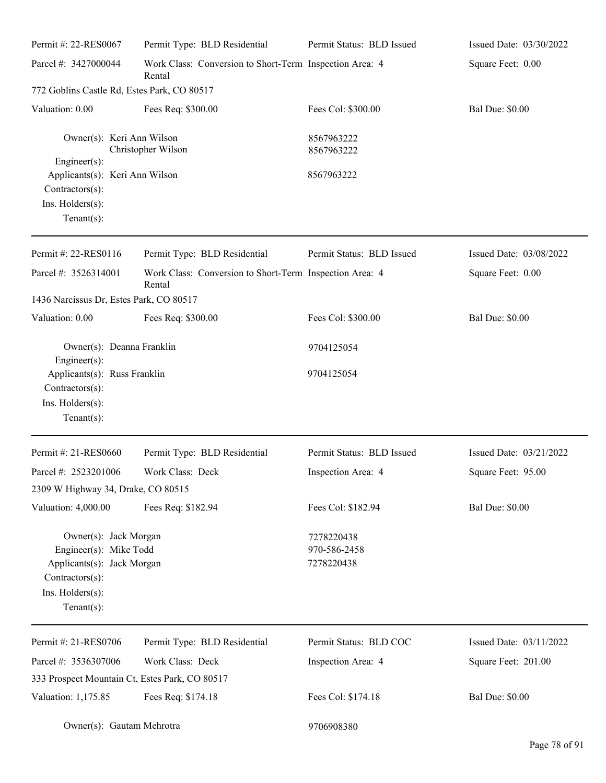| Permit #: 22-RES0067                                                                                                                   | Permit Type: BLD Residential                                      | Permit Status: BLD Issued                | Issued Date: 03/30/2022 |
|----------------------------------------------------------------------------------------------------------------------------------------|-------------------------------------------------------------------|------------------------------------------|-------------------------|
| Parcel #: 3427000044                                                                                                                   | Work Class: Conversion to Short-Term Inspection Area: 4<br>Rental |                                          | Square Feet: 0.00       |
| 772 Goblins Castle Rd, Estes Park, CO 80517                                                                                            |                                                                   |                                          |                         |
| Valuation: 0.00                                                                                                                        | Fees Req: \$300.00                                                | Fees Col: \$300.00                       | <b>Bal Due: \$0.00</b>  |
| Owner(s): Keri Ann Wilson                                                                                                              | Christopher Wilson                                                | 8567963222<br>8567963222                 |                         |
| Engineer(s):                                                                                                                           |                                                                   |                                          |                         |
| Applicants(s): Keri Ann Wilson                                                                                                         |                                                                   | 8567963222                               |                         |
| Contractors(s):<br>Ins. Holders(s):                                                                                                    |                                                                   |                                          |                         |
| $Tenant(s)$ :                                                                                                                          |                                                                   |                                          |                         |
| Permit #: 22-RES0116                                                                                                                   | Permit Type: BLD Residential                                      | Permit Status: BLD Issued                | Issued Date: 03/08/2022 |
| Parcel #: 3526314001                                                                                                                   | Work Class: Conversion to Short-Term Inspection Area: 4<br>Rental |                                          | Square Feet: 0.00       |
| 1436 Narcissus Dr, Estes Park, CO 80517                                                                                                |                                                                   |                                          |                         |
| Valuation: 0.00                                                                                                                        | Fees Req: \$300.00                                                | Fees Col: \$300.00                       | <b>Bal Due: \$0.00</b>  |
| Owner(s): Deanna Franklin<br>Engineer(s):                                                                                              |                                                                   | 9704125054                               |                         |
| Applicants(s): Russ Franklin<br>Contractors(s):                                                                                        |                                                                   | 9704125054                               |                         |
| Ins. Holders(s):<br>$Tenant(s)$ :                                                                                                      |                                                                   |                                          |                         |
| Permit #: 21-RES0660                                                                                                                   | Permit Type: BLD Residential                                      | Permit Status: BLD Issued                | Issued Date: 03/21/2022 |
| Parcel #: 2523201006                                                                                                                   | Work Class: Deck                                                  | Inspection Area: 4                       | Square Feet: 95.00      |
| 2309 W Highway 34, Drake, CO 80515                                                                                                     |                                                                   |                                          |                         |
| Valuation: 4,000.00                                                                                                                    | Fees Req: \$182.94                                                | Fees Col: \$182.94                       | <b>Bal Due: \$0.00</b>  |
| Owner(s): Jack Morgan<br>Engineer(s): Mike Todd<br>Applicants(s): Jack Morgan<br>Contractors(s):<br>Ins. Holders(s):<br>Tenant $(s)$ : |                                                                   | 7278220438<br>970-586-2458<br>7278220438 |                         |
| Permit #: 21-RES0706                                                                                                                   | Permit Type: BLD Residential                                      | Permit Status: BLD COC                   | Issued Date: 03/11/2022 |
| Parcel #: 3536307006                                                                                                                   | Work Class: Deck                                                  | Inspection Area: 4                       | Square Feet: 201.00     |
| 333 Prospect Mountain Ct, Estes Park, CO 80517                                                                                         |                                                                   |                                          |                         |
| Valuation: 1,175.85                                                                                                                    | Fees Req: \$174.18                                                | Fees Col: \$174.18                       | <b>Bal Due: \$0.00</b>  |
| Owner(s): Gautam Mehrotra                                                                                                              |                                                                   | 9706908380                               |                         |

 $\overline{\phantom{0}}$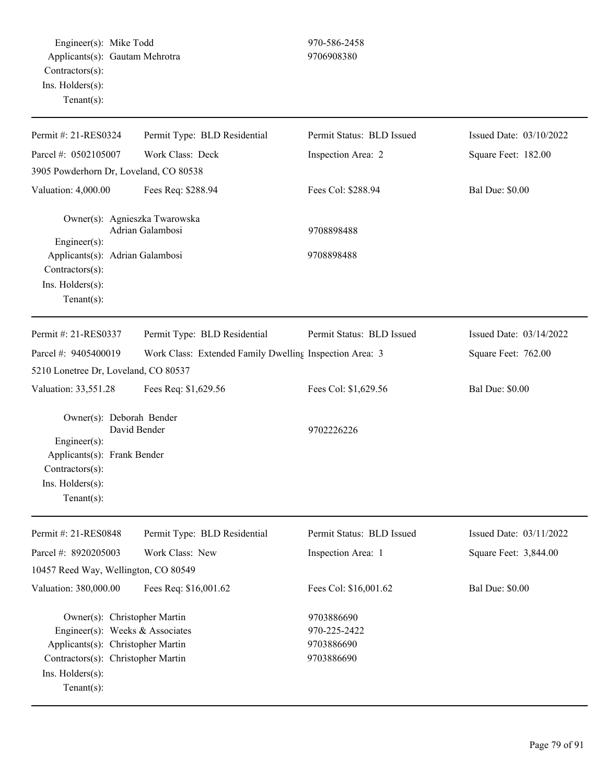Engineer(s): Mike Todd 970-586-2458 Applicants(s): Gautam Mehrotra 9706908380 Contractors(s): Ins. Holders(s): Tenant(s): Permit #: 21-RES0324 Parcel #: 0502105007 Permit Type: BLD Residential Work Class: Deck Permit Status: BLD Issued Inspection Area: 2 Issued Date: 03/10/2022 Square Feet: 182.00 3905 Powderhorn Dr, Loveland, CO 80538 Valuation: 4,000.00 Fees Req: \$288.94 Fees Col: \$288.94 Bal Due: \$0.00 Owner(s): Agnieszka Twarowska Adrian Galambosi 9708898488 Engineer(s): Applicants(s): Adrian Galambosi 9708898488 Contractors(s): Ins. Holders(s): Tenant(s): Permit #: 21-RES0337 Parcel #: 9405400019 Permit Type: BLD Residential Work Class: Extended Family Dwelling Inspection Area: 3 Permit Status: BLD Issued Issued Date: 03/14/2022 Square Feet: 762.00 5210 Lonetree Dr, Loveland, CO 80537 Valuation: 33,551.28 Fees Req: \$1,629.56 Fees Col: \$1,629.56 Bal Due: \$0.00 Owner(s): Deborah Bender David Bender 9702226226 Engineer(s): Applicants(s): Frank Bender Contractors(s): Ins. Holders(s): Tenant(s): Permit #: 21-RES0848 Parcel #: 8920205003 Permit Type: BLD Residential Work Class: New Permit Status: BLD Issued Inspection Area: 1 Issued Date: 03/11/2022 Square Feet: 3,844.00 10457 Reed Way, Wellington, CO 80549 Valuation: 380,000.00 Fees Req: \$16,001.62 Fees Col: \$16,001.62 Bal Due: \$0.00 Owner(s): Christopher Martin 9703886690 Engineer(s): Weeks & Associates 970-225-2422 Applicants(s): Christopher Martin 9703886690 Contractors(s): Christopher Martin 9703886690

Ins. Holders(s):

Tenant(s):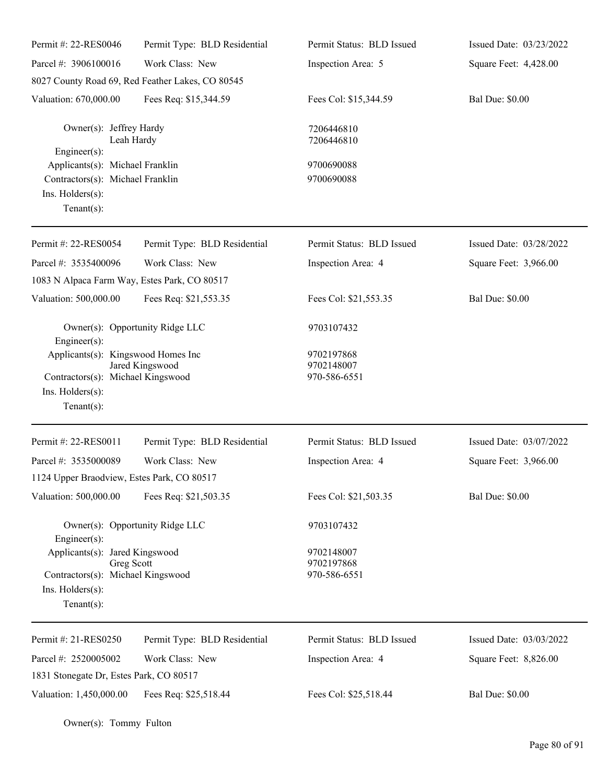| Permit #: 22-RES0046                                                                                         | Permit Type: BLD Residential                     | Permit Status: BLD Issued                | Issued Date: 03/23/2022 |
|--------------------------------------------------------------------------------------------------------------|--------------------------------------------------|------------------------------------------|-------------------------|
| Parcel #: 3906100016                                                                                         | Work Class: New                                  | Inspection Area: 5                       | Square Feet: 4,428.00   |
|                                                                                                              | 8027 County Road 69, Red Feather Lakes, CO 80545 |                                          |                         |
| Valuation: 670,000.00                                                                                        | Fees Req: \$15,344.59                            | Fees Col: \$15,344.59                    | <b>Bal Due: \$0.00</b>  |
| Owner(s): Jeffrey Hardy<br>Leah Hardy<br>$Engineering(s)$ :                                                  |                                                  | 7206446810<br>7206446810                 |                         |
| Applicants(s): Michael Franklin                                                                              |                                                  | 9700690088                               |                         |
| Contractors(s): Michael Franklin                                                                             |                                                  | 9700690088                               |                         |
| Ins. Holders(s):<br>Tenant $(s)$ :                                                                           |                                                  |                                          |                         |
| Permit #: 22-RES0054                                                                                         | Permit Type: BLD Residential                     | Permit Status: BLD Issued                | Issued Date: 03/28/2022 |
| Parcel #: 3535400096                                                                                         | Work Class: New                                  | Inspection Area: 4                       | Square Feet: 3,966.00   |
| 1083 N Alpaca Farm Way, Estes Park, CO 80517                                                                 |                                                  |                                          |                         |
| Valuation: 500,000.00                                                                                        | Fees Req: \$21,553.35                            | Fees Col: \$21,553.35                    | <b>Bal Due: \$0.00</b>  |
| Owner(s): Opportunity Ridge LLC<br>Engineer(s):                                                              |                                                  | 9703107432                               |                         |
| Applicants(s): Kingswood Homes Inc                                                                           |                                                  | 9702197868<br>9702148007                 |                         |
| Contractors(s): Michael Kingswood                                                                            | Jared Kingswood                                  | 970-586-6551                             |                         |
| Ins. Holders(s):<br>Tenant $(s)$ :                                                                           |                                                  |                                          |                         |
| Permit #: 22-RES0011                                                                                         | Permit Type: BLD Residential                     | Permit Status: BLD Issued                | Issued Date: 03/07/2022 |
| Parcel #: 3535000089                                                                                         | Work Class: New                                  | Inspection Area: 4                       | Square Feet: 3,966.00   |
| 1124 Upper Braodview, Estes Park, CO 80517                                                                   |                                                  |                                          |                         |
| Valuation: 500,000.00                                                                                        | Fees Req: \$21,503.35                            | Fees Col: \$21,503.35                    | <b>Bal Due: \$0.00</b>  |
| Owner(s): Opportunity Ridge LLC<br>Engineer(s):                                                              |                                                  | 9703107432                               |                         |
| Applicants(s): Jared Kingswood<br>Greg Scott<br>Contractors(s): Michael Kingswood<br>Ins. $H$ olders $(s)$ : |                                                  | 9702148007<br>9702197868<br>970-586-6551 |                         |
| Tenant $(s)$ :                                                                                               |                                                  |                                          |                         |
| Permit #: 21-RES0250                                                                                         | Permit Type: BLD Residential                     | Permit Status: BLD Issued                | Issued Date: 03/03/2022 |
| Parcel #: 2520005002                                                                                         | Work Class: New                                  | Inspection Area: 4                       | Square Feet: 8,826.00   |
| 1831 Stonegate Dr, Estes Park, CO 80517                                                                      |                                                  |                                          |                         |
| Valuation: 1,450,000.00                                                                                      | Fees Req: \$25,518.44                            | Fees Col: \$25,518.44                    | <b>Bal Due: \$0.00</b>  |

Owner(s): Tommy Fulton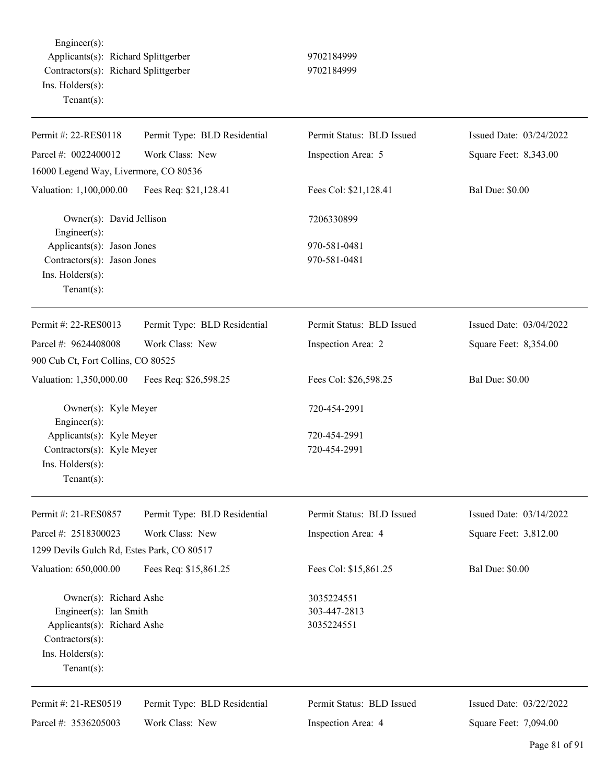Engineer(s): Applicants(s): Richard Splittgerber 9702184999 Contractors(s): Richard Splittgerber 9702184999 Ins. Holders(s): Tenant(s):

| Permit #: 22-RES0118                           | Permit Type: BLD Residential | Permit Status: BLD Issued | Issued Date: 03/24/2022 |
|------------------------------------------------|------------------------------|---------------------------|-------------------------|
| Parcel #: 0022400012                           | Work Class: New              | Inspection Area: 5        | Square Feet: 8,343.00   |
| 16000 Legend Way, Livermore, CO 80536          |                              |                           |                         |
| Valuation: 1,100,000.00                        | Fees Req: \$21,128.41        | Fees Col: \$21,128.41     | <b>Bal Due: \$0.00</b>  |
| Owner(s): David Jellison<br>$Engineering(s)$ : |                              | 7206330899                |                         |
| Applicants(s): Jason Jones                     |                              | 970-581-0481              |                         |
| Contractors(s): Jason Jones                    |                              | 970-581-0481              |                         |
| Ins. Holders(s):<br>Tenant(s):                 |                              |                           |                         |
|                                                |                              |                           |                         |
| Permit #: 22-RES0013                           | Permit Type: BLD Residential | Permit Status: BLD Issued | Issued Date: 03/04/2022 |
| Parcel #: 9624408008                           | Work Class: New              | Inspection Area: 2        | Square Feet: 8,354.00   |
| 900 Cub Ct, Fort Collins, CO 80525             |                              |                           |                         |
| Valuation: 1,350,000.00                        | Fees Req: \$26,598.25        | Fees Col: \$26,598.25     | <b>Bal Due: \$0.00</b>  |
| Owner(s): Kyle Meyer<br>Engineer(s):           |                              | 720-454-2991              |                         |
| Applicants(s): Kyle Meyer                      |                              | 720-454-2991              |                         |
| Contractors(s): Kyle Meyer                     |                              | 720-454-2991              |                         |
| Ins. Holders(s):                               |                              |                           |                         |
| Tenant $(s)$ :                                 |                              |                           |                         |
| Permit #: 21-RES0857                           | Permit Type: BLD Residential | Permit Status: BLD Issued | Issued Date: 03/14/2022 |
| Parcel #: 2518300023                           | Work Class: New              | Inspection Area: 4        | Square Feet: 3,812.00   |
| 1299 Devils Gulch Rd, Estes Park, CO 80517     |                              |                           |                         |
| Valuation: 650,000.00                          | Fees Req: \$15,861.25        | Fees Col: \$15,861.25     | <b>Bal Due: \$0.00</b>  |
| Owner(s): Richard Ashe                         |                              | 3035224551                |                         |
| Engineer(s): Ian Smith                         |                              | 303-447-2813              |                         |
| Applicants(s): Richard Ashe                    |                              | 3035224551                |                         |
| Contractors(s):                                |                              |                           |                         |
| Ins. Holders(s):                               |                              |                           |                         |
| Tenant $(s)$ :                                 |                              |                           |                         |
| Permit #: 21-RES0519                           | Permit Type: BLD Residential | Permit Status: BLD Issued | Issued Date: 03/22/2022 |
| Parcel #: 3536205003                           | Work Class: New              | Inspection Area: 4        | Square Feet: 7,094.00   |
|                                                |                              |                           |                         |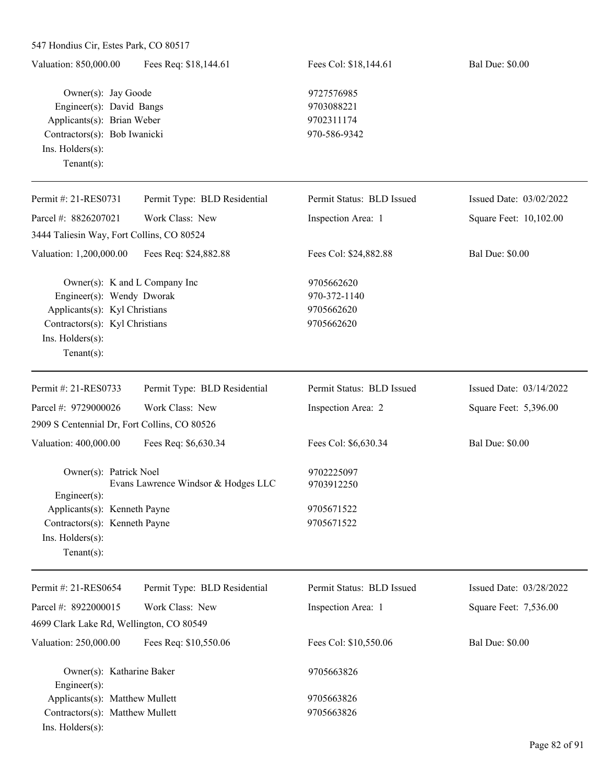| 547 Hondius Cir, Estes Park, CO 80517                                                                                                                               |                                     |                                                        |                         |
|---------------------------------------------------------------------------------------------------------------------------------------------------------------------|-------------------------------------|--------------------------------------------------------|-------------------------|
| Valuation: 850,000.00                                                                                                                                               | Fees Req: \$18,144.61               | Fees Col: \$18,144.61                                  | <b>Bal Due: \$0.00</b>  |
| Owner(s): Jay Goode<br>Engineer(s): David Bangs<br>Applicants(s): Brian Weber<br>Contractors(s): Bob Iwanicki                                                       |                                     | 9727576985<br>9703088221<br>9702311174<br>970-586-9342 |                         |
| Ins. Holders(s):<br>Tenant $(s)$ :                                                                                                                                  |                                     |                                                        |                         |
| Permit #: 21-RES0731                                                                                                                                                | Permit Type: BLD Residential        | Permit Status: BLD Issued                              | Issued Date: 03/02/2022 |
| Parcel #: 8826207021                                                                                                                                                | Work Class: New                     | Inspection Area: 1                                     | Square Feet: 10,102.00  |
| 3444 Taliesin Way, Fort Collins, CO 80524                                                                                                                           |                                     |                                                        |                         |
| Valuation: 1,200,000.00                                                                                                                                             | Fees Req: \$24,882.88               | Fees Col: \$24,882.88                                  | <b>Bal Due: \$0.00</b>  |
| Owner(s): K and L Company Inc<br>Engineer(s): Wendy Dworak<br>Applicants(s): Kyl Christians<br>Contractors(s): Kyl Christians<br>Ins. Holders(s):<br>Tenant $(s)$ : |                                     | 9705662620<br>970-372-1140<br>9705662620<br>9705662620 |                         |
| Permit #: 21-RES0733                                                                                                                                                | Permit Type: BLD Residential        | Permit Status: BLD Issued                              | Issued Date: 03/14/2022 |
| Parcel #: 9729000026                                                                                                                                                | Work Class: New                     | Inspection Area: 2                                     | Square Feet: 5,396.00   |
| 2909 S Centennial Dr, Fort Collins, CO 80526                                                                                                                        |                                     |                                                        |                         |
| Valuation: 400,000.00                                                                                                                                               | Fees Req: \$6,630.34                | Fees Col: \$6,630.34                                   | <b>Bal Due: \$0.00</b>  |
| Owner(s): Patrick Noel<br>$Engineering(s)$ :                                                                                                                        | Evans Lawrence Windsor & Hodges LLC | 9702225097<br>9703912250                               |                         |
| Applicants(s): Kenneth Payne<br>Contractors(s): Kenneth Payne<br>Ins. Holders(s):<br>Tenant $(s)$ :                                                                 |                                     | 9705671522<br>9705671522                               |                         |
| Permit #: 21-RES0654                                                                                                                                                | Permit Type: BLD Residential        | Permit Status: BLD Issued                              | Issued Date: 03/28/2022 |
| Parcel #: 8922000015                                                                                                                                                | Work Class: New                     | Inspection Area: 1                                     | Square Feet: 7,536.00   |
| 4699 Clark Lake Rd, Wellington, CO 80549                                                                                                                            |                                     |                                                        |                         |
| Valuation: 250,000.00                                                                                                                                               | Fees Req: \$10,550.06               | Fees Col: \$10,550.06                                  | <b>Bal Due: \$0.00</b>  |
| Owner(s): Katharine Baker<br>Engineer(s):                                                                                                                           |                                     | 9705663826                                             |                         |
| Applicants(s): Matthew Mullett                                                                                                                                      |                                     | 9705663826                                             |                         |
| Contractors(s): Matthew Mullett                                                                                                                                     |                                     | 9705663826                                             |                         |

Ins. Holders(s):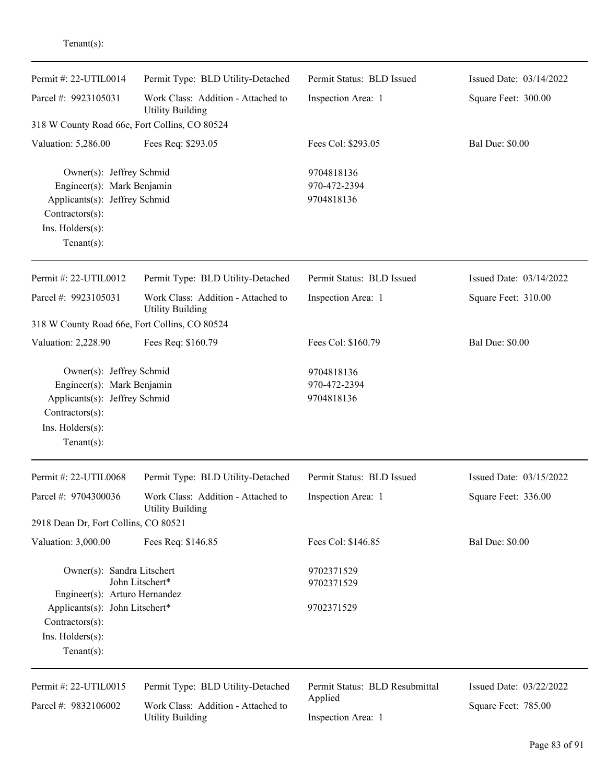| Permit #: 22-UTIL0014                                                                                                                           | Permit Type: BLD Utility-Detached                             | Permit Status: BLD Issued                | Issued Date: 03/14/2022 |
|-------------------------------------------------------------------------------------------------------------------------------------------------|---------------------------------------------------------------|------------------------------------------|-------------------------|
| Parcel #: 9923105031                                                                                                                            | Work Class: Addition - Attached to<br><b>Utility Building</b> | Inspection Area: 1                       | Square Feet: 300.00     |
| 318 W County Road 66e, Fort Collins, CO 80524                                                                                                   |                                                               |                                          |                         |
| Valuation: 5,286.00                                                                                                                             | Fees Req: \$293.05                                            | Fees Col: \$293.05                       | <b>Bal Due: \$0.00</b>  |
| Owner(s): Jeffrey Schmid<br>Engineer(s): Mark Benjamin<br>Applicants(s): Jeffrey Schmid<br>Contractors(s):<br>Ins. Holders(s):<br>$Tenant(s)$ : |                                                               | 9704818136<br>970-472-2394<br>9704818136 |                         |
| Permit #: 22-UTIL0012                                                                                                                           | Permit Type: BLD Utility-Detached                             | Permit Status: BLD Issued                | Issued Date: 03/14/2022 |
| Parcel #: 9923105031                                                                                                                            | Work Class: Addition - Attached to<br><b>Utility Building</b> | Inspection Area: 1                       | Square Feet: 310.00     |
| 318 W County Road 66e, Fort Collins, CO 80524                                                                                                   |                                                               |                                          |                         |
| Valuation: 2,228.90                                                                                                                             | Fees Req: \$160.79                                            | Fees Col: \$160.79                       | <b>Bal Due: \$0.00</b>  |
| Owner(s): Jeffrey Schmid<br>Engineer(s): Mark Benjamin<br>Applicants(s): Jeffrey Schmid<br>Contractors(s):<br>Ins. Holders(s):<br>$Tenant(s)$ : |                                                               | 9704818136<br>970-472-2394<br>9704818136 |                         |
| Permit #: 22-UTIL0068                                                                                                                           | Permit Type: BLD Utility-Detached                             | Permit Status: BLD Issued                | Issued Date: 03/15/2022 |
| Parcel #: 9704300036<br>2918 Dean Dr, Fort Collins, CO 80521                                                                                    | Work Class: Addition - Attached to<br><b>Utility Building</b> | Inspection Area: 1                       | Square Feet: 336.00     |
| Valuation: 3,000.00                                                                                                                             | Fees Req: \$146.85                                            | Fees Col: \$146.85                       | <b>Bal Due: \$0.00</b>  |
| Owner(s): Sandra Litschert<br>Engineer(s): Arturo Hernandez                                                                                     | John Litschert*                                               | 9702371529<br>9702371529                 |                         |
| Applicants(s): John Litschert*<br>Contractors(s):<br>Ins. Holders(s):<br>$Tenant(s)$ :                                                          |                                                               | 9702371529                               |                         |
| Permit #: 22-UTIL0015                                                                                                                           | Permit Type: BLD Utility-Detached                             | Permit Status: BLD Resubmittal           | Issued Date: 03/22/2022 |
| Parcel #: 9832106002                                                                                                                            | Work Class: Addition - Attached to<br><b>Utility Building</b> | Applied<br>Inspection Area: 1            | Square Feet: 785.00     |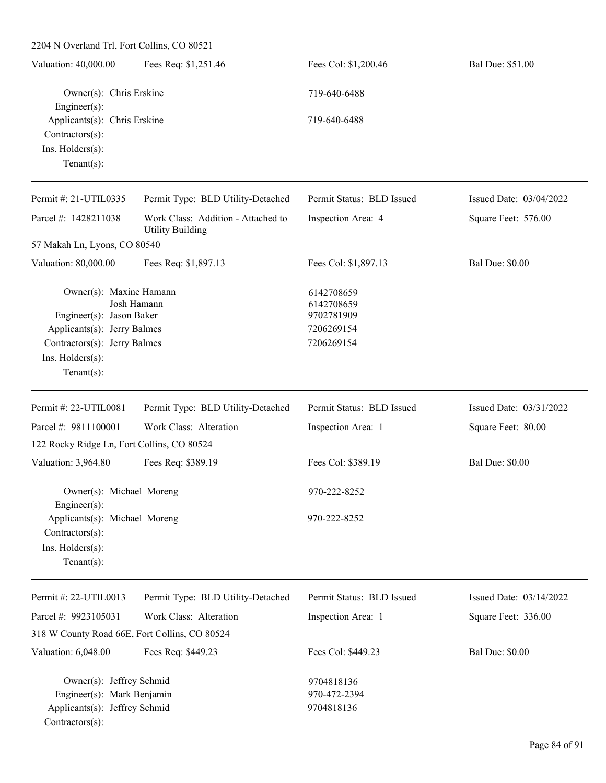| 2204 N Overland Trl, Fort Collins, CO 80521                                                                                                              |                                                               |                                                                    |                         |
|----------------------------------------------------------------------------------------------------------------------------------------------------------|---------------------------------------------------------------|--------------------------------------------------------------------|-------------------------|
| Valuation: 40,000.00                                                                                                                                     | Fees Req: \$1,251.46                                          | Fees Col: \$1,200.46                                               | Bal Due: \$51.00        |
| Owner(s): Chris Erskine<br>Engineer(s):                                                                                                                  |                                                               | 719-640-6488                                                       |                         |
| Applicants(s): Chris Erskine<br>$Contractors(s)$ :<br>Ins. $H$ olders $(s)$ :<br>Tenant $(s)$ :                                                          |                                                               | 719-640-6488                                                       |                         |
| Permit #: 21-UTIL0335                                                                                                                                    | Permit Type: BLD Utility-Detached                             | Permit Status: BLD Issued                                          | Issued Date: 03/04/2022 |
| Parcel #: 1428211038                                                                                                                                     | Work Class: Addition - Attached to<br><b>Utility Building</b> | Inspection Area: 4                                                 | Square Feet: 576.00     |
| 57 Makah Ln, Lyons, CO 80540                                                                                                                             |                                                               |                                                                    |                         |
| Valuation: 80,000.00                                                                                                                                     | Fees Req: \$1,897.13                                          | Fees Col: \$1,897.13                                               | <b>Bal Due: \$0.00</b>  |
| Owner(s): Maxine Hamann<br>Engineer(s): Jason Baker<br>Applicants(s): Jerry Balmes<br>Contractors(s): Jerry Balmes<br>Ins. Holders(s):<br>Tenant $(s)$ : | Josh Hamann                                                   | 6142708659<br>6142708659<br>9702781909<br>7206269154<br>7206269154 |                         |
| Permit #: 22-UTIL0081                                                                                                                                    | Permit Type: BLD Utility-Detached                             | Permit Status: BLD Issued                                          | Issued Date: 03/31/2022 |
| Parcel #: 9811100001<br>122 Rocky Ridge Ln, Fort Collins, CO 80524                                                                                       | Work Class: Alteration                                        | Inspection Area: 1                                                 | Square Feet: 80.00      |
| Valuation: 3,964.80                                                                                                                                      | Fees Req: \$389.19                                            | Fees Col: \$389.19                                                 | <b>Bal Due: \$0.00</b>  |
| Owner(s): Michael Moreng<br>Engineer(s):                                                                                                                 |                                                               | 970-222-8252                                                       |                         |
| Applicants(s): Michael Moreng<br>$Contractors(s)$ :<br>Ins. Holders(s):<br>Tenant $(s)$ :                                                                |                                                               | 970-222-8252                                                       |                         |
| Permit #: 22-UTIL0013                                                                                                                                    | Permit Type: BLD Utility-Detached                             | Permit Status: BLD Issued                                          | Issued Date: 03/14/2022 |
| Parcel #: 9923105031                                                                                                                                     | Work Class: Alteration                                        | Inspection Area: 1                                                 | Square Feet: 336.00     |
| 318 W County Road 66E, Fort Collins, CO 80524                                                                                                            |                                                               |                                                                    |                         |
| Valuation: 6,048.00                                                                                                                                      | Fees Req: \$449.23                                            | Fees Col: \$449.23                                                 | <b>Bal Due: \$0.00</b>  |
| Owner(s): Jeffrey Schmid<br>Engineer(s): Mark Benjamin<br>Applicants(s): Jeffrey Schmid<br>Contractors(s):                                               |                                                               | 9704818136<br>970-472-2394<br>9704818136                           |                         |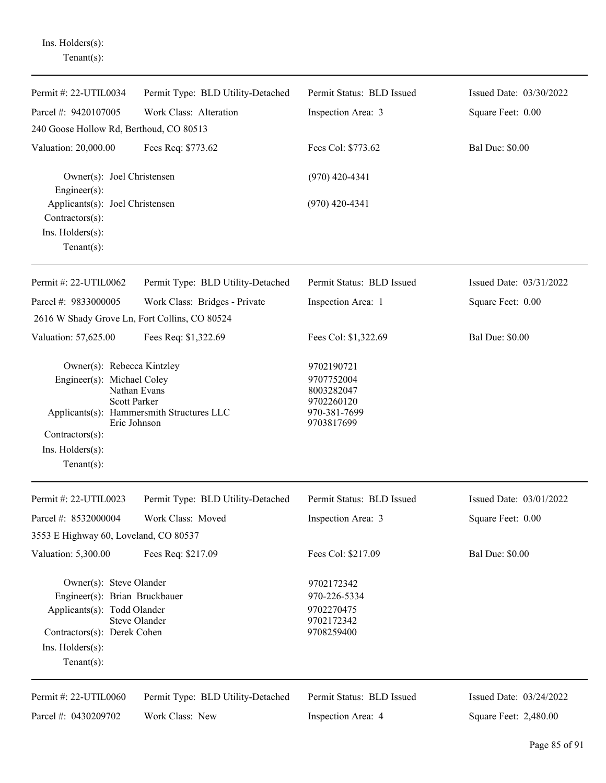Ins. Holders(s): Tenant(s):

| Permit #: 22-UTIL0034                                                                                                                        | Permit Type: BLD Utility-Detached | Permit Status: BLD Issued                                            | Issued Date: 03/30/2022 |
|----------------------------------------------------------------------------------------------------------------------------------------------|-----------------------------------|----------------------------------------------------------------------|-------------------------|
| Parcel #: 9420107005                                                                                                                         | Work Class: Alteration            | Inspection Area: 3                                                   | Square Feet: 0.00       |
| 240 Goose Hollow Rd, Berthoud, CO 80513                                                                                                      |                                   |                                                                      |                         |
| Valuation: 20,000.00                                                                                                                         | Fees Req: \$773.62                | Fees Col: \$773.62                                                   | <b>Bal Due: \$0.00</b>  |
| Owner(s): Joel Christensen<br>Engineer $(s)$ :                                                                                               |                                   | $(970)$ 420-4341                                                     |                         |
| Applicants(s): Joel Christensen<br>Contractors(s):<br>Ins. Holders(s):                                                                       |                                   | $(970)$ 420-4341                                                     |                         |
| Tenant $(s)$ :                                                                                                                               |                                   |                                                                      |                         |
| Permit #: 22-UTIL0062                                                                                                                        | Permit Type: BLD Utility-Detached | Permit Status: BLD Issued                                            | Issued Date: 03/31/2022 |
| Parcel #: 9833000005                                                                                                                         | Work Class: Bridges - Private     | Inspection Area: 1                                                   | Square Feet: 0.00       |
| 2616 W Shady Grove Ln, Fort Collins, CO 80524                                                                                                |                                   |                                                                      |                         |
| Valuation: 57,625.00                                                                                                                         | Fees Req: \$1,322.69              | Fees Col: \$1,322.69                                                 | <b>Bal Due: \$0.00</b>  |
| Owner(s): Rebecca Kintzley<br>Engineer(s): Michael Coley<br>Nathan Evans<br><b>Scott Parker</b><br>Applicants(s): Hammersmith Structures LLC |                                   | 9702190721<br>9707752004<br>8003282047<br>9702260120<br>970-381-7699 |                         |
|                                                                                                                                              | Eric Johnson                      | 9703817699                                                           |                         |
| Contractors(s):                                                                                                                              |                                   |                                                                      |                         |
| Ins. Holders(s):<br>Tenant $(s)$ :                                                                                                           |                                   |                                                                      |                         |
| Permit #: 22-UTIL0023                                                                                                                        | Permit Type: BLD Utility-Detached | Permit Status: BLD Issued                                            | Issued Date: 03/01/2022 |
|                                                                                                                                              |                                   |                                                                      |                         |
| Parcel #: 8532000004                                                                                                                         | Work Class: Moved                 | Inspection Area: 3                                                   | Square Feet: 0.00       |
| 3553 E Highway 60, Loveland, CO 80537                                                                                                        |                                   |                                                                      |                         |
| Valuation: 5,300.00                                                                                                                          | Fees Req: \$217.09                | Fees Col: \$217.09                                                   | <b>Bal Due: \$0.00</b>  |
| Owner(s): Steve Olander                                                                                                                      |                                   | 9702172342                                                           |                         |
| Engineer(s): Brian Bruckbauer                                                                                                                |                                   | 970-226-5334                                                         |                         |
| Applicants(s): Todd Olander                                                                                                                  | <b>Steve Olander</b>              | 9702270475<br>9702172342                                             |                         |
| Contractors(s): Derek Cohen                                                                                                                  |                                   | 9708259400                                                           |                         |
| $Ins.$ Holders $(s)$ :                                                                                                                       |                                   |                                                                      |                         |
| Tenant $(s)$ :                                                                                                                               |                                   |                                                                      |                         |
| Permit #: 22-UTIL0060                                                                                                                        | Permit Type: BLD Utility-Detached | Permit Status: BLD Issued                                            | Issued Date: 03/24/2022 |
| Parcel #: 0430209702                                                                                                                         | Work Class: New                   | Inspection Area: 4                                                   | Square Feet: 2,480.00   |
|                                                                                                                                              |                                   |                                                                      |                         |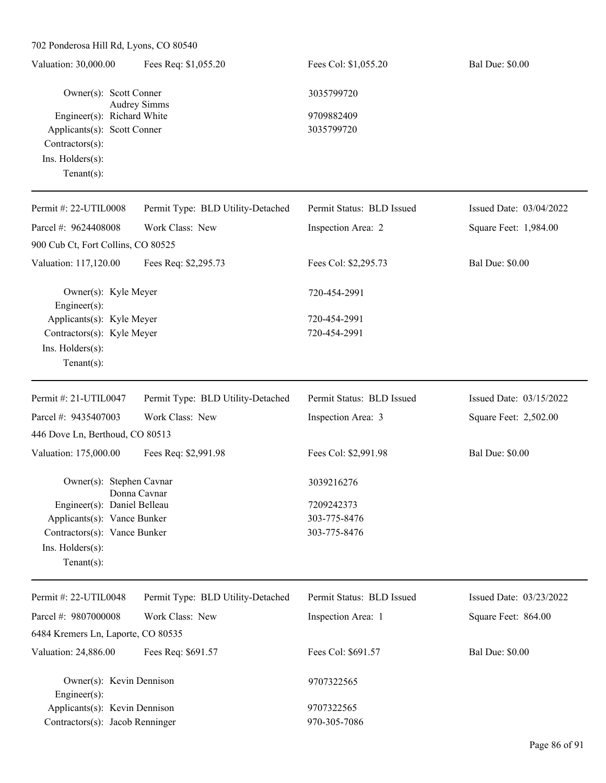| 702 Ponderosa Hill Rd, Lyons, CO 80540    |                                   |                           |                         |
|-------------------------------------------|-----------------------------------|---------------------------|-------------------------|
| Valuation: 30,000.00                      | Fees Req: \$1,055.20              | Fees Col: \$1,055.20      | <b>Bal Due: \$0.00</b>  |
| Owner(s): Scott Conner                    | <b>Audrey Simms</b>               | 3035799720                |                         |
| Engineer(s): Richard White                |                                   | 9709882409                |                         |
| Applicants(s): Scott Conner               |                                   | 3035799720                |                         |
| Contractors(s):                           |                                   |                           |                         |
| Ins. Holders(s):                          |                                   |                           |                         |
| Tenant $(s)$ :                            |                                   |                           |                         |
| Permit #: 22-UTIL0008                     | Permit Type: BLD Utility-Detached | Permit Status: BLD Issued | Issued Date: 03/04/2022 |
| Parcel #: 9624408008                      | Work Class: New                   | Inspection Area: 2        | Square Feet: 1,984.00   |
| 900 Cub Ct, Fort Collins, CO 80525        |                                   |                           |                         |
| Valuation: 117,120.00                     | Fees Req: \$2,295.73              | Fees Col: \$2,295.73      | <b>Bal Due: \$0.00</b>  |
| Owner(s): Kyle Meyer                      |                                   | 720-454-2991              |                         |
| Engineer(s):<br>Applicants(s): Kyle Meyer |                                   | 720-454-2991              |                         |
| Contractors(s): Kyle Meyer                |                                   | 720-454-2991              |                         |
| Ins. Holders(s):                          |                                   |                           |                         |
| Tenant $(s)$ :                            |                                   |                           |                         |
| Permit #: 21-UTIL0047                     | Permit Type: BLD Utility-Detached | Permit Status: BLD Issued | Issued Date: 03/15/2022 |
| Parcel #: 9435407003                      | Work Class: New                   | Inspection Area: 3        | Square Feet: 2,502.00   |
| 446 Dove Ln, Berthoud, CO 80513           |                                   |                           |                         |
| Valuation: 175,000.00                     | Fees Req: \$2,991.98              | Fees Col: \$2,991.98      | <b>Bal Due: \$0.00</b>  |
| Owner(s): Stephen Cavnar                  | Donna Cavnar                      | 3039216276                |                         |
| Engineer(s): Daniel Belleau               |                                   | 7209242373                |                         |
| Applicants(s): Vance Bunker               |                                   | 303-775-8476              |                         |
| Contractors(s): Vance Bunker              |                                   | 303-775-8476              |                         |
| Ins. Holders(s):                          |                                   |                           |                         |
| Tenant $(s)$ :                            |                                   |                           |                         |
| Permit #: 22-UTIL0048                     | Permit Type: BLD Utility-Detached | Permit Status: BLD Issued | Issued Date: 03/23/2022 |
| Parcel #: 9807000008                      | Work Class: New                   | Inspection Area: 1        | Square Feet: 864.00     |
| 6484 Kremers Ln, Laporte, CO 80535        |                                   |                           |                         |
| Valuation: 24,886.00                      | Fees Req: \$691.57                | Fees Col: \$691.57        | <b>Bal Due: \$0.00</b>  |

Owner(s): Kevin Dennison 9707322565 Engineer(s): Applicants(s): Kevin Dennison 9707322565 Contractors(s): Jacob Renninger 970-305-7086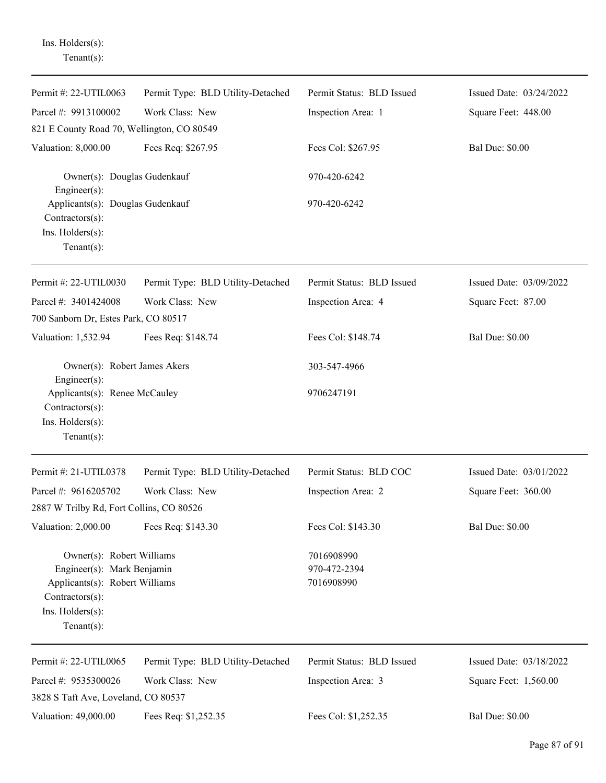| $Tenant(s)$ :                                                                                                                                     |                                   |                                          |                         |
|---------------------------------------------------------------------------------------------------------------------------------------------------|-----------------------------------|------------------------------------------|-------------------------|
| Permit #: 22-UTIL0063                                                                                                                             | Permit Type: BLD Utility-Detached | Permit Status: BLD Issued                | Issued Date: 03/24/2022 |
| Parcel #: 9913100002                                                                                                                              | Work Class: New                   | Inspection Area: 1                       | Square Feet: 448.00     |
| 821 E County Road 70, Wellington, CO 80549                                                                                                        |                                   |                                          |                         |
| Valuation: 8,000.00                                                                                                                               | Fees Req: \$267.95                | Fees Col: \$267.95                       | <b>Bal Due: \$0.00</b>  |
| Owner(s): Douglas Gudenkauf<br>Engineer(s):                                                                                                       |                                   | 970-420-6242                             |                         |
| Applicants(s): Douglas Gudenkauf<br>Contractors(s):<br>Ins. Holders(s):<br>$Tenant(s)$ :                                                          |                                   | 970-420-6242                             |                         |
| Permit #: 22-UTIL0030                                                                                                                             | Permit Type: BLD Utility-Detached | Permit Status: BLD Issued                | Issued Date: 03/09/2022 |
| Parcel #: 3401424008                                                                                                                              | Work Class: New                   | Inspection Area: 4                       | Square Feet: 87.00      |
| 700 Sanborn Dr, Estes Park, CO 80517                                                                                                              |                                   |                                          |                         |
| Valuation: 1,532.94                                                                                                                               | Fees Req: \$148.74                | Fees Col: \$148.74                       | <b>Bal Due: \$0.00</b>  |
| Owner(s): Robert James Akers<br>Engineer(s):                                                                                                      |                                   | 303-547-4966                             |                         |
| Applicants(s): Renee McCauley<br>Contractors(s):<br>Ins. Holders(s):<br>$Tenant(s)$ :                                                             |                                   | 9706247191                               |                         |
| Permit #: 21-UTIL0378                                                                                                                             | Permit Type: BLD Utility-Detached | Permit Status: BLD COC                   | Issued Date: 03/01/2022 |
| Parcel #: 9616205702                                                                                                                              | Work Class: New                   | Inspection Area: 2                       | Square Feet: 360.00     |
| 2887 W Trilby Rd, Fort Collins, CO 80526                                                                                                          |                                   |                                          |                         |
| Valuation: 2,000.00                                                                                                                               | Fees Req: \$143.30                | Fees Col: \$143.30                       | <b>Bal Due: \$0.00</b>  |
| Owner(s): Robert Williams<br>Engineer(s): Mark Benjamin<br>Applicants(s): Robert Williams<br>Contractors(s):<br>Ins. Holders(s):<br>$Tenant(s)$ : |                                   | 7016908990<br>970-472-2394<br>7016908990 |                         |
| Permit #: 22-UTIL0065                                                                                                                             | Permit Type: BLD Utility-Detached | Permit Status: BLD Issued                | Issued Date: 03/18/2022 |
| Parcel #: 9535300026                                                                                                                              | Work Class: New                   | Inspection Area: 3                       | Square Feet: 1,560.00   |
| 3828 S Taft Ave, Loveland, CO 80537                                                                                                               |                                   |                                          |                         |
| Valuation: 49,000.00                                                                                                                              | Fees Req: \$1,252.35              | Fees Col: \$1,252.35                     | <b>Bal Due: \$0.00</b>  |

Ins. Holders(s):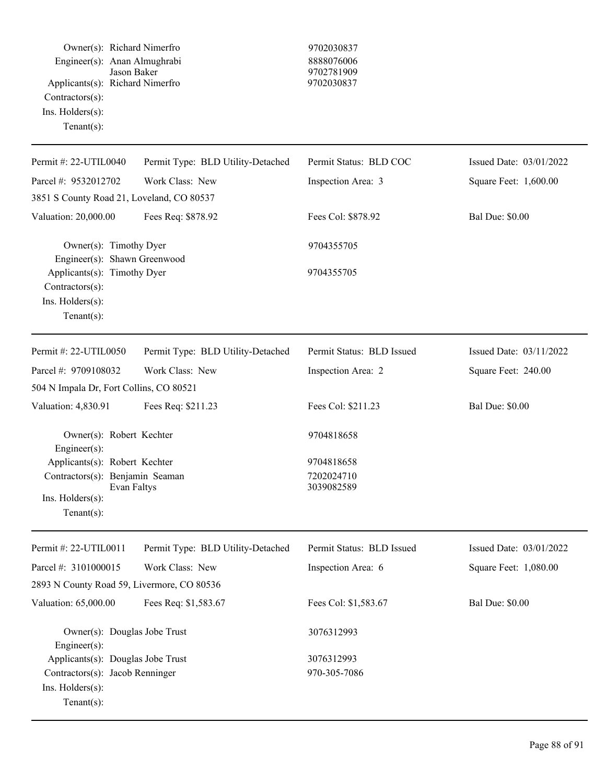|                    | Owner(s): Richard Nimerfro      |
|--------------------|---------------------------------|
|                    | Engineer(s): Anan Almughrabi    |
|                    | Jason Baker                     |
|                    | Applicants(s): Richard Nimerfro |
| $Contractors(s)$ : |                                 |
| Ins. Holders(s):   |                                 |
| $Tenant(s)$ :      |                                 |
|                    |                                 |

## 9702030837 Engineer(s): Anan Almughrabi 8888076006 9702781909 Applicants(s): Richard Nimerfro 9702030837

| Permit #: 22-UTIL0040                                              | Permit Type: BLD Utility-Detached | Permit Status: BLD COC    | Issued Date: 03/01/2022 |
|--------------------------------------------------------------------|-----------------------------------|---------------------------|-------------------------|
| Parcel #: 9532012702                                               | Work Class: New                   | Inspection Area: 3        | Square Feet: 1,600.00   |
| 3851 S County Road 21, Loveland, CO 80537                          |                                   |                           |                         |
| Valuation: 20,000.00                                               | Fees Req: \$878.92                | Fees Col: \$878.92        | <b>Bal Due: \$0.00</b>  |
| Owner(s): Timothy Dyer<br>Engineer(s): Shawn Greenwood             |                                   | 9704355705                |                         |
| Applicants(s): Timothy Dyer<br>Contractors(s):<br>Ins. Holders(s): |                                   | 9704355705                |                         |
| Tenant $(s)$ :                                                     |                                   |                           |                         |
| Permit #: 22-UTIL0050                                              | Permit Type: BLD Utility-Detached | Permit Status: BLD Issued | Issued Date: 03/11/2022 |
| Parcel #: 9709108032                                               | Work Class: New                   | Inspection Area: 2        | Square Feet: 240.00     |
| 504 N Impala Dr, Fort Collins, CO 80521                            |                                   |                           |                         |
| Valuation: 4,830.91                                                | Fees Req: \$211.23                | Fees Col: \$211.23        | <b>Bal Due: \$0.00</b>  |
| Owner(s): Robert Kechter<br>Engineer(s):                           |                                   | 9704818658                |                         |
| Applicants(s): Robert Kechter                                      |                                   | 9704818658                |                         |
| Contractors(s): Benjamin Seaman<br>Evan Faltys                     |                                   | 7202024710<br>3039082589  |                         |
| Ins. Holders(s):<br>Tenant $(s)$ :                                 |                                   |                           |                         |
| Permit #: 22-UTIL0011                                              | Permit Type: BLD Utility-Detached | Permit Status: BLD Issued | Issued Date: 03/01/2022 |
| Parcel #: 3101000015                                               | Work Class: New                   | Inspection Area: 6        | Square Feet: 1,080.00   |
| 2893 N County Road 59, Livermore, CO 80536                         |                                   |                           |                         |
| Valuation: 65,000.00                                               | Fees Req: \$1,583.67              | Fees Col: \$1,583.67      | <b>Bal Due: \$0.00</b>  |
| Owner(s): Douglas Jobe Trust<br>Engineer(s):                       |                                   | 3076312993                |                         |
| Applicants(s): Douglas Jobe Trust                                  |                                   | 3076312993                |                         |
| Contractors(s): Jacob Renninger<br>Ins. Holders(s):                |                                   | 970-305-7086              |                         |
| Tenant $(s)$ :                                                     |                                   |                           |                         |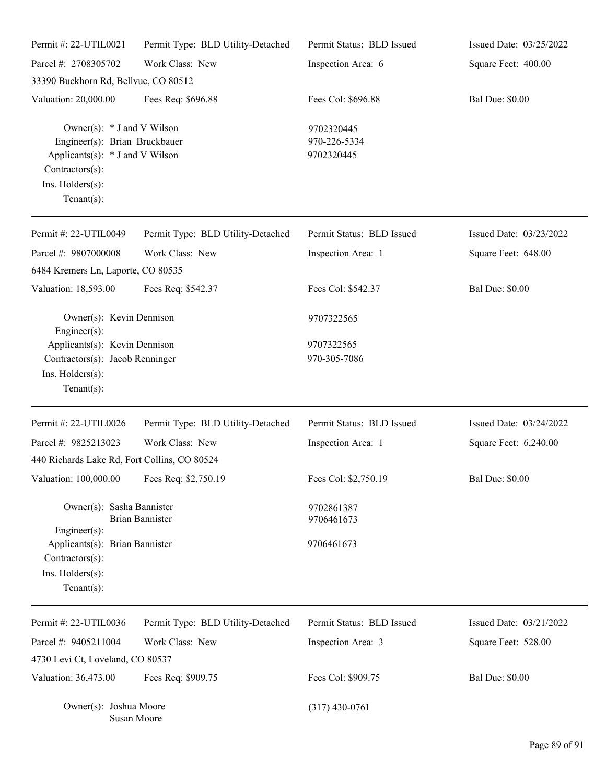| Permit #: 22-UTIL0021                                                                                                                                     | Permit Type: BLD Utility-Detached | Permit Status: BLD Issued                | Issued Date: 03/25/2022 |
|-----------------------------------------------------------------------------------------------------------------------------------------------------------|-----------------------------------|------------------------------------------|-------------------------|
| Parcel #: 2708305702                                                                                                                                      | Work Class: New                   | Inspection Area: 6                       | Square Feet: 400.00     |
| 33390 Buckhorn Rd, Bellvue, CO 80512                                                                                                                      |                                   |                                          |                         |
| Valuation: 20,000.00                                                                                                                                      | Fees Req: \$696.88                | Fees Col: \$696.88                       | <b>Bal Due: \$0.00</b>  |
| Owner(s): $*$ J and V Wilson<br>Engineer(s): Brian Bruckbauer<br>Applicants(s): * J and V Wilson<br>Contractors(s):<br>Ins. Holders(s):<br>Tenant $(s)$ : |                                   | 9702320445<br>970-226-5334<br>9702320445 |                         |
| Permit #: 22-UTIL0049                                                                                                                                     | Permit Type: BLD Utility-Detached | Permit Status: BLD Issued                | Issued Date: 03/23/2022 |
| Parcel #: 9807000008                                                                                                                                      | Work Class: New                   | Inspection Area: 1                       | Square Feet: 648.00     |
| 6484 Kremers Ln, Laporte, CO 80535                                                                                                                        |                                   |                                          |                         |
| Valuation: 18,593.00                                                                                                                                      | Fees Req: \$542.37                | Fees Col: \$542.37                       | <b>Bal Due: \$0.00</b>  |
| Owner(s): Kevin Dennison<br>Engineer(s):                                                                                                                  |                                   | 9707322565                               |                         |
| Applicants(s): Kevin Dennison                                                                                                                             |                                   | 9707322565                               |                         |
| Contractors(s): Jacob Renninger<br>Ins. Holders(s):<br>Tenant $(s)$ :                                                                                     |                                   | 970-305-7086                             |                         |
| Permit #: 22-UTIL0026                                                                                                                                     | Permit Type: BLD Utility-Detached | Permit Status: BLD Issued                | Issued Date: 03/24/2022 |
| Parcel #: 9825213023                                                                                                                                      | Work Class: New                   | Inspection Area: 1                       | Square Feet: 6,240.00   |
| 440 Richards Lake Rd, Fort Collins, CO 80524                                                                                                              |                                   |                                          |                         |
| Valuation: 100,000.00 Fees Req: \$2,750.19                                                                                                                |                                   | Fees Col: \$2,750.19                     | <b>Bal Due: \$0.00</b>  |
| Owner(s): Sasha Bannister                                                                                                                                 | <b>Brian Bannister</b>            | 9702861387<br>9706461673                 |                         |
| $Engineering(s)$ :<br>Applicants(s): Brian Bannister<br>Contractors(s):<br>Ins. Holders(s):<br>Tenant $(s)$ :                                             |                                   | 9706461673                               |                         |
| Permit #: 22-UTIL0036                                                                                                                                     | Permit Type: BLD Utility-Detached | Permit Status: BLD Issued                | Issued Date: 03/21/2022 |
| Parcel #: 9405211004                                                                                                                                      | Work Class: New                   | Inspection Area: 3                       | Square Feet: 528.00     |
| 4730 Levi Ct, Loveland, CO 80537                                                                                                                          |                                   |                                          |                         |
| Valuation: 36,473.00                                                                                                                                      | Fees Req: \$909.75                | Fees Col: \$909.75                       | <b>Bal Due: \$0.00</b>  |
| Owner(s): Joshua Moore                                                                                                                                    | Susan Moore                       | $(317)$ 430-0761                         |                         |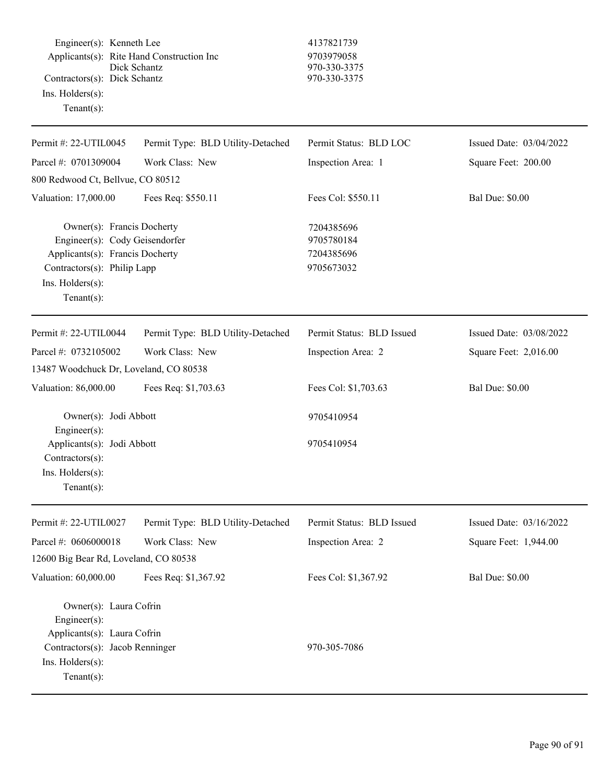Engineer(s): Kenneth Lee 4137821739 Applicants(s): Rite Hand Construction Inc 9703979058<br>Dick Schantz 970-330-337 Contractors(s): Dick Schantz 970-330-3375 Ins. Holders(s): Tenant(s):

## 970-330-3375

| Permit #: 22-UTIL0045                                                                                                                                                | Permit Type: BLD Utility-Detached | Permit Status: BLD LOC                               | Issued Date: 03/04/2022 |
|----------------------------------------------------------------------------------------------------------------------------------------------------------------------|-----------------------------------|------------------------------------------------------|-------------------------|
| Parcel #: 0701309004                                                                                                                                                 | Work Class: New                   | Inspection Area: 1                                   | Square Feet: 200.00     |
| 800 Redwood Ct, Bellvue, CO 80512                                                                                                                                    |                                   |                                                      |                         |
| Valuation: 17,000.00                                                                                                                                                 | Fees Req: \$550.11                | Fees Col: \$550.11                                   | <b>Bal Due: \$0.00</b>  |
| Owner(s): Francis Docherty<br>Engineer(s): Cody Geisendorfer<br>Applicants(s): Francis Docherty<br>Contractors(s): Philip Lapp<br>Ins. Holders(s):<br>Tenant $(s)$ : |                                   | 7204385696<br>9705780184<br>7204385696<br>9705673032 |                         |
| Permit #: 22-UTIL0044                                                                                                                                                | Permit Type: BLD Utility-Detached | Permit Status: BLD Issued                            | Issued Date: 03/08/2022 |
| Parcel #: 0732105002                                                                                                                                                 | Work Class: New                   | Inspection Area: 2                                   | Square Feet: 2,016.00   |
| 13487 Woodchuck Dr, Loveland, CO 80538                                                                                                                               |                                   |                                                      |                         |
| Valuation: 86,000.00                                                                                                                                                 | Fees Req: \$1,703.63              | Fees Col: \$1,703.63                                 | <b>Bal Due: \$0.00</b>  |
| Owner(s): Jodi Abbott                                                                                                                                                |                                   | 9705410954                                           |                         |
|                                                                                                                                                                      |                                   |                                                      |                         |
| Engineer(s):<br>Applicants(s): Jodi Abbott<br>Contractors(s):<br>Ins. Holders(s):<br>Tenant $(s)$ :                                                                  |                                   | 9705410954                                           |                         |
| Permit #: 22-UTIL0027                                                                                                                                                | Permit Type: BLD Utility-Detached | Permit Status: BLD Issued                            | Issued Date: 03/16/2022 |
| Parcel #: 0606000018                                                                                                                                                 | Work Class: New                   | Inspection Area: 2                                   | Square Feet: 1,944.00   |
| 12600 Big Bear Rd, Loveland, CO 80538                                                                                                                                |                                   |                                                      |                         |
| Valuation: 60,000.00                                                                                                                                                 | Fees Req: \$1,367.92              | Fees Col: \$1,367.92                                 | <b>Bal Due: \$0.00</b>  |